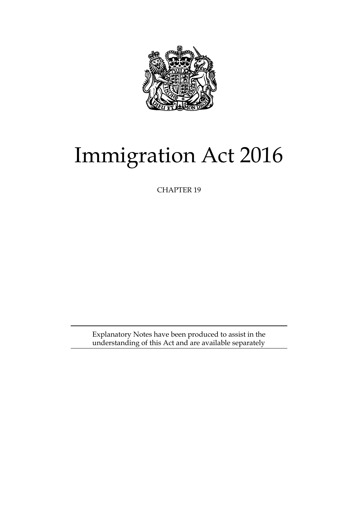

# Immigration Act 2016

CHAPTER 19

Explanatory Notes have been produced to assist in the understanding of this Act and are available separately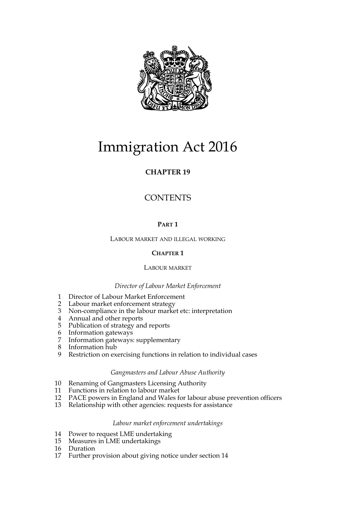

# Immigration Act 2016

# **CHAPTER 19**

# **CONTENTS**

# **PART 1**

LABOUR MARKET AND ILLEGAL WORKING

# **CHAPTER 1**

# LABOUR MARKET

# *Director of Labour Market Enforcement*

- 1 Director of Labour Market Enforcement
- 2 Labour market enforcement strategy
- 3 Non-compliance in the labour market etc: interpretation
- 4 Annual and other reports
- 5 Publication of strategy and reports
- 6 Information gateways
- 7 Information gateways: supplementary
- 8 Information hub
- 9 Restriction on exercising functions in relation to individual cases

# *Gangmasters and Labour Abuse Authority*

- 10 Renaming of Gangmasters Licensing Authority
- 11 Functions in relation to labour market
- 12 PACE powers in England and Wales for labour abuse prevention officers
- 13 Relationship with other agencies: requests for assistance

# *Labour market enforcement undertakings*

- 14 Power to request LME undertaking
- 15 Measures in LME undertakings
- 16 Duration
- 17 Further provision about giving notice under section 14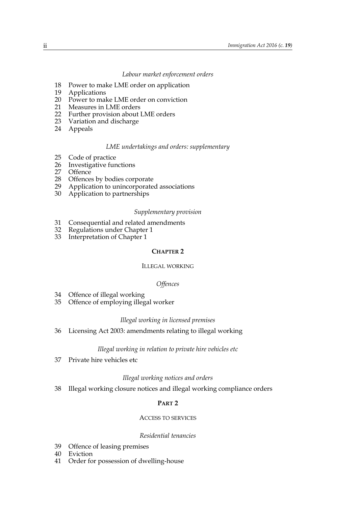#### *Labour market enforcement orders*

- 18 Power to make LME order on application
- 19 Applications
- 20 Power to make LME order on conviction
- 21 Measures in LME orders
- 22 Further provision about LME orders
- 23 Variation and discharge
- 24 Appeals

#### *LME undertakings and orders: supplementary*

- 25 Code of practice<br>26 Investigative fur
- 26 Investigative functions<br>27 Offence
- 27 Offence
- Offences by bodies corporate
- 29 Application to unincorporated associations
- 30 Application to partnerships

#### *Supplementary provision*

- 31 Consequential and related amendments<br>32 Regulations under Chapter 1
- Regulations under Chapter 1
- 33 Interpretation of Chapter 1

#### **CHAPTER 2**

#### ILLEGAL WORKING

#### *Offences*

- 34 Offence of illegal working
- 35 Offence of employing illegal worker

#### *Illegal working in licensed premises*

36 Licensing Act 2003: amendments relating to illegal working

#### *Illegal working in relation to private hire vehicles etc*

37 Private hire vehicles etc

#### *Illegal working notices and orders*

38 Illegal working closure notices and illegal working compliance orders

#### **PART 2**

#### ACCESS TO SERVICES

#### *Residential tenancies*

- 39 Offence of leasing premises
- 40 Eviction
- 41 Order for possession of dwelling-house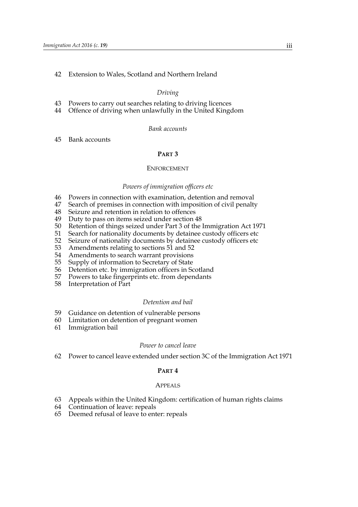#### 42 Extension to Wales, Scotland and Northern Ireland

#### *Driving*

- 43 Powers to carry out searches relating to driving licences
- 44 Offence of driving when unlawfully in the United Kingdom

### *Bank accounts*

#### 45 Bank accounts

#### **PART 3**

#### ENFORCEMENT

#### *Powers of immigration officers etc*

- 46 Powers in connection with examination, detention and removal
- 47 Search of premises in connection with imposition of civil penalty
- 48 Seizure and retention in relation to offences
- 49 Duty to pass on items seized under section 48<br>50 Retention of things seized under Part 3 of the
- 50 Retention of things seized under Part 3 of the Immigration Act 1971<br>51 Search for nationality documents by detainee custody officers etc
- 51 Search for nationality documents by detainee custody officers etc<br>52 Seizure of nationality documents by detainee custody officers etc
- 52 Seizure of nationality documents by detainee custody officers etc<br>53 Amendments relating to sections 51 and 52
- 53 Amendments relating to sections 51 and 52
- 54 Amendments to search warrant provisions<br>55 Supply of information to Secretary of State
- 55 Supply of information to Secretary of State<br>56 Detention etc. by immigration officers in Sc
- 56 Detention etc. by immigration officers in Scotland<br>57 Powers to take fingerprints etc. from dependants
- Powers to take fingerprints etc. from dependants
- 58 Interpretation of Part

#### *Detention and bail*

- 59 Guidance on detention of vulnerable persons
- 60 Limitation on detention of pregnant women
- 61 Immigration bail

#### *Power to cancel leave*

62 Power to cancel leave extended under section 3C of the Immigration Act 1971

#### **PART 4**

#### APPEALS

- 63 Appeals within the United Kingdom: certification of human rights claims
- 64 Continuation of leave: repeals
- 65 Deemed refusal of leave to enter: repeals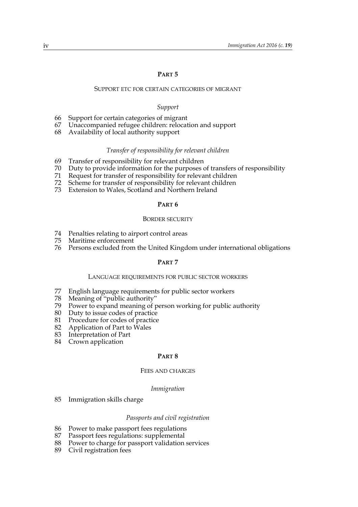#### **PART 5**

#### SUPPORT ETC FOR CERTAIN CATEGORIES OF MIGRANT

#### *Support*

- 66 Support for certain categories of migrant
- 67 Unaccompanied refugee children: relocation and support
- 68 Availability of local authority support

#### *Transfer of responsibility for relevant children*

- 69 Transfer of responsibility for relevant children
- 70 Duty to provide information for the purposes of transfers of responsibility
- 71 Request for transfer of responsibility for relevant children
- Scheme for transfer of responsibility for relevant children
- 73 Extension to Wales, Scotland and Northern Ireland

#### **PART 6**

#### BORDER SECURITY

- 74 Penalties relating to airport control areas
- 75 Maritime enforcement
- 76 Persons excluded from the United Kingdom under international obligations

### **PART 7**

#### LANGUAGE REQUIREMENTS FOR PUBLIC SECTOR WORKERS

- 77 English language requirements for public sector workers
- 78 Meaning of "public authority"
- 79 Power to expand meaning of person working for public authority
- 80 Duty to issue codes of practice<br>81 Procedure for codes of practice
- Procedure for codes of practice
- 82 Application of Part to Wales
- 83 Interpretation of Part
- 84 Crown application

#### **PART 8**

#### FEES AND CHARGES

#### *Immigration*

85 Immigration skills charge

## *Passports and civil registration*

- 86 Power to make passport fees regulations
- 87 Passport fees regulations: supplemental
- 88 Power to charge for passport validation services
- 89 Civil registration fees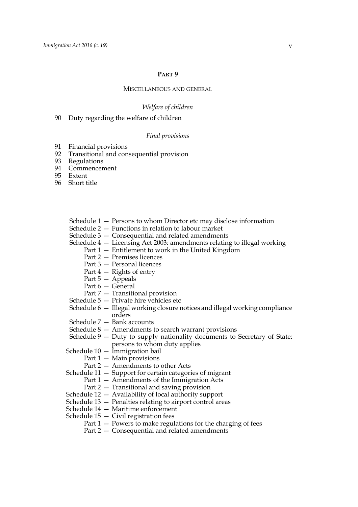#### **PART 9**

#### MISCELLANEOUS AND GENERAL

#### *Welfare of children*

90 Duty regarding the welfare of children

#### *Final provisions*

- 91 Financial provisions
- 92 Transitional and consequential provision
- 93 Regulations
- 94 Commencement
- 95 Extent
- 96 Short title

Schedule 1 — Persons to whom Director etc may disclose information

Schedule 2 — Functions in relation to labour market

Schedule 3 — Consequential and related amendments

- Schedule 4 Licensing Act 2003: amendments relating to illegal working
	- Part 1 Entitlement to work in the United Kingdom
		- Part 2 Premises licences
		- Part 3 Personal licences
		- Part 4 Rights of entry
		- Part 5 Appeals
		- Part 6 General
	- Part 7 Transitional provision
- Schedule 5 Private hire vehicles etc
- Schedule 6 Illegal working closure notices and illegal working compliance orders
- Schedule 7 Bank accounts
- Schedule 8 Amendments to search warrant provisions
- Schedule 9 Duty to supply nationality documents to Secretary of State: persons to whom duty applies
- Schedule 10 Immigration bail
	- Part 1 Main provisions
	- Part 2 Amendments to other Acts
- Schedule 11 Support for certain categories of migrant
	- Part 1 Amendments of the Immigration Acts
	- Part 2 Transitional and saving provision
- Schedule 12 Availability of local authority support
- Schedule 13 Penalties relating to airport control areas
- Schedule 14 Maritime enforcement
- Schedule  $15 -$  Civil registration fees
	- Part  $1 -$  Powers to make regulations for the charging of fees
	- Part 2 Consequential and related amendments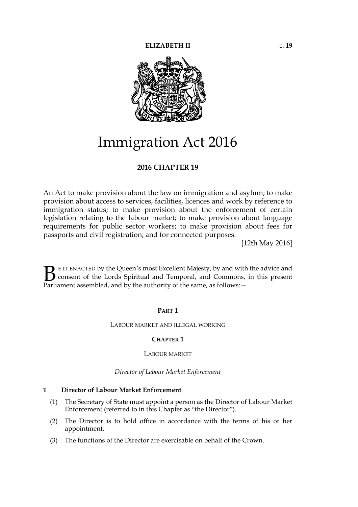

# Immigration Act 2016

# **2016 CHAPTER 19**

An Act to make provision about the law on immigration and asylum; to make provision about access to services, facilities, licences and work by reference to immigration status; to make provision about the enforcement of certain legislation relating to the labour market; to make provision about language requirements for public sector workers; to make provision about fees for passports and civil registration; and for connected purposes.

[12th May 2016]

E IT ENACTED by the Queen's most Excellent Majesty, by and with the advice and consent of the Lords Spiritual and Temporal, and Commons, in this present **B** E IT ENACTED by the Queen's most Excellent Majesty, by and with consent of the Lords Spiritual and Temporal, and Commons, Parliament assembled, and by the authority of the same, as follows:  $-$ 

# **PART 1**

# LABOUR MARKET AND ILLEGAL WORKING

# **CHAPTER 1**

# LABOUR MARKET

# *Director of Labour Market Enforcement*

# **1 Director of Labour Market Enforcement**

- (1) The Secretary of State must appoint a person as the Director of Labour Market Enforcement (referred to in this Chapter as "the Director").
- (2) The Director is to hold office in accordance with the terms of his or her appointment.
- (3) The functions of the Director are exercisable on behalf of the Crown.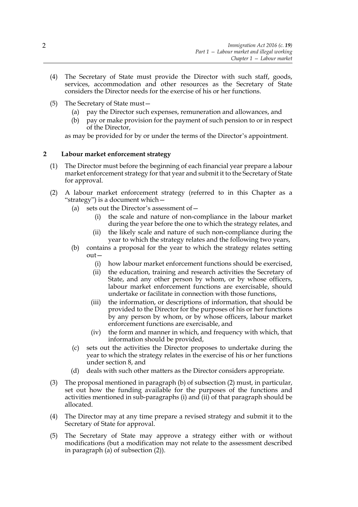- (4) The Secretary of State must provide the Director with such staff, goods, services, accommodation and other resources as the Secretary of State considers the Director needs for the exercise of his or her functions.
- (5) The Secretary of State must—
	- (a) pay the Director such expenses, remuneration and allowances, and
	- (b) pay or make provision for the payment of such pension to or in respect of the Director,

as may be provided for by or under the terms of the Director's appointment.

# **2 Labour market enforcement strategy**

- (1) The Director must before the beginning of each financial year prepare a labour market enforcement strategy for that year and submit it to the Secretary of State for approval.
- (2) A labour market enforcement strategy (referred to in this Chapter as a "strategy") is a document which—
	- (a) sets out the Director's assessment of—
		- (i) the scale and nature of non-compliance in the labour market during the year before the one to which the strategy relates, and
		- (ii) the likely scale and nature of such non-compliance during the year to which the strategy relates and the following two years,
	- (b) contains a proposal for the year to which the strategy relates setting out—
		- (i) how labour market enforcement functions should be exercised,
		- (ii) the education, training and research activities the Secretary of State, and any other person by whom, or by whose officers, labour market enforcement functions are exercisable, should undertake or facilitate in connection with those functions,
		- (iii) the information, or descriptions of information, that should be provided to the Director for the purposes of his or her functions by any person by whom, or by whose officers, labour market enforcement functions are exercisable, and
		- (iv) the form and manner in which, and frequency with which, that information should be provided,
	- (c) sets out the activities the Director proposes to undertake during the year to which the strategy relates in the exercise of his or her functions under section 8, and
	- (d) deals with such other matters as the Director considers appropriate.
- (3) The proposal mentioned in paragraph (b) of subsection (2) must, in particular, set out how the funding available for the purposes of the functions and activities mentioned in sub-paragraphs (i) and (ii) of that paragraph should be allocated.
- (4) The Director may at any time prepare a revised strategy and submit it to the Secretary of State for approval.
- (5) The Secretary of State may approve a strategy either with or without modifications (but a modification may not relate to the assessment described in paragraph (a) of subsection (2)).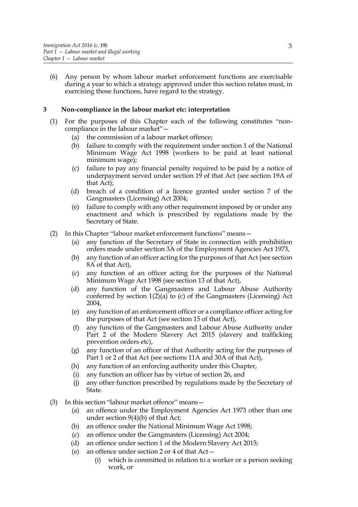(6) Any person by whom labour market enforcement functions are exercisable during a year to which a strategy approved under this section relates must, in exercising those functions, have regard to the strategy.

# **3 Non-compliance in the labour market etc: interpretation**

- (1) For the purposes of this Chapter each of the following constitutes "noncompliance in the labour market"—
	- (a) the commission of a labour market offence;
	- (b) failure to comply with the requirement under section 1 of the National Minimum Wage Act 1998 (workers to be paid at least national minimum wage);
	- (c) failure to pay any financial penalty required to be paid by a notice of underpayment served under section 19 of that Act (see section 19A of that Act);
	- (d) breach of a condition of a licence granted under section 7 of the Gangmasters (Licensing) Act 2004;
	- (e) failure to comply with any other requirement imposed by or under any enactment and which is prescribed by regulations made by the Secretary of State.
- (2) In this Chapter "labour market enforcement functions" means—
	- (a) any function of the Secretary of State in connection with prohibition orders made under section 3A of the Employment Agencies Act 1973,
	- (b) any function of an officer acting for the purposes of that Act (see section 8A of that Act),
	- (c) any function of an officer acting for the purposes of the National Minimum Wage Act 1998 (see section 13 of that Act),
	- (d) any function of the Gangmasters and Labour Abuse Authority conferred by section 1(2)(a) to (c) of the Gangmasters (Licensing) Act 2004,
	- (e) any function of an enforcement officer or a compliance officer acting for the purposes of that Act (see section 15 of that Act),
	- (f) any function of the Gangmasters and Labour Abuse Authority under Part 2 of the Modern Slavery Act 2015 (slavery and trafficking prevention orders etc),
	- (g) any function of an officer of that Authority acting for the purposes of Part 1 or 2 of that Act (see sections 11A and 30A of that Act),
	- (h) any function of an enforcing authority under this Chapter,
	- (i) any function an officer has by virtue of section 26, and
	- (j) any other function prescribed by regulations made by the Secretary of State.
- (3) In this section "labour market offence" means—
	- (a) an offence under the Employment Agencies Act 1973 other than one under section  $9(4)(b)$  of that Act;
	- (b) an offence under the National Minimum Wage Act 1998;
	- (c) an offence under the Gangmasters (Licensing) Act 2004;
	- (d) an offence under section 1 of the Modern Slavery Act 2015;
	- (e) an offence under section 2 or 4 of that Act—
		- (i) which is committed in relation to a worker or a person seeking work, or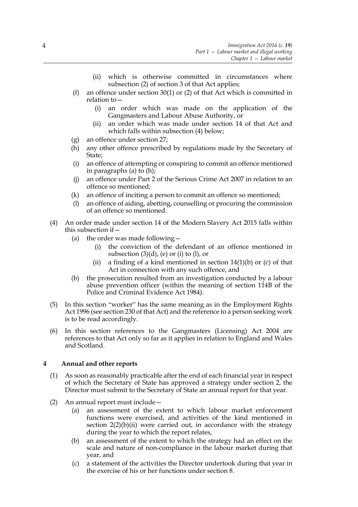- (ii) which is otherwise committed in circumstances where subsection (2) of section 3 of that Act applies;
- (f) an offence under section 30(1) or (2) of that Act which is committed in relation to—
	- (i) an order which was made on the application of the Gangmasters and Labour Abuse Authority, or
	- (ii) an order which was made under section 14 of that Act and which falls within subsection (4) below;
- (g) an offence under section 27;
- (h) any other offence prescribed by regulations made by the Secretary of State;
- (i) an offence of attempting or conspiring to commit an offence mentioned in paragraphs (a) to (h);
- (j) an offence under Part 2 of the Serious Crime Act 2007 in relation to an offence so mentioned;
- (k) an offence of inciting a person to commit an offence so mentioned;
- (l) an offence of aiding, abetting, counselling or procuring the commission of an offence so mentioned.
- (4) An order made under section 14 of the Modern Slavery Act 2015 falls within this subsection if—
	- (a) the order was made following  $-$ 
		- (i) the conviction of the defendant of an offence mentioned in subsection  $(3)(d)$ , (e) or (i) to (l), or
		- (ii) a finding of a kind mentioned in section  $14(1)(b)$  or (c) of that Act in connection with any such offence, and
	- (b) the prosecution resulted from an investigation conducted by a labour abuse prevention officer (within the meaning of section 114B of the Police and Criminal Evidence Act 1984).
- (5) In this section "worker" has the same meaning as in the Employment Rights Act 1996 (see section 230 of that Act) and the reference to a person seeking work is to be read accordingly.
- (6) In this section references to the Gangmasters (Licensing) Act 2004 are references to that Act only so far as it applies in relation to England and Wales and Scotland.

# **4 Annual and other reports**

- (1) As soon as reasonably practicable after the end of each financial year in respect of which the Secretary of State has approved a strategy under section 2, the Director must submit to the Secretary of State an annual report for that year.
- (2) An annual report must include—
	- (a) an assessment of the extent to which labour market enforcement functions were exercised, and activities of the kind mentioned in section  $2(2)(b)(ii)$  were carried out, in accordance with the strategy during the year to which the report relates,
	- (b) an assessment of the extent to which the strategy had an effect on the scale and nature of non-compliance in the labour market during that year, and
	- (c) a statement of the activities the Director undertook during that year in the exercise of his or her functions under section 8.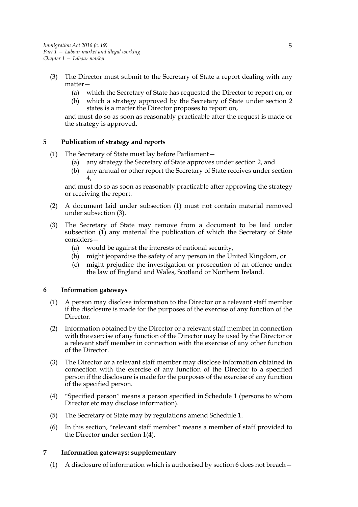- (3) The Director must submit to the Secretary of State a report dealing with any matter—
	- (a) which the Secretary of State has requested the Director to report on, or
	- (b) which a strategy approved by the Secretary of State under section 2 states is a matter the Director proposes to report on,

and must do so as soon as reasonably practicable after the request is made or the strategy is approved.

# **5 Publication of strategy and reports**

- (1) The Secretary of State must lay before Parliament—
	- (a) any strategy the Secretary of State approves under section 2, and
	- (b) any annual or other report the Secretary of State receives under section 4,

and must do so as soon as reasonably practicable after approving the strategy or receiving the report.

- (2) A document laid under subsection (1) must not contain material removed under subsection (3).
- (3) The Secretary of State may remove from a document to be laid under subsection (1) any material the publication of which the Secretary of State considers—
	- (a) would be against the interests of national security,
	- (b) might jeopardise the safety of any person in the United Kingdom, or
	- (c) might prejudice the investigation or prosecution of an offence under the law of England and Wales, Scotland or Northern Ireland.

# **6 Information gateways**

- (1) A person may disclose information to the Director or a relevant staff member if the disclosure is made for the purposes of the exercise of any function of the Director.
- (2) Information obtained by the Director or a relevant staff member in connection with the exercise of any function of the Director may be used by the Director or a relevant staff member in connection with the exercise of any other function of the Director.
- (3) The Director or a relevant staff member may disclose information obtained in connection with the exercise of any function of the Director to a specified person if the disclosure is made for the purposes of the exercise of any function of the specified person.
- (4) "Specified person" means a person specified in Schedule 1 (persons to whom Director etc may disclose information).
- (5) The Secretary of State may by regulations amend Schedule 1.
- (6) In this section, "relevant staff member" means a member of staff provided to the Director under section 1(4).

# **7 Information gateways: supplementary**

(1) A disclosure of information which is authorised by section 6 does not breach—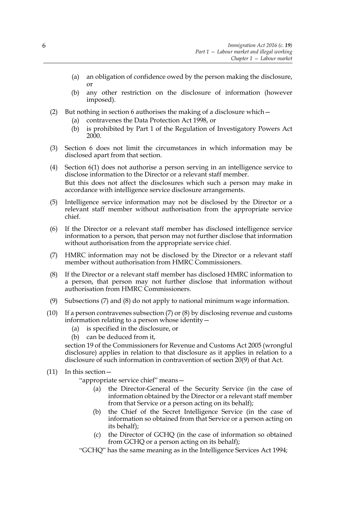- (a) an obligation of confidence owed by the person making the disclosure, or
- (b) any other restriction on the disclosure of information (however imposed).
- (2) But nothing in section 6 authorises the making of a disclosure which—
	- (a) contravenes the Data Protection Act 1998, or
	- (b) is prohibited by Part 1 of the Regulation of Investigatory Powers Act 200<sup>o</sup>.
- (3) Section 6 does not limit the circumstances in which information may be disclosed apart from that section.
- (4) Section 6(1) does not authorise a person serving in an intelligence service to disclose information to the Director or a relevant staff member. But this does not affect the disclosures which such a person may make in accordance with intelligence service disclosure arrangements.
- (5) Intelligence service information may not be disclosed by the Director or a relevant staff member without authorisation from the appropriate service chief.
- (6) If the Director or a relevant staff member has disclosed intelligence service information to a person, that person may not further disclose that information without authorisation from the appropriate service chief.
- (7) HMRC information may not be disclosed by the Director or a relevant staff member without authorisation from HMRC Commissioners.
- (8) If the Director or a relevant staff member has disclosed HMRC information to a person, that person may not further disclose that information without authorisation from HMRC Commissioners.
- (9) Subsections (7) and (8) do not apply to national minimum wage information.
- (10) If a person contravenes subsection (7) or (8) by disclosing revenue and customs information relating to a person whose identity—
	- (a) is specified in the disclosure, or
	- (b) can be deduced from it,

section 19 of the Commissioners for Revenue and Customs Act 2005 (wrongful disclosure) applies in relation to that disclosure as it applies in relation to a disclosure of such information in contravention of section 20(9) of that Act.

(11) In this section—

"appropriate service chief" means—

- (a) the Director-General of the Security Service (in the case of information obtained by the Director or a relevant staff member from that Service or a person acting on its behalf);
- (b) the Chief of the Secret Intelligence Service (in the case of information so obtained from that Service or a person acting on its behalf);
- (c) the Director of GCHQ (in the case of information so obtained from GCHQ or a person acting on its behalf);

"GCHQ" has the same meaning as in the Intelligence Services Act 1994;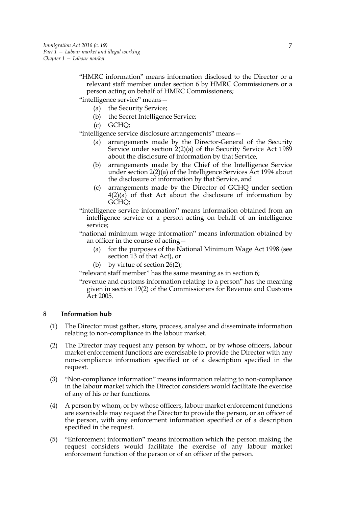"HMRC information" means information disclosed to the Director or a relevant staff member under section 6 by HMRC Commissioners or a person acting on behalf of HMRC Commissioners;

"intelligence service" means—

- (a) the Security Service;
- (b) the Secret Intelligence Service;
- (c) GCHQ;

"intelligence service disclosure arrangements" means—

- (a) arrangements made by the Director-General of the Security Service under section  $2(2)(a)$  of the Security Service Act 1989 about the disclosure of information by that Service,
- (b) arrangements made by the Chief of the Intelligence Service under section 2(2)(a) of the Intelligence Services Act 1994 about the disclosure of information by that Service, and
- (c) arrangements made by the Director of GCHQ under section  $4(2)(a)$  of that Act about the disclosure of information by GCHQ;
- "intelligence service information" means information obtained from an intelligence service or a person acting on behalf of an intelligence service;

"national minimum wage information" means information obtained by an officer in the course of acting—

- (a) for the purposes of the National Minimum Wage Act 1998 (see section 13 of that Act), or
- (b) by virtue of section 26(2);

"relevant staff member" has the same meaning as in section 6;

"revenue and customs information relating to a person" has the meaning given in section 19(2) of the Commissioners for Revenue and Customs Act 2005.

# **8 Information hub**

- (1) The Director must gather, store, process, analyse and disseminate information relating to non-compliance in the labour market.
- (2) The Director may request any person by whom, or by whose officers, labour market enforcement functions are exercisable to provide the Director with any non-compliance information specified or of a description specified in the request.
- (3) "Non-compliance information" means information relating to non-compliance in the labour market which the Director considers would facilitate the exercise of any of his or her functions.
- (4) A person by whom, or by whose officers, labour market enforcement functions are exercisable may request the Director to provide the person, or an officer of the person, with any enforcement information specified or of a description specified in the request.
- (5) "Enforcement information" means information which the person making the request considers would facilitate the exercise of any labour market enforcement function of the person or of an officer of the person.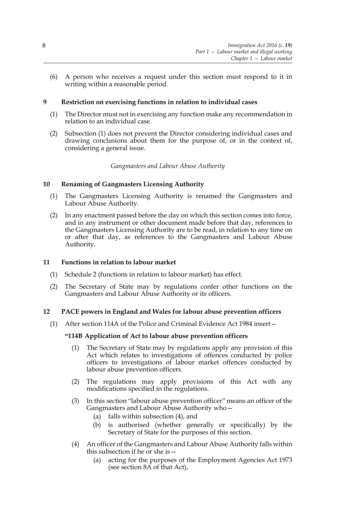(6) A person who receives a request under this section must respond to it in writing within a reasonable period.

# **9 Restriction on exercising functions in relation to individual cases**

- (1) The Director must not in exercising any function make any recommendation in relation to an individual case.
- (2) Subsection (1) does not prevent the Director considering individual cases and drawing conclusions about them for the purpose of, or in the context of, considering a general issue.

# *Gangmasters and Labour Abuse Authority*

# **10 Renaming of Gangmasters Licensing Authority**

- (1) The Gangmasters Licensing Authority is renamed the Gangmasters and Labour Abuse Authority.
- (2) In any enactment passed before the day on which this section comes into force, and in any instrument or other document made before that day, references to the Gangmasters Licensing Authority are to be read, in relation to any time on or after that day, as references to the Gangmasters and Labour Abuse Authority.

# **11 Functions in relation to labour market**

- (1) Schedule 2 (functions in relation to labour market) has effect.
- (2) The Secretary of State may by regulations confer other functions on the Gangmasters and Labour Abuse Authority or its officers.

# **12 PACE powers in England and Wales for labour abuse prevention officers**

(1) After section 114A of the Police and Criminal Evidence Act 1984 insert—

# **"114B Application of Act to labour abuse prevention officers**

- (1) The Secretary of State may by regulations apply any provision of this Act which relates to investigations of offences conducted by police officers to investigations of labour market offences conducted by labour abuse prevention officers.
- (2) The regulations may apply provisions of this Act with any modifications specified in the regulations.
- (3) In this section "labour abuse prevention officer" means an officer of the Gangmasters and Labour Abuse Authority who—
	- (a) falls within subsection (4), and
	- (b) is authorised (whether generally or specifically) by the Secretary of State for the purposes of this section.
- (4) An officer of the Gangmasters and Labour Abuse Authority falls within this subsection if he or she is—
	- (a) acting for the purposes of the Employment Agencies Act 1973 (see section 8A of that Act),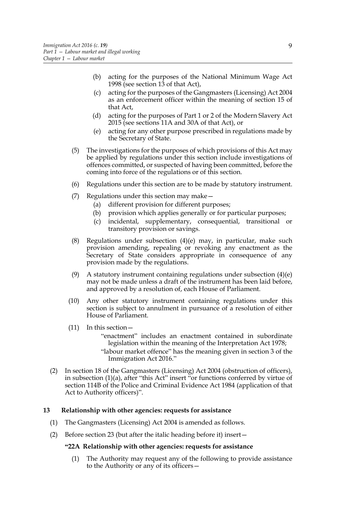- (b) acting for the purposes of the National Minimum Wage Act 1998 (see section 13 of that Act),
- (c) acting for the purposes of the Gangmasters (Licensing) Act 2004 as an enforcement officer within the meaning of section 15 of that Act,
- (d) acting for the purposes of Part 1 or 2 of the Modern Slavery Act 2015 (see sections 11A and 30A of that Act), or
- (e) acting for any other purpose prescribed in regulations made by the Secretary of State.
- (5) The investigations for the purposes of which provisions of this Act may be applied by regulations under this section include investigations of offences committed, or suspected of having been committed, before the coming into force of the regulations or of this section.
- (6) Regulations under this section are to be made by statutory instrument.
- (7) Regulations under this section may make—
	- (a) different provision for different purposes;
	- (b) provision which applies generally or for particular purposes;
	- (c) incidental, supplementary, consequential, transitional or transitory provision or savings.
- (8) Regulations under subsection  $(4)(e)$  may, in particular, make such provision amending, repealing or revoking any enactment as the Secretary of State considers appropriate in consequence of any provision made by the regulations.
- (9) A statutory instrument containing regulations under subsection  $(4)(e)$ may not be made unless a draft of the instrument has been laid before, and approved by a resolution of, each House of Parliament.
- (10) Any other statutory instrument containing regulations under this section is subject to annulment in pursuance of a resolution of either House of Parliament.
- (11) In this section—
	- "enactment" includes an enactment contained in subordinate legislation within the meaning of the Interpretation Act 1978; "labour market offence" has the meaning given in section 3 of the Immigration Act 2016."
- (2) In section 18 of the Gangmasters (Licensing) Act 2004 (obstruction of officers), in subsection (1)(a), after "this Act" insert "or functions conferred by virtue of section 114B of the Police and Criminal Evidence Act 1984 (application of that Act to Authority officers)".

# **13 Relationship with other agencies: requests for assistance**

- (1) The Gangmasters (Licensing) Act 2004 is amended as follows.
- (2) Before section 23 (but after the italic heading before it) insert—

#### **"22A Relationship with other agencies: requests for assistance**

(1) The Authority may request any of the following to provide assistance to the Authority or any of its officers—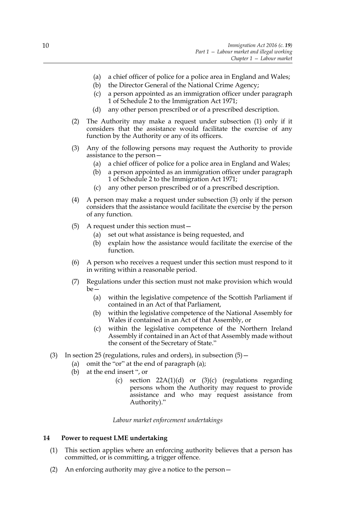- (a) a chief officer of police for a police area in England and Wales;
- (b) the Director General of the National Crime Agency;
- (c) a person appointed as an immigration officer under paragraph 1 of Schedule 2 to the Immigration Act 1971;
- (d) any other person prescribed or of a prescribed description.
- (2) The Authority may make a request under subsection (1) only if it considers that the assistance would facilitate the exercise of any function by the Authority or any of its officers.
- (3) Any of the following persons may request the Authority to provide assistance to the person—
	- (a) a chief officer of police for a police area in England and Wales;
	- (b) a person appointed as an immigration officer under paragraph 1 of Schedule 2 to the Immigration Act 1971;
	- (c) any other person prescribed or of a prescribed description.
- (4) A person may make a request under subsection (3) only if the person considers that the assistance would facilitate the exercise by the person of any function.
- (5) A request under this section must—
	- (a) set out what assistance is being requested, and
	- (b) explain how the assistance would facilitate the exercise of the function.
- (6) A person who receives a request under this section must respond to it in writing within a reasonable period.
- (7) Regulations under this section must not make provision which would be—
	- (a) within the legislative competence of the Scottish Parliament if contained in an Act of that Parliament,
	- (b) within the legislative competence of the National Assembly for Wales if contained in an Act of that Assembly, or
	- (c) within the legislative competence of the Northern Ireland Assembly if contained in an Act of that Assembly made without the consent of the Secretary of State."
- (3) In section 25 (regulations, rules and orders), in subsection  $(5)$  -
	- (a) omit the "or" at the end of paragraph (a);
	- (b) at the end insert ", or
		- (c) section  $22A(1)(d)$  or  $(3)(c)$  (regulations regarding persons whom the Authority may request to provide assistance and who may request assistance from Authority)."

*Labour market enforcement undertakings*

# **14 Power to request LME undertaking**

- (1) This section applies where an enforcing authority believes that a person has committed, or is committing, a trigger offence.
- (2) An enforcing authority may give a notice to the person—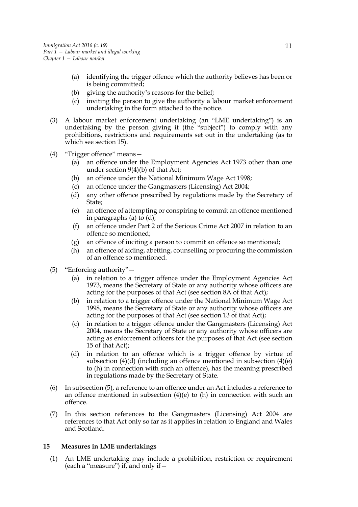- (a) identifying the trigger offence which the authority believes has been or is being committed;
- (b) giving the authority's reasons for the belief;
- (c) inviting the person to give the authority a labour market enforcement undertaking in the form attached to the notice.
- (3) A labour market enforcement undertaking (an "LME undertaking") is an undertaking by the person giving it (the "subject") to comply with any prohibitions, restrictions and requirements set out in the undertaking (as to which see section 15).
- (4) "Trigger offence" means—
	- (a) an offence under the Employment Agencies Act 1973 other than one under section 9(4)(b) of that Act;
	- (b) an offence under the National Minimum Wage Act 1998;
	- (c) an offence under the Gangmasters (Licensing) Act 2004;
	- (d) any other offence prescribed by regulations made by the Secretary of State;
	- (e) an offence of attempting or conspiring to commit an offence mentioned in paragraphs (a) to (d);
	- (f) an offence under Part 2 of the Serious Crime Act 2007 in relation to an offence so mentioned;
	- (g) an offence of inciting a person to commit an offence so mentioned;
	- (h) an offence of aiding, abetting, counselling or procuring the commission of an offence so mentioned.
- (5) "Enforcing authority"—
	- (a) in relation to a trigger offence under the Employment Agencies Act 1973, means the Secretary of State or any authority whose officers are acting for the purposes of that Act (see section 8A of that Act);
	- (b) in relation to a trigger offence under the National Minimum Wage Act 1998, means the Secretary of State or any authority whose officers are acting for the purposes of that Act (see section 13 of that Act);
	- (c) in relation to a trigger offence under the Gangmasters (Licensing) Act 2004, means the Secretary of State or any authority whose officers are acting as enforcement officers for the purposes of that Act (see section 15 of that Act);
	- (d) in relation to an offence which is a trigger offence by virtue of subsection  $(4)(d)$  (including an offence mentioned in subsection  $(4)(e)$ to (h) in connection with such an offence), has the meaning prescribed in regulations made by the Secretary of State.
- (6) In subsection (5), a reference to an offence under an Act includes a reference to an offence mentioned in subsection  $(4)(e)$  to  $(h)$  in connection with such an offence.
- (7) In this section references to the Gangmasters (Licensing) Act 2004 are references to that Act only so far as it applies in relation to England and Wales and Scotland.

# **15 Measures in LME undertakings**

(1) An LME undertaking may include a prohibition, restriction or requirement (each a "measure") if, and only if—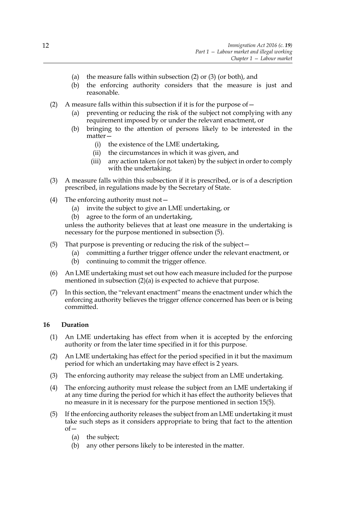- (a) the measure falls within subsection (2) or (3) (or both), and
- (b) the enforcing authority considers that the measure is just and reasonable.
- (2) A measure falls within this subsection if it is for the purpose of  $-$ 
	- (a) preventing or reducing the risk of the subject not complying with any requirement imposed by or under the relevant enactment, or
	- (b) bringing to the attention of persons likely to be interested in the matter—
		- (i) the existence of the LME undertaking,
		- (ii) the circumstances in which it was given, and
		- (iii) any action taken (or not taken) by the subject in order to comply with the undertaking.
- (3) A measure falls within this subsection if it is prescribed, or is of a description prescribed, in regulations made by the Secretary of State.
- (4) The enforcing authority must not—
	- (a) invite the subject to give an LME undertaking, or
	- (b) agree to the form of an undertaking,

unless the authority believes that at least one measure in the undertaking is necessary for the purpose mentioned in subsection (5).

- (5) That purpose is preventing or reducing the risk of the subject—
	- (a) committing a further trigger offence under the relevant enactment, or
	- (b) continuing to commit the trigger offence.
- (6) An LME undertaking must set out how each measure included for the purpose mentioned in subsection (2)(a) is expected to achieve that purpose.
- (7) In this section, the "relevant enactment" means the enactment under which the enforcing authority believes the trigger offence concerned has been or is being committed.

# **16 Duration**

- (1) An LME undertaking has effect from when it is accepted by the enforcing authority or from the later time specified in it for this purpose.
- (2) An LME undertaking has effect for the period specified in it but the maximum period for which an undertaking may have effect is 2 years.
- (3) The enforcing authority may release the subject from an LME undertaking.
- (4) The enforcing authority must release the subject from an LME undertaking if at any time during the period for which it has effect the authority believes that no measure in it is necessary for the purpose mentioned in section 15(5).
- (5) If the enforcing authority releases the subject from an LME undertaking it must take such steps as it considers appropriate to bring that fact to the attention  $of-$ 
	- (a) the subject;
	- (b) any other persons likely to be interested in the matter.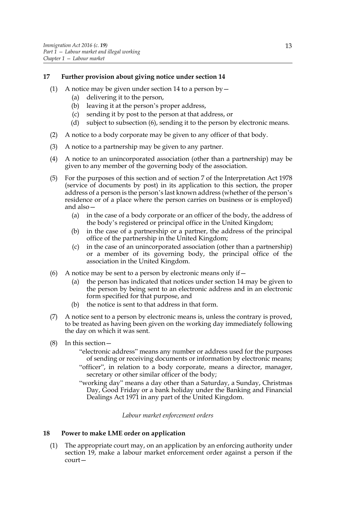# **17 Further provision about giving notice under section 14**

- (1) A notice may be given under section 14 to a person by  $-$ 
	- (a) delivering it to the person,
	- (b) leaving it at the person's proper address,
	- (c) sending it by post to the person at that address, or
	- (d) subject to subsection (6), sending it to the person by electronic means.
- (2) A notice to a body corporate may be given to any officer of that body.
- (3) A notice to a partnership may be given to any partner.
- (4) A notice to an unincorporated association (other than a partnership) may be given to any member of the governing body of the association.
- (5) For the purposes of this section and of section 7 of the Interpretation Act 1978 (service of documents by post) in its application to this section, the proper address of a person is the person's last known address (whether of the person's residence or of a place where the person carries on business or is employed) and also—
	- (a) in the case of a body corporate or an officer of the body, the address of the body's registered or principal office in the United Kingdom;
	- (b) in the case of a partnership or a partner, the address of the principal office of the partnership in the United Kingdom;
	- (c) in the case of an unincorporated association (other than a partnership) or a member of its governing body, the principal office of the association in the United Kingdom.
- (6) A notice may be sent to a person by electronic means only if  $-$ 
	- (a) the person has indicated that notices under section 14 may be given to the person by being sent to an electronic address and in an electronic form specified for that purpose, and
	- (b) the notice is sent to that address in that form.
- (7) A notice sent to a person by electronic means is, unless the contrary is proved, to be treated as having been given on the working day immediately following the day on which it was sent.
- (8) In this section—
	- "electronic address" means any number or address used for the purposes of sending or receiving documents or information by electronic means;
	- "officer", in relation to a body corporate, means a director, manager, secretary or other similar officer of the body;
	- "working day" means a day other than a Saturday, a Sunday, Christmas Day, Good Friday or a bank holiday under the Banking and Financial Dealings Act 1971 in any part of the United Kingdom.

# *Labour market enforcement orders*

# **18 Power to make LME order on application**

(1) The appropriate court may, on an application by an enforcing authority under section 19, make a labour market enforcement order against a person if the court—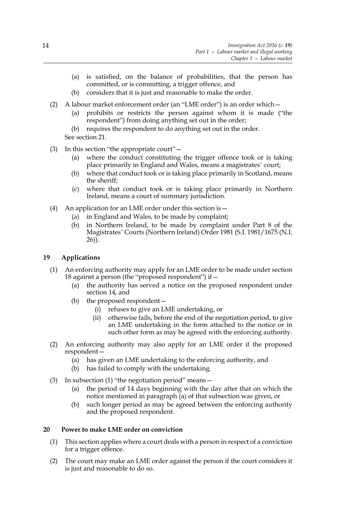- (a) is satisfied, on the balance of probabilities, that the person has committed, or is committing, a trigger offence, and
- (b) considers that it is just and reasonable to make the order.
- (2) A labour market enforcement order (an "LME order") is an order which—
	- (a) prohibits or restricts the person against whom it is made ("the respondent") from doing anything set out in the order;
	- (b) requires the respondent to do anything set out in the order.
	- See section 21.
- (3) In this section "the appropriate court"—
	- (a) where the conduct constituting the trigger offence took or is taking place primarily in England and Wales, means a magistrates' court;
	- (b) where that conduct took or is taking place primarily in Scotland, means the sheriff;
	- (c) where that conduct took or is taking place primarily in Northern Ireland, means a court of summary jurisdiction.
- (4) An application for an LME order under this section is—
	- (a) in England and Wales, to be made by complaint;
	- (b) in Northern Ireland, to be made by complaint under Part 8 of the Magistrates' Courts (Northern Ireland) Order 1981 (S.I. 1981/1675 (N.I. 26)).

# **19 Applications**

- (1) An enforcing authority may apply for an LME order to be made under section 18 against a person (the "proposed respondent") if—
	- (a) the authority has served a notice on the proposed respondent under section 14, and
	- (b) the proposed respondent—
		- (i) refuses to give an LME undertaking, or
		- (ii) otherwise fails, before the end of the negotiation period, to give an LME undertaking in the form attached to the notice or in such other form as may be agreed with the enforcing authority.
- (2) An enforcing authority may also apply for an LME order if the proposed respondent—
	- (a) has given an LME undertaking to the enforcing authority, and
	- (b) has failed to comply with the undertaking.
- (3) In subsection (1) "the negotiation period" means—
	- (a) the period of 14 days beginning with the day after that on which the notice mentioned in paragraph (a) of that subsection was given, or
	- (b) such longer period as may be agreed between the enforcing authority and the proposed respondent.

# **20 Power to make LME order on conviction**

- (1) This section applies where a court deals with a person in respect of a conviction for a trigger offence.
- (2) The court may make an LME order against the person if the court considers it is just and reasonable to do so.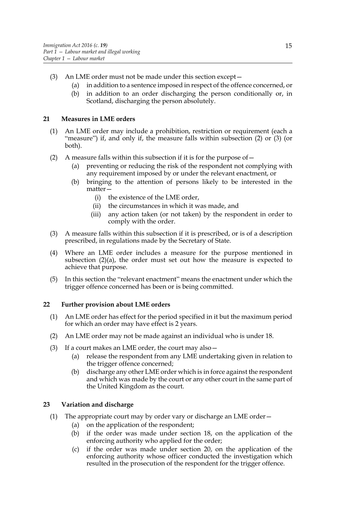- (3) An LME order must not be made under this section except—
	- (a) in addition to a sentence imposed in respect of the offence concerned, or
	- (b) in addition to an order discharging the person conditionally or, in Scotland, discharging the person absolutely.

# **21 Measures in LME orders**

- (1) An LME order may include a prohibition, restriction or requirement (each a "measure") if, and only if, the measure falls within subsection (2) or (3) (or both).
- (2) A measure falls within this subsection if it is for the purpose of  $-$ 
	- (a) preventing or reducing the risk of the respondent not complying with any requirement imposed by or under the relevant enactment, or
	- (b) bringing to the attention of persons likely to be interested in the matter-
		- (i) the existence of the LME order,
		- (ii) the circumstances in which it was made, and
		- (iii) any action taken (or not taken) by the respondent in order to comply with the order.
- (3) A measure falls within this subsection if it is prescribed, or is of a description prescribed, in regulations made by the Secretary of State.
- (4) Where an LME order includes a measure for the purpose mentioned in subsection  $(2)(a)$ , the order must set out how the measure is expected to achieve that purpose.
- (5) In this section the "relevant enactment" means the enactment under which the trigger offence concerned has been or is being committed.

# **22 Further provision about LME orders**

- (1) An LME order has effect for the period specified in it but the maximum period for which an order may have effect is 2 years.
- (2) An LME order may not be made against an individual who is under 18.
- (3) If a court makes an LME order, the court may also—
	- (a) release the respondent from any LME undertaking given in relation to the trigger offence concerned;
	- (b) discharge any other LME order which is in force against the respondent and which was made by the court or any other court in the same part of the United Kingdom as the court.

# **23 Variation and discharge**

- (1) The appropriate court may by order vary or discharge an LME order—
	- (a) on the application of the respondent;
	- (b) if the order was made under section 18, on the application of the enforcing authority who applied for the order;
	- (c) if the order was made under section 20, on the application of the enforcing authority whose officer conducted the investigation which resulted in the prosecution of the respondent for the trigger offence.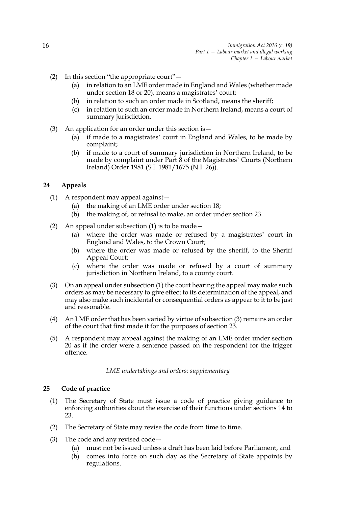- (2) In this section "the appropriate court"—
	- (a) in relation to an LME order made in England and Wales (whether made under section 18 or 20), means a magistrates' court;
	- (b) in relation to such an order made in Scotland, means the sheriff;
	- (c) in relation to such an order made in Northern Ireland, means a court of summary jurisdiction.
- (3) An application for an order under this section is—
	- (a) if made to a magistrates' court in England and Wales, to be made by complaint;
	- (b) if made to a court of summary jurisdiction in Northern Ireland, to be made by complaint under Part 8 of the Magistrates' Courts (Northern Ireland) Order 1981 (S.I. 1981/1675 (N.I. 26)).

# **24 Appeals**

- (1) A respondent may appeal against—
	- (a) the making of an LME order under section 18;
	- (b) the making of, or refusal to make, an order under section 23.
- (2) An appeal under subsection (1) is to be made—
	- (a) where the order was made or refused by a magistrates' court in England and Wales, to the Crown Court;
	- (b) where the order was made or refused by the sheriff, to the Sheriff Appeal Court;
	- (c) where the order was made or refused by a court of summary jurisdiction in Northern Ireland, to a county court.
- (3) On an appeal under subsection (1) the court hearing the appeal may make such orders as may be necessary to give effect to its determination of the appeal, and may also make such incidental or consequential orders as appear to it to be just and reasonable.
- (4) An LME order that has been varied by virtue of subsection (3) remains an order of the court that first made it for the purposes of section 23.
- (5) A respondent may appeal against the making of an LME order under section 20 as if the order were a sentence passed on the respondent for the trigger offence.

#### *LME undertakings and orders: supplementary*

#### **25 Code of practice**

- (1) The Secretary of State must issue a code of practice giving guidance to enforcing authorities about the exercise of their functions under sections 14 to 23.
- (2) The Secretary of State may revise the code from time to time.
- (3) The code and any revised code—
	- (a) must not be issued unless a draft has been laid before Parliament, and
	- (b) comes into force on such day as the Secretary of State appoints by regulations.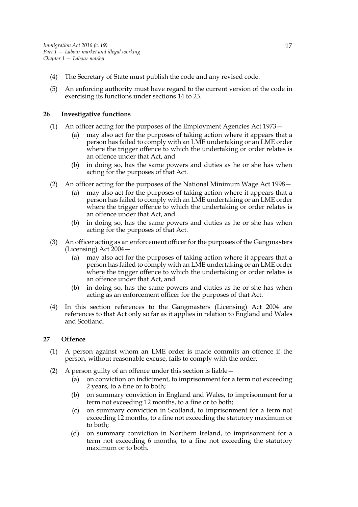- (4) The Secretary of State must publish the code and any revised code.
- (5) An enforcing authority must have regard to the current version of the code in exercising its functions under sections 14 to 23.

# **26 Investigative functions**

- (1) An officer acting for the purposes of the Employment Agencies Act 1973—
	- (a) may also act for the purposes of taking action where it appears that a person has failed to comply with an LME undertaking or an LME order where the trigger offence to which the undertaking or order relates is an offence under that Act, and
	- (b) in doing so, has the same powers and duties as he or she has when acting for the purposes of that Act.
- (2) An officer acting for the purposes of the National Minimum Wage Act 1998—
	- (a) may also act for the purposes of taking action where it appears that a person has failed to comply with an LME undertaking or an LME order where the trigger offence to which the undertaking or order relates is an offence under that Act, and
	- (b) in doing so, has the same powers and duties as he or she has when acting for the purposes of that Act.
- (3) An officer acting as an enforcement officer for the purposes of the Gangmasters (Licensing) Act 2004—
	- (a) may also act for the purposes of taking action where it appears that a person has failed to comply with an LME undertaking or an LME order where the trigger offence to which the undertaking or order relates is an offence under that Act, and
	- (b) in doing so, has the same powers and duties as he or she has when acting as an enforcement officer for the purposes of that Act.
- (4) In this section references to the Gangmasters (Licensing) Act 2004 are references to that Act only so far as it applies in relation to England and Wales and Scotland.

# **27 Offence**

- (1) A person against whom an LME order is made commits an offence if the person, without reasonable excuse, fails to comply with the order.
- (2) A person guilty of an offence under this section is liable—
	- (a) on conviction on indictment, to imprisonment for a term not exceeding 2 years, to a fine or to both;
	- (b) on summary conviction in England and Wales, to imprisonment for a term not exceeding 12 months, to a fine or to both;
	- (c) on summary conviction in Scotland, to imprisonment for a term not exceeding 12 months, to a fine not exceeding the statutory maximum or to both;
	- (d) on summary conviction in Northern Ireland, to imprisonment for a term not exceeding 6 months, to a fine not exceeding the statutory maximum or to both.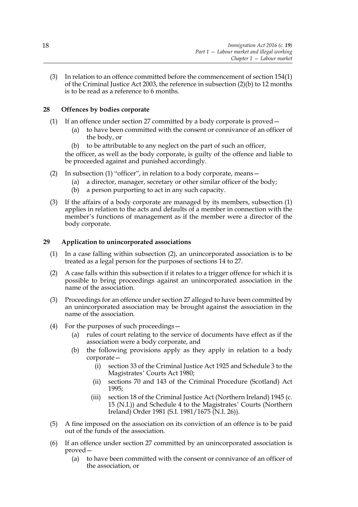(3) In relation to an offence committed before the commencement of section 154(1) of the Criminal Justice Act 2003, the reference in subsection (2)(b) to 12 months is to be read as a reference to 6 months.

# **28 Offences by bodies corporate**

- (1) If an offence under section 27 committed by a body corporate is proved—
	- (a) to have been committed with the consent or connivance of an officer of the body, or
	- (b) to be attributable to any neglect on the part of such an officer,

the officer, as well as the body corporate, is guilty of the offence and liable to be proceeded against and punished accordingly.

- (2) In subsection (1) "officer", in relation to a body corporate, means—
	- (a) a director, manager, secretary or other similar officer of the body;
	- (b) a person purporting to act in any such capacity.
- (3) If the affairs of a body corporate are managed by its members, subsection (1) applies in relation to the acts and defaults of a member in connection with the member's functions of management as if the member were a director of the body corporate.

# **29 Application to unincorporated associations**

- (1) In a case falling within subsection (2), an unincorporated association is to be treated as a legal person for the purposes of sections 14 to 27.
- (2) A case falls within this subsection if it relates to a trigger offence for which it is possible to bring proceedings against an unincorporated association in the name of the association.
- (3) Proceedings for an offence under section 27 alleged to have been committed by an unincorporated association may be brought against the association in the name of the association.
- (4) For the purposes of such proceedings—
	- (a) rules of court relating to the service of documents have effect as if the association were a body corporate, and
	- (b) the following provisions apply as they apply in relation to a body corporate—
		- (i) section 33 of the Criminal Justice Act 1925 and Schedule 3 to the Magistrates' Courts Act 1980;
		- (ii) sections 70 and 143 of the Criminal Procedure (Scotland) Act 1995;
		- (iii) section 18 of the Criminal Justice Act (Northern Ireland) 1945 (c. 15 (N.I.)) and Schedule 4 to the Magistrates' Courts (Northern Ireland) Order 1981 (S.I. 1981/1675 (N.I. 26)).
- (5) A fine imposed on the association on its conviction of an offence is to be paid out of the funds of the association.
- (6) If an offence under section 27 committed by an unincorporated association is proved—
	- (a) to have been committed with the consent or connivance of an officer of the association, or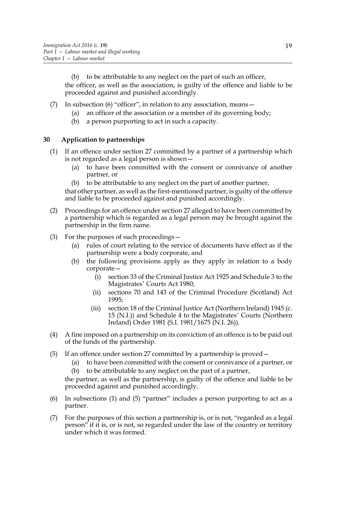(b) to be attributable to any neglect on the part of such an officer, the officer, as well as the association, is guilty of the offence and liable to be proceeded against and punished accordingly.

- (7) In subsection (6) "officer", in relation to any association, means—
	- (a) an officer of the association or a member of its governing body;
	- (b) a person purporting to act in such a capacity.

# **30 Application to partnerships**

- (1) If an offence under section 27 committed by a partner of a partnership which is not regarded as a legal person is shown—
	- (a) to have been committed with the consent or connivance of another partner, or
	- (b) to be attributable to any neglect on the part of another partner,

that other partner, as well as the first-mentioned partner, is guilty of the offence and liable to be proceeded against and punished accordingly.

- (2) Proceedings for an offence under section 27 alleged to have been committed by a partnership which is regarded as a legal person may be brought against the partnership in the firm name.
- (3) For the purposes of such proceedings—
	- (a) rules of court relating to the service of documents have effect as if the partnership were a body corporate, and
	- (b) the following provisions apply as they apply in relation to a body corporate—
		- (i) section 33 of the Criminal Justice Act 1925 and Schedule 3 to the Magistrates' Courts Act 1980;
		- (ii) sections 70 and 143 of the Criminal Procedure (Scotland) Act 1995;
		- (iii) section 18 of the Criminal Justice Act (Northern Ireland) 1945 (c. 15 (N.I.)) and Schedule 4 to the Magistrates' Courts (Northern Ireland) Order 1981 (S.I. 1981/1675 (N.I. 26)).
- (4) A fine imposed on a partnership on its conviction of an offence is to be paid out of the funds of the partnership.
- (5) If an offence under section 27 committed by a partnership is proved—
	- (a) to have been committed with the consent or connivance of a partner, or
	- (b) to be attributable to any neglect on the part of a partner,

the partner, as well as the partnership, is guilty of the offence and liable to be proceeded against and punished accordingly.

- (6) In subsections (1) and (5) "partner" includes a person purporting to act as a partner.
- (7) For the purposes of this section a partnership is, or is not, "regarded as a legal person" if it is, or is not, so regarded under the law of the country or territory under which it was formed.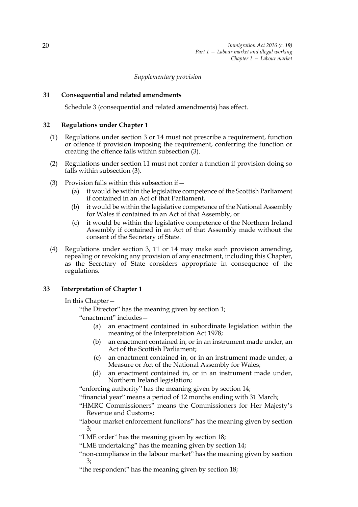### *Supplementary provision*

# **31 Consequential and related amendments**

Schedule 3 (consequential and related amendments) has effect.

#### **32 Regulations under Chapter 1**

- (1) Regulations under section 3 or 14 must not prescribe a requirement, function or offence if provision imposing the requirement, conferring the function or creating the offence falls within subsection (3).
- (2) Regulations under section 11 must not confer a function if provision doing so falls within subsection (3).
- (3) Provision falls within this subsection if—
	- (a) it would be within the legislative competence of the Scottish Parliament if contained in an Act of that Parliament,
	- (b) it would be within the legislative competence of the National Assembly for Wales if contained in an Act of that Assembly, or
	- (c) it would be within the legislative competence of the Northern Ireland Assembly if contained in an Act of that Assembly made without the consent of the Secretary of State.
- (4) Regulations under section 3, 11 or 14 may make such provision amending, repealing or revoking any provision of any enactment, including this Chapter, as the Secretary of State considers appropriate in consequence of the regulations.

#### **33 Interpretation of Chapter 1**

In this Chapter—

"the Director" has the meaning given by section 1;

"enactment" includes—

- (a) an enactment contained in subordinate legislation within the meaning of the Interpretation Act 1978;
- (b) an enactment contained in, or in an instrument made under, an Act of the Scottish Parliament;
- (c) an enactment contained in, or in an instrument made under, a Measure or Act of the National Assembly for Wales;
- (d) an enactment contained in, or in an instrument made under, Northern Ireland legislation;

"enforcing authority" has the meaning given by section 14;

"financial year" means a period of 12 months ending with 31 March;

"HMRC Commissioners" means the Commissioners for Her Majesty's Revenue and Customs;

"labour market enforcement functions" has the meaning given by section 3;

"LME order" has the meaning given by section 18;

"LME undertaking" has the meaning given by section 14;

"non-compliance in the labour market" has the meaning given by section 3;

"the respondent" has the meaning given by section 18;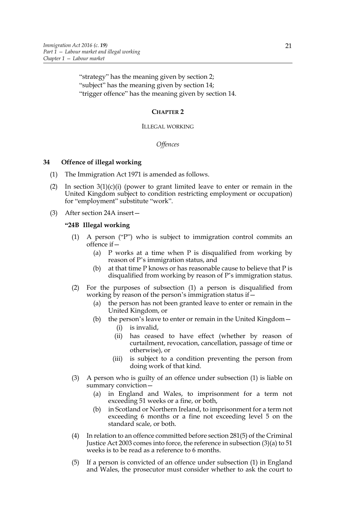"strategy" has the meaning given by section 2; "subject" has the meaning given by section 14; "trigger offence" has the meaning given by section 14.

# **CHAPTER 2**

#### ILLEGAL WORKING

#### *Offences*

# **34 Offence of illegal working**

- (1) The Immigration Act 1971 is amended as follows.
- (2) In section  $3(1)(c)(i)$  (power to grant limited leave to enter or remain in the United Kingdom subject to condition restricting employment or occupation) for "employment" substitute "work".
- (3) After section 24A insert—

# **"24B Illegal working**

- (1) A person ("P") who is subject to immigration control commits an offence if—
	- (a) P works at a time when P is disqualified from working by reason of P's immigration status, and
	- (b) at that time  $P$  knows or has reasonable cause to believe that  $P$  is disqualified from working by reason of P's immigration status.
- (2) For the purposes of subsection (1) a person is disqualified from working by reason of the person's immigration status if  $-$ 
	- (a) the person has not been granted leave to enter or remain in the United Kingdom, or
	- (b) the person's leave to enter or remain in the United Kingdom—
		- (i) is invalid,
		- (ii) has ceased to have effect (whether by reason of curtailment, revocation, cancellation, passage of time or otherwise), or
		- (iii) is subject to a condition preventing the person from doing work of that kind.
- (3) A person who is guilty of an offence under subsection (1) is liable on summary conviction—
	- (a) in England and Wales, to imprisonment for a term not exceeding 51 weeks or a fine, or both,
	- (b) in Scotland or Northern Ireland, to imprisonment for a term not exceeding 6 months or a fine not exceeding level 5 on the standard scale, or both.
- (4) In relation to an offence committed before section 281(5) of the Criminal Justice Act 2003 comes into force, the reference in subsection (3)(a) to 51 weeks is to be read as a reference to 6 months.
- (5) If a person is convicted of an offence under subsection (1) in England and Wales, the prosecutor must consider whether to ask the court to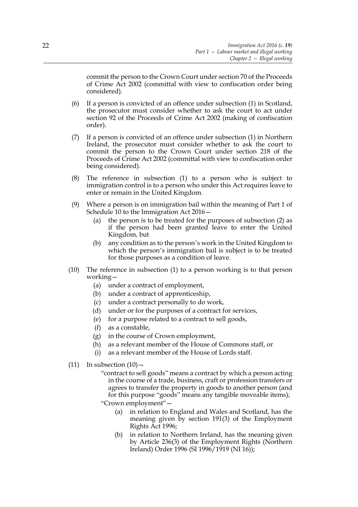commit the person to the Crown Court under section 70 of the Proceeds of Crime Act 2002 (committal with view to confiscation order being considered).

- (6) If a person is convicted of an offence under subsection (1) in Scotland, the prosecutor must consider whether to ask the court to act under section 92 of the Proceeds of Crime Act 2002 (making of confiscation order).
- (7) If a person is convicted of an offence under subsection (1) in Northern Ireland, the prosecutor must consider whether to ask the court to commit the person to the Crown Court under section 218 of the Proceeds of Crime Act 2002 (committal with view to confiscation order being considered).
- (8) The reference in subsection (1) to a person who is subject to immigration control is to a person who under this Act requires leave to enter or remain in the United Kingdom.
- (9) Where a person is on immigration bail within the meaning of Part 1 of Schedule 10 to the Immigration Act 2016—
	- (a) the person is to be treated for the purposes of subsection (2) as if the person had been granted leave to enter the United Kingdom, but
	- (b) any condition as to the person's work in the United Kingdom to which the person's immigration bail is subject is to be treated for those purposes as a condition of leave.
- (10) The reference in subsection (1) to a person working is to that person working—
	- (a) under a contract of employment,
	- (b) under a contract of apprenticeship,
	- (c) under a contract personally to do work,
	- (d) under or for the purposes of a contract for services,
	- (e) for a purpose related to a contract to sell goods,
	- (f) as a constable,
	- (g) in the course of Crown employment,
	- (h) as a relevant member of the House of Commons staff, or
	- (i) as a relevant member of the House of Lords staff.
- $(11)$  In subsection  $(10)$ 
	- "contract to sell goods" means a contract by which a person acting in the course of a trade, business, craft or profession transfers or agrees to transfer the property in goods to another person (and for this purpose "goods" means any tangible moveable items);

"Crown employment"—

- (a) in relation to England and Wales and Scotland, has the meaning given by section 191(3) of the Employment Rights Act 1996;
- (b) in relation to Northern Ireland, has the meaning given by Article 236(3) of the Employment Rights (Northern Ireland) Order 1996 (SI 1996/1919 (NI 16));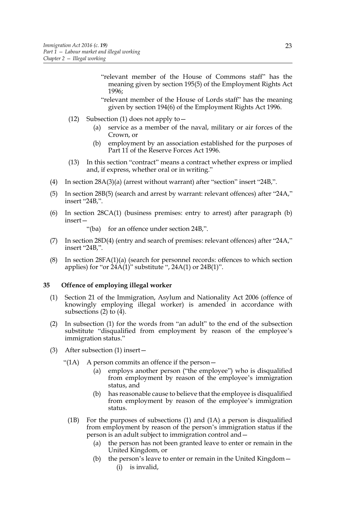"relevant member of the House of Commons staff" has the meaning given by section 195(5) of the Employment Rights Act 1996;

- "relevant member of the House of Lords staff" has the meaning given by section 194(6) of the Employment Rights Act 1996.
- (12) Subsection (1) does not apply to—
	- (a) service as a member of the naval, military or air forces of the Crown, or
	- (b) employment by an association established for the purposes of Part 11 of the Reserve Forces Act 1996.
- (13) In this section "contract" means a contract whether express or implied and, if express, whether oral or in writing."
- (4) In section 28A(3)(a) (arrest without warrant) after "section" insert "24B,".
- (5) In section 28B(5) (search and arrest by warrant: relevant offences) after "24A," insert "24B,".
- (6) In section 28CA(1) (business premises: entry to arrest) after paragraph (b) insert—

"(ba) for an offence under section 24B.".

- (7) In section 28D(4) (entry and search of premises: relevant offences) after "24A," insert "24B,".
- (8) In section  $28FA(1)(a)$  (search for personnel records: offences to which section applies) for "or  $24A(1)$ " substitute ",  $24A(1)$  or  $24B(1)$ ".

#### **35 Offence of employing illegal worker**

- (1) Section 21 of the Immigration, Asylum and Nationality Act 2006 (offence of knowingly employing illegal worker) is amended in accordance with subsections  $(2)$  to  $(4)$ .
- (2) In subsection (1) for the words from "an adult" to the end of the subsection substitute "disqualified from employment by reason of the employee's immigration status."
- (3) After subsection (1) insert—
	- "(1A) A person commits an offence if the person—
		- (a) employs another person ("the employee") who is disqualified from employment by reason of the employee's immigration status, and
		- (b) has reasonable cause to believe that the employee is disqualified from employment by reason of the employee's immigration status.
	- (1B) For the purposes of subsections (1) and (1A) a person is disqualified from employment by reason of the person's immigration status if the person is an adult subject to immigration control and—
		- (a) the person has not been granted leave to enter or remain in the United Kingdom, or
		- (b) the person's leave to enter or remain in the United Kingdom— (i) is invalid,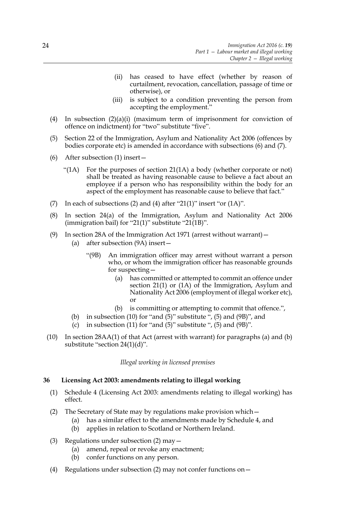- (ii) has ceased to have effect (whether by reason of curtailment, revocation, cancellation, passage of time or otherwise), or
- (iii) is subject to a condition preventing the person from accepting the employment."
- (4) In subsection  $(2)(a)(i)$  (maximum term of imprisonment for conviction of offence on indictment) for "two" substitute "five".
- (5) Section 22 of the Immigration, Asylum and Nationality Act 2006 (offences by bodies corporate etc) is amended in accordance with subsections (6) and (7).
- (6) After subsection (1) insert—
	- "(1A) For the purposes of section  $21(1)$  a body (whether corporate or not) shall be treated as having reasonable cause to believe a fact about an employee if a person who has responsibility within the body for an aspect of the employment has reasonable cause to believe that fact."
- (7) In each of subsections (2) and (4) after "21(1)" insert "or  $(1A)$ ".
- (8) In section 24(a) of the Immigration, Asylum and Nationality Act 2006 (immigration bail) for "21(1)" substitute "21(1B)".
- (9) In section 28A of the Immigration Act 1971 (arrest without warrant)—
	- (a) after subsection (9A) insert—
		- "(9B) An immigration officer may arrest without warrant a person who, or whom the immigration officer has reasonable grounds for suspecting—
			- (a) has committed or attempted to commit an offence under section 21(1) or (1A) of the Immigration, Asylum and Nationality Act 2006 (employment of illegal worker etc), or
			- (b) is committing or attempting to commit that offence.",
	- (b) in subsection (10) for "and (5)" substitute ", (5) and  $(9B)$ ", and
	- (c) in subsection (11) for "and  $(5)$ " substitute ",  $(5)$  and  $(9B)$ ".
- (10) In section 28AA(1) of that Act (arrest with warrant) for paragraphs (a) and (b) substitute "section 24(1)(d)".

#### *Illegal working in licensed premises*

# **36 Licensing Act 2003: amendments relating to illegal working**

- (1) Schedule 4 (Licensing Act 2003: amendments relating to illegal working) has effect.
- (2) The Secretary of State may by regulations make provision which—
	- (a) has a similar effect to the amendments made by Schedule 4, and
		- (b) applies in relation to Scotland or Northern Ireland.
- (3) Regulations under subsection (2) may—
	- (a) amend, repeal or revoke any enactment;
	- (b) confer functions on any person.
- (4) Regulations under subsection (2) may not confer functions on—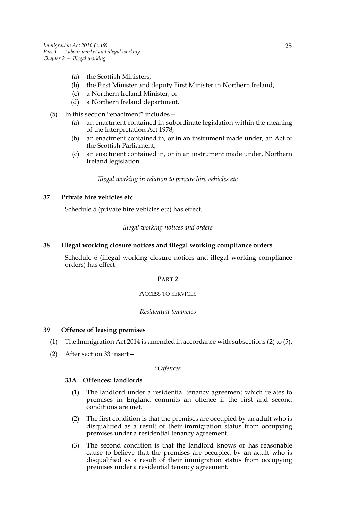- (a) the Scottish Ministers,
- (b) the First Minister and deputy First Minister in Northern Ireland,
- (c) a Northern Ireland Minister, or
- (d) a Northern Ireland department.
- (5) In this section "enactment" includes—
	- (a) an enactment contained in subordinate legislation within the meaning of the Interpretation Act 1978;
	- (b) an enactment contained in, or in an instrument made under, an Act of the Scottish Parliament;
	- (c) an enactment contained in, or in an instrument made under, Northern Ireland legislation.

*Illegal working in relation to private hire vehicles etc*

# **37 Private hire vehicles etc**

Schedule 5 (private hire vehicles etc) has effect.

*Illegal working notices and orders*

#### **38 Illegal working closure notices and illegal working compliance orders**

Schedule 6 (illegal working closure notices and illegal working compliance orders) has effect.

#### **PART 2**

#### ACCESS TO SERVICES

#### *Residential tenancies*

#### **39 Offence of leasing premises**

- (1) The Immigration Act 2014 is amended in accordance with subsections (2) to (5).
- (2) After section 33 insert—

# "*Offences*

# **33A Offences: landlords**

- (1) The landlord under a residential tenancy agreement which relates to premises in England commits an offence if the first and second conditions are met.
- (2) The first condition is that the premises are occupied by an adult who is disqualified as a result of their immigration status from occupying premises under a residential tenancy agreement.
- (3) The second condition is that the landlord knows or has reasonable cause to believe that the premises are occupied by an adult who is disqualified as a result of their immigration status from occupying premises under a residential tenancy agreement.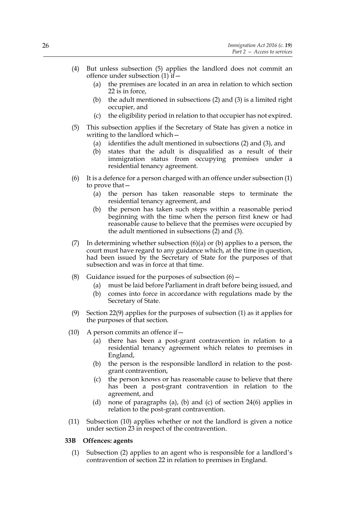- (4) But unless subsection (5) applies the landlord does not commit an offence under subsection (1) if—
	- (a) the premises are located in an area in relation to which section 22 is in force,
	- (b) the adult mentioned in subsections (2) and (3) is a limited right occupier, and
	- (c) the eligibility period in relation to that occupier has not expired.
- (5) This subsection applies if the Secretary of State has given a notice in writing to the landlord which —
	- (a) identifies the adult mentioned in subsections (2) and (3), and
	- (b) states that the adult is disqualified as a result of their immigration status from occupying premises under a residential tenancy agreement.
- (6) It is a defence for a person charged with an offence under subsection (1) to prove that—
	- (a) the person has taken reasonable steps to terminate the residential tenancy agreement, and
	- (b) the person has taken such steps within a reasonable period beginning with the time when the person first knew or had reasonable cause to believe that the premises were occupied by the adult mentioned in subsections (2) and (3).
- (7) In determining whether subsection  $(6)(a)$  or  $(b)$  applies to a person, the court must have regard to any guidance which, at the time in question, had been issued by the Secretary of State for the purposes of that subsection and was in force at that time.
- (8) Guidance issued for the purposes of subsection  $(6)$  -
	- (a) must be laid before Parliament in draft before being issued, and
	- (b) comes into force in accordance with regulations made by the Secretary of State.
- (9) Section 22(9) applies for the purposes of subsection (1) as it applies for the purposes of that section.
- (10) A person commits an offence if  $-$ 
	- (a) there has been a post-grant contravention in relation to a residential tenancy agreement which relates to premises in England,
	- (b) the person is the responsible landlord in relation to the postgrant contravention,
	- (c) the person knows or has reasonable cause to believe that there has been a post-grant contravention in relation to the agreement, and
	- (d) none of paragraphs (a), (b) and (c) of section 24(6) applies in relation to the post-grant contravention.
- (11) Subsection (10) applies whether or not the landlord is given a notice under section 23 in respect of the contravention.

#### **33B Offences: agents**

(1) Subsection (2) applies to an agent who is responsible for a landlord's contravention of section 22 in relation to premises in England.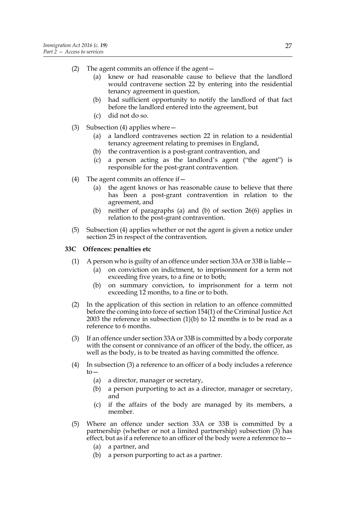- (2) The agent commits an offence if the agent—
	- (a) knew or had reasonable cause to believe that the landlord would contravene section 22 by entering into the residential tenancy agreement in question,
	- (b) had sufficient opportunity to notify the landlord of that fact before the landlord entered into the agreement, but
	- (c) did not do so.
- (3) Subsection (4) applies where—
	- (a) a landlord contravenes section 22 in relation to a residential tenancy agreement relating to premises in England,
	- (b) the contravention is a post-grant contravention, and
	- (c) a person acting as the landlord's agent ("the agent") is responsible for the post-grant contravention.
- (4) The agent commits an offence if  $-$ 
	- (a) the agent knows or has reasonable cause to believe that there has been a post-grant contravention in relation to the agreement, and
	- (b) neither of paragraphs (a) and (b) of section 26(6) applies in relation to the post-grant contravention.
- (5) Subsection (4) applies whether or not the agent is given a notice under section 25 in respect of the contravention.

# **33C Offences: penalties etc**

- (1) A person who is guilty of an offence under section 33A or 33B is liable—
	- (a) on conviction on indictment, to imprisonment for a term not exceeding five years, to a fine or to both;
	- (b) on summary conviction, to imprisonment for a term not exceeding 12 months, to a fine or to both.
- (2) In the application of this section in relation to an offence committed before the coming into force of section 154(1) of the Criminal Justice Act 2003 the reference in subsection (1)(b) to 12 months is to be read as a reference to 6 months.
- (3) If an offence under section 33A or 33B is committed by a body corporate with the consent or connivance of an officer of the body, the officer, as well as the body, is to be treated as having committed the offence.
- (4) In subsection (3) a reference to an officer of a body includes a reference  $to-$ 
	- (a) a director, manager or secretary,
	- (b) a person purporting to act as a director, manager or secretary, and
	- (c) if the affairs of the body are managed by its members, a member.
- (5) Where an offence under section 33A or 33B is committed by a partnership (whether or not a limited partnership) subsection (3) has effect, but as if a reference to an officer of the body were a reference to  $-$ 
	- (a) a partner, and
	- (b) a person purporting to act as a partner.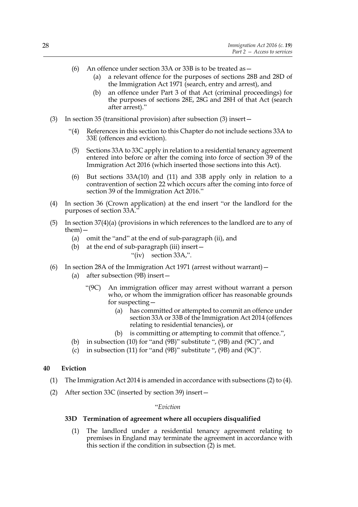- (6) An offence under section 33A or 33B is to be treated as  $-$ 
	- (a) a relevant offence for the purposes of sections 28B and 28D of the Immigration Act 1971 (search, entry and arrest), and
	- (b) an offence under Part 3 of that Act (criminal proceedings) for the purposes of sections 28E, 28G and 28H of that Act (search after arrest)."
- (3) In section 35 (transitional provision) after subsection (3) insert—
	- "(4) References in this section to this Chapter do not include sections 33A to 33E (offences and eviction).
	- (5) Sections 33A to 33C apply in relation to a residential tenancy agreement entered into before or after the coming into force of section 39 of the Immigration Act 2016 (which inserted those sections into this Act).
	- (6) But sections 33A(10) and (11) and 33B apply only in relation to a contravention of section 22 which occurs after the coming into force of section 39 of the Immigration Act 2016."
- (4) In section 36 (Crown application) at the end insert "or the landlord for the purposes of section 33A."
- (5) In section 37(4)(a) (provisions in which references to the landlord are to any of them)—
	- (a) omit the "and" at the end of sub-paragraph (ii), and
	- (b) at the end of sub-paragraph (iii) insert—
		- "(iv) section 33A,".
- (6) In section 28A of the Immigration Act 1971 (arrest without warrant)—
	- (a) after subsection (9B) insert—
		- "(9C) An immigration officer may arrest without warrant a person who, or whom the immigration officer has reasonable grounds for suspecting—
			- (a) has committed or attempted to commit an offence under section 33A or 33B of the Immigration Act 2014 (offences relating to residential tenancies), or
			- (b) is committing or attempting to commit that offence.",
	- (b) in subsection (10) for "and (9B)" substitute ", (9B) and (9C)", and
	- (c) in subsection (11) for "and (9B)" substitute ", (9B) and (9C)".

#### **40 Eviction**

- (1) The Immigration Act 2014 is amended in accordance with subsections (2) to (4).
- (2) After section 33C (inserted by section 39) insert—

#### "*Eviction*

#### **33D Termination of agreement where all occupiers disqualified**

(1) The landlord under a residential tenancy agreement relating to premises in England may terminate the agreement in accordance with this section if the condition in subsection  $(2)$  is met.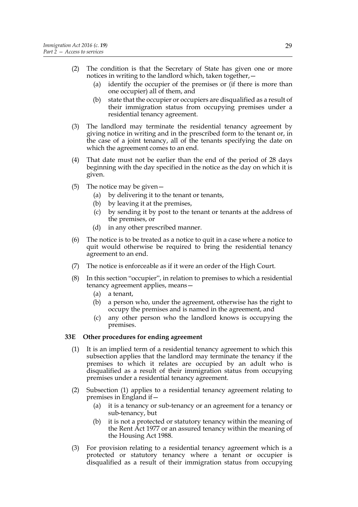- (2) The condition is that the Secretary of State has given one or more notices in writing to the landlord which, taken together,—
	- (a) identify the occupier of the premises or (if there is more than one occupier) all of them, and
	- (b) state that the occupier or occupiers are disqualified as a result of their immigration status from occupying premises under a residential tenancy agreement.
- (3) The landlord may terminate the residential tenancy agreement by giving notice in writing and in the prescribed form to the tenant or, in the case of a joint tenancy, all of the tenants specifying the date on which the agreement comes to an end.
- (4) That date must not be earlier than the end of the period of 28 days beginning with the day specified in the notice as the day on which it is given.
- (5) The notice may be given—
	- (a) by delivering it to the tenant or tenants,
	- (b) by leaving it at the premises,
	- (c) by sending it by post to the tenant or tenants at the address of the premises, or
	- (d) in any other prescribed manner.
- (6) The notice is to be treated as a notice to quit in a case where a notice to quit would otherwise be required to bring the residential tenancy agreement to an end.
- (7) The notice is enforceable as if it were an order of the High Court.
- (8) In this section "occupier", in relation to premises to which a residential tenancy agreement applies, means—
	- (a) a tenant,
	- (b) a person who, under the agreement, otherwise has the right to occupy the premises and is named in the agreement, and
	- (c) any other person who the landlord knows is occupying the premises.

### **33E Other procedures for ending agreement**

- (1) It is an implied term of a residential tenancy agreement to which this subsection applies that the landlord may terminate the tenancy if the premises to which it relates are occupied by an adult who is disqualified as a result of their immigration status from occupying premises under a residential tenancy agreement.
- (2) Subsection (1) applies to a residential tenancy agreement relating to premises in England if—
	- (a) it is a tenancy or sub-tenancy or an agreement for a tenancy or sub-tenancy, but
	- (b) it is not a protected or statutory tenancy within the meaning of the Rent Act 1977 or an assured tenancy within the meaning of the Housing Act 1988.
- (3) For provision relating to a residential tenancy agreement which is a protected or statutory tenancy where a tenant or occupier is disqualified as a result of their immigration status from occupying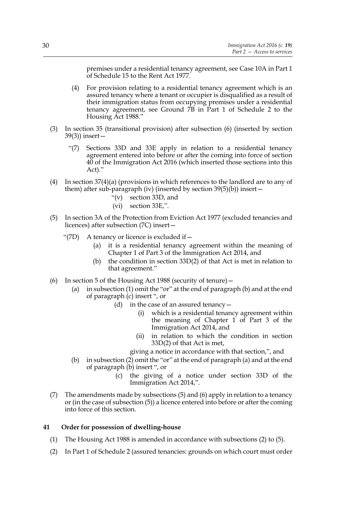premises under a residential tenancy agreement, see Case 10A in Part 1 of Schedule 15 to the Rent Act 1977.

- (4) For provision relating to a residential tenancy agreement which is an assured tenancy where a tenant or occupier is disqualified as a result of their immigration status from occupying premises under a residential tenancy agreement, see Ground 7B in Part 1 of Schedule 2 to the Housing Act 1988."
- (3) In section 35 (transitional provision) after subsection (6) (inserted by section 39(3)) insert—
	- "(7) Sections 33D and 33E apply in relation to a residential tenancy agreement entered into before or after the coming into force of section 40 of the Immigration Act 2016 (which inserted those sections into this Act)."
- (4) In section 37(4)(a) (provisions in which references to the landlord are to any of them) after sub-paragraph (iv) (inserted by section 39(5)(b)) insert—
	- "(v) section 33D, and
	- (vi) section 33E,".
- (5) In section 3A of the Protection from Eviction Act 1977 (excluded tenancies and licences) after subsection (7C) insert—
	- "(7D) A tenancy or licence is excluded if  $-$ 
		- (a) it is a residential tenancy agreement within the meaning of Chapter 1 of Part 3 of the Immigration Act 2014, and
		- (b) the condition in section 33D(2) of that Act is met in relation to that agreement."
- (6) In section 5 of the Housing Act 1988 (security of tenure)—
	- (a) in subsection (1) omit the "or" at the end of paragraph (b) and at the end of paragraph (c) insert ", or
		- (d) in the case of an assured tenancy  $-$ 
			- (i) which is a residential tenancy agreement within the meaning of Chapter  $1$  of Part 3 of the Immigration Act 2014, and
			- (ii) in relation to which the condition in section 33D(2) of that Act is met,
			- giving a notice in accordance with that section,", and
	- (b) in subsection (2) omit the "or" at the end of paragraph (a) and at the end of paragraph (b) insert ", or
		- (c) the giving of a notice under section 33D of the Immigration Act 2014,".
- (7) The amendments made by subsections (5) and (6) apply in relation to a tenancy or (in the case of subsection (5)) a licence entered into before or after the coming into force of this section.

#### **41 Order for possession of dwelling-house**

- (1) The Housing Act 1988 is amended in accordance with subsections (2) to (5).
- (2) In Part 1 of Schedule 2 (assured tenancies: grounds on which court must order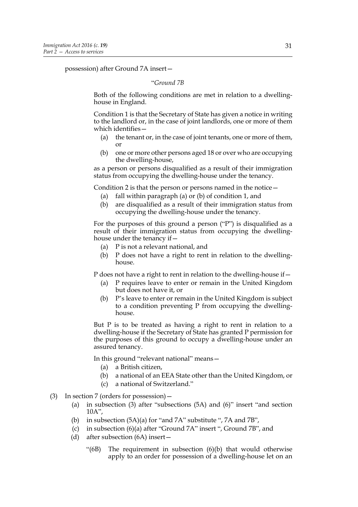possession) after Ground 7A insert—

#### "*Ground 7B*

Both of the following conditions are met in relation to a dwellinghouse in England.

Condition 1 is that the Secretary of State has given a notice in writing to the landlord or, in the case of joint landlords, one or more of them which identifies—

- (a) the tenant or, in the case of joint tenants, one or more of them, or
- (b) one or more other persons aged 18 or over who are occupying the dwelling-house,

as a person or persons disqualified as a result of their immigration status from occupying the dwelling-house under the tenancy.

Condition 2 is that the person or persons named in the notice—

- (a) fall within paragraph (a) or (b) of condition 1, and
- (b) are disqualified as a result of their immigration status from occupying the dwelling-house under the tenancy.

For the purposes of this ground a person ("P") is disqualified as a result of their immigration status from occupying the dwellinghouse under the tenancy if—

- (a) P is not a relevant national, and
- (b) P does not have a right to rent in relation to the dwellinghouse.

P does not have a right to rent in relation to the dwelling-house if—

- (a) P requires leave to enter or remain in the United Kingdom but does not have it, or
- (b) P's leave to enter or remain in the United Kingdom is subject to a condition preventing P from occupying the dwellinghouse.

But P is to be treated as having a right to rent in relation to a dwelling-house if the Secretary of State has granted P permission for the purposes of this ground to occupy a dwelling-house under an assured tenancy.

In this ground "relevant national" means—

- (a) a British citizen,
- (b) a national of an EEA State other than the United Kingdom, or
- (c) a national of Switzerland."
- (3) In section 7 (orders for possession)—
	- (a) in subsection (3) after "subsections (5A) and (6)" insert "and section 10A",
	- (b) in subsection (5A)(a) for "and 7A" substitute ", 7A and 7B",
	- (c) in subsection (6)(a) after "Ground 7A" insert ", Ground 7B", and
	- (d) after subsection (6A) insert—
		- "(6B) The requirement in subsection (6)(b) that would otherwise apply to an order for possession of a dwelling-house let on an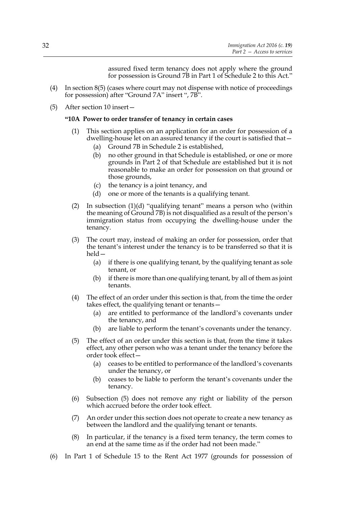assured fixed term tenancy does not apply where the ground for possession is Ground 7B in Part 1 of Schedule 2 to this Act."

- (4) In section 8(5) (cases where court may not dispense with notice of proceedings for possession) after "Ground 7A" insert ", 7B".
- (5) After section 10 insert—

#### **"10A Power to order transfer of tenancy in certain cases**

- (1) This section applies on an application for an order for possession of a dwelling-house let on an assured tenancy if the court is satisfied that—
	- (a) Ground 7B in Schedule 2 is established,
	- (b) no other ground in that Schedule is established, or one or more grounds in Part 2 of that Schedule are established but it is not reasonable to make an order for possession on that ground or those grounds,
	- (c) the tenancy is a joint tenancy, and
	- (d) one or more of the tenants is a qualifying tenant.
- (2) In subsection (1)(d) "qualifying tenant" means a person who (within the meaning of Ground 7B) is not disqualified as a result of the person's immigration status from occupying the dwelling-house under the tenancy.
- (3) The court may, instead of making an order for possession, order that the tenant's interest under the tenancy is to be transferred so that it is held—
	- (a) if there is one qualifying tenant, by the qualifying tenant as sole tenant, or
	- (b) if there is more than one qualifying tenant, by all of them as joint tenants.
- (4) The effect of an order under this section is that, from the time the order takes effect, the qualifying tenant or tenants -
	- (a) are entitled to performance of the landlord's covenants under the tenancy, and
	- (b) are liable to perform the tenant's covenants under the tenancy.
- (5) The effect of an order under this section is that, from the time it takes effect, any other person who was a tenant under the tenancy before the order took effect—
	- (a) ceases to be entitled to performance of the landlord's covenants under the tenancy, or
	- (b) ceases to be liable to perform the tenant's covenants under the tenancy.
- (6) Subsection (5) does not remove any right or liability of the person which accrued before the order took effect.
- (7) An order under this section does not operate to create a new tenancy as between the landlord and the qualifying tenant or tenants.
- (8) In particular, if the tenancy is a fixed term tenancy, the term comes to an end at the same time as if the order had not been made."
- (6) In Part 1 of Schedule 15 to the Rent Act 1977 (grounds for possession of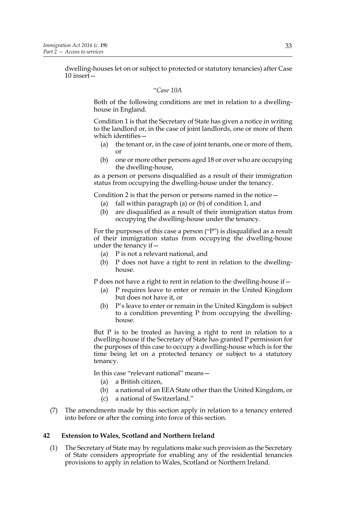dwelling-houses let on or subject to protected or statutory tenancies) after Case 10 insert—

#### "*Case 10A*

Both of the following conditions are met in relation to a dwellinghouse in England.

Condition 1 is that the Secretary of State has given a notice in writing to the landlord or, in the case of joint landlords, one or more of them which identifies—

- (a) the tenant or, in the case of joint tenants, one or more of them, or
- (b) one or more other persons aged 18 or over who are occupying the dwelling-house,

as a person or persons disqualified as a result of their immigration status from occupying the dwelling-house under the tenancy.

Condition 2 is that the person or persons named in the notice—

- (a) fall within paragraph (a) or (b) of condition 1, and
- (b) are disqualified as a result of their immigration status from occupying the dwelling-house under the tenancy.

For the purposes of this case a person ("P") is disqualified as a result of their immigration status from occupying the dwelling-house under the tenancy if—

- (a) P is not a relevant national, and
- (b) P does not have a right to rent in relation to the dwellinghouse.

P does not have a right to rent in relation to the dwelling-house if—

- (a) P requires leave to enter or remain in the United Kingdom but does not have it, or
- (b) P's leave to enter or remain in the United Kingdom is subject to a condition preventing P from occupying the dwellinghouse.

But P is to be treated as having a right to rent in relation to a dwelling-house if the Secretary of State has granted P permission for the purposes of this case to occupy a dwelling-house which is for the time being let on a protected tenancy or subject to a statutory tenancy.

In this case "relevant national" means—

- (a) a British citizen,
- (b) a national of an EEA State other than the United Kingdom, or
- (c) a national of Switzerland."
- (7) The amendments made by this section apply in relation to a tenancy entered into before or after the coming into force of this section.

#### **42 Extension to Wales, Scotland and Northern Ireland**

(1) The Secretary of State may by regulations make such provision as the Secretary of State considers appropriate for enabling any of the residential tenancies provisions to apply in relation to Wales, Scotland or Northern Ireland.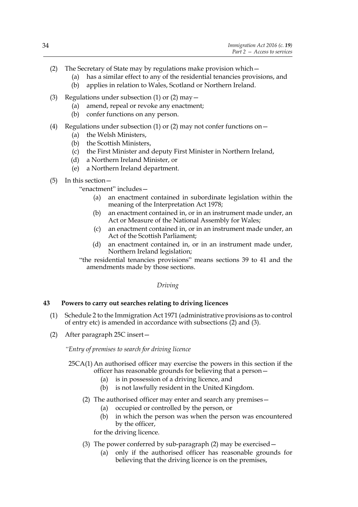- (2) The Secretary of State may by regulations make provision which—
	- (a) has a similar effect to any of the residential tenancies provisions, and
	- (b) applies in relation to Wales, Scotland or Northern Ireland.
- (3) Regulations under subsection (1) or (2) may—
	- (a) amend, repeal or revoke any enactment;
	- (b) confer functions on any person.
- (4) Regulations under subsection (1) or (2) may not confer functions on  $-$ 
	- (a) the Welsh Ministers,
	- (b) the Scottish Ministers,
	- (c) the First Minister and deputy First Minister in Northern Ireland,
	- (d) a Northern Ireland Minister, or
	- (e) a Northern Ireland department.
- (5) In this section—
	- "enactment" includes—
		- (a) an enactment contained in subordinate legislation within the meaning of the Interpretation Act 1978;
		- (b) an enactment contained in, or in an instrument made under, an Act or Measure of the National Assembly for Wales;
		- (c) an enactment contained in, or in an instrument made under, an Act of the Scottish Parliament;
		- (d) an enactment contained in, or in an instrument made under, Northern Ireland legislation;
	- "the residential tenancies provisions" means sections 39 to 41 and the amendments made by those sections.

#### *Driving*

# **43 Powers to carry out searches relating to driving licences**

- (1) Schedule 2 to the Immigration Act 1971 (administrative provisions as to control of entry etc) is amended in accordance with subsections (2) and (3).
- (2) After paragraph 25C insert—

*"Entry of premises to search for driving licence*

- 25CA(1) An authorised officer may exercise the powers in this section if the officer has reasonable grounds for believing that a person—
	- (a) is in possession of a driving licence, and
	- (b) is not lawfully resident in the United Kingdom.
	- (2) The authorised officer may enter and search any premises—
		- (a) occupied or controlled by the person, or
		- (b) in which the person was when the person was encountered by the officer,

for the driving licence.

- (3) The power conferred by sub-paragraph (2) may be exercised—
	- (a) only if the authorised officer has reasonable grounds for believing that the driving licence is on the premises,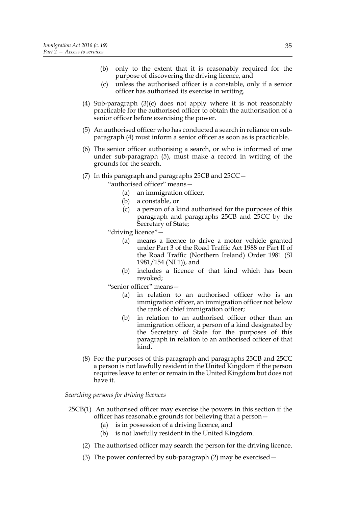- (b) only to the extent that it is reasonably required for the purpose of discovering the driving licence, and
- (c) unless the authorised officer is a constable, only if a senior officer has authorised its exercise in writing.
- (4) Sub-paragraph (3)(c) does not apply where it is not reasonably practicable for the authorised officer to obtain the authorisation of a senior officer before exercising the power.
- (5) An authorised officer who has conducted a search in reliance on subparagraph (4) must inform a senior officer as soon as is practicable.
- (6) The senior officer authorising a search, or who is informed of one under sub-paragraph (5), must make a record in writing of the grounds for the search.
- (7) In this paragraph and paragraphs 25CB and 25CC—
	- "authorised officer" means—
		- (a) an immigration officer,
		- (b) a constable, or
		- (c) a person of a kind authorised for the purposes of this paragraph and paragraphs 25CB and 25CC by the Secretary of State;
	- "driving licence"—
		- (a) means a licence to drive a motor vehicle granted under Part 3 of the Road Traffic Act 1988 or Part II of the Road Traffic (Northern Ireland) Order 1981 (SI 1981/154 (NI 1)), and
		- (b) includes a licence of that kind which has been revoked;

"senior officer" means—

- (a) in relation to an authorised officer who is an immigration officer, an immigration officer not below the rank of chief immigration officer;
- (b) in relation to an authorised officer other than an immigration officer, a person of a kind designated by the Secretary of State for the purposes of this paragraph in relation to an authorised officer of that kind.
- (8) For the purposes of this paragraph and paragraphs 25CB and 25CC a person is not lawfully resident in the United Kingdom if the person requires leave to enter or remain in the United Kingdom but does not have it.

*Searching persons for driving licences*

- 25CB(1) An authorised officer may exercise the powers in this section if the officer has reasonable grounds for believing that a person—
	- (a) is in possession of a driving licence, and
	- (b) is not lawfully resident in the United Kingdom.
	- (2) The authorised officer may search the person for the driving licence.
	- (3) The power conferred by sub-paragraph (2) may be exercised—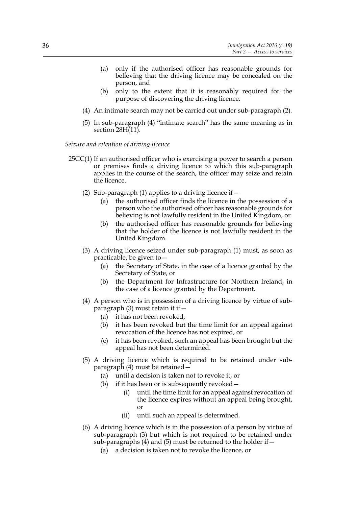- (a) only if the authorised officer has reasonable grounds for believing that the driving licence may be concealed on the person, and
- (b) only to the extent that it is reasonably required for the purpose of discovering the driving licence.
- (4) An intimate search may not be carried out under sub-paragraph (2).
- (5) In sub-paragraph (4) "intimate search" has the same meaning as in section 28H(11).

*Seizure and retention of driving licence*

- 25CC(1) If an authorised officer who is exercising a power to search a person or premises finds a driving licence to which this sub-paragraph applies in the course of the search, the officer may seize and retain the licence.
	- (2) Sub-paragraph (1) applies to a driving licence if  $-$ 
		- (a) the authorised officer finds the licence in the possession of a person who the authorised officer has reasonable grounds for believing is not lawfully resident in the United Kingdom, or
		- (b) the authorised officer has reasonable grounds for believing that the holder of the licence is not lawfully resident in the United Kingdom.
	- (3) A driving licence seized under sub-paragraph (1) must, as soon as practicable, be given to—
		- (a) the Secretary of State, in the case of a licence granted by the Secretary of State, or
		- (b) the Department for Infrastructure for Northern Ireland, in the case of a licence granted by the Department.
	- (4) A person who is in possession of a driving licence by virtue of subparagraph (3) must retain it if—
		- (a) it has not been revoked,
		- (b) it has been revoked but the time limit for an appeal against revocation of the licence has not expired, or
		- (c) it has been revoked, such an appeal has been brought but the appeal has not been determined.
	- (5) A driving licence which is required to be retained under subparagraph (4) must be retained—
		- (a) until a decision is taken not to revoke it, or
		- (b) if it has been or is subsequently revoked—
			- (i) until the time limit for an appeal against revocation of the licence expires without an appeal being brought, or
			- (ii) until such an appeal is determined.
	- (6) A driving licence which is in the possession of a person by virtue of sub-paragraph (3) but which is not required to be retained under sub-paragraphs  $(4)$  and  $(5)$  must be returned to the holder if  $-$ 
		- (a) a decision is taken not to revoke the licence, or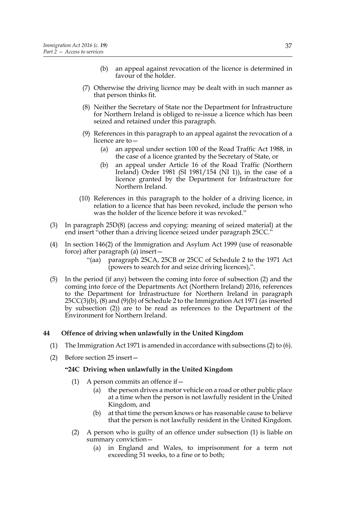- (b) an appeal against revocation of the licence is determined in favour of the holder.
- (7) Otherwise the driving licence may be dealt with in such manner as that person thinks fit.
- (8) Neither the Secretary of State nor the Department for Infrastructure for Northern Ireland is obliged to re-issue a licence which has been seized and retained under this paragraph.
- (9) References in this paragraph to an appeal against the revocation of a licence are to—
	- (a) an appeal under section 100 of the Road Traffic Act 1988, in the case of a licence granted by the Secretary of State, or
	- (b) an appeal under Article 16 of the Road Traffic (Northern Ireland) Order 1981 (SI 1981/154 (NI 1)), in the case of a licence granted by the Department for Infrastructure for Northern Ireland.
- (10) References in this paragraph to the holder of a driving licence, in relation to a licence that has been revoked, include the person who was the holder of the licence before it was revoked."
- (3) In paragraph 25D(8) (access and copying: meaning of seized material) at the end insert "other than a driving licence seized under paragraph 25CC."
- (4) In section 146(2) of the Immigration and Asylum Act 1999 (use of reasonable force) after paragraph (a) insert—
	- "(aa) paragraph 25CA, 25CB or 25CC of Schedule 2 to the 1971 Act (powers to search for and seize driving licences),".
- (5) In the period (if any) between the coming into force of subsection (2) and the coming into force of the Departments Act (Northern Ireland) 2016, references to the Department for Infrastructure for Northern Ireland in paragraph  $25CC(3)(b)$ ,  $(8)$  and  $(9)(b)$  of Schedule 2 to the Immigration Act 1971 (as inserted by subsection (2)) are to be read as references to the Department of the Environment for Northern Ireland.

### **44 Offence of driving when unlawfully in the United Kingdom**

- (1) The Immigration Act 1971 is amended in accordance with subsections (2) to (6).
- (2) Before section 25 insert—

#### **"24C Driving when unlawfully in the United Kingdom**

- (1) A person commits an offence if  $-$ 
	- (a) the person drives a motor vehicle on a road or other public place at a time when the person is not lawfully resident in the United Kingdom, and
	- (b) at that time the person knows or has reasonable cause to believe that the person is not lawfully resident in the United Kingdom.
- (2) A person who is guilty of an offence under subsection (1) is liable on summary conviction—
	- (a) in England and Wales, to imprisonment for a term not exceeding 51 weeks, to a fine or to both;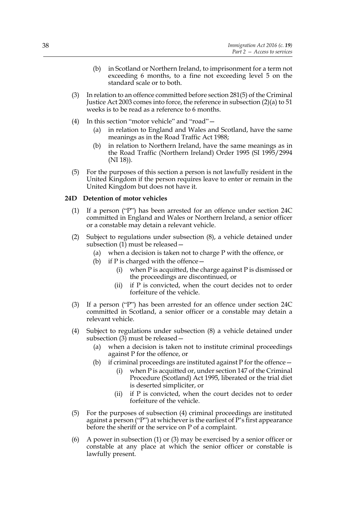- (b) in Scotland or Northern Ireland, to imprisonment for a term not exceeding 6 months, to a fine not exceeding level 5 on the standard scale or to both.
- (3) In relation to an offence committed before section 281(5) of the Criminal Justice Act 2003 comes into force, the reference in subsection (2)(a) to 51 weeks is to be read as a reference to 6 months.
- (4) In this section "motor vehicle" and "road"—
	- (a) in relation to England and Wales and Scotland, have the same meanings as in the Road Traffic Act 1988;
	- (b) in relation to Northern Ireland, have the same meanings as in the Road Traffic (Northern Ireland) Order 1995 (SI 1995/2994 (NI 18)).
- (5) For the purposes of this section a person is not lawfully resident in the United Kingdom if the person requires leave to enter or remain in the United Kingdom but does not have it.

# **24D Detention of motor vehicles**

- (1) If a person ("P") has been arrested for an offence under section 24C committed in England and Wales or Northern Ireland, a senior officer or a constable may detain a relevant vehicle.
- (2) Subject to regulations under subsection (8), a vehicle detained under subsection (1) must be released—
	- (a) when a decision is taken not to charge P with the offence, or
	- (b) if P is charged with the offence  $-$ 
		- (i) when  $P$  is acquitted, the charge against  $P$  is dismissed or the proceedings are discontinued, or
		- (ii) if P is convicted, when the court decides not to order forfeiture of the vehicle.
- (3) If a person ("P") has been arrested for an offence under section 24C committed in Scotland, a senior officer or a constable may detain a relevant vehicle.
- (4) Subject to regulations under subsection (8) a vehicle detained under subsection (3) must be released—
	- (a) when a decision is taken not to institute criminal proceedings against P for the offence, or
	- (b) if criminal proceedings are instituted against  $P$  for the offence  $-$ 
		- (i) when P is acquitted or, under section 147 of the Criminal Procedure (Scotland) Act 1995, liberated or the trial diet is deserted simpliciter, or
		- (ii) if P is convicted, when the court decides not to order forfeiture of the vehicle.
- (5) For the purposes of subsection (4) criminal proceedings are instituted against a person ("P") at whichever is the earliest of P's first appearance before the sheriff or the service on P of a complaint.
- (6) A power in subsection (1) or (3) may be exercised by a senior officer or constable at any place at which the senior officer or constable is lawfully present.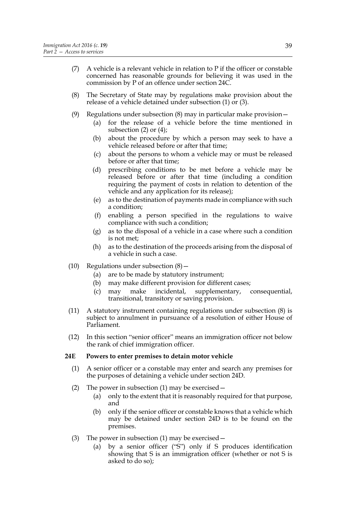- (7) A vehicle is a relevant vehicle in relation to P if the officer or constable concerned has reasonable grounds for believing it was used in the commission by P of an offence under section 24C.
- (8) The Secretary of State may by regulations make provision about the release of a vehicle detained under subsection (1) or (3).
- (9) Regulations under subsection (8) may in particular make provision—
	- (a) for the release of a vehicle before the time mentioned in subsection (2) or (4);
	- (b) about the procedure by which a person may seek to have a vehicle released before or after that time;
	- (c) about the persons to whom a vehicle may or must be released before or after that time;
	- (d) prescribing conditions to be met before a vehicle may be released before or after that time (including a condition requiring the payment of costs in relation to detention of the vehicle and any application for its release);
	- (e) as to the destination of payments made in compliance with such a condition;
	- (f) enabling a person specified in the regulations to waive compliance with such a condition;
	- (g) as to the disposal of a vehicle in a case where such a condition is not met;
	- (h) as to the destination of the proceeds arising from the disposal of a vehicle in such a case.
- (10) Regulations under subsection  $(8)$ 
	- (a) are to be made by statutory instrument;
	- (b) may make different provision for different cases;
	- (c) may make incidental, supplementary, consequential, transitional, transitory or saving provision.
- (11) A statutory instrument containing regulations under subsection (8) is subject to annulment in pursuance of a resolution of either House of Parliament.
- (12) In this section "senior officer" means an immigration officer not below the rank of chief immigration officer.

#### **24E Powers to enter premises to detain motor vehicle**

- (1) A senior officer or a constable may enter and search any premises for the purposes of detaining a vehicle under section 24D.
- (2) The power in subsection (1) may be exercised—
	- (a) only to the extent that it is reasonably required for that purpose, and
	- (b) only if the senior officer or constable knows that a vehicle which may be detained under section 24D is to be found on the premises.
- (3) The power in subsection (1) may be exercised—
	- (a) by a senior officer ("S") only if S produces identification showing that S is an immigration officer (whether or not S is asked to do so);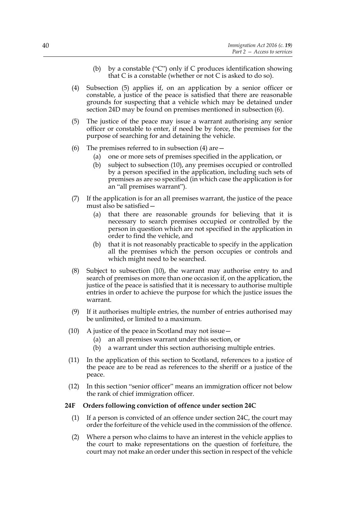- (b) by a constable ("C") only if C produces identification showing that C is a constable (whether or not C is asked to do so).
- (4) Subsection (5) applies if, on an application by a senior officer or constable, a justice of the peace is satisfied that there are reasonable grounds for suspecting that a vehicle which may be detained under section 24D may be found on premises mentioned in subsection (6).
- (5) The justice of the peace may issue a warrant authorising any senior officer or constable to enter, if need be by force, the premises for the purpose of searching for and detaining the vehicle.
- (6) The premises referred to in subsection (4) are  $-$ 
	- (a) one or more sets of premises specified in the application, or
	- (b) subject to subsection (10), any premises occupied or controlled by a person specified in the application, including such sets of premises as are so specified (in which case the application is for an "all premises warrant").
- (7) If the application is for an all premises warrant, the justice of the peace must also be satisfied—
	- (a) that there are reasonable grounds for believing that it is necessary to search premises occupied or controlled by the person in question which are not specified in the application in order to find the vehicle, and
	- (b) that it is not reasonably practicable to specify in the application all the premises which the person occupies or controls and which might need to be searched.
- (8) Subject to subsection (10), the warrant may authorise entry to and search of premises on more than one occasion if, on the application, the justice of the peace is satisfied that it is necessary to authorise multiple entries in order to achieve the purpose for which the justice issues the warrant.
- (9) If it authorises multiple entries, the number of entries authorised may be unlimited, or limited to a maximum.
- (10) A justice of the peace in Scotland may not issue—
	- (a) an all premises warrant under this section, or
	- (b) a warrant under this section authorising multiple entries.
- (11) In the application of this section to Scotland, references to a justice of the peace are to be read as references to the sheriff or a justice of the peace.
- (12) In this section "senior officer" means an immigration officer not below the rank of chief immigration officer.

#### **24F Orders following conviction of offence under section 24C**

- (1) If a person is convicted of an offence under section 24C, the court may order the forfeiture of the vehicle used in the commission of the offence.
- (2) Where a person who claims to have an interest in the vehicle applies to the court to make representations on the question of forfeiture, the court may not make an order under this section in respect of the vehicle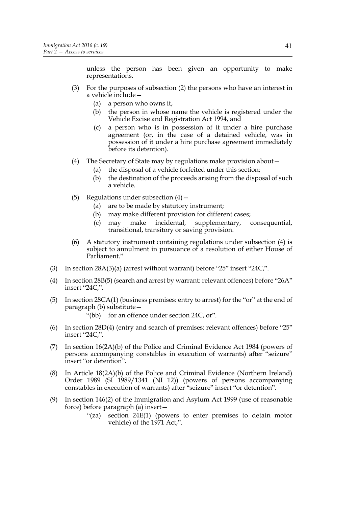insert "24C,".

unless the person has been given an opportunity to make representations.

- (3) For the purposes of subsection (2) the persons who have an interest in a vehicle include—
	- (a) a person who owns it,
	- (b) the person in whose name the vehicle is registered under the Vehicle Excise and Registration Act 1994, and
	- (c) a person who is in possession of it under a hire purchase agreement (or, in the case of a detained vehicle, was in possession of it under a hire purchase agreement immediately before its detention).
- (4) The Secretary of State may by regulations make provision about—
	- (a) the disposal of a vehicle forfeited under this section;
	- (b) the destination of the proceeds arising from the disposal of such a vehicle.
- (5) Regulations under subsection  $(4)$ 
	- (a) are to be made by statutory instrument;
	- (b) may make different provision for different cases;
	- (c) may make incidental, supplementary, consequential, transitional, transitory or saving provision.
- (6) A statutory instrument containing regulations under subsection (4) is subject to annulment in pursuance of a resolution of either House of Parliament."
- (3) In section 28A(3)(a) (arrest without warrant) before "25" insert "24C,".
- (4) In section 28B(5) (search and arrest by warrant: relevant offences) before "26A" insert "24C,".
- (5) In section 28CA(1) (business premises: entry to arrest) for the "or" at the end of paragraph (b) substitute— "(bb) for an offence under section 24C, or".
- (6) In section 28D(4) (entry and search of premises: relevant offences) before "25"
- (7) In section 16(2A)(b) of the Police and Criminal Evidence Act 1984 (powers of persons accompanying constables in execution of warrants) after "seizure" insert "or detention".
- (8) In Article 18(2A)(b) of the Police and Criminal Evidence (Northern Ireland) Order 1989 (SI 1989/1341 (NI 12)) (powers of persons accompanying constables in execution of warrants) after "seizure" insert "or detention".
- (9) In section 146(2) of the Immigration and Asylum Act 1999 (use of reasonable force) before paragraph (a) insert—
	- "(za) section 24E(1) (powers to enter premises to detain motor vehicle) of the 1971 Act,".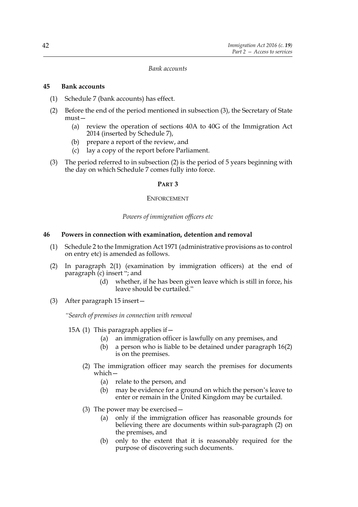#### *Bank accounts*

#### **45 Bank accounts**

- (1) Schedule 7 (bank accounts) has effect.
- (2) Before the end of the period mentioned in subsection (3), the Secretary of State must—
	- (a) review the operation of sections 40A to 40G of the Immigration Act 2014 (inserted by Schedule 7),
	- (b) prepare a report of the review, and
	- (c) lay a copy of the report before Parliament.
- (3) The period referred to in subsection (2) is the period of 5 years beginning with the day on which Schedule 7 comes fully into force.

#### **PART 3**

#### ENFORCEMENT

#### *Powers of immigration officers etc*

### **46 Powers in connection with examination, detention and removal**

- (1) Schedule 2 to the Immigration Act 1971 (administrative provisions as to control on entry etc) is amended as follows.
- (2) In paragraph 2(1) (examination by immigration officers) at the end of paragraph (c) insert "; and
	- (d) whether, if he has been given leave which is still in force, his leave should be curtailed."
- (3) After paragraph 15 insert—

*"Search of premises in connection with removal*

15A (1) This paragraph applies if—

- (a) an immigration officer is lawfully on any premises, and
- (b) a person who is liable to be detained under paragraph 16(2) is on the premises.
- (2) The immigration officer may search the premises for documents which—
	- (a) relate to the person, and
	- (b) may be evidence for a ground on which the person's leave to enter or remain in the United Kingdom may be curtailed.
- (3) The power may be exercised—
	- (a) only if the immigration officer has reasonable grounds for believing there are documents within sub-paragraph (2) on the premises, and
	- (b) only to the extent that it is reasonably required for the purpose of discovering such documents.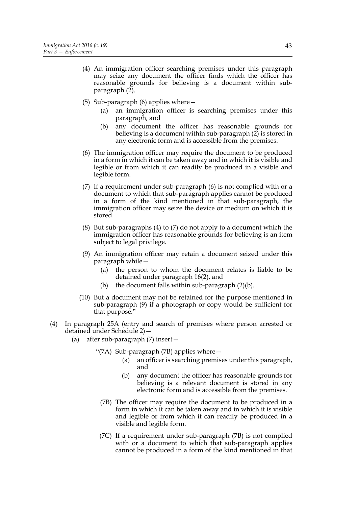- (4) An immigration officer searching premises under this paragraph may seize any document the officer finds which the officer has reasonable grounds for believing is a document within subparagraph (2).
- (5) Sub-paragraph (6) applies where—
	- (a) an immigration officer is searching premises under this paragraph, and
	- (b) any document the officer has reasonable grounds for believing is a document within sub-paragraph (2) is stored in any electronic form and is accessible from the premises.
- (6) The immigration officer may require the document to be produced in a form in which it can be taken away and in which it is visible and legible or from which it can readily be produced in a visible and legible form.
- (7) If a requirement under sub-paragraph (6) is not complied with or a document to which that sub-paragraph applies cannot be produced in a form of the kind mentioned in that sub-paragraph, the immigration officer may seize the device or medium on which it is stored.
- (8) But sub-paragraphs (4) to (7) do not apply to a document which the immigration officer has reasonable grounds for believing is an item subject to legal privilege.
- (9) An immigration officer may retain a document seized under this paragraph while—
	- (a) the person to whom the document relates is liable to be detained under paragraph 16(2), and
	- (b) the document falls within sub-paragraph  $(2)(b)$ .
- (10) But a document may not be retained for the purpose mentioned in sub-paragraph (9) if a photograph or copy would be sufficient for that purpose."
- (4) In paragraph 25A (entry and search of premises where person arrested or detained under Schedule 2)—
	- (a) after sub-paragraph (7) insert—
		- "(7A) Sub-paragraph (7B) applies where—
			- (a) an officer is searching premises under this paragraph, and
			- (b) any document the officer has reasonable grounds for believing is a relevant document is stored in any electronic form and is accessible from the premises.
			- (7B) The officer may require the document to be produced in a form in which it can be taken away and in which it is visible and legible or from which it can readily be produced in a visible and legible form.
			- (7C) If a requirement under sub-paragraph (7B) is not complied with or a document to which that sub-paragraph applies cannot be produced in a form of the kind mentioned in that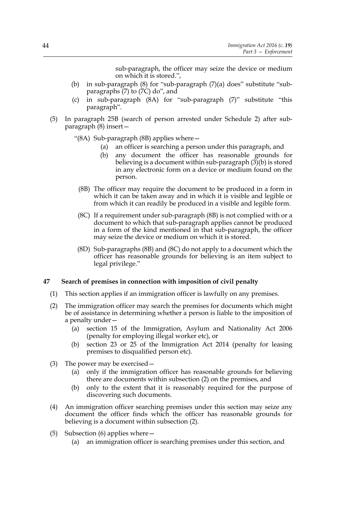sub-paragraph, the officer may seize the device or medium on which it is stored.",

- (b) in sub-paragraph (8) for "sub-paragraph (7)(a) does" substitute "subparagraphs (7) to (7C) do", and
- (c) in sub-paragraph (8A) for "sub-paragraph (7)" substitute "this paragraph".
- (5) In paragraph 25B (search of person arrested under Schedule 2) after subparagraph (8) insert—
	- "(8A) Sub-paragraph (8B) applies where—
		- (a) an officer is searching a person under this paragraph, and
		- (b) any document the officer has reasonable grounds for believing is a document within sub-paragraph (3)(b) is stored in any electronic form on a device or medium found on the person.
		- (8B) The officer may require the document to be produced in a form in which it can be taken away and in which it is visible and legible or from which it can readily be produced in a visible and legible form.
		- (8C) If a requirement under sub-paragraph (8B) is not complied with or a document to which that sub-paragraph applies cannot be produced in a form of the kind mentioned in that sub-paragraph, the officer may seize the device or medium on which it is stored.
	- (8D) Sub-paragraphs (8B) and (8C) do not apply to a document which the officer has reasonable grounds for believing is an item subject to legal privilege."

### **47 Search of premises in connection with imposition of civil penalty**

- (1) This section applies if an immigration officer is lawfully on any premises.
- (2) The immigration officer may search the premises for documents which might be of assistance in determining whether a person is liable to the imposition of a penalty under—
	- (a) section 15 of the Immigration, Asylum and Nationality Act 2006 (penalty for employing illegal worker etc), or
	- (b) section 23 or 25 of the Immigration Act 2014 (penalty for leasing premises to disqualified person etc).
- (3) The power may be exercised—
	- (a) only if the immigration officer has reasonable grounds for believing there are documents within subsection (2) on the premises, and
	- (b) only to the extent that it is reasonably required for the purpose of discovering such documents.
- (4) An immigration officer searching premises under this section may seize any document the officer finds which the officer has reasonable grounds for believing is a document within subsection (2).
- (5) Subsection (6) applies where—
	- (a) an immigration officer is searching premises under this section, and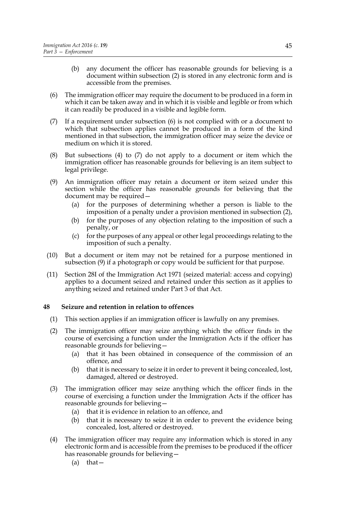- (b) any document the officer has reasonable grounds for believing is a document within subsection (2) is stored in any electronic form and is accessible from the premises.
- (6) The immigration officer may require the document to be produced in a form in which it can be taken away and in which it is visible and legible or from which it can readily be produced in a visible and legible form.
- (7) If a requirement under subsection (6) is not complied with or a document to which that subsection applies cannot be produced in a form of the kind mentioned in that subsection, the immigration officer may seize the device or medium on which it is stored.
- (8) But subsections (4) to (7) do not apply to a document or item which the immigration officer has reasonable grounds for believing is an item subject to legal privilege.
- (9) An immigration officer may retain a document or item seized under this section while the officer has reasonable grounds for believing that the document may be required—
	- (a) for the purposes of determining whether a person is liable to the imposition of a penalty under a provision mentioned in subsection (2),
	- (b) for the purposes of any objection relating to the imposition of such a penalty, or
	- (c) for the purposes of any appeal or other legal proceedings relating to the imposition of such a penalty.
- (10) But a document or item may not be retained for a purpose mentioned in subsection (9) if a photograph or copy would be sufficient for that purpose.
- (11) Section 28I of the Immigration Act 1971 (seized material: access and copying) applies to a document seized and retained under this section as it applies to anything seized and retained under Part 3 of that Act.

### **48 Seizure and retention in relation to offences**

- (1) This section applies if an immigration officer is lawfully on any premises.
- (2) The immigration officer may seize anything which the officer finds in the course of exercising a function under the Immigration Acts if the officer has reasonable grounds for believing—
	- (a) that it has been obtained in consequence of the commission of an offence, and
	- (b) that it is necessary to seize it in order to prevent it being concealed, lost, damaged, altered or destroyed.
- (3) The immigration officer may seize anything which the officer finds in the course of exercising a function under the Immigration Acts if the officer has reasonable grounds for believing—
	- (a) that it is evidence in relation to an offence, and
	- (b) that it is necessary to seize it in order to prevent the evidence being concealed, lost, altered or destroyed.
- (4) The immigration officer may require any information which is stored in any electronic form and is accessible from the premises to be produced if the officer has reasonable grounds for believing—
	- (a) that—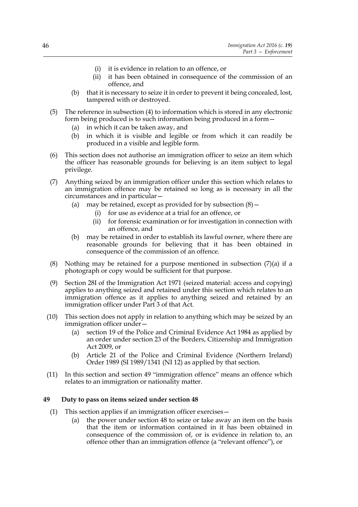- (i) it is evidence in relation to an offence, or
- (ii) it has been obtained in consequence of the commission of an offence, and
- (b) that it is necessary to seize it in order to prevent it being concealed, lost, tampered with or destroyed.
- (5) The reference in subsection (4) to information which is stored in any electronic form being produced is to such information being produced in a form—
	- (a) in which it can be taken away, and
	- (b) in which it is visible and legible or from which it can readily be produced in a visible and legible form.
- (6) This section does not authorise an immigration officer to seize an item which the officer has reasonable grounds for believing is an item subject to legal privilege.
- (7) Anything seized by an immigration officer under this section which relates to an immigration offence may be retained so long as is necessary in all the circumstances and in particular—
	- (a) may be retained, except as provided for by subsection  $(8)$  -
		- (i) for use as evidence at a trial for an offence, or
		- (ii) for forensic examination or for investigation in connection with an offence, and
	- (b) may be retained in order to establish its lawful owner, where there are reasonable grounds for believing that it has been obtained in consequence of the commission of an offence.
- (8) Nothing may be retained for a purpose mentioned in subsection  $(7)(a)$  if a photograph or copy would be sufficient for that purpose.
- (9) Section 28I of the Immigration Act 1971 (seized material: access and copying) applies to anything seized and retained under this section which relates to an immigration offence as it applies to anything seized and retained by an immigration officer under Part 3 of that Act.
- (10) This section does not apply in relation to anything which may be seized by an immigration officer under—
	- (a) section 19 of the Police and Criminal Evidence Act 1984 as applied by an order under section 23 of the Borders, Citizenship and Immigration Act 2009, or
	- (b) Article 21 of the Police and Criminal Evidence (Northern Ireland) Order 1989 (SI 1989/1341 (NI 12) as applied by that section.
- (11) In this section and section 49 "immigration offence" means an offence which relates to an immigration or nationality matter.

## **49 Duty to pass on items seized under section 48**

- (1) This section applies if an immigration officer exercises—
	- (a) the power under section 48 to seize or take away an item on the basis that the item or information contained in it has been obtained in consequence of the commission of, or is evidence in relation to, an offence other than an immigration offence (a "relevant offence"), or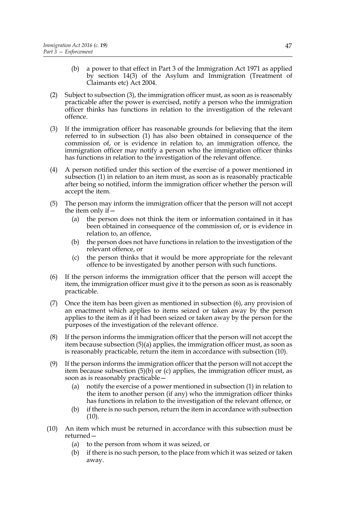- (b) a power to that effect in Part 3 of the Immigration Act 1971 as applied by section 14(3) of the Asylum and Immigration (Treatment of Claimants etc) Act 2004.
- (2) Subject to subsection (3), the immigration officer must, as soon as is reasonably practicable after the power is exercised, notify a person who the immigration officer thinks has functions in relation to the investigation of the relevant offence.
- (3) If the immigration officer has reasonable grounds for believing that the item referred to in subsection (1) has also been obtained in consequence of the commission of, or is evidence in relation to, an immigration offence, the immigration officer may notify a person who the immigration officer thinks has functions in relation to the investigation of the relevant offence.
- (4) A person notified under this section of the exercise of a power mentioned in subsection (1) in relation to an item must, as soon as is reasonably practicable after being so notified, inform the immigration officer whether the person will accept the item.
- (5) The person may inform the immigration officer that the person will not accept the item only if  $-$ 
	- (a) the person does not think the item or information contained in it has been obtained in consequence of the commission of, or is evidence in relation to, an offence,
	- (b) the person does not have functions in relation to the investigation of the relevant offence, or
	- (c) the person thinks that it would be more appropriate for the relevant offence to be investigated by another person with such functions.
- (6) If the person informs the immigration officer that the person will accept the item, the immigration officer must give it to the person as soon as is reasonably practicable.
- (7) Once the item has been given as mentioned in subsection (6), any provision of an enactment which applies to items seized or taken away by the person applies to the item as if it had been seized or taken away by the person for the purposes of the investigation of the relevant offence.
- (8) If the person informs the immigration officer that the person will not accept the item because subsection (5)(a) applies, the immigration officer must, as soon as is reasonably practicable, return the item in accordance with subsection (10).
- (9) If the person informs the immigration officer that the person will not accept the item because subsection  $(5)(b)$  or  $(c)$  applies, the immigration officer must, as soon as is reasonably practicable—
	- (a) notify the exercise of a power mentioned in subsection (1) in relation to the item to another person (if any) who the immigration officer thinks has functions in relation to the investigation of the relevant offence, or
	- (b) if there is no such person, return the item in accordance with subsection  $(10).$
- (10) An item which must be returned in accordance with this subsection must be returned—
	- (a) to the person from whom it was seized, or
	- (b) if there is no such person, to the place from which it was seized or taken away.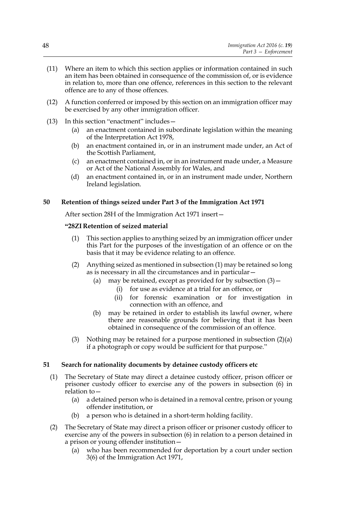- (11) Where an item to which this section applies or information contained in such an item has been obtained in consequence of the commission of, or is evidence in relation to, more than one offence, references in this section to the relevant offence are to any of those offences.
- (12) A function conferred or imposed by this section on an immigration officer may be exercised by any other immigration officer.
- (13) In this section "enactment" includes—
	- (a) an enactment contained in subordinate legislation within the meaning of the Interpretation Act 1978,
	- (b) an enactment contained in, or in an instrument made under, an Act of the Scottish Parliament,
	- (c) an enactment contained in, or in an instrument made under, a Measure or Act of the National Assembly for Wales, and
	- (d) an enactment contained in, or in an instrument made under, Northern Ireland legislation.

# **50 Retention of things seized under Part 3 of the Immigration Act 1971**

After section 28H of the Immigration Act 1971 insert—

# **"28ZI Retention of seized material**

- (1) This section applies to anything seized by an immigration officer under this Part for the purposes of the investigation of an offence or on the basis that it may be evidence relating to an offence.
- (2) Anything seized as mentioned in subsection (1) may be retained so long as is necessary in all the circumstances and in particular—
	- (a) may be retained, except as provided for by subsection  $(3)$  -
		- (i) for use as evidence at a trial for an offence, or
		- (ii) for forensic examination or for investigation in connection with an offence, and
	- (b) may be retained in order to establish its lawful owner, where there are reasonable grounds for believing that it has been obtained in consequence of the commission of an offence.
- (3) Nothing may be retained for a purpose mentioned in subsection  $(2)(a)$ if a photograph or copy would be sufficient for that purpose."

### **51 Search for nationality documents by detainee custody officers etc**

- (1) The Secretary of State may direct a detainee custody officer, prison officer or prisoner custody officer to exercise any of the powers in subsection (6) in relation to—
	- (a) a detained person who is detained in a removal centre, prison or young offender institution, or
	- (b) a person who is detained in a short-term holding facility.
- (2) The Secretary of State may direct a prison officer or prisoner custody officer to exercise any of the powers in subsection (6) in relation to a person detained in a prison or young offender institution—
	- (a) who has been recommended for deportation by a court under section 3(6) of the Immigration Act 1971,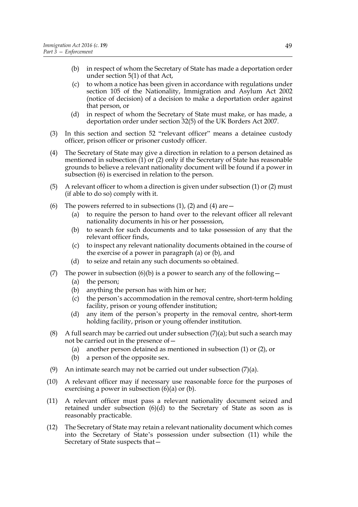- (b) in respect of whom the Secretary of State has made a deportation order under section 5(1) of that Act,
- (c) to whom a notice has been given in accordance with regulations under section 105 of the Nationality, Immigration and Asylum Act 2002 (notice of decision) of a decision to make a deportation order against that person, or
- (d) in respect of whom the Secretary of State must make, or has made, a deportation order under section 32(5) of the UK Borders Act 2007.
- (3) In this section and section 52 "relevant officer" means a detainee custody officer, prison officer or prisoner custody officer.
- (4) The Secretary of State may give a direction in relation to a person detained as mentioned in subsection (1) or (2) only if the Secretary of State has reasonable grounds to believe a relevant nationality document will be found if a power in subsection (6) is exercised in relation to the person.
- (5) A relevant officer to whom a direction is given under subsection (1) or (2) must (if able to do so) comply with it.
- (6) The powers referred to in subsections  $(1)$ ,  $(2)$  and  $(4)$  are  $-$ 
	- (a) to require the person to hand over to the relevant officer all relevant nationality documents in his or her possession,
	- (b) to search for such documents and to take possession of any that the relevant officer finds,
	- (c) to inspect any relevant nationality documents obtained in the course of the exercise of a power in paragraph (a) or (b), and
	- (d) to seize and retain any such documents so obtained.
- (7) The power in subsection (6)(b) is a power to search any of the following
	- (a) the person;
	- (b) anything the person has with him or her;
	- (c) the person's accommodation in the removal centre, short-term holding facility, prison or young offender institution;
	- (d) any item of the person's property in the removal centre, short-term holding facility, prison or young offender institution.
- (8) A full search may be carried out under subsection  $(7)(a)$ ; but such a search may not be carried out in the presence of—
	- (a) another person detained as mentioned in subsection (1) or (2), or
	- (b) a person of the opposite sex.
- (9) An intimate search may not be carried out under subsection (7)(a).
- (10) A relevant officer may if necessary use reasonable force for the purposes of exercising a power in subsection  $(6)(a)$  or  $(b)$ .
- (11) A relevant officer must pass a relevant nationality document seized and retained under subsection  $(6)(d)$  to the Secretary of State as soon as is reasonably practicable.
- (12) The Secretary of State may retain a relevant nationality document which comes into the Secretary of State's possession under subsection (11) while the Secretary of State suspects that—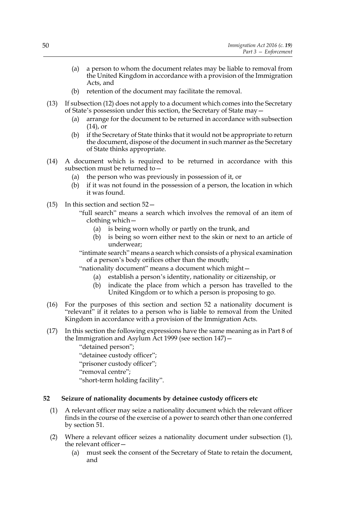- (a) a person to whom the document relates may be liable to removal from the United Kingdom in accordance with a provision of the Immigration Acts, and
- (b) retention of the document may facilitate the removal.
- (13) If subsection (12) does not apply to a document which comes into the Secretary of State's possession under this section, the Secretary of State may—
	- (a) arrange for the document to be returned in accordance with subsection (14), or
	- (b) if the Secretary of State thinks that it would not be appropriate to return the document, dispose of the document in such manner as the Secretary of State thinks appropriate.
- (14) A document which is required to be returned in accordance with this subsection must be returned to—
	- (a) the person who was previously in possession of it, or
	- (b) if it was not found in the possession of a person, the location in which it was found.
- (15) In this section and section 52—
	- "full search" means a search which involves the removal of an item of clothing which—
		- (a) is being worn wholly or partly on the trunk, and
		- (b) is being so worn either next to the skin or next to an article of underwear;

"intimate search" means a search which consists of a physical examination of a person's body orifices other than the mouth;

"nationality document" means a document which might—

- (a) establish a person's identity, nationality or citizenship, or
- (b) indicate the place from which a person has travelled to the United Kingdom or to which a person is proposing to go.
- (16) For the purposes of this section and section 52 a nationality document is "relevant" if it relates to a person who is liable to removal from the United Kingdom in accordance with a provision of the Immigration Acts.
- (17) In this section the following expressions have the same meaning as in Part 8 of the Immigration and Asylum Act 1999 (see section 147)—

"detained person"; "detainee custody officer"; "prisoner custody officer"; "removal centre"; "short-term holding facility".

# **52 Seizure of nationality documents by detainee custody officers etc**

- (1) A relevant officer may seize a nationality document which the relevant officer finds in the course of the exercise of a power to search other than one conferred by section 51.
- (2) Where a relevant officer seizes a nationality document under subsection (1), the relevant officer—
	- (a) must seek the consent of the Secretary of State to retain the document, and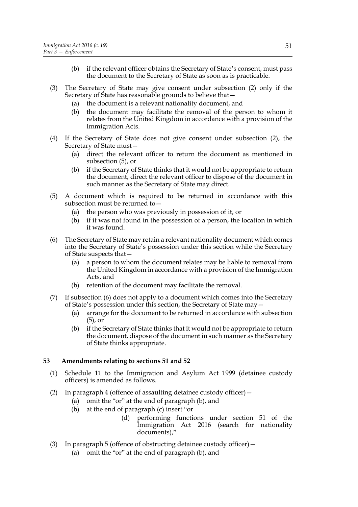- (b) if the relevant officer obtains the Secretary of State's consent, must pass the document to the Secretary of State as soon as is practicable.
- (3) The Secretary of State may give consent under subsection (2) only if the Secretary of State has reasonable grounds to believe that—
	- (a) the document is a relevant nationality document, and
	- (b) the document may facilitate the removal of the person to whom it relates from the United Kingdom in accordance with a provision of the Immigration Acts.
- (4) If the Secretary of State does not give consent under subsection (2), the Secretary of State must—
	- (a) direct the relevant officer to return the document as mentioned in subsection (5), or
	- (b) if the Secretary of State thinks that it would not be appropriate to return the document, direct the relevant officer to dispose of the document in such manner as the Secretary of State may direct.
- (5) A document which is required to be returned in accordance with this subsection must be returned to  $-$ 
	- (a) the person who was previously in possession of it, or
	- (b) if it was not found in the possession of a person, the location in which it was found.
- (6) The Secretary of State may retain a relevant nationality document which comes into the Secretary of State's possession under this section while the Secretary of State suspects that—
	- (a) a person to whom the document relates may be liable to removal from the United Kingdom in accordance with a provision of the Immigration Acts, and
	- (b) retention of the document may facilitate the removal.
- (7) If subsection (6) does not apply to a document which comes into the Secretary of State's possession under this section, the Secretary of State may—
	- (a) arrange for the document to be returned in accordance with subsection (5), or
	- (b) if the Secretary of State thinks that it would not be appropriate to return the document, dispose of the document in such manner as the Secretary of State thinks appropriate.

### **53 Amendments relating to sections 51 and 52**

- (1) Schedule 11 to the Immigration and Asylum Act 1999 (detainee custody officers) is amended as follows.
- (2) In paragraph 4 (offence of assaulting detainee custody officer)—
	- (a) omit the "or" at the end of paragraph (b), and
	- (b) at the end of paragraph (c) insert "or
		- (d) performing functions under section 51 of the Immigration Act 2016 (search for nationality documents),".
- (3) In paragraph 5 (offence of obstructing detainee custody officer)—
	- (a) omit the "or" at the end of paragraph (b), and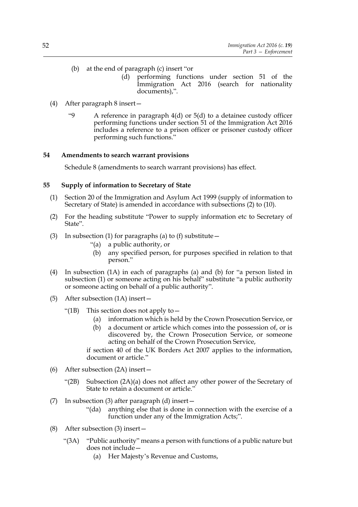- (b) at the end of paragraph (c) insert "or
	- (d) performing functions under section 51 of the Immigration Act 2016 (search for nationality documents),".
- (4) After paragraph 8 insert—
	- "9 A reference in paragraph 4(d) or 5(d) to a detainee custody officer performing functions under section 51 of the Immigration Act 2016 includes a reference to a prison officer or prisoner custody officer performing such functions."

### **54 Amendments to search warrant provisions**

Schedule 8 (amendments to search warrant provisions) has effect.

# **55 Supply of information to Secretary of State**

- (1) Section 20 of the Immigration and Asylum Act 1999 (supply of information to Secretary of State) is amended in accordance with subsections (2) to (10).
- (2) For the heading substitute "Power to supply information etc to Secretary of State".
- (3) In subsection (1) for paragraphs (a) to (f) substitute  $-$ 
	- "(a) a public authority, or
	- (b) any specified person, for purposes specified in relation to that person."
- (4) In subsection (1A) in each of paragraphs (a) and (b) for "a person listed in subsection (1) or someone acting on his behalf" substitute "a public authority or someone acting on behalf of a public authority".
- (5) After subsection (1A) insert—
	- "(1B) This section does not apply to  $-$ 
		- (a) information which is held by the Crown Prosecution Service, or
		- (b) a document or article which comes into the possession of, or is discovered by, the Crown Prosecution Service, or someone acting on behalf of the Crown Prosecution Service,

if section 40 of the UK Borders Act 2007 applies to the information, document or article."

- (6) After subsection (2A) insert—
	- "(2B) Subsection  $(2A)(a)$  does not affect any other power of the Secretary of State to retain a document or article."
- (7) In subsection (3) after paragraph (d) insert—
	- "(da) anything else that is done in connection with the exercise of a function under any of the Immigration Acts;".
- (8) After subsection (3) insert—
	- "(3A) "Public authority" means a person with functions of a public nature but does not include—
		- (a) Her Majesty's Revenue and Customs,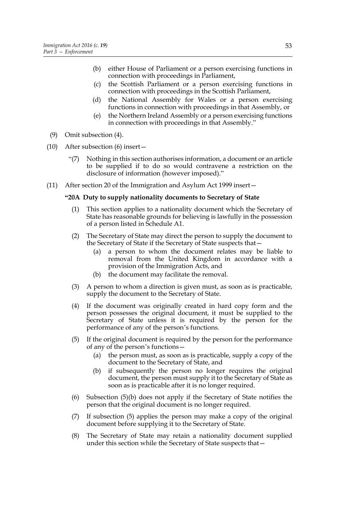- (b) either House of Parliament or a person exercising functions in connection with proceedings in Parliament,
- (c) the Scottish Parliament or a person exercising functions in connection with proceedings in the Scottish Parliament,
- (d) the National Assembly for Wales or a person exercising functions in connection with proceedings in that Assembly, or
- (e) the Northern Ireland Assembly or a person exercising functions in connection with proceedings in that Assembly."
- (9) Omit subsection (4).
- (10) After subsection (6) insert—
	- "(7) Nothing in this section authorises information, a document or an article to be supplied if to do so would contravene a restriction on the disclosure of information (however imposed)."
- (11) After section 20 of the Immigration and Asylum Act 1999 insert—

#### **"20A Duty to supply nationality documents to Secretary of State**

- (1) This section applies to a nationality document which the Secretary of State has reasonable grounds for believing is lawfully in the possession of a person listed in Schedule A1.
- (2) The Secretary of State may direct the person to supply the document to the Secretary of State if the Secretary of State suspects that—
	- (a) a person to whom the document relates may be liable to removal from the United Kingdom in accordance with a provision of the Immigration Acts, and
	- (b) the document may facilitate the removal.
- (3) A person to whom a direction is given must, as soon as is practicable, supply the document to the Secretary of State.
- (4) If the document was originally created in hard copy form and the person possesses the original document, it must be supplied to the Secretary of State unless it is required by the person for the performance of any of the person's functions.
- (5) If the original document is required by the person for the performance of any of the person's functions—
	- (a) the person must, as soon as is practicable, supply a copy of the document to the Secretary of State, and
	- (b) if subsequently the person no longer requires the original document, the person must supply it to the Secretary of State as soon as is practicable after it is no longer required.
- (6) Subsection (5)(b) does not apply if the Secretary of State notifies the person that the original document is no longer required.
- (7) If subsection (5) applies the person may make a copy of the original document before supplying it to the Secretary of State.
- (8) The Secretary of State may retain a nationality document supplied under this section while the Secretary of State suspects that—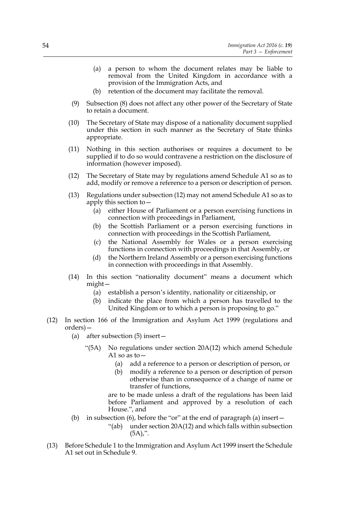- (a) a person to whom the document relates may be liable to removal from the United Kingdom in accordance with a provision of the Immigration Acts, and
- (b) retention of the document may facilitate the removal.
- (9) Subsection (8) does not affect any other power of the Secretary of State to retain a document.
- (10) The Secretary of State may dispose of a nationality document supplied under this section in such manner as the Secretary of State thinks appropriate.
- (11) Nothing in this section authorises or requires a document to be supplied if to do so would contravene a restriction on the disclosure of information (however imposed).
- (12) The Secretary of State may by regulations amend Schedule A1 so as to add, modify or remove a reference to a person or description of person.
- (13) Regulations under subsection (12) may not amend Schedule A1 so as to apply this section to—
	- (a) either House of Parliament or a person exercising functions in connection with proceedings in Parliament,
	- (b) the Scottish Parliament or a person exercising functions in connection with proceedings in the Scottish Parliament,
	- (c) the National Assembly for Wales or a person exercising functions in connection with proceedings in that Assembly, or
	- (d) the Northern Ireland Assembly or a person exercising functions in connection with proceedings in that Assembly.
- (14) In this section "nationality document" means a document which might—
	- (a) establish a person's identity, nationality or citizenship, or
	- (b) indicate the place from which a person has travelled to the United Kingdom or to which a person is proposing to go."
- (12) In section 166 of the Immigration and Asylum Act 1999 (regulations and orders)—
	- (a) after subsection (5) insert—
		- "(5A) No regulations under section 20A(12) which amend Schedule A1 so as to  $-$ 
			- (a) add a reference to a person or description of person, or
			- (b) modify a reference to a person or description of person otherwise than in consequence of a change of name or transfer of functions,

are to be made unless a draft of the regulations has been laid before Parliament and approved by a resolution of each House.", and

- (b) in subsection (6), before the "or" at the end of paragraph (a) insert—
	- "(ab) under section 20A(12) and which falls within subsection  $(5A)$ ,".
- (13) Before Schedule 1 to the Immigration and Asylum Act 1999 insert the Schedule A1 set out in Schedule 9.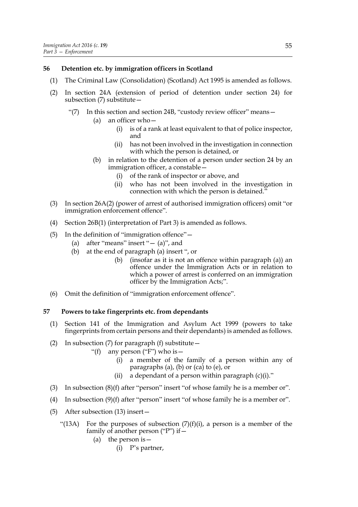#### **56 Detention etc. by immigration officers in Scotland**

- (1) The Criminal Law (Consolidation) (Scotland) Act 1995 is amended as follows.
- (2) In section 24A (extension of period of detention under section 24) for subsection (7) substitute—
	- "(7) In this section and section 24B, "custody review officer" means—
		- (a) an officer who—
			- (i) is of a rank at least equivalent to that of police inspector, and
			- (ii) has not been involved in the investigation in connection with which the person is detained, or
		- (b) in relation to the detention of a person under section 24 by an immigration officer, a constable—
			- (i) of the rank of inspector or above, and
			- (ii) who has not been involved in the investigation in connection with which the person is detained."
- (3) In section 26A(2) (power of arrest of authorised immigration officers) omit "or immigration enforcement offence".
- (4) Section 26B(1) (interpretation of Part 3) is amended as follows.
- (5) In the definition of "immigration offence"—
	- (a) after "means" insert " $-$  (a)", and
	- (b) at the end of paragraph (a) insert ", or
		- (b) (insofar as it is not an offence within paragraph (a)) an offence under the Immigration Acts or in relation to which a power of arrest is conferred on an immigration officer by the Immigration Acts;".
- (6) Omit the definition of "immigration enforcement offence".

#### **57 Powers to take fingerprints etc. from dependants**

- (1) Section 141 of the Immigration and Asylum Act 1999 (powers to take fingerprints from certain persons and their dependants) is amended as follows.
- (2) In subsection (7) for paragraph (f) substitute—
	- "(f) any person ("F") who is  $-$ 
		- (i) a member of the family of a person within any of paragraphs (a), (b) or (ca) to (e), or
		- (ii) a dependant of a person within paragraph  $(c)(i)$ ."
- (3) In subsection (8)(f) after "person" insert "of whose family he is a member or".
- (4) In subsection (9)(f) after "person" insert "of whose family he is a member or".
- (5) After subsection (13) insert—
	- "(13A) For the purposes of subsection  $(7)(f)(i)$ , a person is a member of the family of another person ("P") if  $-$ 
		- (a) the person is  $-$ 
			- (i) P's partner,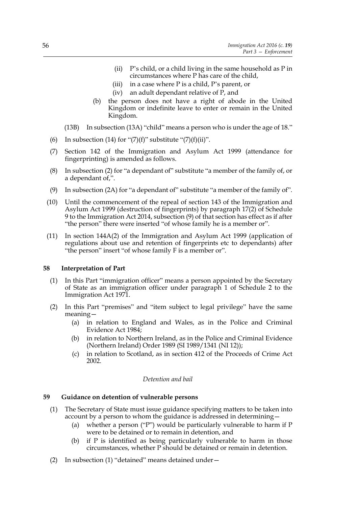- (ii) P's child, or a child living in the same household as P in circumstances where P has care of the child,
- (iii) in a case where P is a child, P's parent, or
- (iv) an adult dependant relative of P, and
- (b) the person does not have a right of abode in the United Kingdom or indefinite leave to enter or remain in the United Kingdom.
- (13B) In subsection (13A) "child" means a person who is under the age of 18."
- (6) In subsection (14) for " $(7)(f)$ " substitute " $(7)(f)(ii)$ ".
- (7) Section 142 of the Immigration and Asylum Act 1999 (attendance for fingerprinting) is amended as follows.
- (8) In subsection (2) for "a dependant of" substitute "a member of the family of, or a dependant of,".
- (9) In subsection (2A) for "a dependant of" substitute "a member of the family of".
- (10) Until the commencement of the repeal of section 143 of the Immigration and Asylum Act 1999 (destruction of fingerprints) by paragraph 17(2) of Schedule 9 to the Immigration Act 2014, subsection (9) of that section has effect as if after "the person" there were inserted "of whose family he is a member or".
- (11) In section 144A(2) of the Immigration and Asylum Act 1999 (application of regulations about use and retention of fingerprints etc to dependants) after "the person" insert "of whose family F is a member or".

### **58 Interpretation of Part**

- (1) In this Part "immigration officer" means a person appointed by the Secretary of State as an immigration officer under paragraph 1 of Schedule 2 to the Immigration Act 1971.
- (2) In this Part "premises" and "item subject to legal privilege" have the same meaning—
	- (a) in relation to England and Wales, as in the Police and Criminal Evidence Act 1984;
	- (b) in relation to Northern Ireland, as in the Police and Criminal Evidence (Northern Ireland) Order 1989 (SI 1989/1341 (NI 12));
	- (c) in relation to Scotland, as in section 412 of the Proceeds of Crime Act 2002.

### *Detention and bail*

### **59 Guidance on detention of vulnerable persons**

- (1) The Secretary of State must issue guidance specifying matters to be taken into account by a person to whom the guidance is addressed in determining—
	- (a) whether a person ("P") would be particularly vulnerable to harm if P were to be detained or to remain in detention, and
	- (b) if P is identified as being particularly vulnerable to harm in those circumstances, whether P should be detained or remain in detention.
- (2) In subsection (1) "detained" means detained under—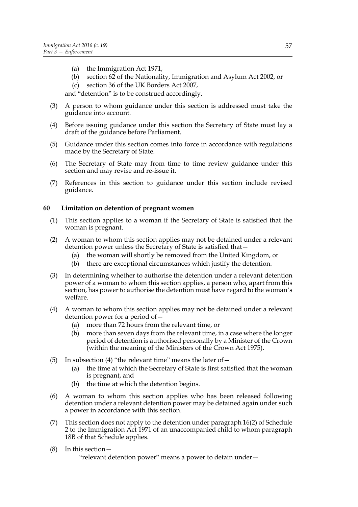- (a) the Immigration Act 1971,
- (b) section 62 of the Nationality, Immigration and Asylum Act 2002, or
- (c) section 36 of the UK Borders Act 2007,

and "detention" is to be construed accordingly.

- (3) A person to whom guidance under this section is addressed must take the guidance into account.
- (4) Before issuing guidance under this section the Secretary of State must lay a draft of the guidance before Parliament.
- (5) Guidance under this section comes into force in accordance with regulations made by the Secretary of State.
- (6) The Secretary of State may from time to time review guidance under this section and may revise and re-issue it.
- (7) References in this section to guidance under this section include revised guidance.

### **60 Limitation on detention of pregnant women**

- (1) This section applies to a woman if the Secretary of State is satisfied that the woman is pregnant.
- (2) A woman to whom this section applies may not be detained under a relevant detention power unless the Secretary of State is satisfied that—
	- (a) the woman will shortly be removed from the United Kingdom, or
	- (b) there are exceptional circumstances which justify the detention.
- (3) In determining whether to authorise the detention under a relevant detention power of a woman to whom this section applies, a person who, apart from this section, has power to authorise the detention must have regard to the woman's welfare.
- (4) A woman to whom this section applies may not be detained under a relevant detention power for a period of—
	- (a) more than 72 hours from the relevant time, or
	- (b) more than seven days from the relevant time, in a case where the longer period of detention is authorised personally by a Minister of the Crown (within the meaning of the Ministers of the Crown Act 1975).
- (5) In subsection (4) "the relevant time" means the later of  $-$ 
	- (a) the time at which the Secretary of State is first satisfied that the woman is pregnant, and
	- (b) the time at which the detention begins.
- (6) A woman to whom this section applies who has been released following detention under a relevant detention power may be detained again under such a power in accordance with this section.
- (7) This section does not apply to the detention under paragraph 16(2) of Schedule 2 to the Immigration Act 1971 of an unaccompanied child to whom paragraph 18B of that Schedule applies.
- (8) In this section—

"relevant detention power" means a power to detain under—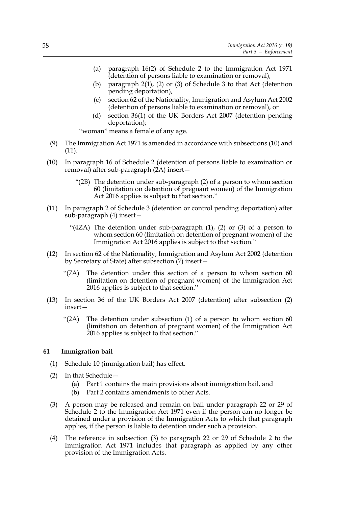- (a) paragraph 16(2) of Schedule 2 to the Immigration Act 1971 (detention of persons liable to examination or removal),
- (b) paragraph 2(1), (2) or (3) of Schedule 3 to that Act (detention pending deportation),
- (c) section 62 of the Nationality, Immigration and Asylum Act 2002 (detention of persons liable to examination or removal), or
- (d) section 36(1) of the UK Borders Act 2007 (detention pending deportation);

"woman" means a female of any age.

- (9) The Immigration Act 1971 is amended in accordance with subsections (10) and (11).
- (10) In paragraph 16 of Schedule 2 (detention of persons liable to examination or removal) after sub-paragraph (2A) insert—
	- "(2B) The detention under sub-paragraph (2) of a person to whom section 60 (limitation on detention of pregnant women) of the Immigration Act 2016 applies is subject to that section."
- (11) In paragraph 2 of Schedule 3 (detention or control pending deportation) after sub-paragraph (4) insert—
	- "(4ZA) The detention under sub-paragraph (1), (2) or (3) of a person to whom section 60 (limitation on detention of pregnant women) of the Immigration Act 2016 applies is subject to that section."
- (12) In section 62 of the Nationality, Immigration and Asylum Act 2002 (detention by Secretary of State) after subsection (7) insert—
	- "(7A) The detention under this section of a person to whom section 60 (limitation on detention of pregnant women) of the Immigration Act 2016 applies is subject to that section."
- (13) In section 36 of the UK Borders Act 2007 (detention) after subsection (2) insert—
	- "(2A) The detention under subsection (1) of a person to whom section 60 (limitation on detention of pregnant women) of the Immigration Act 2016 applies is subject to that section."

#### **61 Immigration bail**

- (1) Schedule 10 (immigration bail) has effect.
- (2) In that Schedule—
	- (a) Part 1 contains the main provisions about immigration bail, and
	- (b) Part 2 contains amendments to other Acts.
- (3) A person may be released and remain on bail under paragraph 22 or 29 of Schedule 2 to the Immigration Act 1971 even if the person can no longer be detained under a provision of the Immigration Acts to which that paragraph applies, if the person is liable to detention under such a provision.
- (4) The reference in subsection (3) to paragraph 22 or 29 of Schedule 2 to the Immigration Act 1971 includes that paragraph as applied by any other provision of the Immigration Acts.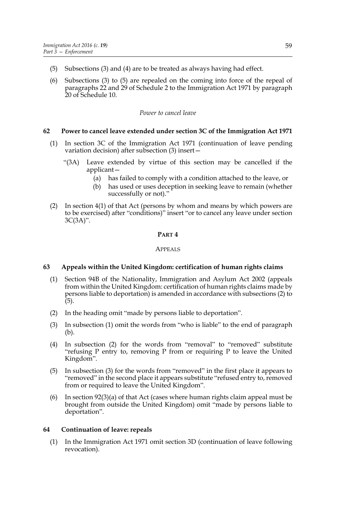- (5) Subsections (3) and (4) are to be treated as always having had effect.
- (6) Subsections (3) to (5) are repealed on the coming into force of the repeal of paragraphs 22 and 29 of Schedule 2 to the Immigration Act 1971 by paragraph 20 of Schedule 10.

### *Power to cancel leave*

# **62 Power to cancel leave extended under section 3C of the Immigration Act 1971**

- (1) In section 3C of the Immigration Act 1971 (continuation of leave pending variation decision) after subsection (3) insert—
	- "(3A) Leave extended by virtue of this section may be cancelled if the applicant—
		- (a) has failed to comply with a condition attached to the leave, or
		- (b) has used or uses deception in seeking leave to remain (whether successfully or not)."
- (2) In section 4(1) of that Act (persons by whom and means by which powers are to be exercised) after "conditions)" insert "or to cancel any leave under section 3C(3A)".

#### **PART 4**

### APPEALS

### **63 Appeals within the United Kingdom: certification of human rights claims**

- (1) Section 94B of the Nationality, Immigration and Asylum Act 2002 (appeals from within the United Kingdom: certification of human rights claims made by persons liable to deportation) is amended in accordance with subsections (2) to (5).
- (2) In the heading omit "made by persons liable to deportation".
- (3) In subsection (1) omit the words from "who is liable" to the end of paragraph (b).
- (4) In subsection (2) for the words from "removal" to "removed" substitute "refusing P entry to, removing P from or requiring P to leave the United Kingdom".
- (5) In subsection (3) for the words from "removed" in the first place it appears to "removed" in the second place it appears substitute "refused entry to, removed from or required to leave the United Kingdom".
- (6) In section 92(3)(a) of that Act (cases where human rights claim appeal must be brought from outside the United Kingdom) omit "made by persons liable to deportation".

### **64 Continuation of leave: repeals**

(1) In the Immigration Act 1971 omit section 3D (continuation of leave following revocation).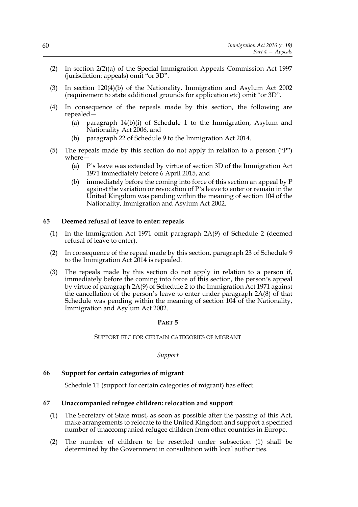- (2) In section 2(2)(a) of the Special Immigration Appeals Commission Act 1997 (jurisdiction: appeals) omit "or 3D".
- (3) In section 120(4)(b) of the Nationality, Immigration and Asylum Act 2002 (requirement to state additional grounds for application etc) omit "or 3D".
- (4) In consequence of the repeals made by this section, the following are repealed—
	- (a) paragraph  $14(b)(i)$  of Schedule 1 to the Immigration, Asylum and Nationality Act 2006, and
	- (b) paragraph 22 of Schedule 9 to the Immigration Act 2014.
- (5) The repeals made by this section do not apply in relation to a person ("P") where—
	- (a) P's leave was extended by virtue of section 3D of the Immigration Act 1971 immediately before 6 April 2015, and
	- (b) immediately before the coming into force of this section an appeal by P against the variation or revocation of P's leave to enter or remain in the United Kingdom was pending within the meaning of section 104 of the Nationality, Immigration and Asylum Act 2002.

#### **65 Deemed refusal of leave to enter: repeals**

- (1) In the Immigration Act 1971 omit paragraph 2A(9) of Schedule 2 (deemed refusal of leave to enter).
- (2) In consequence of the repeal made by this section, paragraph 23 of Schedule 9 to the Immigration Act 2014 is repealed.
- (3) The repeals made by this section do not apply in relation to a person if, immediately before the coming into force of this section, the person's appeal by virtue of paragraph 2A(9) of Schedule 2 to the Immigration Act 1971 against the cancellation of the person's leave to enter under paragraph 2A(8) of that Schedule was pending within the meaning of section 104 of the Nationality, Immigration and Asylum Act 2002.

#### **PART 5**

#### SUPPORT ETC FOR CERTAIN CATEGORIES OF MIGRANT

*Support*

#### **66 Support for certain categories of migrant**

Schedule 11 (support for certain categories of migrant) has effect.

#### **67 Unaccompanied refugee children: relocation and support**

- (1) The Secretary of State must, as soon as possible after the passing of this Act, make arrangements to relocate to the United Kingdom and support a specified number of unaccompanied refugee children from other countries in Europe.
- (2) The number of children to be resettled under subsection (1) shall be determined by the Government in consultation with local authorities.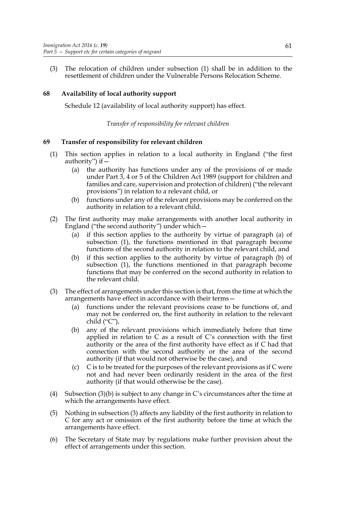(3) The relocation of children under subsection (1) shall be in addition to the resettlement of children under the Vulnerable Persons Relocation Scheme.

# **68 Availability of local authority support**

Schedule 12 (availability of local authority support) has effect.

### *Transfer of responsibility for relevant children*

# **69 Transfer of responsibility for relevant children**

- (1) This section applies in relation to a local authority in England ("the first authority") if—
	- (a) the authority has functions under any of the provisions of or made under Part 3, 4 or 5 of the Children Act 1989 (support for children and families and care, supervision and protection of children) ("the relevant provisions") in relation to a relevant child, or
	- (b) functions under any of the relevant provisions may be conferred on the authority in relation to a relevant child.
- (2) The first authority may make arrangements with another local authority in England ("the second authority") under which—
	- (a) if this section applies to the authority by virtue of paragraph (a) of subsection (1), the functions mentioned in that paragraph become functions of the second authority in relation to the relevant child, and
	- (b) if this section applies to the authority by virtue of paragraph (b) of subsection (1), the functions mentioned in that paragraph become functions that may be conferred on the second authority in relation to the relevant child.
- (3) The effect of arrangements under this section is that, from the time at which the arrangements have effect in accordance with their terms—
	- (a) functions under the relevant provisions cease to be functions of, and may not be conferred on, the first authority in relation to the relevant child  $("C$ "),
	- (b) any of the relevant provisions which immediately before that time applied in relation to C as a result of C's connection with the first authority or the area of the first authority have effect as if C had that connection with the second authority or the area of the second authority (if that would not otherwise be the case), and
	- (c) C is to be treated for the purposes of the relevant provisions as if C were not and had never been ordinarily resident in the area of the first authority (if that would otherwise be the case).
- (4) Subsection (3)(b) is subject to any change in C's circumstances after the time at which the arrangements have effect.
- (5) Nothing in subsection (3) affects any liability of the first authority in relation to C for any act or omission of the first authority before the time at which the arrangements have effect.
- (6) The Secretary of State may by regulations make further provision about the effect of arrangements under this section.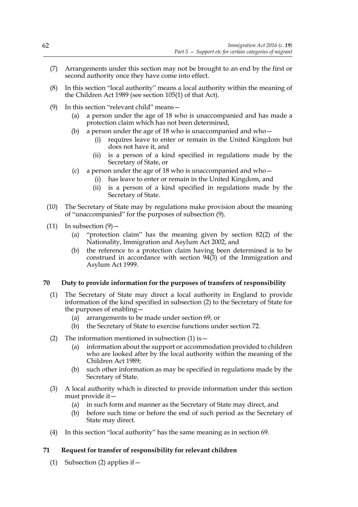- (7) Arrangements under this section may not be brought to an end by the first or second authority once they have come into effect.
- (8) In this section "local authority" means a local authority within the meaning of the Children Act 1989 (see section 105(1) of that Act).
- (9) In this section "relevant child" means—
	- (a) a person under the age of 18 who is unaccompanied and has made a protection claim which has not been determined,
	- (b) a person under the age of 18 who is unaccompanied and who  $-$ 
		- (i) requires leave to enter or remain in the United Kingdom but does not have it, and
		- (ii) is a person of a kind specified in regulations made by the Secretary of State, or
	- (c) a person under the age of 18 who is unaccompanied and who  $-$ 
		- (i) has leave to enter or remain in the United Kingdom, and
		- (ii) is a person of a kind specified in regulations made by the Secretary of State.
- (10) The Secretary of State may by regulations make provision about the meaning of "unaccompanied" for the purposes of subsection (9).
- (11) In subsection  $(9)$ 
	- (a) "protection claim" has the meaning given by section 82(2) of the Nationality, Immigration and Asylum Act 2002, and
	- (b) the reference to a protection claim having been determined is to be construed in accordance with section 94(3) of the Immigration and Asylum Act 1999.

### **70 Duty to provide information for the purposes of transfers of responsibility**

- (1) The Secretary of State may direct a local authority in England to provide information of the kind specified in subsection (2) to the Secretary of State for the purposes of enabling—
	- (a) arrangements to be made under section 69, or
	- (b) the Secretary of State to exercise functions under section 72.
- (2) The information mentioned in subsection  $(1)$  is  $-$ 
	- (a) information about the support or accommodation provided to children who are looked after by the local authority within the meaning of the Children Act 1989;
	- (b) such other information as may be specified in regulations made by the Secretary of State.
- (3) A local authority which is directed to provide information under this section must provide it—
	- (a) in such form and manner as the Secretary of State may direct, and
	- (b) before such time or before the end of such period as the Secretary of State may direct.
- (4) In this section "local authority" has the same meaning as in section 69.

### **71 Request for transfer of responsibility for relevant children**

(1) Subsection (2) applies if  $-$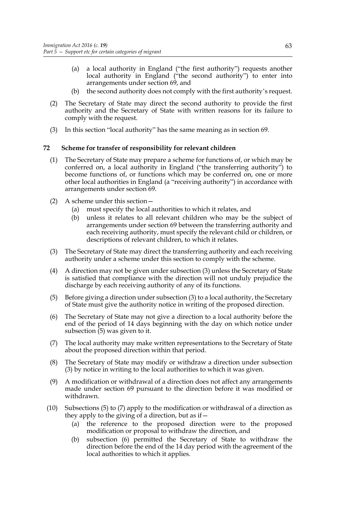- (a) a local authority in England ("the first authority") requests another local authority in England ("the second authority") to enter into arrangements under section 69, and
- (b) the second authority does not comply with the first authority's request.
- (2) The Secretary of State may direct the second authority to provide the first authority and the Secretary of State with written reasons for its failure to comply with the request.
- (3) In this section "local authority" has the same meaning as in section 69.

# **72 Scheme for transfer of responsibility for relevant children**

- (1) The Secretary of State may prepare a scheme for functions of, or which may be conferred on, a local authority in England ("the transferring authority") to become functions of, or functions which may be conferred on, one or more other local authorities in England (a "receiving authority") in accordance with arrangements under section 69.
- (2) A scheme under this section—
	- (a) must specify the local authorities to which it relates, and
	- (b) unless it relates to all relevant children who may be the subject of arrangements under section 69 between the transferring authority and each receiving authority, must specify the relevant child or children, or descriptions of relevant children, to which it relates.
- (3) The Secretary of State may direct the transferring authority and each receiving authority under a scheme under this section to comply with the scheme.
- (4) A direction may not be given under subsection (3) unless the Secretary of State is satisfied that compliance with the direction will not unduly prejudice the discharge by each receiving authority of any of its functions.
- (5) Before giving a direction under subsection (3) to a local authority, the Secretary of State must give the authority notice in writing of the proposed direction.
- (6) The Secretary of State may not give a direction to a local authority before the end of the period of 14 days beginning with the day on which notice under subsection (5) was given to it.
- (7) The local authority may make written representations to the Secretary of State about the proposed direction within that period.
- (8) The Secretary of State may modify or withdraw a direction under subsection (3) by notice in writing to the local authorities to which it was given.
- (9) A modification or withdrawal of a direction does not affect any arrangements made under section 69 pursuant to the direction before it was modified or withdrawn.
- (10) Subsections (5) to (7) apply to the modification or withdrawal of a direction as they apply to the giving of a direction, but as if—
	- (a) the reference to the proposed direction were to the proposed modification or proposal to withdraw the direction, and
	- (b) subsection (6) permitted the Secretary of State to withdraw the direction before the end of the 14 day period with the agreement of the local authorities to which it applies.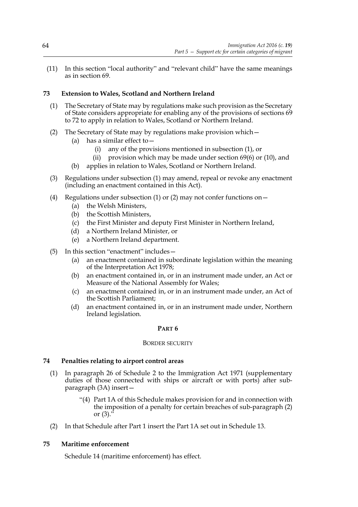(11) In this section "local authority" and "relevant child" have the same meanings as in section 69.

# **73 Extension to Wales, Scotland and Northern Ireland**

- (1) The Secretary of State may by regulations make such provision as the Secretary of State considers appropriate for enabling any of the provisions of sections 69 to 72 to apply in relation to Wales, Scotland or Northern Ireland.
- (2) The Secretary of State may by regulations make provision which—
	- (a) has a similar effect to—
		- (i) any of the provisions mentioned in subsection (1), or
		- (ii) provision which may be made under section 69(6) or (10), and
	- (b) applies in relation to Wales, Scotland or Northern Ireland.
- (3) Regulations under subsection (1) may amend, repeal or revoke any enactment (including an enactment contained in this Act).
- (4) Regulations under subsection (1) or (2) may not confer functions on  $-$ 
	- (a) the Welsh Ministers,
	- (b) the Scottish Ministers,
	- (c) the First Minister and deputy First Minister in Northern Ireland,
	- (d) a Northern Ireland Minister, or
	- (e) a Northern Ireland department.
- (5) In this section "enactment" includes—
	- (a) an enactment contained in subordinate legislation within the meaning of the Interpretation Act 1978;
	- (b) an enactment contained in, or in an instrument made under, an Act or Measure of the National Assembly for Wales;
	- (c) an enactment contained in, or in an instrument made under, an Act of the Scottish Parliament;
	- (d) an enactment contained in, or in an instrument made under, Northern Ireland legislation.

### **PART 6**

#### BORDER SECURITY

### **74 Penalties relating to airport control areas**

- (1) In paragraph 26 of Schedule 2 to the Immigration Act 1971 (supplementary duties of those connected with ships or aircraft or with ports) after subparagraph (3A) insert—
	- "(4) Part 1A of this Schedule makes provision for and in connection with the imposition of a penalty for certain breaches of sub-paragraph (2) or (3)."
- (2) In that Schedule after Part 1 insert the Part 1A set out in Schedule 13.

### **75 Maritime enforcement**

Schedule 14 (maritime enforcement) has effect.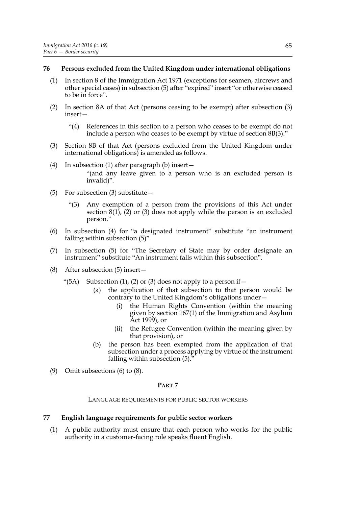### **76 Persons excluded from the United Kingdom under international obligations**

- (1) In section 8 of the Immigration Act 1971 (exceptions for seamen, aircrews and other special cases) in subsection (5) after "expired" insert "or otherwise ceased to be in force".
- (2) In section 8A of that Act (persons ceasing to be exempt) after subsection (3) insert—
	- "(4) References in this section to a person who ceases to be exempt do not include a person who ceases to be exempt by virtue of section 8B(3)."
- (3) Section 8B of that Act (persons excluded from the United Kingdom under international obligations) is amended as follows.
- (4) In subsection (1) after paragraph (b) insert— "(and any leave given to a person who is an excluded person is invalid)".
- (5) For subsection (3) substitute—
	- "(3) Any exemption of a person from the provisions of this Act under section  $8(1)$ ,  $(2)$  or  $(3)$  does not apply while the person is an excluded person."
- (6) In subsection (4) for "a designated instrument" substitute "an instrument falling within subsection (5)".
- (7) In subsection (5) for "The Secretary of State may by order designate an instrument" substitute "An instrument falls within this subsection".
- (8) After subsection (5) insert—
	- "(5A) Subsection (1), (2) or (3) does not apply to a person if  $$ 
		- the application of that subsection to that person would be contrary to the United Kingdom's obligations under—
			- (i) the Human Rights Convention (within the meaning given by section 167(1) of the Immigration and Asylum Act 1999), or
			- (ii) the Refugee Convention (within the meaning given by that provision), or
		- (b) the person has been exempted from the application of that subsection under a process applying by virtue of the instrument falling within subsection  $(5)$ .
- (9) Omit subsections (6) to (8).

### **PART 7**

#### LANGUAGE REQUIREMENTS FOR PUBLIC SECTOR WORKERS

### **77 English language requirements for public sector workers**

(1) A public authority must ensure that each person who works for the public authority in a customer-facing role speaks fluent English.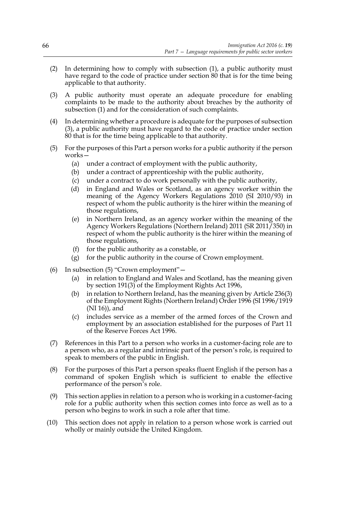- (2) In determining how to comply with subsection (1), a public authority must have regard to the code of practice under section 80 that is for the time being applicable to that authority.
- (3) A public authority must operate an adequate procedure for enabling complaints to be made to the authority about breaches by the authority of subsection (1) and for the consideration of such complaints.
- (4) In determining whether a procedure is adequate for the purposes of subsection (3), a public authority must have regard to the code of practice under section 80 that is for the time being applicable to that authority.
- (5) For the purposes of this Part a person works for a public authority if the person works—
	- (a) under a contract of employment with the public authority,
	- (b) under a contract of apprenticeship with the public authority,
	- (c) under a contract to do work personally with the public authority,
	- (d) in England and Wales or Scotland, as an agency worker within the meaning of the Agency Workers Regulations 2010 (SI 2010/93) in respect of whom the public authority is the hirer within the meaning of those regulations,
	- (e) in Northern Ireland, as an agency worker within the meaning of the Agency Workers Regulations (Northern Ireland) 2011 (SR 2011/350) in respect of whom the public authority is the hirer within the meaning of those regulations,
	- (f) for the public authority as a constable, or
	- (g) for the public authority in the course of Crown employment.
- (6) In subsection (5) "Crown employment"—
	- (a) in relation to England and Wales and Scotland, has the meaning given by section 191(3) of the Employment Rights Act 1996,
	- (b) in relation to Northern Ireland, has the meaning given by Article 236(3) of the Employment Rights (Northern Ireland) Order 1996 (SI 1996/1919 (NI 16)), and
	- (c) includes service as a member of the armed forces of the Crown and employment by an association established for the purposes of Part 11 of the Reserve Forces Act 1996.
- (7) References in this Part to a person who works in a customer-facing role are to a person who, as a regular and intrinsic part of the person's role, is required to speak to members of the public in English.
- (8) For the purposes of this Part a person speaks fluent English if the person has a command of spoken English which is sufficient to enable the effective performance of the person's role.
- (9) This section applies in relation to a person who is working in a customer-facing role for a public authority when this section comes into force as well as to a person who begins to work in such a role after that time.
- (10) This section does not apply in relation to a person whose work is carried out wholly or mainly outside the United Kingdom.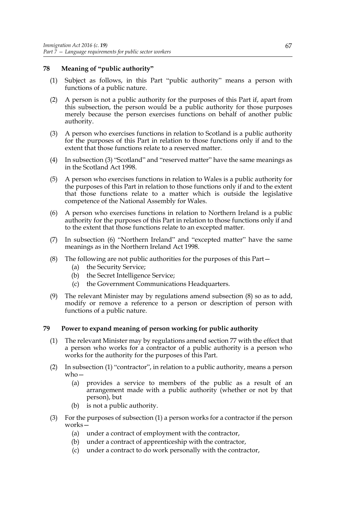# **78 Meaning of "public authority"**

- (1) Subject as follows, in this Part "public authority" means a person with functions of a public nature.
- (2) A person is not a public authority for the purposes of this Part if, apart from this subsection, the person would be a public authority for those purposes merely because the person exercises functions on behalf of another public authority.
- (3) A person who exercises functions in relation to Scotland is a public authority for the purposes of this Part in relation to those functions only if and to the extent that those functions relate to a reserved matter.
- (4) In subsection (3) "Scotland" and "reserved matter" have the same meanings as in the Scotland Act 1998.
- (5) A person who exercises functions in relation to Wales is a public authority for the purposes of this Part in relation to those functions only if and to the extent that those functions relate to a matter which is outside the legislative competence of the National Assembly for Wales.
- (6) A person who exercises functions in relation to Northern Ireland is a public authority for the purposes of this Part in relation to those functions only if and to the extent that those functions relate to an excepted matter.
- (7) In subsection (6) "Northern Ireland" and "excepted matter" have the same meanings as in the Northern Ireland Act 1998.
- (8) The following are not public authorities for the purposes of this Part—
	- (a) the Security Service;
	- (b) the Secret Intelligence Service;
	- (c) the Government Communications Headquarters.
- (9) The relevant Minister may by regulations amend subsection (8) so as to add, modify or remove a reference to a person or description of person with functions of a public nature.

# **79 Power to expand meaning of person working for public authority**

- (1) The relevant Minister may by regulations amend section 77 with the effect that a person who works for a contractor of a public authority is a person who works for the authority for the purposes of this Part.
- (2) In subsection (1) "contractor", in relation to a public authority, means a person who—
	- (a) provides a service to members of the public as a result of an arrangement made with a public authority (whether or not by that person), but
	- (b) is not a public authority.
- (3) For the purposes of subsection (1) a person works for a contractor if the person works—
	- (a) under a contract of employment with the contractor,
	- (b) under a contract of apprenticeship with the contractor,
	- (c) under a contract to do work personally with the contractor,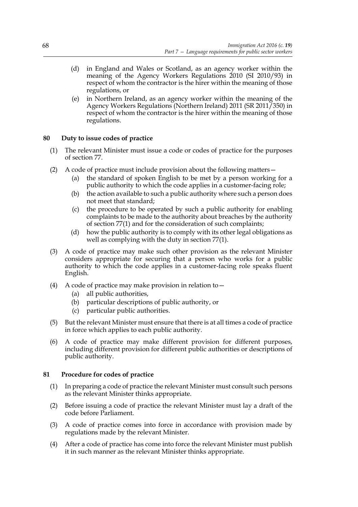- (d) in England and Wales or Scotland, as an agency worker within the meaning of the Agency Workers Regulations 2010 (SI 2010/93) in respect of whom the contractor is the hirer within the meaning of those regulations, or
- (e) in Northern Ireland, as an agency worker within the meaning of the Agency Workers Regulations (Northern Ireland) 2011 (SR 2011/350) in respect of whom the contractor is the hirer within the meaning of those regulations.

# **80 Duty to issue codes of practice**

- (1) The relevant Minister must issue a code or codes of practice for the purposes of section 77.
- (2) A code of practice must include provision about the following matters—
	- (a) the standard of spoken English to be met by a person working for a public authority to which the code applies in a customer-facing role;
	- (b) the action available to such a public authority where such a person does not meet that standard;
	- (c) the procedure to be operated by such a public authority for enabling complaints to be made to the authority about breaches by the authority of section 77(1) and for the consideration of such complaints;
	- (d) how the public authority is to comply with its other legal obligations as well as complying with the duty in section 77(1).
- (3) A code of practice may make such other provision as the relevant Minister considers appropriate for securing that a person who works for a public authority to which the code applies in a customer-facing role speaks fluent English.
- (4) A code of practice may make provision in relation to—
	- (a) all public authorities,
	- (b) particular descriptions of public authority, or
	- (c) particular public authorities.
- (5) But the relevant Minister must ensure that there is at all times a code of practice in force which applies to each public authority.
- (6) A code of practice may make different provision for different purposes, including different provision for different public authorities or descriptions of public authority.

# **81 Procedure for codes of practice**

- (1) In preparing a code of practice the relevant Minister must consult such persons as the relevant Minister thinks appropriate.
- (2) Before issuing a code of practice the relevant Minister must lay a draft of the code before Parliament.
- (3) A code of practice comes into force in accordance with provision made by regulations made by the relevant Minister.
- (4) After a code of practice has come into force the relevant Minister must publish it in such manner as the relevant Minister thinks appropriate.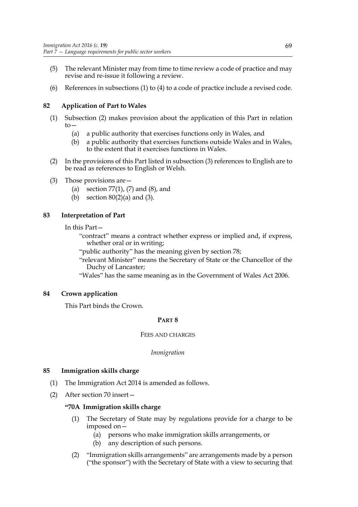- (5) The relevant Minister may from time to time review a code of practice and may revise and re-issue it following a review.
- (6) References in subsections (1) to (4) to a code of practice include a revised code.

# **82 Application of Part to Wales**

- (1) Subsection (2) makes provision about the application of this Part in relation  $to-$ 
	- (a) a public authority that exercises functions only in Wales, and
	- (b) a public authority that exercises functions outside Wales and in Wales, to the extent that it exercises functions in Wales.
- (2) In the provisions of this Part listed in subsection (3) references to English are to be read as references to English or Welsh.
- (3) Those provisions are—
	- (a) section 77(1), (7) and (8), and
	- (b) section  $80(2)(a)$  and  $(3)$ .

# **83 Interpretation of Part**

# In this Part—

"contract" means a contract whether express or implied and, if express, whether oral or in writing;

"public authority" has the meaning given by section 78;

"relevant Minister" means the Secretary of State or the Chancellor of the Duchy of Lancaster;

"Wales" has the same meaning as in the Government of Wales Act 2006.

# **84 Crown application**

This Part binds the Crown.

# **PART 8**

# FEES AND CHARGES

*Immigration*

# **85 Immigration skills charge**

- (1) The Immigration Act 2014 is amended as follows.
- (2) After section 70 insert—

# **"70A Immigration skills charge**

- (1) The Secretary of State may by regulations provide for a charge to be imposed on—
	- (a) persons who make immigration skills arrangements, or
	- (b) any description of such persons.
- (2) "Immigration skills arrangements" are arrangements made by a person ("the sponsor") with the Secretary of State with a view to securing that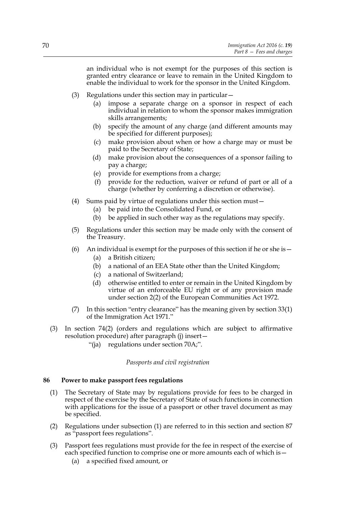an individual who is not exempt for the purposes of this section is granted entry clearance or leave to remain in the United Kingdom to enable the individual to work for the sponsor in the United Kingdom.

- (3) Regulations under this section may in particular—
	- (a) impose a separate charge on a sponsor in respect of each individual in relation to whom the sponsor makes immigration skills arrangements;
	- (b) specify the amount of any charge (and different amounts may be specified for different purposes);
	- (c) make provision about when or how a charge may or must be paid to the Secretary of State;
	- (d) make provision about the consequences of a sponsor failing to pay a charge;
	- (e) provide for exemptions from a charge;
	- (f) provide for the reduction, waiver or refund of part or all of a charge (whether by conferring a discretion or otherwise).
- (4) Sums paid by virtue of regulations under this section must—
	- (a) be paid into the Consolidated Fund, or
	- (b) be applied in such other way as the regulations may specify.
- (5) Regulations under this section may be made only with the consent of the Treasury.
- (6) An individual is exempt for the purposes of this section if he or she is  $-$ 
	- (a) a British citizen;
	- (b) a national of an EEA State other than the United Kingdom;
	- (c) a national of Switzerland;
	- (d) otherwise entitled to enter or remain in the United Kingdom by virtue of an enforceable EU right or of any provision made under section 2(2) of the European Communities Act 1972.
- (7) In this section "entry clearance" has the meaning given by section 33(1) of the Immigration Act 1971."
- (3) In section 74(2) (orders and regulations which are subject to affirmative resolution procedure) after paragraph (j) insert—
	- "(ja) regulations under section 70A;".

### *Passports and civil registration*

### **86 Power to make passport fees regulations**

- (1) The Secretary of State may by regulations provide for fees to be charged in respect of the exercise by the Secretary of State of such functions in connection with applications for the issue of a passport or other travel document as may be specified.
- (2) Regulations under subsection (1) are referred to in this section and section 87 as "passport fees regulations".
- (3) Passport fees regulations must provide for the fee in respect of the exercise of each specified function to comprise one or more amounts each of which is—
	- (a) a specified fixed amount, or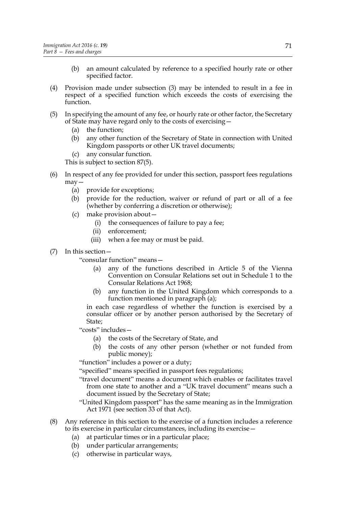- (b) an amount calculated by reference to a specified hourly rate or other specified factor.
- (4) Provision made under subsection (3) may be intended to result in a fee in respect of a specified function which exceeds the costs of exercising the function.
- (5) In specifying the amount of any fee, or hourly rate or other factor, the Secretary of State may have regard only to the costs of exercising—
	- (a) the function;
	- (b) any other function of the Secretary of State in connection with United Kingdom passports or other UK travel documents;
	- (c) any consular function.

This is subject to section 87(5).

- (6) In respect of any fee provided for under this section, passport fees regulations may—
	- (a) provide for exceptions;
	- (b) provide for the reduction, waiver or refund of part or all of a fee (whether by conferring a discretion or otherwise);
	- (c) make provision about—
		- (i) the consequences of failure to pay a fee;
		- (ii) enforcement;
		- (iii) when a fee may or must be paid.
- (7) In this section—

"consular function" means—

- (a) any of the functions described in Article 5 of the Vienna Convention on Consular Relations set out in Schedule 1 to the Consular Relations Act 1968;
- (b) any function in the United Kingdom which corresponds to a function mentioned in paragraph (a);

in each case regardless of whether the function is exercised by a consular officer or by another person authorised by the Secretary of State;

"costs" includes—

- (a) the costs of the Secretary of State, and
- (b) the costs of any other person (whether or not funded from public money);

"function" includes a power or a duty;

"specified" means specified in passport fees regulations;

- "travel document" means a document which enables or facilitates travel from one state to another and a "UK travel document" means such a document issued by the Secretary of State;
- "United Kingdom passport" has the same meaning as in the Immigration Act 1971 (see section 33 of that Act).
- (8) Any reference in this section to the exercise of a function includes a reference to its exercise in particular circumstances, including its exercise—
	- (a) at particular times or in a particular place;
	- (b) under particular arrangements;
	- (c) otherwise in particular ways,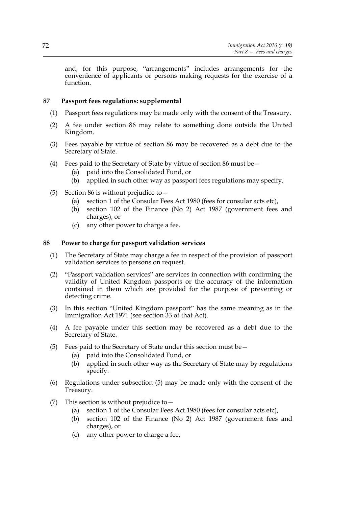and, for this purpose, "arrangements" includes arrangements for the convenience of applicants or persons making requests for the exercise of a function.

# **87 Passport fees regulations: supplemental**

- (1) Passport fees regulations may be made only with the consent of the Treasury.
- (2) A fee under section 86 may relate to something done outside the United Kingdom.
- (3) Fees payable by virtue of section 86 may be recovered as a debt due to the Secretary of State.
- (4) Fees paid to the Secretary of State by virtue of section 86 must be—
	- (a) paid into the Consolidated Fund, or
	- (b) applied in such other way as passport fees regulations may specify.
- (5) Section 86 is without prejudice to—
	- (a) section 1 of the Consular Fees Act 1980 (fees for consular acts etc),
	- (b) section 102 of the Finance (No 2) Act 1987 (government fees and charges), or
	- (c) any other power to charge a fee.

### **88 Power to charge for passport validation services**

- (1) The Secretary of State may charge a fee in respect of the provision of passport validation services to persons on request.
- (2) "Passport validation services" are services in connection with confirming the validity of United Kingdom passports or the accuracy of the information contained in them which are provided for the purpose of preventing or detecting crime.
- (3) In this section "United Kingdom passport" has the same meaning as in the Immigration Act 1971 (see section 33 of that Act).
- (4) A fee payable under this section may be recovered as a debt due to the Secretary of State.
- (5) Fees paid to the Secretary of State under this section must be—
	- (a) paid into the Consolidated Fund, or
	- (b) applied in such other way as the Secretary of State may by regulations specify.
- (6) Regulations under subsection (5) may be made only with the consent of the Treasury.
- (7) This section is without prejudice to  $-$ 
	- (a) section 1 of the Consular Fees Act 1980 (fees for consular acts etc),
	- (b) section 102 of the Finance (No 2) Act 1987 (government fees and charges), or
	- (c) any other power to charge a fee.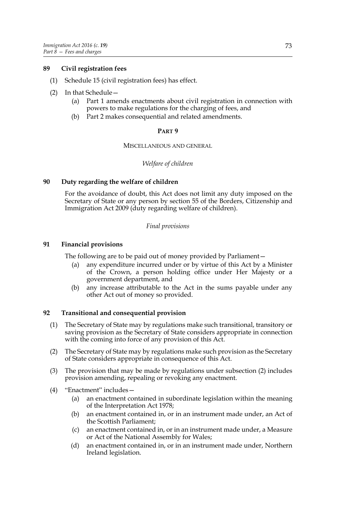# **89 Civil registration fees**

- (1) Schedule 15 (civil registration fees) has effect.
- (2) In that Schedule—
	- (a) Part 1 amends enactments about civil registration in connection with powers to make regulations for the charging of fees, and
	- (b) Part 2 makes consequential and related amendments.

# **PART 9**

### MISCELLANEOUS AND GENERAL

# *Welfare of children*

# **90 Duty regarding the welfare of children**

For the avoidance of doubt, this Act does not limit any duty imposed on the Secretary of State or any person by section 55 of the Borders, Citizenship and Immigration Act 2009 (duty regarding welfare of children).

# *Final provisions*

# **91 Financial provisions**

The following are to be paid out of money provided by Parliament—

- (a) any expenditure incurred under or by virtue of this Act by a Minister of the Crown, a person holding office under Her Majesty or a government department, and
- (b) any increase attributable to the Act in the sums payable under any other Act out of money so provided.

# **92 Transitional and consequential provision**

- (1) The Secretary of State may by regulations make such transitional, transitory or saving provision as the Secretary of State considers appropriate in connection with the coming into force of any provision of this Act.
- (2) The Secretary of State may by regulations make such provision as the Secretary of State considers appropriate in consequence of this Act.
- (3) The provision that may be made by regulations under subsection (2) includes provision amending, repealing or revoking any enactment.
- (4) "Enactment" includes—
	- (a) an enactment contained in subordinate legislation within the meaning of the Interpretation Act 1978;
	- (b) an enactment contained in, or in an instrument made under, an Act of the Scottish Parliament;
	- (c) an enactment contained in, or in an instrument made under, a Measure or Act of the National Assembly for Wales;
	- (d) an enactment contained in, or in an instrument made under, Northern Ireland legislation.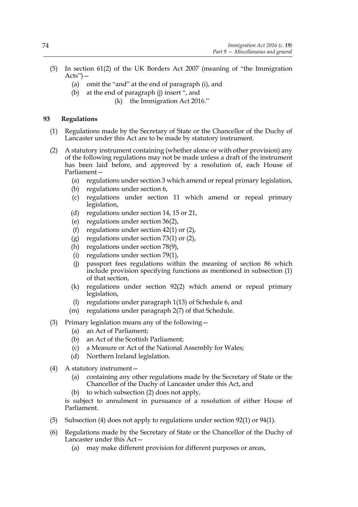- (5) In section 61(2) of the UK Borders Act 2007 (meaning of "the Immigration  $Acts$ ") —
	- (a) omit the "and" at the end of paragraph (i), and
	- (b) at the end of paragraph (j) insert ", and
		- (k) the Immigration Act 2016."

# **93 Regulations**

- (1) Regulations made by the Secretary of State or the Chancellor of the Duchy of Lancaster under this Act are to be made by statutory instrument.
- (2) A statutory instrument containing (whether alone or with other provision) any of the following regulations may not be made unless a draft of the instrument has been laid before, and approved by a resolution of, each House of Parliament—
	- (a) regulations under section 3 which amend or repeal primary legislation,
	- (b) regulations under section 6,
	- (c) regulations under section 11 which amend or repeal primary legislation,
	- (d) regulations under section 14, 15 or 21,
	- (e) regulations under section 36(2),
	- (f) regulations under section 42(1) or (2),
	- (g) regulations under section 73(1) or (2),
	- (h) regulations under section 78(9),
	- (i) regulations under section 79(1),
	- (j) passport fees regulations within the meaning of section 86 which include provision specifying functions as mentioned in subsection (1) of that section,
	- (k) regulations under section 92(2) which amend or repeal primary legislation,
	- (l) regulations under paragraph 1(13) of Schedule 6, and
	- (m) regulations under paragraph 2(7) of that Schedule.
- (3) Primary legislation means any of the following—
	- (a) an Act of Parliament;
	- (b) an Act of the Scottish Parliament;
	- (c) a Measure or Act of the National Assembly for Wales;
	- (d) Northern Ireland legislation.
- (4) A statutory instrument—
	- (a) containing any other regulations made by the Secretary of State or the Chancellor of the Duchy of Lancaster under this Act, and
	- to which subsection (2) does not apply,

is subject to annulment in pursuance of a resolution of either House of Parliament.

- (5) Subsection (4) does not apply to regulations under section 92(1) or 94(1).
- (6) Regulations made by the Secretary of State or the Chancellor of the Duchy of Lancaster under this Act—
	- (a) may make different provision for different purposes or areas,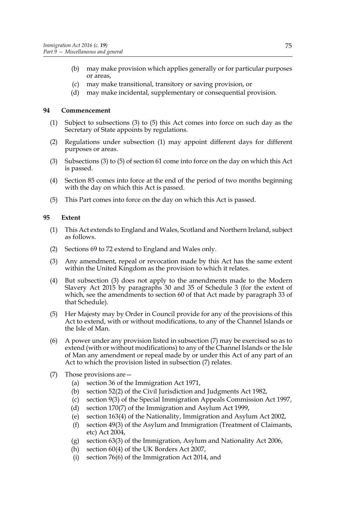- (b) may make provision which applies generally or for particular purposes or areas,
- (c) may make transitional, transitory or saving provision, or
- (d) may make incidental, supplementary or consequential provision.

# **94 Commencement**

- (1) Subject to subsections (3) to (5) this Act comes into force on such day as the Secretary of State appoints by regulations.
- (2) Regulations under subsection (1) may appoint different days for different purposes or areas.
- (3) Subsections (3) to (5) of section 61 come into force on the day on which this Act is passed.
- (4) Section 85 comes into force at the end of the period of two months beginning with the day on which this Act is passed.
- (5) This Part comes into force on the day on which this Act is passed.

# **95 Extent**

- (1) This Act extends to England and Wales, Scotland and Northern Ireland, subject as follows.
- (2) Sections 69 to 72 extend to England and Wales only.
- (3) Any amendment, repeal or revocation made by this Act has the same extent within the United Kingdom as the provision to which it relates.
- (4) But subsection (3) does not apply to the amendments made to the Modern Slavery Act 2015 by paragraphs 30 and 35 of Schedule 3 (for the extent of which, see the amendments to section 60 of that Act made by paragraph 33 of that Schedule).
- (5) Her Majesty may by Order in Council provide for any of the provisions of this Act to extend, with or without modifications, to any of the Channel Islands or the Isle of Man.
- (6) A power under any provision listed in subsection (7) may be exercised so as to extend (with or without modifications) to any of the Channel Islands or the Isle of Man any amendment or repeal made by or under this Act of any part of an Act to which the provision listed in subsection (7) relates.
- (7) Those provisions are—
	- (a) section 36 of the Immigration Act 1971,
	- (b) section 52(2) of the Civil Jurisdiction and Judgments Act 1982,
	- (c) section 9(3) of the Special Immigration Appeals Commission Act 1997,
	- (d) section 170(7) of the Immigration and Asylum Act 1999,
	- (e) section 163(4) of the Nationality, Immigration and Asylum Act 2002,
	- (f) section 49(3) of the Asylum and Immigration (Treatment of Claimants, etc) Act 2004,
	- (g) section 63(3) of the Immigration, Asylum and Nationality Act 2006,
	- (h) section 60(4) of the UK Borders Act 2007,
	- (i) section 76(6) of the Immigration Act 2014, and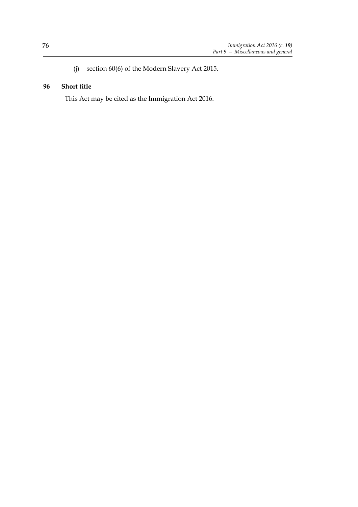(j) section 60(6) of the Modern Slavery Act 2015.

# **96 Short title**

This Act may be cited as the Immigration Act 2016.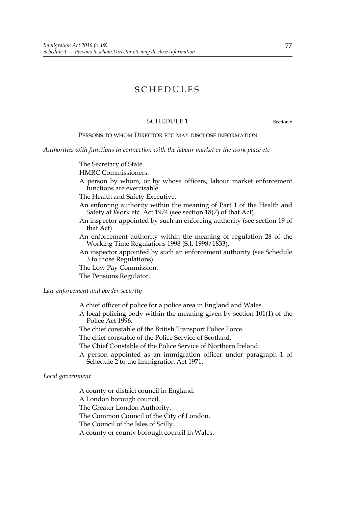# SCHEDULES

# SCHEDULE 1 Section 6

### PERSONS TO WHOM DIRECTOR ETC MAY DISCLOSE INFORMATION

*Authorities with functions in connection with the labour market or the work place etc*

The Secretary of State.

HMRC Commissioners.

A person by whom, or by whose officers, labour market enforcement functions are exercisable.

The Health and Safety Executive.

- An enforcing authority within the meaning of Part 1 of the Health and Safety at Work etc. Act 1974 (see section 18(7) of that Act).
- An inspector appointed by such an enforcing authority (see section 19 of that Act).
- An enforcement authority within the meaning of regulation 28 of the Working Time Regulations 1998 (S.I. 1998/1833).
- An inspector appointed by such an enforcement authority (see Schedule 3 to those Regulations).
- The Low Pay Commission.

The Pensions Regulator.

# *Law enforcement and border security*

- A chief officer of police for a police area in England and Wales.
- A local policing body within the meaning given by section 101(1) of the Police Act 1996.
- The chief constable of the British Transport Police Force.
- The chief constable of the Police Service of Scotland.
- The Chief Constable of the Police Service of Northern Ireland.
- A person appointed as an immigration officer under paragraph 1 of Schedule 2 to the Immigration Act 1971.

### *Local government*

A county or district council in England. A London borough council. The Greater London Authority. The Common Council of the City of London. The Council of the Isles of Scilly. A county or county borough council in Wales.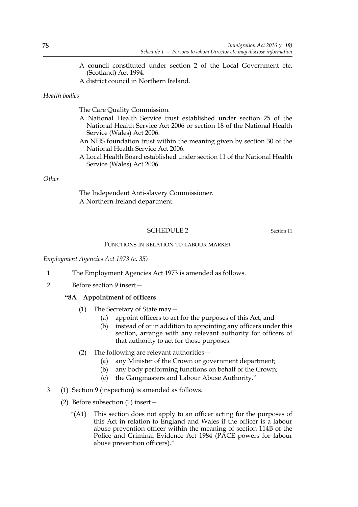- A council constituted under section 2 of the Local Government etc. (Scotland) Act 1994.
- A district council in Northern Ireland.

# *Health bodies*

The Care Quality Commission.

- A National Health Service trust established under section 25 of the National Health Service Act 2006 or section 18 of the National Health Service (Wales) Act 2006.
- An NHS foundation trust within the meaning given by section 30 of the National Health Service Act 2006.
- A Local Health Board established under section 11 of the National Health Service (Wales) Act 2006.

# *Other*

The Independent Anti-slavery Commissioner. A Northern Ireland department.

# SCHEDULE 2 Section 11

### FUNCTIONS IN RELATION TO LABOUR MARKET

*Employment Agencies Act 1973 (c. 35)*

- 1 The Employment Agencies Act 1973 is amended as follows.
- 2 Before section 9 insert—

# **"8A Appointment of officers**

- (1) The Secretary of State may—
	- (a) appoint officers to act for the purposes of this Act, and
	- (b) instead of or in addition to appointing any officers under this section, arrange with any relevant authority for officers of that authority to act for those purposes.
- (2) The following are relevant authorities—
	- (a) any Minister of the Crown or government department;
	- (b) any body performing functions on behalf of the Crown;
	- (c) the Gangmasters and Labour Abuse Authority."
- 3 (1) Section 9 (inspection) is amended as follows.
	- (2) Before subsection (1) insert—
		- "(A1) This section does not apply to an officer acting for the purposes of this Act in relation to England and Wales if the officer is a labour abuse prevention officer within the meaning of section 114B of the Police and Criminal Evidence Act 1984 (PACE powers for labour abuse prevention officers)."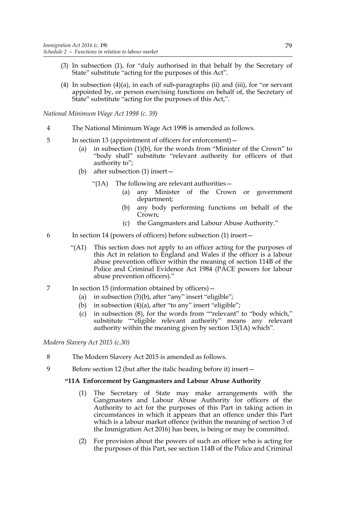- (3) In subsection (1), for "duly authorised in that behalf by the Secretary of State" substitute "acting for the purposes of this Act".
- (4) In subsection (4)(a), in each of sub-paragraphs (ii) and (iii), for "or servant appointed by, or person exercising functions on behalf of, the Secretary of State" substitute "acting for the purposes of this Act,".

*National Minimum Wage Act 1998 (c. 39)*

- 4 The National Minimum Wage Act 1998 is amended as follows.
- 5 In section 13 (appointment of officers for enforcement)—
	- (a) in subsection (1)(b), for the words from "Minister of the Crown" to "body shall" substitute "relevant authority for officers of that authority to";
	- (b) after subsection (1) insert—
		- "(1A) The following are relevant authorities—
			- (a) any Minister of the Crown or government department;
			- (b) any body performing functions on behalf of the Crown;
			- (c) the Gangmasters and Labour Abuse Authority."
- 6 In section 14 (powers of officers) before subsection (1) insert—
	- "(A1) This section does not apply to an officer acting for the purposes of this Act in relation to England and Wales if the officer is a labour abuse prevention officer within the meaning of section 114B of the Police and Criminal Evidence Act 1984 (PACE powers for labour abuse prevention officers)."
- 7 In section 15 (information obtained by officers)—
	- (a) in subsection (3)(b), after "any" insert "eligible";
	- (b) in subsection (4)(a), after "to any" insert "eligible";
	- (c) in subsection (8), for the words from ""relevant" to "body which," substitute ""eligible relevant authority" means any relevant authority within the meaning given by section 13(1A) which".

*Modern Slavery Act 2015 (c.30)*

- 8 The Modern Slavery Act 2015 is amended as follows.
- 9 Before section 12 (but after the italic heading before it) insert—

# **"11A Enforcement by Gangmasters and Labour Abuse Authority**

- (1) The Secretary of State may make arrangements with the Gangmasters and Labour Abuse Authority for officers of the Authority to act for the purposes of this Part in taking action in circumstances in which it appears that an offence under this Part which is a labour market offence (within the meaning of section 3 of the Immigration Act 2016) has been, is being or may be committed.
- (2) For provision about the powers of such an officer who is acting for the purposes of this Part, see section 114B of the Police and Criminal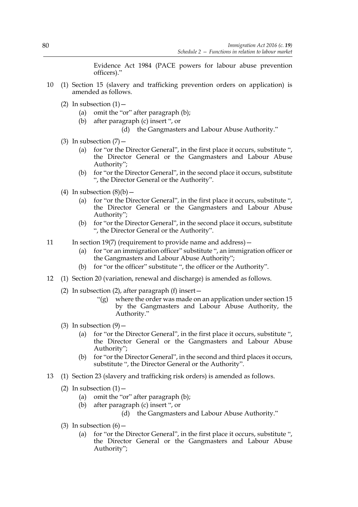Evidence Act 1984 (PACE powers for labour abuse prevention officers)."

- 10 (1) Section 15 (slavery and trafficking prevention orders on application) is amended as follows.
	- (2) In subsection  $(1)$  -
		- (a) omit the "or" after paragraph (b);
		- (b) after paragraph (c) insert ", or
			- (d) the Gangmasters and Labour Abuse Authority."
	- (3) In subsection  $(7)$  -
		- (a) for "or the Director General", in the first place it occurs, substitute ", the Director General or the Gangmasters and Labour Abuse Authority";
		- (b) for "or the Director General", in the second place it occurs, substitute ", the Director General or the Authority".
	- (4) In subsection  $(8)(b)$ 
		- (a) for "or the Director General", in the first place it occurs, substitute ", the Director General or the Gangmasters and Labour Abuse Authority";
		- (b) for "or the Director General", in the second place it occurs, substitute ", the Director General or the Authority".
- 11 In section 19(7) (requirement to provide name and address)
	- (a) for "or an immigration officer" substitute ", an immigration officer or the Gangmasters and Labour Abuse Authority";
	- (b) for "or the officer" substitute ", the officer or the Authority".
- 12 (1) Section 20 (variation, renewal and discharge) is amended as follows.
	- (2) In subsection (2), after paragraph (f) insert—
		- $\lq$ "(g) where the order was made on an application under section 15 by the Gangmasters and Labour Abuse Authority, the Authority."
	- (3) In subsection  $(9)$  -
		- (a) for "or the Director General", in the first place it occurs, substitute ", the Director General or the Gangmasters and Labour Abuse Authority";
		- (b) for "or the Director General", in the second and third places it occurs, substitute ", the Director General or the Authority".
- 13 (1) Section 23 (slavery and trafficking risk orders) is amended as follows.
	- (2) In subsection  $(1)$  -
		- (a) omit the "or" after paragraph (b);
		- (b) after paragraph (c) insert ", or
			- (d) the Gangmasters and Labour Abuse Authority."
	- (3) In subsection  $(6)$  -
		- (a) for "or the Director General", in the first place it occurs, substitute ", the Director General or the Gangmasters and Labour Abuse Authority";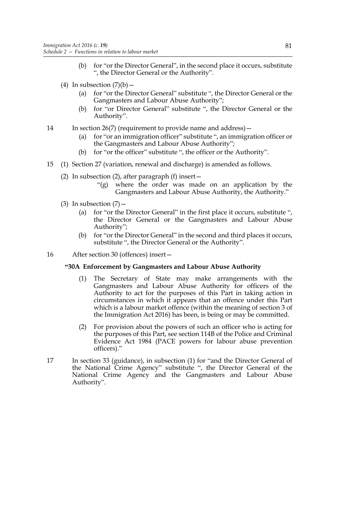- (b) for "or the Director General", in the second place it occurs, substitute ", the Director General or the Authority".
- (4) In subsection  $(7)(b)$ 
	- (a) for "or the Director General" substitute ", the Director General or the Gangmasters and Labour Abuse Authority";
	- (b) for "or Director General" substitute ", the Director General or the Authority".
- 14 In section 26(7) (requirement to provide name and address)—
	- (a) for "or an immigration officer" substitute ", an immigration officer or the Gangmasters and Labour Abuse Authority";
	- (b) for "or the officer" substitute ", the officer or the Authority".
- 15 (1) Section 27 (variation, renewal and discharge) is amended as follows.
	- (2) In subsection (2), after paragraph (f) insert  $-$ 
		- "(g) where the order was made on an application by the Gangmasters and Labour Abuse Authority, the Authority."
	- (3) In subsection  $(7)$ 
		- (a) for "or the Director General" in the first place it occurs, substitute ", the Director General or the Gangmasters and Labour Abuse Authority";
		- (b) for "or the Director General" in the second and third places it occurs, substitute ", the Director General or the Authority".
- 16 After section 30 (offences) insert—

### **"30A Enforcement by Gangmasters and Labour Abuse Authority**

- (1) The Secretary of State may make arrangements with the Gangmasters and Labour Abuse Authority for officers of the Authority to act for the purposes of this Part in taking action in circumstances in which it appears that an offence under this Part which is a labour market offence (within the meaning of section 3 of the Immigration Act 2016) has been, is being or may be committed.
- (2) For provision about the powers of such an officer who is acting for the purposes of this Part, see section 114B of the Police and Criminal Evidence Act 1984 (PACE powers for labour abuse prevention officers)."
- 17 In section 33 (guidance), in subsection (1) for "and the Director General of the National Crime Agency" substitute ", the Director General of the National Crime Agency and the Gangmasters and Labour Abuse Authority".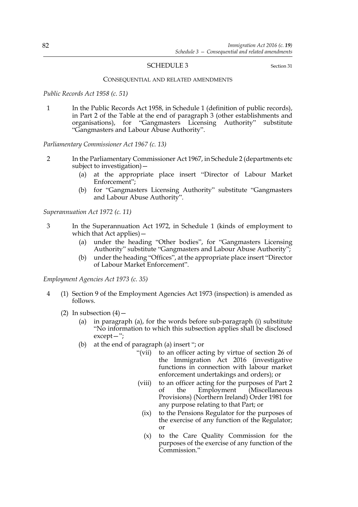### SCHEDULE 3 Section 31

#### CONSEQUENTIAL AND RELATED AMENDMENTS

*Public Records Act 1958 (c. 51)*

1 In the Public Records Act 1958, in Schedule 1 (definition of public records), in Part 2 of the Table at the end of paragraph 3 (other establishments and organisations), for "Gangmasters Licensing Authority" substitute "Gangmasters and Labour Abuse Authority".

*Parliamentary Commissioner Act 1967 (c. 13)*

- 2 In the Parliamentary Commissioner Act 1967, in Schedule 2 (departments etc subject to investigation)—
	- (a) at the appropriate place insert "Director of Labour Market Enforcement";
	- (b) for "Gangmasters Licensing Authority" substitute "Gangmasters and Labour Abuse Authority".

*Superannuation Act 1972 (c. 11)*

- 3 In the Superannuation Act 1972, in Schedule 1 (kinds of employment to which that Act applies) –
	- (a) under the heading "Other bodies", for "Gangmasters Licensing Authority" substitute "Gangmasters and Labour Abuse Authority";
	- (b) under the heading "Offices", at the appropriate place insert "Director of Labour Market Enforcement".

*Employment Agencies Act 1973 (c. 35)*

- 4 (1) Section 9 of the Employment Agencies Act 1973 (inspection) is amended as follows.
	- (2) In subsection  $(4)$ 
		- (a) in paragraph (a), for the words before sub-paragraph (i) substitute "No information to which this subsection applies shall be disclosed except—";
		- (b) at the end of paragraph (a) insert "; or
			- "(vii) to an officer acting by virtue of section 26 of the Immigration Act 2016 (investigative functions in connection with labour market enforcement undertakings and orders); or
			- (viii) to an officer acting for the purposes of Part 2 of the Employment (Miscellaneous Provisions) (Northern Ireland) Order 1981 for any purpose relating to that Part; or
				- (ix) to the Pensions Regulator for the purposes of the exercise of any function of the Regulator; or
				- (x) to the Care Quality Commission for the purposes of the exercise of any function of the Commission."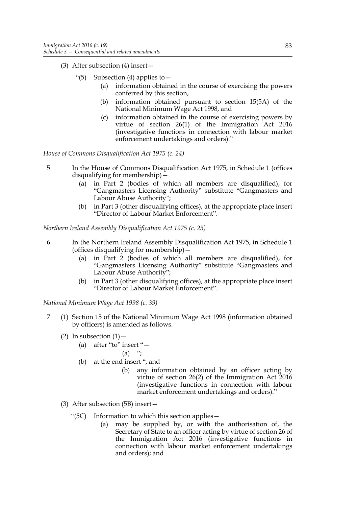- (3) After subsection (4) insert—
	- "(5) Subsection (4) applies to  $-$ 
		- (a) information obtained in the course of exercising the powers conferred by this section,
		- (b) information obtained pursuant to section 15(5A) of the National Minimum Wage Act 1998, and
		- (c) information obtained in the course of exercising powers by virtue of section 26(1) of the Immigration Act 2016 (investigative functions in connection with labour market enforcement undertakings and orders)."

*House of Commons Disqualification Act 1975 (c. 24)*

- 5 In the House of Commons Disqualification Act 1975, in Schedule 1 (offices disqualifying for membership)—
	- (a) in Part 2 (bodies of which all members are disqualified), for "Gangmasters Licensing Authority" substitute "Gangmasters and Labour Abuse Authority";
	- (b) in Part 3 (other disqualifying offices), at the appropriate place insert "Director of Labour Market Enforcement".

*Northern Ireland Assembly Disqualification Act 1975 (c. 25)*

- 6 In the Northern Ireland Assembly Disqualification Act 1975, in Schedule 1 (offices disqualifying for membership)—
	- (a) in Part 2 (bodies of which all members are disqualified), for "Gangmasters Licensing Authority" substitute "Gangmasters and Labour Abuse Authority";
	- (b) in Part 3 (other disqualifying offices), at the appropriate place insert "Director of Labour Market Enforcement".

*National Minimum Wage Act 1998 (c. 39)*

- 7 (1) Section 15 of the National Minimum Wage Act 1998 (information obtained by officers) is amended as follows.
	- (2) In subsection  $(1)$  -
		- (a) after "to" insert "—
			- $(a)$  ":
		- (b) at the end insert ", and
			- (b) any information obtained by an officer acting by virtue of section 26(2) of the Immigration Act 2016 (investigative functions in connection with labour market enforcement undertakings and orders)."
	- (3) After subsection (5B) insert—
		- "(5C) Information to which this section applies—
			- (a) may be supplied by, or with the authorisation of, the Secretary of State to an officer acting by virtue of section 26 of the Immigration Act 2016 (investigative functions in connection with labour market enforcement undertakings and orders); and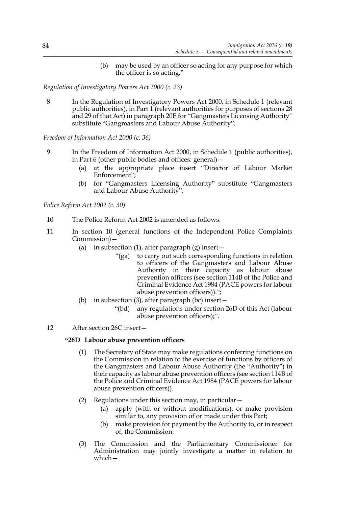(b) may be used by an officer so acting for any purpose for which the officer is so acting."

*Regulation of Investigatory Powers Act 2000 (c. 23)*

8 In the Regulation of Investigatory Powers Act 2000, in Schedule 1 (relevant public authorities), in Part  $1$  (relevant authorities for purposes of sections 28 and 29 of that Act) in paragraph 20E for "Gangmasters Licensing Authority" substitute "Gangmasters and Labour Abuse Authority".

*Freedom of Information Act 2000 (c. 36)*

- 9 In the Freedom of Information Act 2000, in Schedule 1 (public authorities), in Part 6 (other public bodies and offices: general)—
	- (a) at the appropriate place insert "Director of Labour Market Enforcement";
	- (b) for "Gangmasters Licensing Authority" substitute "Gangmasters and Labour Abuse Authority".

*Police Reform Act 2002 (c. 30)*

- 10 The Police Reform Act 2002 is amended as follows.
- 11 In section 10 (general functions of the Independent Police Complaints Commission)—
	- (a) in subsection (1), after paragraph (g) insert  $-$ 
		- "(ga) to carry out such corresponding functions in relation to officers of the Gangmasters and Labour Abuse Authority in their capacity as labour abuse prevention officers (see section 114B of the Police and Criminal Evidence Act 1984 (PACE powers for labour abuse prevention officers)).";
	- (b) in subsection (3), after paragraph (bc) insert—
		- "(bd) any regulations under section 26D of this Act (labour abuse prevention officers);".
- 12 After section 26C insert—

# **"26D Labour abuse prevention officers**

- (1) The Secretary of State may make regulations conferring functions on the Commission in relation to the exercise of functions by officers of the Gangmasters and Labour Abuse Authority (the "Authority") in their capacity as labour abuse prevention officers (see section 114B of the Police and Criminal Evidence Act 1984 (PACE powers for labour abuse prevention officers)).
- (2) Regulations under this section may, in particular—
	- (a) apply (with or without modifications), or make provision similar to, any provision of or made under this Part;
	- (b) make provision for payment by the Authority to, or in respect of, the Commission.
- (3) The Commission and the Parliamentary Commissioner for Administration may jointly investigate a matter in relation to which—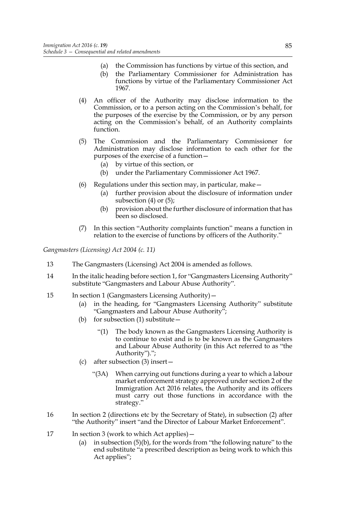- (a) the Commission has functions by virtue of this section, and
- (b) the Parliamentary Commissioner for Administration has functions by virtue of the Parliamentary Commissioner Act 1967.
- (4) An officer of the Authority may disclose information to the Commission, or to a person acting on the Commission's behalf, for the purposes of the exercise by the Commission, or by any person acting on the Commission's behalf, of an Authority complaints function.
- (5) The Commission and the Parliamentary Commissioner for Administration may disclose information to each other for the purposes of the exercise of a function—
	- (a) by virtue of this section, or
	- (b) under the Parliamentary Commissioner Act 1967.
- (6) Regulations under this section may, in particular, make—
	- (a) further provision about the disclosure of information under subsection (4) or (5);
	- (b) provision about the further disclosure of information that has been so disclosed.
- (7) In this section "Authority complaints function" means a function in relation to the exercise of functions by officers of the Authority."

*Gangmasters (Licensing) Act 2004 (c. 11)*

- 13 The Gangmasters (Licensing) Act 2004 is amended as follows.
- 14 In the italic heading before section 1, for "Gangmasters Licensing Authority" substitute "Gangmasters and Labour Abuse Authority".
- 15 In section 1 (Gangmasters Licensing Authority)—
	- (a) in the heading, for "Gangmasters Licensing Authority" substitute "Gangmasters and Labour Abuse Authority";
	- (b) for subsection (1) substitute—
		- "(1) The body known as the Gangmasters Licensing Authority is to continue to exist and is to be known as the Gangmasters and Labour Abuse Authority (in this Act referred to as "the Authority").";
	- (c) after subsection (3) insert—
		- "(3A) When carrying out functions during a year to which a labour market enforcement strategy approved under section 2 of the Immigration Act 2016 relates, the Authority and its officers must carry out those functions in accordance with the strategy."
- 16 In section 2 (directions etc by the Secretary of State), in subsection (2) after "the Authority" insert "and the Director of Labour Market Enforcement".
- 17 In section 3 (work to which Act applies)
	- (a) in subsection (5)(b), for the words from "the following nature" to the end substitute "a prescribed description as being work to which this Act applies";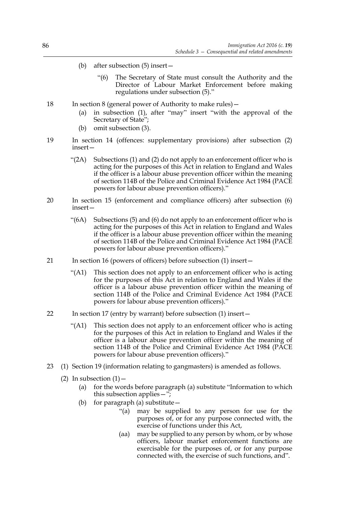- (b) after subsection (5) insert—
	- "(6) The Secretary of State must consult the Authority and the Director of Labour Market Enforcement before making regulations under subsection (5)."
- 18 In section 8 (general power of Authority to make rules)—
	- (a) in subsection (1), after "may" insert "with the approval of the Secretary of State";
	- (b) omit subsection (3).
- 19 In section 14 (offences: supplementary provisions) after subsection (2) insert—
	- "(2A) Subsections (1) and (2) do not apply to an enforcement officer who is acting for the purposes of this Act in relation to England and Wales if the officer is a labour abuse prevention officer within the meaning of section 114B of the Police and Criminal Evidence Act 1984 (PACE powers for labour abuse prevention officers)."
- 20 In section 15 (enforcement and compliance officers) after subsection (6) insert—
	- "(6A) Subsections (5) and (6) do not apply to an enforcement officer who is acting for the purposes of this Act in relation to England and Wales if the officer is a labour abuse prevention officer within the meaning of section 114B of the Police and Criminal Evidence Act 1984 (PACE powers for labour abuse prevention officers)."
- 21 In section 16 (powers of officers) before subsection (1) insert—
	- "(A1) This section does not apply to an enforcement officer who is acting for the purposes of this Act in relation to England and Wales if the officer is a labour abuse prevention officer within the meaning of section 114B of the Police and Criminal Evidence Act 1984 (PACE powers for labour abuse prevention officers)."
- 22 In section 17 (entry by warrant) before subsection (1) insert—
	- "(A1) This section does not apply to an enforcement officer who is acting for the purposes of this Act in relation to England and Wales if the officer is a labour abuse prevention officer within the meaning of section 114B of the Police and Criminal Evidence Act 1984 (PACE powers for labour abuse prevention officers)."
- 23 (1) Section 19 (information relating to gangmasters) is amended as follows.
	- (2) In subsection  $(1)$  -
		- (a) for the words before paragraph (a) substitute "Information to which this subsection applies—";
		- (b) for paragraph (a) substitute—
			- "(a) may be supplied to any person for use for the purposes of, or for any purpose connected with, the exercise of functions under this Act,
			- (aa) may be supplied to any person by whom, or by whose officers, labour market enforcement functions are exercisable for the purposes of, or for any purpose connected with, the exercise of such functions, and".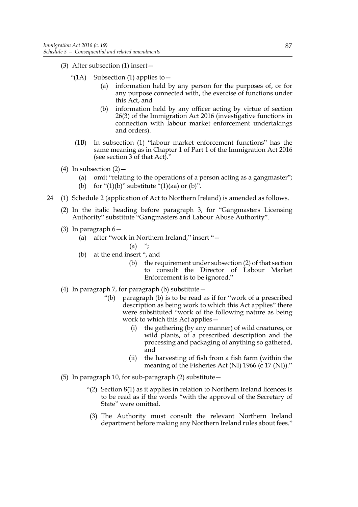- (3) After subsection (1) insert—
	- "(1A) Subsection (1) applies to  $$ 
		- information held by any person for the purposes of, or for any purpose connected with, the exercise of functions under this Act, and
		- (b) information held by any officer acting by virtue of section 26(3) of the Immigration Act 2016 (investigative functions in connection with labour market enforcement undertakings and orders).
		- (1B) In subsection (1) "labour market enforcement functions" has the same meaning as in Chapter 1 of Part 1 of the Immigration Act 2016 (see section 3 of that Act)."
- (4) In subsection  $(2)$  -
	- (a) omit "relating to the operations of a person acting as a gangmaster";
	- (b) for " $(1)(b)$ " substitute " $(1)(aa)$  or  $(b)$ ".
- 24 (1) Schedule 2 (application of Act to Northern Ireland) is amended as follows.
	- (2) In the italic heading before paragraph 3, for "Gangmasters Licensing Authority" substitute "Gangmasters and Labour Abuse Authority".
	- (3) In paragraph 6—
		- (a) after "work in Northern Ireland," insert "—
			- $(a)$  ";
		- (b) at the end insert ", and
			- (b) the requirement under subsection (2) of that section to consult the Director of Labour Market Enforcement is to be ignored."
	- (4) In paragraph 7, for paragraph (b) substitute—
		- "(b) paragraph (b) is to be read as if for "work of a prescribed description as being work to which this Act applies" there were substituted "work of the following nature as being work to which this Act applies—
			- (i) the gathering (by any manner) of wild creatures, or wild plants, of a prescribed description and the processing and packaging of anything so gathered, and
			- (ii) the harvesting of fish from a fish farm (within the meaning of the Fisheries Act (NI) 1966 (c 17 (NI))."
	- (5) In paragraph 10, for sub-paragraph (2) substitute—
		- "(2) Section 8(1) as it applies in relation to Northern Ireland licences is to be read as if the words "with the approval of the Secretary of State" were omitted.
		- (3) The Authority must consult the relevant Northern Ireland department before making any Northern Ireland rules about fees."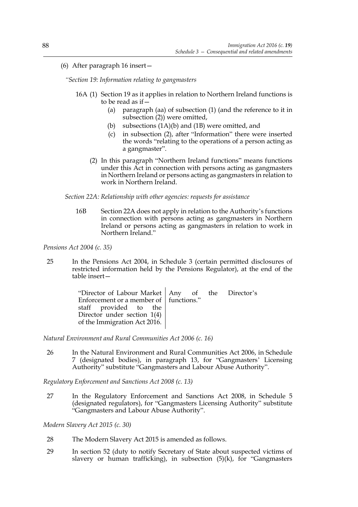(6) After paragraph 16 insert—

*"Section 19: Information relating to gangmasters*

- 16A (1) Section 19 as it applies in relation to Northern Ireland functions is to be read as if—
	- (a) paragraph (aa) of subsection (1) (and the reference to it in subsection (2)) were omitted,
	- (b) subsections (1A)(b) and (1B) were omitted, and
	- (c) in subsection (2), after "Information" there were inserted the words "relating to the operations of a person acting as a gangmaster".
	- (2) In this paragraph "Northern Ireland functions" means functions under this Act in connection with persons acting as gangmasters in Northern Ireland or persons acting as gangmasters in relation to work in Northern Ireland.

### *Section 22A: Relationship with other agencies: requests for assistance*

16B Section 22A does not apply in relation to the Authority's functions in connection with persons acting as gangmasters in Northern Ireland or persons acting as gangmasters in relation to work in Northern Ireland."

*Pensions Act 2004 (c. 35)*

25 In the Pensions Act 2004, in Schedule 3 (certain permitted disclosures of restricted information held by the Pensions Regulator), at the end of the table insert—

| "Director of Labour Market   Any of the Director's<br>Enforcement or a member of   functions." |  |  |
|------------------------------------------------------------------------------------------------|--|--|
| staff provided to the<br>Director under section $1(4)$<br>of the Immigration Act 2016.         |  |  |

*Natural Environment and Rural Communities Act 2006 (c. 16)*

26 In the Natural Environment and Rural Communities Act 2006, in Schedule 7 (designated bodies), in paragraph 13, for "Gangmasters' Licensing Authority" substitute "Gangmasters and Labour Abuse Authority".

*Regulatory Enforcement and Sanctions Act 2008 (c. 13)*

27 In the Regulatory Enforcement and Sanctions Act 2008, in Schedule 5 (designated regulators), for "Gangmasters Licensing Authority" substitute "Gangmasters and Labour Abuse Authority".

*Modern Slavery Act 2015 (c. 30)*

- 28 The Modern Slavery Act 2015 is amended as follows.
- 29 In section 52 (duty to notify Secretary of State about suspected victims of slavery or human trafficking), in subsection  $(5)(k)$ , for "Gangmasters"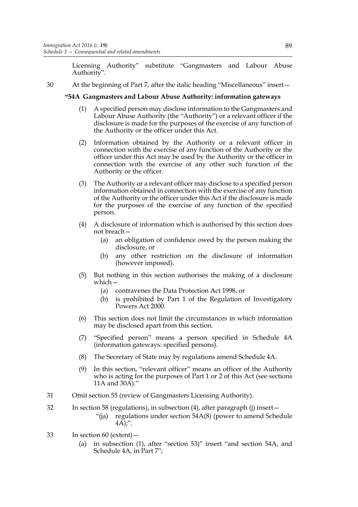Licensing Authority" substitute "Gangmasters and Labour Abuse Authority".

30 At the beginning of Part 7, after the italic heading "Miscellaneous" insert—

# **"54A Gangmasters and Labour Abuse Authority: information gateways**

- (1) A specified person may disclose information to the Gangmasters and Labour Abuse Authority (the "Authority") or a relevant officer if the disclosure is made for the purposes of the exercise of any function of the Authority or the officer under this Act.
- (2) Information obtained by the Authority or a relevant officer in connection with the exercise of any function of the Authority or the officer under this Act may be used by the Authority or the officer in connection with the exercise of any other such function of the Authority or the officer.
- (3) The Authority or a relevant officer may disclose to a specified person information obtained in connection with the exercise of any function of the Authority or the officer under this Act if the disclosure is made for the purposes of the exercise of any function of the specified person.
- (4) A disclosure of information which is authorised by this section does not breach—
	- (a) an obligation of confidence owed by the person making the disclosure, or
	- (b) any other restriction on the disclosure of information (however imposed).
- (5) But nothing in this section authorises the making of a disclosure which—
	- (a) contravenes the Data Protection Act 1998, or
	- (b) is prohibited by Part 1 of the Regulation of Investigatory Powers Act 2000.
- (6) This section does not limit the circumstances in which information may be disclosed apart from this section.
- (7) "Specified person" means a person specified in Schedule 4A (information gateways: specified persons).
- (8) The Secretary of State may by regulations amend Schedule 4A.
- (9) In this section, "relevant officer" means an officer of the Authority who is acting for the purposes of Part 1 or 2 of this Act (see sections 11A and 30A)."
- 31 Omit section 55 (review of Gangmasters Licensing Authority).
- 32 In section 58 (regulations), in subsection (4), after paragraph (j) insert—
	- "(ja) regulations under section 54A(8) (power to amend Schedule  $4A$ );".
- 33 In section 60 (extent)—
	- (a) in subsection (1), after "section 53)" insert "and section 54A, and Schedule 4A, in Part 7";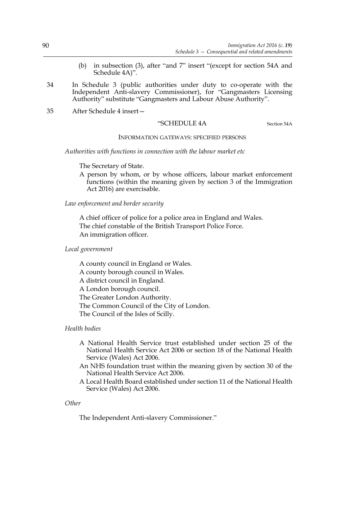- (b) in subsection (3), after "and 7" insert "(except for section 54A and Schedule 4A)".
- 34 In Schedule 3 (public authorities under duty to co-operate with the Independent Anti-slavery Commissioner), for "Gangmasters Licensing Authority" substitute "Gangmasters and Labour Abuse Authority".
- 35 After Schedule 4 insert—

### "SCHEDULE 4A Section 54A

### INFORMATION GATEWAYS: SPECIFIED PERSONS

*Authorities with functions in connection with the labour market etc*

The Secretary of State.

A person by whom, or by whose officers, labour market enforcement functions (within the meaning given by section 3 of the Immigration Act 2016) are exercisable.

### *Law enforcement and border security*

A chief officer of police for a police area in England and Wales. The chief constable of the British Transport Police Force. An immigration officer.

### *Local government*

A county council in England or Wales. A county borough council in Wales. A district council in England. A London borough council. The Greater London Authority. The Common Council of the City of London. The Council of the Isles of Scilly.

### *Health bodies*

- A National Health Service trust established under section 25 of the National Health Service Act 2006 or section 18 of the National Health Service (Wales) Act 2006.
- An NHS foundation trust within the meaning given by section 30 of the National Health Service Act 2006.
- A Local Health Board established under section 11 of the National Health Service (Wales) Act 2006.

#### *Other*

The Independent Anti-slavery Commissioner."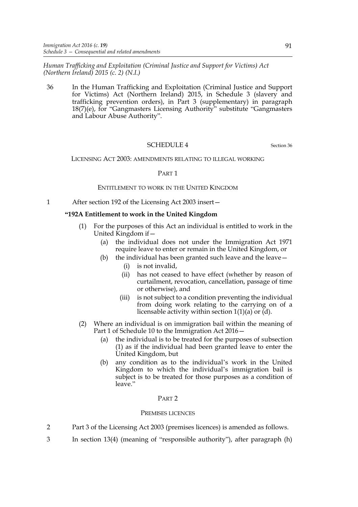*Human Trafficking and Exploitation (Criminal Justice and Support for Victims) Act (Northern Ireland) 2015 (c. 2) (N.I.)*

36 In the Human Trafficking and Exploitation (Criminal Justice and Support for Victims) Act (Northern Ireland) 2015, in Schedule 3 (slavery and trafficking prevention orders), in Part 3 (supplementary) in paragraph 18(7)(e), for "Gangmasters Licensing Authority" substitute "Gangmasters and Labour Abuse Authority".

### SCHEDULE 4 Section 36

LICENSING ACT 2003: AMENDMENTS RELATING TO ILLEGAL WORKING

### PART 1

### ENTITLEMENT TO WORK IN THE UNITED KINGDOM

1 After section 192 of the Licensing Act 2003 insert—

### **"192A Entitlement to work in the United Kingdom**

- (1) For the purposes of this Act an individual is entitled to work in the United Kingdom if—
	- (a) the individual does not under the Immigration Act 1971 require leave to enter or remain in the United Kingdom, or
	- (b) the individual has been granted such leave and the leave  $-$ 
		- (i) is not invalid,
		- (ii) has not ceased to have effect (whether by reason of curtailment, revocation, cancellation, passage of time or otherwise), and
		- (iii) is not subject to a condition preventing the individual from doing work relating to the carrying on of a licensable activity within section  $1(1)(a)$  or  $\ddot{d}$ ).
- (2) Where an individual is on immigration bail within the meaning of Part 1 of Schedule 10 to the Immigration Act 2016—
	- (a) the individual is to be treated for the purposes of subsection (1) as if the individual had been granted leave to enter the United Kingdom, but
	- (b) any condition as to the individual's work in the United Kingdom to which the individual's immigration bail is subject is to be treated for those purposes as a condition of leave."

### PART 2

#### PREMISES LICENCES

- 2 Part 3 of the Licensing Act 2003 (premises licences) is amended as follows.
- 3 In section 13(4) (meaning of "responsible authority"), after paragraph (h)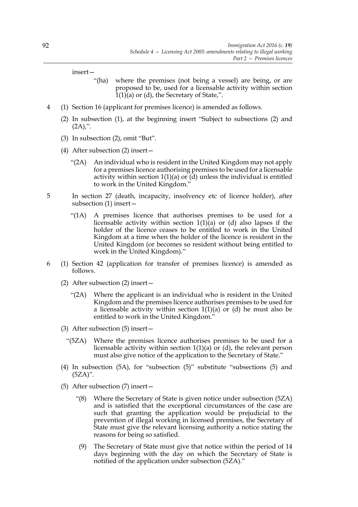insert—

- "(ha) where the premises (not being a vessel) are being, or are proposed to be, used for a licensable activity within section  $\overline{1}(1)\overline{)}(a)$  or (d), the Secretary of State,".
- 4 (1) Section 16 (applicant for premises licence) is amended as follows.
	- (2) In subsection (1), at the beginning insert "Subject to subsections (2) and  $(2A)$ ,".
	- (3) In subsection (2), omit "But".
	- (4) After subsection (2) insert—
		- "(2A) An individual who is resident in the United Kingdom may not apply for a premises licence authorising premises to be used for a licensable activity within section 1(1)(a) or (d) unless the individual is entitled to work in the United Kingdom."
- 5 In section 27 (death, incapacity, insolvency etc of licence holder), after subsection (1) insert—
	- "(1A) A premises licence that authorises premises to be used for a licensable activity within section  $1(1)(a)$  or (d) also lapses if the holder of the licence ceases to be entitled to work in the United Kingdom at a time when the holder of the licence is resident in the United Kingdom (or becomes so resident without being entitled to work in the United Kingdom)."
- 6 (1) Section 42 (application for transfer of premises licence) is amended as follows.
	- (2) After subsection (2) insert—
		- "(2A) Where the applicant is an individual who is resident in the United Kingdom and the premises licence authorises premises to be used for a licensable activity within section  $1(1)(a)$  or  $(d)$  he must also be entitled to work in the United Kingdom."
	- (3) After subsection (5) insert—
		- "(5ZA) Where the premises licence authorises premises to be used for a licensable activity within section 1(1)(a) or (d), the relevant person must also give notice of the application to the Secretary of State."
	- (4) In subsection (5A), for "subsection (5)" substitute "subsections (5) and (5ZA)".
	- (5) After subsection (7) insert—
		- "(8) Where the Secretary of State is given notice under subsection (5ZA) and is satisfied that the exceptional circumstances of the case are such that granting the application would be prejudicial to the prevention of illegal working in licensed premises, the Secretary of State must give the relevant licensing authority a notice stating the reasons for being so satisfied.
		- (9) The Secretary of State must give that notice within the period of 14 days beginning with the day on which the Secretary of State is notified of the application under subsection (5ZA)."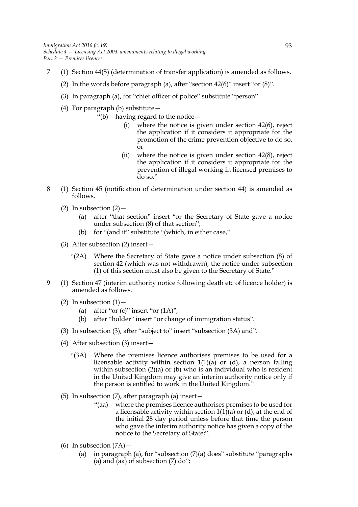- 7 (1) Section 44(5) (determination of transfer application) is amended as follows.
	- (2) In the words before paragraph (a), after "section  $42(6)$ " insert "or  $(8)$ ".
	- (3) In paragraph (a), for "chief officer of police" substitute "person".
	- (4) For paragraph (b) substitute—
		- "(b) having regard to the notice
			- where the notice is given under section  $42(6)$ , reject the application if it considers it appropriate for the promotion of the crime prevention objective to do so, or
			- (ii) where the notice is given under section 42(8), reject the application if it considers it appropriate for the prevention of illegal working in licensed premises to do so."
- 8 (1) Section 45 (notification of determination under section 44) is amended as follows.
	- (2) In subsection  $(2)$ 
		- (a) after "that section" insert "or the Secretary of State gave a notice under subsection (8) of that section";
		- (b) for "(and it" substitute "(which, in either case,".
	- (3) After subsection (2) insert—
		- "(2A) Where the Secretary of State gave a notice under subsection (8) of section 42 (which was not withdrawn), the notice under subsection (1) of this section must also be given to the Secretary of State."
- 9 (1) Section 47 (interim authority notice following death etc of licence holder) is amended as follows.
	- (2) In subsection  $(1)$ 
		- (a) after "or  $(c)$ " insert "or  $(1A)$ ";
		- (b) after "holder" insert "or change of immigration status".
	- (3) In subsection (3), after "subject to" insert "subsection (3A) and".
	- (4) After subsection (3) insert—
		- "(3A) Where the premises licence authorises premises to be used for a licensable activity within section  $1(1)(a)$  or (d), a person falling within subsection (2)(a) or (b) who is an individual who is resident in the United Kingdom may give an interim authority notice only if the person is entitled to work in the United Kingdom."
	- (5) In subsection (7), after paragraph (a) insert—
		- "(aa) where the premises licence authorises premises to be used for a licensable activity within section  $1(1)(a)$  or  $(d)$ , at the end of the initial 28 day period unless before that time the person who gave the interim authority notice has given a copy of the notice to the Secretary of State;".
	- (6) In subsection  $(7A)$  -
		- (a) in paragraph (a), for "subsection (7)(a) does" substitute "paragraphs (a) and (aa) of subsection  $(7)$  do";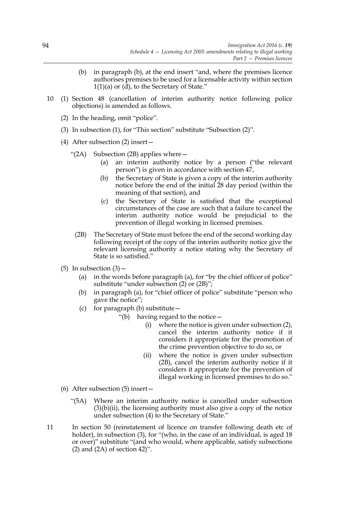- (b) in paragraph (b), at the end insert "and, where the premises licence authorises premises to be used for a licensable activity within section 1(1)(a) or (d), to the Secretary of State."
- 10 (1) Section 48 (cancellation of interim authority notice following police objections) is amended as follows.
	- (2) In the heading, omit "police".
	- (3) In subsection (1), for "This section" substitute "Subsection (2)".
	- (4) After subsection (2) insert—
		- "(2A) Subsection (2B) applies where  $-$ 
			- (a) an interim authority notice by a person ("the relevant person") is given in accordance with section 47,
			- (b) the Secretary of State is given a copy of the interim authority notice before the end of the initial 28 day period (within the meaning of that section), and
			- (c) the Secretary of State is satisfied that the exceptional circumstances of the case are such that a failure to cancel the interim authority notice would be prejudicial to the prevention of illegal working in licensed premises.
			- (2B) The Secretary of State must before the end of the second working day following receipt of the copy of the interim authority notice give the relevant licensing authority a notice stating why the Secretary of State is so satisfied."
	- $(5)$  In subsection  $(3)$  -
		- (a) in the words before paragraph (a), for "by the chief officer of police" substitute "under subsection (2) or (2B)";
		- (b) in paragraph (a), for "chief officer of police" substitute "person who gave the notice";
		- (c) for paragraph (b) substitute  $-$ 
			- "(b) having regard to the notice—
				- (i) where the notice is given under subsection (2), cancel the interim authority notice if it considers it appropriate for the promotion of the crime prevention objective to do so, or
				- (ii) where the notice is given under subsection (2B), cancel the interim authority notice if it considers it appropriate for the prevention of illegal working in licensed premises to do so."
	- (6) After subsection (5) insert—
		- "(5A) Where an interim authority notice is cancelled under subsection  $(3)(b)(ii)$ , the licensing authority must also give a copy of the notice under subsection (4) to the Secretary of State."
- 11 In section 50 (reinstatement of licence on transfer following death etc of holder), in subsection (3), for "(who, in the case of an individual, is aged 18 or over)" substitute "(and who would, where applicable, satisfy subsections  $(2)$  and  $(2A)$  of section 42)".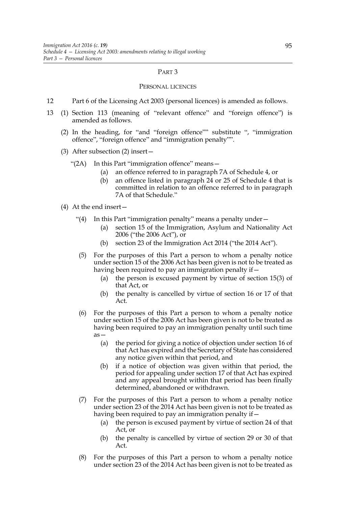#### PART 3

#### PERSONAL LICENCES

- 12 Part 6 of the Licensing Act 2003 (personal licences) is amended as follows.
- 13 (1) Section 113 (meaning of "relevant offence" and "foreign offence") is amended as follows.
	- (2) In the heading, for "and "foreign offence"" substitute ", "immigration offence", "foreign offence" and "immigration penalty"".
	- (3) After subsection (2) insert—
		- "(2A) In this Part "immigration offence" means—
			- (a) an offence referred to in paragraph 7A of Schedule 4, or
			- (b) an offence listed in paragraph 24 or 25 of Schedule 4 that is committed in relation to an offence referred to in paragraph 7A of that Schedule."
	- (4) At the end insert—
		- "(4) In this Part "immigration penalty" means a penalty under—
			- (a) section 15 of the Immigration, Asylum and Nationality Act 2006 ("the 2006 Act"), or
			- (b) section 23 of the Immigration Act 2014 ("the 2014 Act").
		- (5) For the purposes of this Part a person to whom a penalty notice under section 15 of the 2006 Act has been given is not to be treated as having been required to pay an immigration penalty if  $-$ 
			- (a) the person is excused payment by virtue of section 15(3) of that Act, or
			- (b) the penalty is cancelled by virtue of section 16 or 17 of that Act.
		- (6) For the purposes of this Part a person to whom a penalty notice under section 15 of the 2006 Act has been given is not to be treated as having been required to pay an immigration penalty until such time as—
			- (a) the period for giving a notice of objection under section 16 of that Act has expired and the Secretary of State has considered any notice given within that period, and
			- (b) if a notice of objection was given within that period, the period for appealing under section 17 of that Act has expired and any appeal brought within that period has been finally determined, abandoned or withdrawn.
		- (7) For the purposes of this Part a person to whom a penalty notice under section 23 of the 2014 Act has been given is not to be treated as having been required to pay an immigration penalty if—
			- (a) the person is excused payment by virtue of section 24 of that Act, or
			- (b) the penalty is cancelled by virtue of section 29 or 30 of that Act.
		- (8) For the purposes of this Part a person to whom a penalty notice under section 23 of the 2014 Act has been given is not to be treated as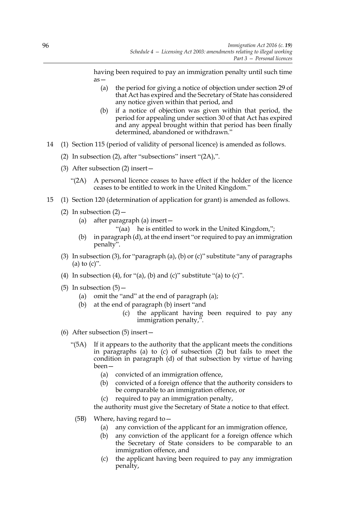having been required to pay an immigration penalty until such time as—

- (a) the period for giving a notice of objection under section 29 of that Act has expired and the Secretary of State has considered any notice given within that period, and
- (b) if a notice of objection was given within that period, the period for appealing under section 30 of that Act has expired and any appeal brought within that period has been finally determined, abandoned or withdrawn."
- 14 (1) Section 115 (period of validity of personal licence) is amended as follows.
	- (2) In subsection (2), after "subsections" insert "(2A),".
	- (3) After subsection (2) insert—
		- "(2A) A personal licence ceases to have effect if the holder of the licence ceases to be entitled to work in the United Kingdom."
- 15 (1) Section 120 (determination of application for grant) is amended as follows.
	- (2) In subsection  $(2)$ 
		- (a) after paragraph (a) insert—
			- "(aa) he is entitled to work in the United Kingdom,";
		- (b) in paragraph (d), at the end insert "or required to pay an immigration penalty".
	- (3) In subsection (3), for "paragraph (a), (b) or (c)" substitute "any of paragraphs (a) to  $(c)$ ".
	- (4) In subsection (4), for "(a), (b) and (c)" substitute "(a) to (c)".
	- (5) In subsection  $(5)$ 
		- (a) omit the "and" at the end of paragraph (a);
		- (b) at the end of paragraph (b) insert "and
			- (c) the applicant having been required to pay any immigration penalty,".
	- (6) After subsection (5) insert—
		- "(5A) If it appears to the authority that the applicant meets the conditions in paragraphs (a) to (c) of subsection (2) but fails to meet the condition in paragraph (d) of that subsection by virtue of having been—
			- (a) convicted of an immigration offence,
			- (b) convicted of a foreign offence that the authority considers to be comparable to an immigration offence, or
			- (c) required to pay an immigration penalty,

the authority must give the Secretary of State a notice to that effect.

- (5B) Where, having regard to—
	- (a) any conviction of the applicant for an immigration offence,
	- (b) any conviction of the applicant for a foreign offence which the Secretary of State considers to be comparable to an immigration offence, and
	- (c) the applicant having been required to pay any immigration penalty,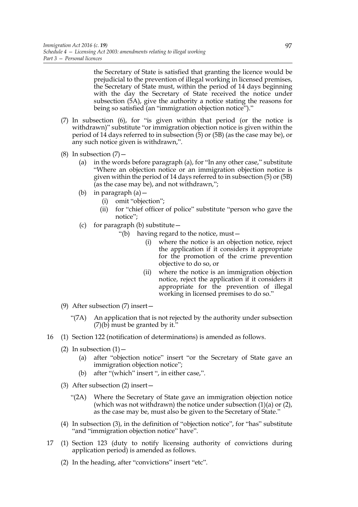the Secretary of State is satisfied that granting the licence would be prejudicial to the prevention of illegal working in licensed premises, the Secretary of State must, within the period of 14 days beginning with the day the Secretary of State received the notice under subsection (5A), give the authority a notice stating the reasons for being so satisfied (an "immigration objection notice")."

- (7) In subsection (6), for "is given within that period (or the notice is withdrawn)" substitute "or immigration objection notice is given within the period of 14 days referred to in subsection (5) or (5B) (as the case may be), or any such notice given is withdrawn,".
- (8) In subsection  $(7)$  -
	- (a) in the words before paragraph (a), for "In any other case," substitute "Where an objection notice or an immigration objection notice is given within the period of 14 days referred to in subsection (5) or (5B) (as the case may be), and not withdrawn,";
	- (b) in paragraph (a)—
		- (i) omit "objection";
		- (ii) for "chief officer of police" substitute "person who gave the notice";
	- (c) for paragraph (b) substitute  $-$ 
		- "(b) having regard to the notice, must—
			- (i) where the notice is an objection notice, reject the application if it considers it appropriate for the promotion of the crime prevention objective to do so, or
			- (ii) where the notice is an immigration objection notice, reject the application if it considers it appropriate for the prevention of illegal working in licensed premises to do so."
- (9) After subsection (7) insert—
	- "(7A) An application that is not rejected by the authority under subsection (7)(b) must be granted by it."
- 16 (1) Section 122 (notification of determinations) is amended as follows.
	- (2) In subsection  $(1)$ 
		- (a) after "objection notice" insert "or the Secretary of State gave an immigration objection notice";
		- (b) after "(which" insert ", in either case,".
	- (3) After subsection (2) insert—
		- "(2A) Where the Secretary of State gave an immigration objection notice (which was not withdrawn) the notice under subsection (1)(a) or (2), as the case may be, must also be given to the Secretary of State."
	- (4) In subsection (3), in the definition of "objection notice", for "has" substitute "and "immigration objection notice" have".
- 17 (1) Section 123 (duty to notify licensing authority of convictions during application period) is amended as follows.
	- (2) In the heading, after "convictions" insert "etc".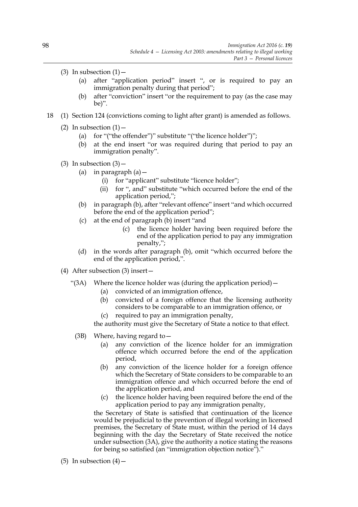- (3) In subsection  $(1)$ 
	- (a) after "application period" insert ", or is required to pay an immigration penalty during that period";
	- (b) after "conviction" insert "or the requirement to pay (as the case may be)".
- 18 (1) Section 124 (convictions coming to light after grant) is amended as follows.
	- (2) In subsection  $(1)$ 
		- (a) for "("the offender")" substitute "("the licence holder")";
		- (b) at the end insert "or was required during that period to pay an immigration penalty".
	- (3) In subsection  $(3)$ 
		- (a) in paragraph  $(a)$  -
			- (i) for "applicant" substitute "licence holder";
			- (ii) for ", and" substitute "which occurred before the end of the application period,";
		- (b) in paragraph (b), after "relevant offence" insert "and which occurred before the end of the application period";
		- (c) at the end of paragraph (b) insert "and
			- (c) the licence holder having been required before the end of the application period to pay any immigration penalty,";
		- (d) in the words after paragraph (b), omit "which occurred before the end of the application period,".
	- (4) After subsection (3) insert—
		- "(3A) Where the licence holder was (during the application period)—
			- (a) convicted of an immigration offence,
			- (b) convicted of a foreign offence that the licensing authority considers to be comparable to an immigration offence, or
			- required to pay an immigration penalty,

the authority must give the Secretary of State a notice to that effect.

- (3B) Where, having regard to—
	- (a) any conviction of the licence holder for an immigration offence which occurred before the end of the application period,
	- (b) any conviction of the licence holder for a foreign offence which the Secretary of State considers to be comparable to an immigration offence and which occurred before the end of the application period, and
	- (c) the licence holder having been required before the end of the application period to pay any immigration penalty,

the Secretary of State is satisfied that continuation of the licence would be prejudicial to the prevention of illegal working in licensed premises, the Secretary of State must, within the period of 14 days beginning with the day the Secretary of State received the notice under subsection (3A), give the authority a notice stating the reasons for being so satisfied (an "immigration objection notice")."

(5) In subsection  $(4)$  –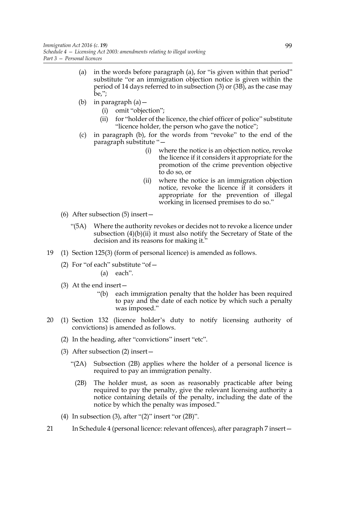- (a) in the words before paragraph (a), for "is given within that period" substitute "or an immigration objection notice is given within the period of 14 days referred to in subsection (3) or (3B), as the case may be,";
- (b) in paragraph (a)—
	- (i) omit "objection";
	- (ii) for "holder of the licence, the chief officer of police" substitute "licence holder, the person who gave the notice";
- (c) in paragraph (b), for the words from "revoke" to the end of the paragraph substitute "—
	- (i) where the notice is an objection notice, revoke the licence if it considers it appropriate for the promotion of the crime prevention objective to do so, or
	- (ii) where the notice is an immigration objection notice, revoke the licence if it considers it appropriate for the prevention of illegal working in licensed premises to do so."
- (6) After subsection (5) insert—
	- "(5A) Where the authority revokes or decides not to revoke a licence under subsection  $(4)(b)(ii)$  it must also notify the Secretary of State of the decision and its reasons for making it."
- 19 (1) Section 125(3) (form of personal licence) is amended as follows.
	- (2) For "of each" substitute "of— (a) each".
	- (3) At the end insert—
		- "(b) each immigration penalty that the holder has been required to pay and the date of each notice by which such a penalty was imposed."
- 20 (1) Section 132 (licence holder's duty to notify licensing authority of convictions) is amended as follows.
	- (2) In the heading, after "convictions" insert "etc".
	- (3) After subsection (2) insert—
		- "(2A) Subsection (2B) applies where the holder of a personal licence is required to pay an immigration penalty.
			- (2B) The holder must, as soon as reasonably practicable after being required to pay the penalty, give the relevant licensing authority a notice containing details of the penalty, including the date of the notice by which the penalty was imposed."
	- (4) In subsection  $(3)$ , after " $(2)$ " insert "or  $(2B)$ ".
- 21 In Schedule 4 (personal licence: relevant offences), after paragraph 7 insert—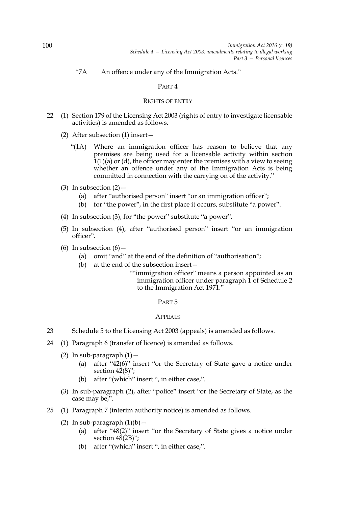# "7A An offence under any of the Immigration Acts."

# PART 4

### RIGHTS OF ENTRY

- 22 (1) Section 179 of the Licensing Act 2003 (rights of entry to investigate licensable activities) is amended as follows.
	- (2) After subsection (1) insert—
		- "(1A) Where an immigration officer has reason to believe that any premises are being used for a licensable activity within section  $1(1)(a)$  or (d), the officer may enter the premises with a view to seeing whether an offence under any of the Immigration Acts is being committed in connection with the carrying on of the activity."
	- (3) In subsection  $(2)$ 
		- (a) after "authorised person" insert "or an immigration officer";
		- (b) for "the power", in the first place it occurs, substitute "a power".
	- (4) In subsection (3), for "the power" substitute "a power".
	- (5) In subsection (4), after "authorised person" insert "or an immigration officer".
	- (6) In subsection  $(6)$  -
		- (a) omit "and" at the end of the definition of "authorisation";
		- (b) at the end of the subsection insert—
			- ""immigration officer" means a person appointed as an immigration officer under paragraph 1 of Schedule 2 to the Immigration Act 1971."

### PART 5

### APPEALS

- 23 Schedule 5 to the Licensing Act 2003 (appeals) is amended as follows.
- 24 (1) Paragraph 6 (transfer of licence) is amended as follows.
	- (2) In sub-paragraph  $(1)$  -
		- (a) after "42(6)" insert "or the Secretary of State gave a notice under section  $42(8)$ ";
		- (b) after "(which" insert ", in either case,".
	- (3) In sub-paragraph (2), after "police" insert "or the Secretary of State, as the case may be,".
- 25 (1) Paragraph 7 (interim authority notice) is amended as follows.
	- (2) In sub-paragraph  $(1)(b)$  -
		- (a) after "48(2)" insert "or the Secretary of State gives a notice under section  $48(2B)$ ";
		- (b) after "(which" insert ", in either case,".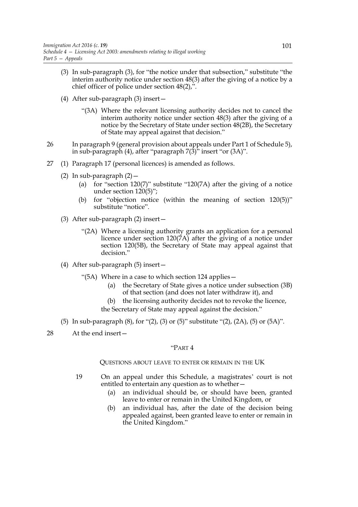- (3) In sub-paragraph (3), for "the notice under that subsection," substitute "the interim authority notice under section 48(3) after the giving of a notice by a chief officer of police under section 48(2),".
- (4) After sub-paragraph (3) insert—
	- "(3A) Where the relevant licensing authority decides not to cancel the interim authority notice under section 48(3) after the giving of a notice by the Secretary of State under section 48(2B), the Secretary of State may appeal against that decision."
- 26 In paragraph 9 (general provision about appeals under Part 1 of Schedule 5), in sub-paragraph (4), after "paragraph 7(3)" insert "or (3A)".
- 27 (1) Paragraph 17 (personal licences) is amended as follows.
	- (2) In sub-paragraph  $(2)$  -
		- (a) for "section 120(7)" substitute "120(7A) after the giving of a notice under section 120(5)";
		- (b) for "objection notice (within the meaning of section 120(5))" substitute "notice".
	- (3) After sub-paragraph (2) insert—
		- "(2A) Where a licensing authority grants an application for a personal licence under section 120(7A) after the giving of a notice under section 120(5B), the Secretary of State may appeal against that decision."
	- (4) After sub-paragraph (5) insert—
		- "(5A) Where in a case to which section 124 applies—
			- (a) the Secretary of State gives a notice under subsection (3B) of that section (and does not later withdraw it), and
			- (b) the licensing authority decides not to revoke the licence, the Secretary of State may appeal against the decision."
	- (5) In sub-paragraph (8), for "(2), (3) or (5)" substitute "(2), (2A), (5) or (5A)".
- 28 At the end insert—

## "PART 4

## QUESTIONS ABOUT LEAVE TO ENTER OR REMAIN IN THE UK

- 19 On an appeal under this Schedule, a magistrates' court is not entitled to entertain any question as to whether—
	- (a) an individual should be, or should have been, granted leave to enter or remain in the United Kingdom, or
	- (b) an individual has, after the date of the decision being appealed against, been granted leave to enter or remain in the United Kingdom."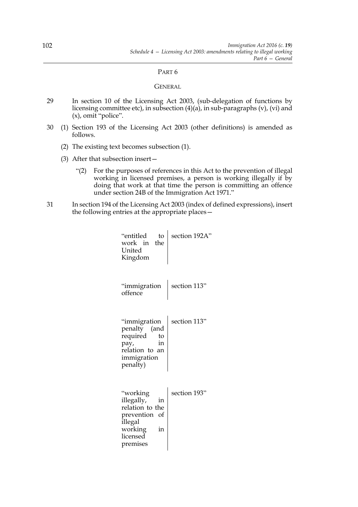#### PART 6

### **GENERAL**

- 29 In section 10 of the Licensing Act 2003, (sub-delegation of functions by licensing committee etc), in subsection (4)(a), in sub-paragraphs (v), (vi) and  $(x)$ , omit "police".
- 30 (1) Section 193 of the Licensing Act 2003 (other definitions) is amended as follows.
	- (2) The existing text becomes subsection (1).
	- (3) After that subsection insert—
		- "(2) For the purposes of references in this Act to the prevention of illegal working in licensed premises, a person is working illegally if by doing that work at that time the person is committing an offence under section 24B of the Immigration Act 1971."
- 31 In section 194 of the Licensing Act 2003 (index of defined expressions), insert the following entries at the appropriate places—

| "entitled<br>to<br>the<br>work in<br>United<br>Kingdom                                                               | section 192A" |
|----------------------------------------------------------------------------------------------------------------------|---------------|
| "immigration<br>offence                                                                                              | section 113"  |
| "immigration<br>penalty (and<br>required<br>to<br>in<br>pay,<br>relation to an<br>immigration<br>penalty)            | section 113"  |
| "working<br>illegally,<br>in<br>relation to the<br>prevention of<br>illegal<br>working<br>in<br>licensed<br>premises | section 193"  |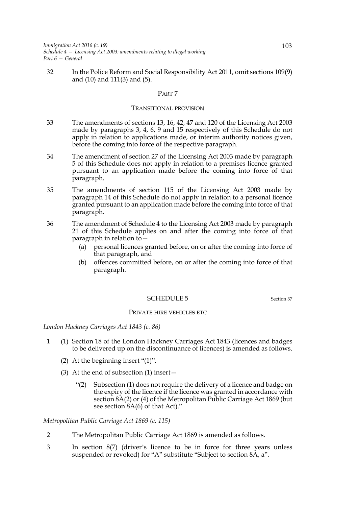32 In the Police Reform and Social Responsibility Act 2011, omit sections 109(9) and (10) and 111(3) and (5).

### PART 7

#### TRANSITIONAL PROVISION

- 33 The amendments of sections 13, 16, 42, 47 and 120 of the Licensing Act 2003 made by paragraphs 3, 4, 6, 9 and 15 respectively of this Schedule do not apply in relation to applications made, or interim authority notices given, before the coming into force of the respective paragraph.
- 34 The amendment of section 27 of the Licensing Act 2003 made by paragraph 5 of this Schedule does not apply in relation to a premises licence granted pursuant to an application made before the coming into force of that paragraph.
- 35 The amendments of section 115 of the Licensing Act 2003 made by paragraph 14 of this Schedule do not apply in relation to a personal licence granted pursuant to an application made before the coming into force of that paragraph.
- 36 The amendment of Schedule 4 to the Licensing Act 2003 made by paragraph 21 of this Schedule applies on and after the coming into force of that paragraph in relation to—
	- (a) personal licences granted before, on or after the coming into force of that paragraph, and
	- (b) offences committed before, on or after the coming into force of that paragraph.

#### SCHEDULE 5 Section 37

### PRIVATE HIRE VEHICLES ETC

*London Hackney Carriages Act 1843 (c. 86)*

- 1 (1) Section 18 of the London Hackney Carriages Act 1843 (licences and badges to be delivered up on the discontinuance of licences) is amended as follows.
	- (2) At the beginning insert "(1)".
	- (3) At the end of subsection (1) insert—
		- "(2) Subsection (1) does not require the delivery of a licence and badge on the expiry of the licence if the licence was granted in accordance with section 8A(2) or (4) of the Metropolitan Public Carriage Act 1869 (but see section  $8A(6)$  of that Act)."

*Metropolitan Public Carriage Act 1869 (c. 115)*

- 2 The Metropolitan Public Carriage Act 1869 is amended as follows.
- 3 In section 8(7) (driver's licence to be in force for three years unless suspended or revoked) for "A" substitute "Subject to section 8A, a".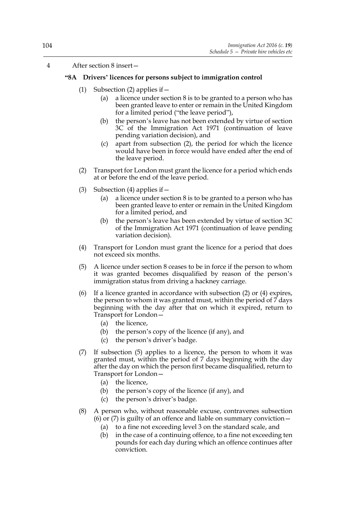## 4 After section 8 insert—

## **"8A Drivers' licences for persons subject to immigration control**

- (1) Subsection (2) applies if  $-$ 
	- (a) a licence under section 8 is to be granted to a person who has been granted leave to enter or remain in the United Kingdom for a limited period ("the leave period"),
	- (b) the person's leave has not been extended by virtue of section 3C of the Immigration Act 1971 (continuation of leave pending variation decision), and
	- (c) apart from subsection (2), the period for which the licence would have been in force would have ended after the end of the leave period.
- (2) Transport for London must grant the licence for a period which ends at or before the end of the leave period.
- (3) Subsection (4) applies if  $-$ 
	- (a) a licence under section 8 is to be granted to a person who has been granted leave to enter or remain in the United Kingdom for a limited period, and
	- (b) the person's leave has been extended by virtue of section 3C of the Immigration Act 1971 (continuation of leave pending variation decision).
- (4) Transport for London must grant the licence for a period that does not exceed six months.
- (5) A licence under section 8 ceases to be in force if the person to whom it was granted becomes disqualified by reason of the person's immigration status from driving a hackney carriage.
- (6) If a licence granted in accordance with subsection (2) or (4) expires, the person to whom it was granted must, within the period of 7 days beginning with the day after that on which it expired, return to Transport for London—
	- (a) the licence,
	- (b) the person's copy of the licence (if any), and
	- (c) the person's driver's badge.
- (7) If subsection (5) applies to a licence, the person to whom it was granted must, within the period of 7 days beginning with the day after the day on which the person first became disqualified, return to Transport for London—
	- (a) the licence,
	- (b) the person's copy of the licence (if any), and
	- (c) the person's driver's badge.
- (8) A person who, without reasonable excuse, contravenes subsection (6) or (7) is guilty of an offence and liable on summary conviction  $-$ 
	- (a) to a fine not exceeding level 3 on the standard scale, and
	- (b) in the case of a continuing offence, to a fine not exceeding ten pounds for each day during which an offence continues after conviction.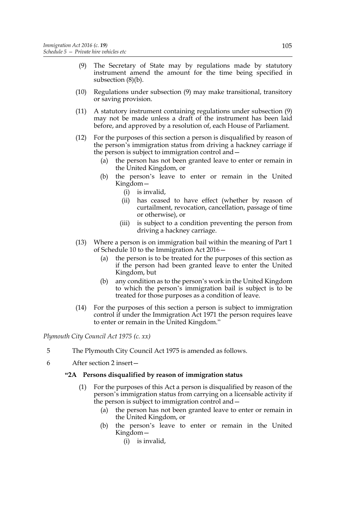- (9) The Secretary of State may by regulations made by statutory instrument amend the amount for the time being specified in subsection (8)(b).
- (10) Regulations under subsection (9) may make transitional, transitory or saving provision.
- (11) A statutory instrument containing regulations under subsection (9) may not be made unless a draft of the instrument has been laid before, and approved by a resolution of, each House of Parliament.
- (12) For the purposes of this section a person is disqualified by reason of the person's immigration status from driving a hackney carriage if the person is subject to immigration control and—
	- (a) the person has not been granted leave to enter or remain in the United Kingdom, or
	- (b) the person's leave to enter or remain in the United Kingdom—
		- (i) is invalid,
		- (ii) has ceased to have effect (whether by reason of curtailment, revocation, cancellation, passage of time or otherwise), or
		- (iii) is subject to a condition preventing the person from driving a hackney carriage.
- (13) Where a person is on immigration bail within the meaning of Part 1 of Schedule 10 to the Immigration Act 2016—
	- (a) the person is to be treated for the purposes of this section as if the person had been granted leave to enter the United Kingdom, but
	- (b) any condition as to the person's work in the United Kingdom to which the person's immigration bail is subject is to be treated for those purposes as a condition of leave.
- (14) For the purposes of this section a person is subject to immigration control if under the Immigration Act 1971 the person requires leave to enter or remain in the United Kingdom."

*Plymouth City Council Act 1975 (c. xx)*

- 5 The Plymouth City Council Act 1975 is amended as follows.
- 6 After section 2 insert—

## **"2A Persons disqualified by reason of immigration status**

- (1) For the purposes of this Act a person is disqualified by reason of the person's immigration status from carrying on a licensable activity if the person is subject to immigration control and—
	- (a) the person has not been granted leave to enter or remain in the United Kingdom, or
	- (b) the person's leave to enter or remain in the United Kingdom—
		- (i) is invalid,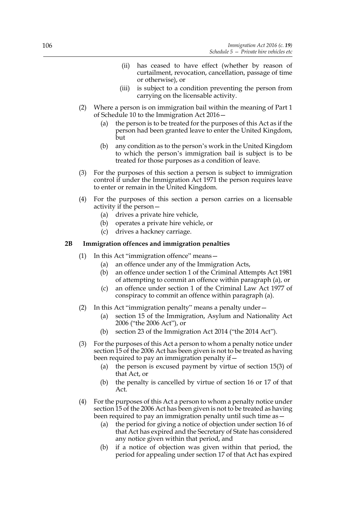- (ii) has ceased to have effect (whether by reason of curtailment, revocation, cancellation, passage of time or otherwise), or
- (iii) is subject to a condition preventing the person from carrying on the licensable activity.
- (2) Where a person is on immigration bail within the meaning of Part 1 of Schedule 10 to the Immigration Act 2016—
	- (a) the person is to be treated for the purposes of this Act as if the person had been granted leave to enter the United Kingdom, but
	- (b) any condition as to the person's work in the United Kingdom to which the person's immigration bail is subject is to be treated for those purposes as a condition of leave.
- (3) For the purposes of this section a person is subject to immigration control if under the Immigration Act 1971 the person requires leave to enter or remain in the United Kingdom.
- (4) For the purposes of this section a person carries on a licensable activity if the person—
	- (a) drives a private hire vehicle,
	- (b) operates a private hire vehicle, or
	- (c) drives a hackney carriage.

## **2B Immigration offences and immigration penalties**

- (1) In this Act "immigration offence" means—
	- (a) an offence under any of the Immigration Acts,
	- (b) an offence under section 1 of the Criminal Attempts Act 1981 of attempting to commit an offence within paragraph (a), or
	- (c) an offence under section 1 of the Criminal Law Act 1977 of conspiracy to commit an offence within paragraph (a).
- (2) In this Act "immigration penalty" means a penalty under—
	- (a) section 15 of the Immigration, Asylum and Nationality Act 2006 ("the 2006 Act"), or
	- (b) section 23 of the Immigration Act 2014 ("the 2014 Act").
- (3) For the purposes of this Act a person to whom a penalty notice under section 15 of the 2006 Act has been given is not to be treated as having been required to pay an immigration penalty if—
	- (a) the person is excused payment by virtue of section 15(3) of that Act, or
	- (b) the penalty is cancelled by virtue of section 16 or 17 of that Act.
- (4) For the purposes of this Act a person to whom a penalty notice under section 15 of the 2006 Act has been given is not to be treated as having been required to pay an immigration penalty until such time as—
	- (a) the period for giving a notice of objection under section 16 of that Act has expired and the Secretary of State has considered any notice given within that period, and
	- (b) if a notice of objection was given within that period, the period for appealing under section 17 of that Act has expired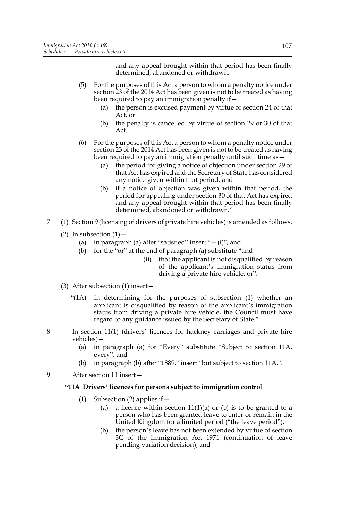and any appeal brought within that period has been finally determined, abandoned or withdrawn.

- (5) For the purposes of this Act a person to whom a penalty notice under section 23 of the 2014 Act has been given is not to be treated as having been required to pay an immigration penalty if—
	- (a) the person is excused payment by virtue of section 24 of that Act, or
	- (b) the penalty is cancelled by virtue of section 29 or 30 of that Act.
- (6) For the purposes of this Act a person to whom a penalty notice under section 23 of the 2014 Act has been given is not to be treated as having been required to pay an immigration penalty until such time as—
	- (a) the period for giving a notice of objection under section 29 of that Act has expired and the Secretary of State has considered any notice given within that period, and
	- (b) if a notice of objection was given within that period, the period for appealing under section 30 of that Act has expired and any appeal brought within that period has been finally determined, abandoned or withdrawn."
- 7 (1) Section 9 (licensing of drivers of private hire vehicles) is amended as follows.
	- (2) In subsection  $(1)$  -
		- (a) in paragraph (a) after "satisfied" insert " $-(i)$ ", and
		- (b) for the "or" at the end of paragraph (a) substitute "and
			- (ii) that the applicant is not disqualified by reason of the applicant's immigration status from driving a private hire vehicle; or".
	- (3) After subsection (1) insert—
		- "(1A) In determining for the purposes of subsection (1) whether an applicant is disqualified by reason of the applicant's immigration status from driving a private hire vehicle, the Council must have regard to any guidance issued by the Secretary of State."
- 8 In section 11(1) (drivers' licences for hackney carriages and private hire vehicles)—
	- (a) in paragraph (a) for "Every" substitute "Subject to section 11A, every", and
	- (b) in paragraph (b) after "1889," insert "but subject to section 11A,".
- 9 After section 11 insert—

## **"11A Drivers' licences for persons subject to immigration control**

- (1) Subsection (2) applies if  $-$ 
	- (a) a licence within section  $11(1)(a)$  or (b) is to be granted to a person who has been granted leave to enter or remain in the United Kingdom for a limited period ("the leave period"),
	- (b) the person's leave has not been extended by virtue of section 3C of the Immigration Act 1971 (continuation of leave pending variation decision), and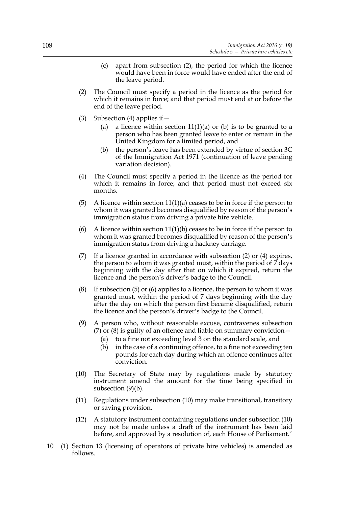- (c) apart from subsection (2), the period for which the licence would have been in force would have ended after the end of the leave period.
- (2) The Council must specify a period in the licence as the period for which it remains in force; and that period must end at or before the end of the leave period.
- (3) Subsection (4) applies if  $-$ 
	- (a) a licence within section  $11(1)(a)$  or (b) is to be granted to a person who has been granted leave to enter or remain in the United Kingdom for a limited period, and
	- (b) the person's leave has been extended by virtue of section 3C of the Immigration Act 1971 (continuation of leave pending variation decision).
- (4) The Council must specify a period in the licence as the period for which it remains in force; and that period must not exceed six months.
- (5) A licence within section  $11(1)(a)$  ceases to be in force if the person to whom it was granted becomes disqualified by reason of the person's immigration status from driving a private hire vehicle.
- (6) A licence within section  $11(1)(b)$  ceases to be in force if the person to whom it was granted becomes disqualified by reason of the person's immigration status from driving a hackney carriage.
- (7) If a licence granted in accordance with subsection (2) or (4) expires, the person to whom it was granted must, within the period of 7 days beginning with the day after that on which it expired, return the licence and the person's driver's badge to the Council.
- (8) If subsection (5) or (6) applies to a licence, the person to whom it was granted must, within the period of 7 days beginning with the day after the day on which the person first became disqualified, return the licence and the person's driver's badge to the Council.
- (9) A person who, without reasonable excuse, contravenes subsection (7) or (8) is guilty of an offence and liable on summary conviction—
	- (a) to a fine not exceeding level 3 on the standard scale, and
	- (b) in the case of a continuing offence, to a fine not exceeding ten pounds for each day during which an offence continues after conviction.
- (10) The Secretary of State may by regulations made by statutory instrument amend the amount for the time being specified in subsection  $(9)(b)$ .
- (11) Regulations under subsection (10) may make transitional, transitory or saving provision.
- (12) A statutory instrument containing regulations under subsection (10) may not be made unless a draft of the instrument has been laid before, and approved by a resolution of, each House of Parliament."
- 10 (1) Section 13 (licensing of operators of private hire vehicles) is amended as follows.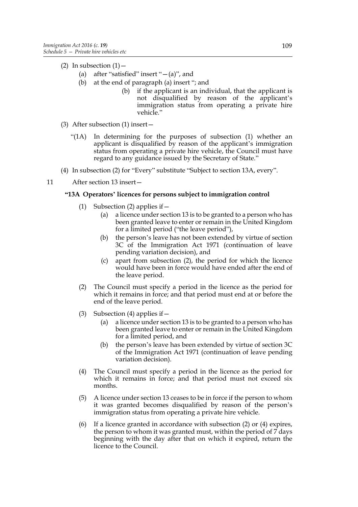- (2) In subsection  $(1)$  -
	- (a) after "satisfied" insert " $-(a)$ ", and
	- (b) at the end of paragraph (a) insert "; and
		- (b) if the applicant is an individual, that the applicant is not disqualified by reason of the applicant's immigration status from operating a private hire vehicle."
- (3) After subsection (1) insert—
	- "(1A) In determining for the purposes of subsection (1) whether an applicant is disqualified by reason of the applicant's immigration status from operating a private hire vehicle, the Council must have regard to any guidance issued by the Secretary of State."
- (4) In subsection (2) for "Every" substitute "Subject to section 13A, every".
- 11 After section 13 insert—

## **"13A Operators' licences for persons subject to immigration control**

- (1) Subsection (2) applies if—
	- (a) a licence under section 13 is to be granted to a person who has been granted leave to enter or remain in the United Kingdom for a limited period ("the leave period"),
	- (b) the person's leave has not been extended by virtue of section 3C of the Immigration Act 1971 (continuation of leave pending variation decision), and
	- (c) apart from subsection (2), the period for which the licence would have been in force would have ended after the end of the leave period.
- (2) The Council must specify a period in the licence as the period for which it remains in force; and that period must end at or before the end of the leave period.
- (3) Subsection (4) applies if  $-$ 
	- (a) a licence under section 13 is to be granted to a person who has been granted leave to enter or remain in the United Kingdom for a limited period, and
	- (b) the person's leave has been extended by virtue of section 3C of the Immigration Act 1971 (continuation of leave pending variation decision).
- (4) The Council must specify a period in the licence as the period for which it remains in force; and that period must not exceed six months.
- (5) A licence under section 13 ceases to be in force if the person to whom it was granted becomes disqualified by reason of the person's immigration status from operating a private hire vehicle.
- (6) If a licence granted in accordance with subsection (2) or (4) expires, the person to whom it was granted must, within the period of  $\overline{7}$  days beginning with the day after that on which it expired, return the licence to the Council.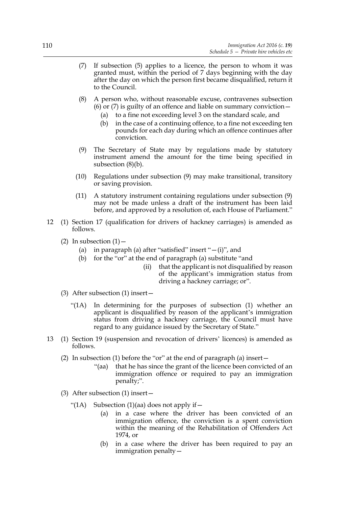- (7) If subsection (5) applies to a licence, the person to whom it was granted must, within the period of 7 days beginning with the day after the day on which the person first became disqualified, return it to the Council.
- (8) A person who, without reasonable excuse, contravenes subsection (6) or (7) is guilty of an offence and liable on summary conviction—
	- (a) to a fine not exceeding level 3 on the standard scale, and
	- (b) in the case of a continuing offence, to a fine not exceeding ten pounds for each day during which an offence continues after conviction.
- (9) The Secretary of State may by regulations made by statutory instrument amend the amount for the time being specified in subsection (8)(b).
- (10) Regulations under subsection (9) may make transitional, transitory or saving provision.
- (11) A statutory instrument containing regulations under subsection (9) may not be made unless a draft of the instrument has been laid before, and approved by a resolution of, each House of Parliament."
- 12 (1) Section 17 (qualification for drivers of hackney carriages) is amended as follows.
	- (2) In subsection  $(1)$  -
		- (a) in paragraph (a) after "satisfied" insert " $-(i)$ ", and
		- (b) for the "or" at the end of paragraph (a) substitute "and
			- (ii) that the applicant is not disqualified by reason of the applicant's immigration status from driving a hackney carriage; or".
	- (3) After subsection (1) insert—
		- "(1A) In determining for the purposes of subsection (1) whether an applicant is disqualified by reason of the applicant's immigration status from driving a hackney carriage, the Council must have regard to any guidance issued by the Secretary of State."
- 13 (1) Section 19 (suspension and revocation of drivers' licences) is amended as follows.
	- (2) In subsection (1) before the "or" at the end of paragraph (a) insert—
		- "(aa) that he has since the grant of the licence been convicted of an immigration offence or required to pay an immigration penalty;".
	- (3) After subsection (1) insert—
		- "(1A) Subsection (1)(aa) does not apply if  $$ 
			- in a case where the driver has been convicted of an immigration offence, the conviction is a spent conviction within the meaning of the Rehabilitation of Offenders Act 1974, or
			- (b) in a case where the driver has been required to pay an immigration penalty—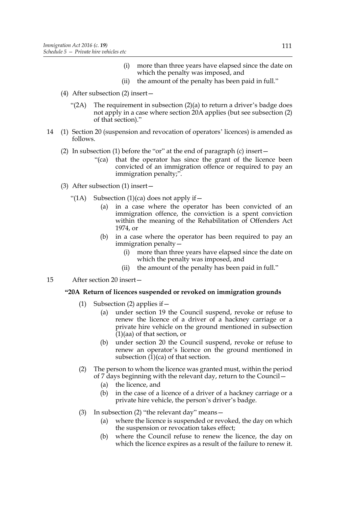- (i) more than three years have elapsed since the date on which the penalty was imposed, and
- (ii) the amount of the penalty has been paid in full."
- (4) After subsection (2) insert—
	- " $(2A)$  The requirement in subsection  $(2)(a)$  to return a driver's badge does not apply in a case where section 20A applies (but see subsection (2) of that section)."
- 14 (1) Section 20 (suspension and revocation of operators' licences) is amended as follows.
	- (2) In subsection (1) before the "or" at the end of paragraph (c) insert—
		- "(ca) that the operator has since the grant of the licence been convicted of an immigration offence or required to pay an immigration penalty;".
	- (3) After subsection (1) insert—
		- "(1A) Subsection  $(1)(ca)$  does not apply if  $-$ 
			- (a) in a case where the operator has been convicted of an immigration offence, the conviction is a spent conviction within the meaning of the Rehabilitation of Offenders Act 1974, or
			- (b) in a case where the operator has been required to pay an immigration penalty—
				- (i) more than three years have elapsed since the date on which the penalty was imposed, and
				- (ii) the amount of the penalty has been paid in full."
- 15 After section 20 insert—

## **"20A Return of licences suspended or revoked on immigration grounds**

- (1) Subsection (2) applies if—
	- (a) under section 19 the Council suspend, revoke or refuse to renew the licence of a driver of a hackney carriage or a private hire vehicle on the ground mentioned in subsection (1)(aa) of that section, or
	- (b) under section 20 the Council suspend, revoke or refuse to renew an operator's licence on the ground mentioned in subsection (1)(ca) of that section.
- (2) The person to whom the licence was granted must, within the period of 7 days beginning with the relevant day, return to the Council—
	- (a) the licence, and
	- (b) in the case of a licence of a driver of a hackney carriage or a private hire vehicle, the person's driver's badge.
- (3) In subsection (2) "the relevant day" means—
	- (a) where the licence is suspended or revoked, the day on which the suspension or revocation takes effect;
	- (b) where the Council refuse to renew the licence, the day on which the licence expires as a result of the failure to renew it.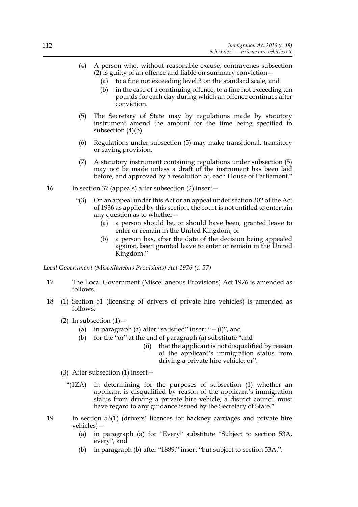- (4) A person who, without reasonable excuse, contravenes subsection  $(2)$  is guilty of an offence and liable on summary conviction  $-$ 
	- (a) to a fine not exceeding level 3 on the standard scale, and
	- (b) in the case of a continuing offence, to a fine not exceeding ten pounds for each day during which an offence continues after conviction.
- (5) The Secretary of State may by regulations made by statutory instrument amend the amount for the time being specified in subsection (4)(b).
- (6) Regulations under subsection (5) may make transitional, transitory or saving provision.
- (7) A statutory instrument containing regulations under subsection (5) may not be made unless a draft of the instrument has been laid before, and approved by a resolution of, each House of Parliament."
- 16 In section 37 (appeals) after subsection (2) insert—
	- "(3) On an appeal under this Act or an appeal under section 302 of the Act of 1936 as applied by this section, the court is not entitled to entertain any question as to whether—
		- (a) a person should be, or should have been, granted leave to enter or remain in the United Kingdom, or
		- (b) a person has, after the date of the decision being appealed against, been granted leave to enter or remain in the United Kingdom."

*Local Government (Miscellaneous Provisions) Act 1976 (c. 57)*

- 17 The Local Government (Miscellaneous Provisions) Act 1976 is amended as follows.
- 18 (1) Section 51 (licensing of drivers of private hire vehicles) is amended as follows.
	- (2) In subsection  $(1)$  -
		- (a) in paragraph (a) after "satisfied" insert " $-(i)$ ", and
		- (b) for the "or" at the end of paragraph (a) substitute "and
			- (ii) that the applicant is not disqualified by reason of the applicant's immigration status from driving a private hire vehicle; or".
	- (3) After subsection (1) insert—
		- "(1ZA) In determining for the purposes of subsection (1) whether an applicant is disqualified by reason of the applicant's immigration status from driving a private hire vehicle, a district council must have regard to any guidance issued by the Secretary of State."
- 19 In section 53(1) (drivers' licences for hackney carriages and private hire vehicles)—
	- (a) in paragraph (a) for "Every" substitute "Subject to section 53A, every", and
	- (b) in paragraph (b) after "1889," insert "but subject to section 53A,".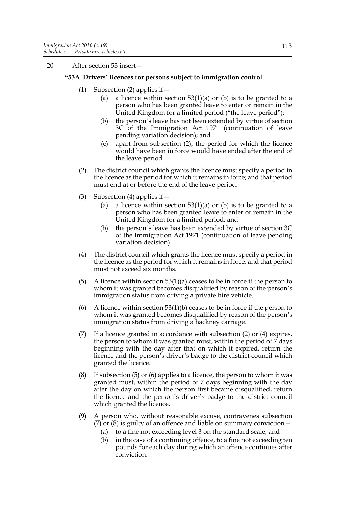20 After section 53 insert—

## **"53A Drivers' licences for persons subject to immigration control**

- (1) Subsection (2) applies if  $-$ 
	- (a) a licence within section  $53(1)(a)$  or (b) is to be granted to a person who has been granted leave to enter or remain in the United Kingdom for a limited period ("the leave period");
	- (b) the person's leave has not been extended by virtue of section 3C of the Immigration Act 1971 (continuation of leave pending variation decision); and
	- (c) apart from subsection (2), the period for which the licence would have been in force would have ended after the end of the leave period.
- (2) The district council which grants the licence must specify a period in the licence as the period for which it remains in force; and that period must end at or before the end of the leave period.
- (3) Subsection (4) applies if  $-$ 
	- (a) a licence within section  $53(1)(a)$  or (b) is to be granted to a person who has been granted leave to enter or remain in the United Kingdom for a limited period; and
	- (b) the person's leave has been extended by virtue of section 3C of the Immigration Act 1971 (continuation of leave pending variation decision).
- (4) The district council which grants the licence must specify a period in the licence as the period for which it remains in force; and that period must not exceed six months.
- (5) A licence within section 53(1)(a) ceases to be in force if the person to whom it was granted becomes disqualified by reason of the person's immigration status from driving a private hire vehicle.
- (6) A licence within section  $53(1)(b)$  ceases to be in force if the person to whom it was granted becomes disqualified by reason of the person's immigration status from driving a hackney carriage.
- (7) If a licence granted in accordance with subsection (2) or (4) expires, the person to whom it was granted must, within the period of 7 days beginning with the day after that on which it expired, return the licence and the person's driver's badge to the district council which granted the licence.
- (8) If subsection (5) or (6) applies to a licence, the person to whom it was granted must, within the period of 7 days beginning with the day after the day on which the person first became disqualified, return the licence and the person's driver's badge to the district council which granted the licence.
- (9) A person who, without reasonable excuse, contravenes subsection (7) or (8) is guilty of an offence and liable on summary conviction—
	- (a) to a fine not exceeding level 3 on the standard scale; and
	- (b) in the case of a continuing offence, to a fine not exceeding ten pounds for each day during which an offence continues after conviction.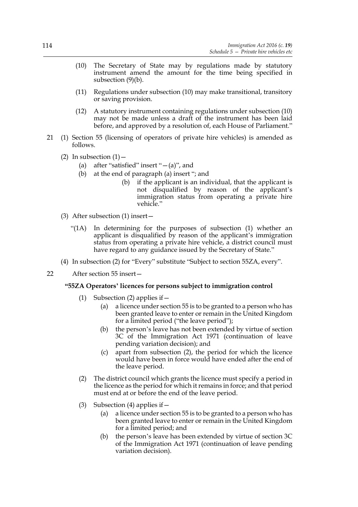- (10) The Secretary of State may by regulations made by statutory instrument amend the amount for the time being specified in subsection (9)(b).
- (11) Regulations under subsection (10) may make transitional, transitory or saving provision.
- (12) A statutory instrument containing regulations under subsection (10) may not be made unless a draft of the instrument has been laid before, and approved by a resolution of, each House of Parliament."
- 21 (1) Section 55 (licensing of operators of private hire vehicles) is amended as follows.
	- (2) In subsection  $(1)$  -
		- (a) after "satisfied" insert " $-(a)$ ", and
		- (b) at the end of paragraph (a) insert "; and
			- (b) if the applicant is an individual, that the applicant is not disqualified by reason of the applicant's immigration status from operating a private hire vehicle."
	- (3) After subsection (1) insert—
		- "(1A) In determining for the purposes of subsection (1) whether an applicant is disqualified by reason of the applicant's immigration status from operating a private hire vehicle, a district council must have regard to any guidance issued by the Secretary of State."
	- (4) In subsection (2) for "Every" substitute "Subject to section 55ZA, every".
- 22 After section 55 insert—

## **"55ZA Operators' licences for persons subject to immigration control**

- (1) Subsection (2) applies if—
	- (a) a licence under section 55 is to be granted to a person who has been granted leave to enter or remain in the United Kingdom for a limited period ("the leave period");
	- (b) the person's leave has not been extended by virtue of section 3C of the Immigration Act 1971 (continuation of leave pending variation decision); and
	- (c) apart from subsection (2), the period for which the licence would have been in force would have ended after the end of the leave period.
- (2) The district council which grants the licence must specify a period in the licence as the period for which it remains in force; and that period must end at or before the end of the leave period.
- (3) Subsection (4) applies if  $-$ 
	- (a) a licence under section 55 is to be granted to a person who has been granted leave to enter or remain in the United Kingdom for a limited period; and
	- (b) the person's leave has been extended by virtue of section 3C of the Immigration Act 1971 (continuation of leave pending variation decision).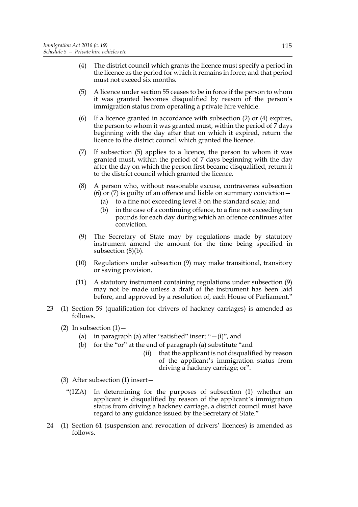- (4) The district council which grants the licence must specify a period in the licence as the period for which it remains in force; and that period must not exceed six months.
- (5) A licence under section 55 ceases to be in force if the person to whom it was granted becomes disqualified by reason of the person's immigration status from operating a private hire vehicle.
- (6) If a licence granted in accordance with subsection (2) or (4) expires, the person to whom it was granted must, within the period of 7 days beginning with the day after that on which it expired, return the licence to the district council which granted the licence.
- (7) If subsection (5) applies to a licence, the person to whom it was granted must, within the period of 7 days beginning with the day after the day on which the person first became disqualified, return it to the district council which granted the licence.
- (8) A person who, without reasonable excuse, contravenes subsection (6) or (7) is guilty of an offence and liable on summary conviction—
	- (a) to a fine not exceeding level 3 on the standard scale; and
	- (b) in the case of a continuing offence, to a fine not exceeding ten pounds for each day during which an offence continues after conviction.
- (9) The Secretary of State may by regulations made by statutory instrument amend the amount for the time being specified in subsection (8)(b).
- (10) Regulations under subsection (9) may make transitional, transitory or saving provision.
- (11) A statutory instrument containing regulations under subsection (9) may not be made unless a draft of the instrument has been laid before, and approved by a resolution of, each House of Parliament."
- 23 (1) Section 59 (qualification for drivers of hackney carriages) is amended as follows.
	- (2) In subsection  $(1)$  -
		- (a) in paragraph (a) after "satisfied" insert " $-(i)$ ", and
		- (b) for the "or" at the end of paragraph (a) substitute "and
			- (ii) that the applicant is not disqualified by reason of the applicant's immigration status from driving a hackney carriage; or".
	- (3) After subsection (1) insert—
		- "(1ZA) In determining for the purposes of subsection (1) whether an applicant is disqualified by reason of the applicant's immigration status from driving a hackney carriage, a district council must have regard to any guidance issued by the Secretary of State."
- 24 (1) Section 61 (suspension and revocation of drivers' licences) is amended as follows.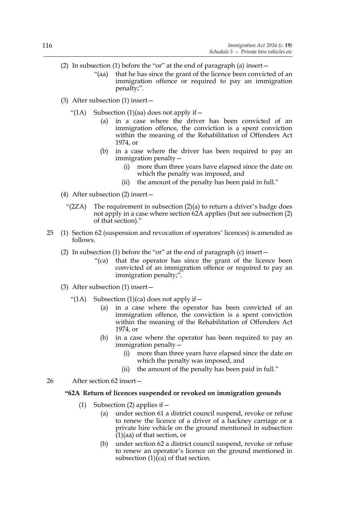- (2) In subsection (1) before the "or" at the end of paragraph (a) insert—
	- "(aa) that he has since the grant of the licence been convicted of an immigration offence or required to pay an immigration penalty;".
- (3) After subsection (1) insert—
	- "(1A) Subsection (1)(aa) does not apply if  $-$ 
		- (a) in a case where the driver has been convicted of an immigration offence, the conviction is a spent conviction within the meaning of the Rehabilitation of Offenders Act 1974, or
		- (b) in a case where the driver has been required to pay an immigration penalty—
			- (i) more than three years have elapsed since the date on which the penalty was imposed, and
			- (ii) the amount of the penalty has been paid in full."
- (4) After subsection (2) insert—
	- "(2ZA) The requirement in subsection (2)(a) to return a driver's badge does not apply in a case where section 62A applies (but see subsection (2) of that section)."
- 25 (1) Section 62 (suspension and revocation of operators' licences) is amended as follows.
	- (2) In subsection (1) before the "or" at the end of paragraph (c) insert—
		- "(ca) that the operator has since the grant of the licence been convicted of an immigration offence or required to pay an immigration penalty;".
	- (3) After subsection (1) insert—
		- "(1A) Subsection  $(1)(ca)$  does not apply if  $-$ 
			- (a) in a case where the operator has been convicted of an immigration offence, the conviction is a spent conviction within the meaning of the Rehabilitation of Offenders Act 1974, or
			- (b) in a case where the operator has been required to pay an immigration penalty—
				- (i) more than three years have elapsed since the date on which the penalty was imposed, and
				- (ii) the amount of the penalty has been paid in full."
- 26 After section 62 insert—

## **"62A Return of licences suspended or revoked on immigration grounds**

- (1) Subsection (2) applies if  $-$ 
	- (a) under section 61 a district council suspend, revoke or refuse to renew the licence of a driver of a hackney carriage or a private hire vehicle on the ground mentioned in subsection  $(1)(aa)$  of that section, or
	- (b) under section 62 a district council suspend, revoke or refuse to renew an operator's licence on the ground mentioned in subsection  $(1)(ca)$  of that section.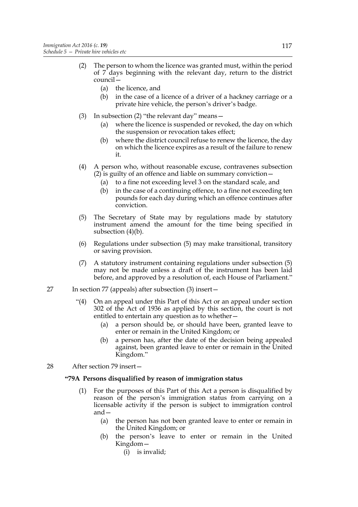- (2) The person to whom the licence was granted must, within the period of 7 days beginning with the relevant day, return to the district council—
	- (a) the licence, and
	- (b) in the case of a licence of a driver of a hackney carriage or a private hire vehicle, the person's driver's badge.
- (3) In subsection (2) "the relevant day" means—
	- (a) where the licence is suspended or revoked, the day on which the suspension or revocation takes effect;
	- (b) where the district council refuse to renew the licence, the day on which the licence expires as a result of the failure to renew it.
- (4) A person who, without reasonable excuse, contravenes subsection  $(2)$  is guilty of an offence and liable on summary conviction  $-$ 
	- (a) to a fine not exceeding level 3 on the standard scale, and
	- (b) in the case of a continuing offence, to a fine not exceeding ten pounds for each day during which an offence continues after conviction.
- (5) The Secretary of State may by regulations made by statutory instrument amend the amount for the time being specified in subsection (4)(b).
- (6) Regulations under subsection (5) may make transitional, transitory or saving provision.
- (7) A statutory instrument containing regulations under subsection (5) may not be made unless a draft of the instrument has been laid before, and approved by a resolution of, each House of Parliament."
- 27 In section 77 (appeals) after subsection (3) insert—
	- "(4) On an appeal under this Part of this Act or an appeal under section 302 of the Act of 1936 as applied by this section, the court is not entitled to entertain any question as to whether—
		- (a) a person should be, or should have been, granted leave to enter or remain in the United Kingdom; or
		- (b) a person has, after the date of the decision being appealed against, been granted leave to enter or remain in the United Kingdom."
- 28 After section 79 insert—

## **"79A Persons disqualified by reason of immigration status**

- (1) For the purposes of this Part of this Act a person is disqualified by reason of the person's immigration status from carrying on a licensable activity if the person is subject to immigration control and—
	- (a) the person has not been granted leave to enter or remain in the United Kingdom; or
	- (b) the person's leave to enter or remain in the United Kingdom—
		- (i) is invalid;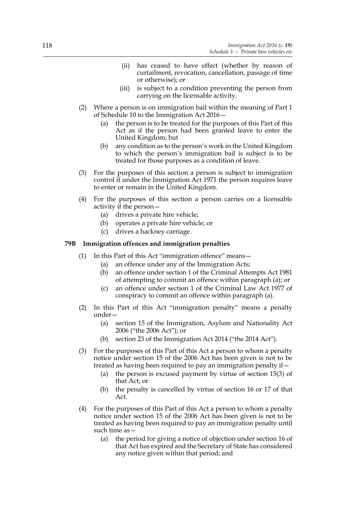- (ii) has ceased to have effect (whether by reason of curtailment, revocation, cancellation, passage of time or otherwise); or
- (iii) is subject to a condition preventing the person from carrying on the licensable activity.
- (2) Where a person is on immigration bail within the meaning of Part 1 of Schedule 10 to the Immigration Act 2016—
	- (a) the person is to be treated for the purposes of this Part of this Act as if the person had been granted leave to enter the United Kingdom; but
	- (b) any condition as to the person's work in the United Kingdom to which the person's immigration bail is subject is to be treated for those purposes as a condition of leave.
- (3) For the purposes of this section a person is subject to immigration control if under the Immigration Act 1971 the person requires leave to enter or remain in the United Kingdom.
- (4) For the purposes of this section a person carries on a licensable activity if the person—
	- (a) drives a private hire vehicle;
	- (b) operates a private hire vehicle; or
	- (c) drives a hackney carriage.

### **79B Immigration offences and immigration penalties**

- (1) In this Part of this Act "immigration offence" means—
	- (a) an offence under any of the Immigration Acts;
	- (b) an offence under section 1 of the Criminal Attempts Act 1981 of attempting to commit an offence within paragraph (a); or
	- (c) an offence under section 1 of the Criminal Law Act 1977 of conspiracy to commit an offence within paragraph (a).
- (2) In this Part of this Act "immigration penalty" means a penalty under—
	- (a) section 15 of the Immigration, Asylum and Nationality Act 2006 ("the 2006 Act"); or
	- (b) section 23 of the Immigration Act 2014 ("the 2014 Act").
- (3) For the purposes of this Part of this Act a person to whom a penalty notice under section 15 of the 2006 Act has been given is not to be treated as having been required to pay an immigration penalty if—
	- (a) the person is excused payment by virtue of section 15(3) of that Act; or
	- (b) the penalty is cancelled by virtue of section 16 or 17 of that Act.
- (4) For the purposes of this Part of this Act a person to whom a penalty notice under section 15 of the 2006 Act has been given is not to be treated as having been required to pay an immigration penalty until such time as—
	- (a) the period for giving a notice of objection under section 16 of that Act has expired and the Secretary of State has considered any notice given within that period; and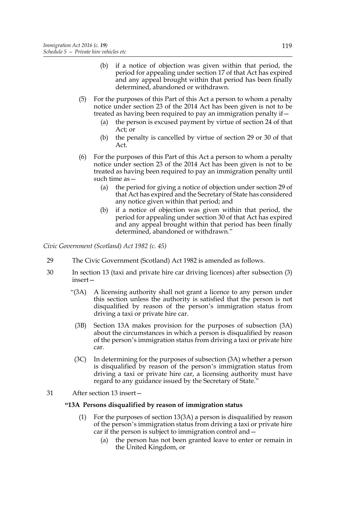- (b) if a notice of objection was given within that period, the period for appealing under section 17 of that Act has expired and any appeal brought within that period has been finally determined, abandoned or withdrawn.
- (5) For the purposes of this Part of this Act a person to whom a penalty notice under section 23 of the 2014 Act has been given is not to be treated as having been required to pay an immigration penalty if—
	- (a) the person is excused payment by virtue of section 24 of that Act; or
	- (b) the penalty is cancelled by virtue of section 29 or 30 of that Act.
- (6) For the purposes of this Part of this Act a person to whom a penalty notice under section 23 of the 2014 Act has been given is not to be treated as having been required to pay an immigration penalty until such time as—
	- (a) the period for giving a notice of objection under section 29 of that Act has expired and the Secretary of State has considered any notice given within that period; and
	- (b) if a notice of objection was given within that period, the period for appealing under section 30 of that Act has expired and any appeal brought within that period has been finally determined, abandoned or withdrawn."

*Civic Government (Scotland) Act 1982 (c. 45)*

- 29 The Civic Government (Scotland) Act 1982 is amended as follows.
- 30 In section 13 (taxi and private hire car driving licences) after subsection (3) insert—
	- "(3A) A licensing authority shall not grant a licence to any person under this section unless the authority is satisfied that the person is not disqualified by reason of the person's immigration status from driving a taxi or private hire car.
	- (3B) Section 13A makes provision for the purposes of subsection (3A) about the circumstances in which a person is disqualified by reason of the person's immigration status from driving a taxi or private hire car.
	- (3C) In determining for the purposes of subsection (3A) whether a person is disqualified by reason of the person's immigration status from driving a taxi or private hire car, a licensing authority must have regard to any guidance issued by the Secretary of State."
- 31 After section 13 insert—

## **"13A Persons disqualified by reason of immigration status**

- (1) For the purposes of section 13(3A) a person is disqualified by reason of the person's immigration status from driving a taxi or private hire car if the person is subject to immigration control and—
	- (a) the person has not been granted leave to enter or remain in the United Kingdom, or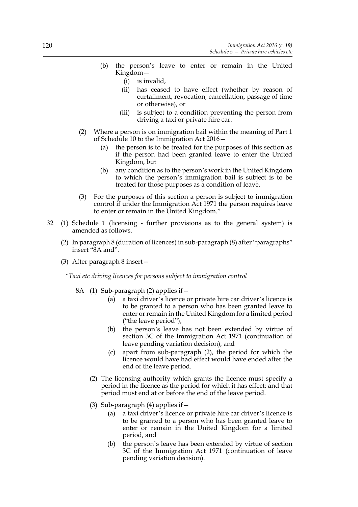- (b) the person's leave to enter or remain in the United Kingdom—
	- (i) is invalid,
	- (ii) has ceased to have effect (whether by reason of curtailment, revocation, cancellation, passage of time or otherwise), or
	- (iii) is subject to a condition preventing the person from driving a taxi or private hire car.
- (2) Where a person is on immigration bail within the meaning of Part 1 of Schedule 10 to the Immigration Act 2016—
	- (a) the person is to be treated for the purposes of this section as if the person had been granted leave to enter the United Kingdom, but
	- (b) any condition as to the person's work in the United Kingdom to which the person's immigration bail is subject is to be treated for those purposes as a condition of leave.
- (3) For the purposes of this section a person is subject to immigration control if under the Immigration Act 1971 the person requires leave to enter or remain in the United Kingdom."
- 32 (1) Schedule 1 (licensing further provisions as to the general system) is amended as follows.
	- (2) In paragraph 8 (duration of licences) in sub-paragraph (8) after "paragraphs" insert "8A and".
	- (3) After paragraph 8 insert—

*"Taxi etc driving licences for persons subject to immigration control*

- 8A (1) Sub-paragraph (2) applies if—
	- (a) a taxi driver's licence or private hire car driver's licence is to be granted to a person who has been granted leave to enter or remain in the United Kingdom for a limited period ("the leave period"),
	- (b) the person's leave has not been extended by virtue of section 3C of the Immigration Act 1971 (continuation of leave pending variation decision), and
	- (c) apart from sub-paragraph (2), the period for which the licence would have had effect would have ended after the end of the leave period.
	- (2) The licensing authority which grants the licence must specify a period in the licence as the period for which it has effect; and that period must end at or before the end of the leave period.
	- (3) Sub-paragraph (4) applies if  $-$ 
		- (a) a taxi driver's licence or private hire car driver's licence is to be granted to a person who has been granted leave to enter or remain in the United Kingdom for a limited period, and
		- (b) the person's leave has been extended by virtue of section 3C of the Immigration Act 1971 (continuation of leave pending variation decision).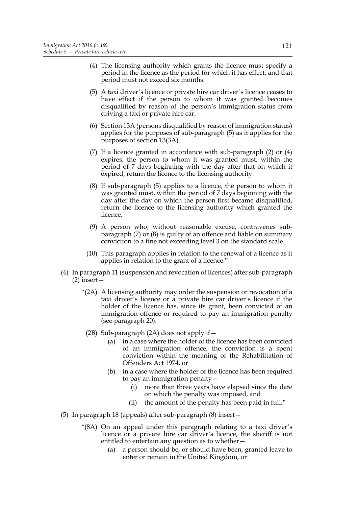- (4) The licensing authority which grants the licence must specify a period in the licence as the period for which it has effect; and that period must not exceed six months.
- (5) A taxi driver's licence or private hire car driver's licence ceases to have effect if the person to whom it was granted becomes disqualified by reason of the person's immigration status from driving a taxi or private hire car.
- (6) Section 13A (persons disqualified by reason of immigration status) applies for the purposes of sub-paragraph (5) as it applies for the purposes of section 13(3A).
- (7) If a licence granted in accordance with sub-paragraph (2) or (4) expires, the person to whom it was granted must, within the period of 7 days beginning with the day after that on which it expired, return the licence to the licensing authority.
- (8) If sub-paragraph (5) applies to a licence, the person to whom it was granted must, within the period of 7 days beginning with the day after the day on which the person first became disqualified, return the licence to the licensing authority which granted the licence.
- (9) A person who, without reasonable excuse, contravenes subparagraph (7) or (8) is guilty of an offence and liable on summary conviction to a fine not exceeding level 3 on the standard scale.
- (10) This paragraph applies in relation to the renewal of a licence as it applies in relation to the grant of a licence."
- (4) In paragraph 11 (suspension and revocation of licences) after sub-paragraph (2) insert—
	- "(2A) A licensing authority may order the suspension or revocation of a taxi driver's licence or a private hire car driver's licence if the holder of the licence has, since its grant, been convicted of an immigration offence or required to pay an immigration penalty (see paragraph 20).
		- (2B) Sub-paragraph (2A) does not apply if  $-$ 
			- (a) in a case where the holder of the licence has been convicted of an immigration offence, the conviction is a spent conviction within the meaning of the Rehabilitation of Offenders Act 1974, or
			- (b) in a case where the holder of the licence has been required to pay an immigration penalty—
				- (i) more than three years have elapsed since the date on which the penalty was imposed, and
				- (ii) the amount of the penalty has been paid in full."
- (5) In paragraph 18 (appeals) after sub-paragraph (8) insert—
	- "(8A) On an appeal under this paragraph relating to a taxi driver's licence or a private hire car driver's licence, the sheriff is not entitled to entertain any question as to whether—
		- (a) a person should be, or should have been, granted leave to enter or remain in the United Kingdom, or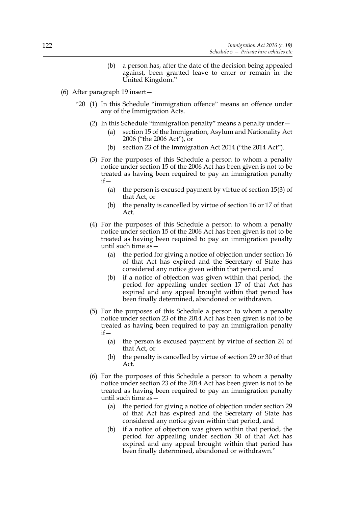- (b) a person has, after the date of the decision being appealed against, been granted leave to enter or remain in the United Kingdom."
- (6) After paragraph 19 insert—
	- "20 (1) In this Schedule "immigration offence" means an offence under any of the Immigration Acts.
		- (2) In this Schedule "immigration penalty" means a penalty under—
			- (a) section 15 of the Immigration, Asylum and Nationality Act 2006 ("the 2006 Act"), or
			- (b) section 23 of the Immigration Act 2014 ("the 2014 Act").
		- (3) For the purposes of this Schedule a person to whom a penalty notice under section 15 of the 2006 Act has been given is not to be treated as having been required to pay an immigration penalty  $if -$ 
			- (a) the person is excused payment by virtue of section 15(3) of that Act, or
			- (b) the penalty is cancelled by virtue of section 16 or 17 of that Act.
		- (4) For the purposes of this Schedule a person to whom a penalty notice under section 15 of the 2006 Act has been given is not to be treated as having been required to pay an immigration penalty until such time as—
			- (a) the period for giving a notice of objection under section 16 of that Act has expired and the Secretary of State has considered any notice given within that period, and
			- (b) if a notice of objection was given within that period, the period for appealing under section 17 of that Act has expired and any appeal brought within that period has been finally determined, abandoned or withdrawn.
		- (5) For the purposes of this Schedule a person to whom a penalty notice under section 23 of the 2014 Act has been given is not to be treated as having been required to pay an immigration penalty  $if -$ 
			- (a) the person is excused payment by virtue of section 24 of that Act, or
			- (b) the penalty is cancelled by virtue of section 29 or 30 of that Act.
		- (6) For the purposes of this Schedule a person to whom a penalty notice under section 23 of the 2014 Act has been given is not to be treated as having been required to pay an immigration penalty until such time as—
			- (a) the period for giving a notice of objection under section 29 of that Act has expired and the Secretary of State has considered any notice given within that period, and
			- (b) if a notice of objection was given within that period, the period for appealing under section 30 of that Act has expired and any appeal brought within that period has been finally determined, abandoned or withdrawn."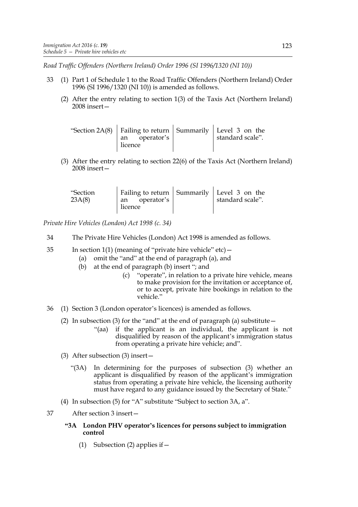*Road Traffic Offenders (Northern Ireland) Order 1996 (SI 1996/1320 (NI 10))*

- 33 (1) Part 1 of Schedule 1 to the Road Traffic Offenders (Northern Ireland) Order 1996 (SI 1996/1320 (NI 10)) is amended as follows.
	- (2) After the entry relating to section 1(3) of the Taxis Act (Northern Ireland) 2008 insert—

| "Section 2A(8)   Failing to return   Summarily   Level 3 on the<br>an operator's | standard scale". |
|----------------------------------------------------------------------------------|------------------|
| licence                                                                          |                  |

(3) After the entry relating to section 22(6) of the Taxis Act (Northern Ireland) 2008 insert—

| "Section<br>23A(8) | Failing to return   Summarily   Level 3 on the<br>operator's<br>l an<br>licence |  | standard scale". |
|--------------------|---------------------------------------------------------------------------------|--|------------------|
|--------------------|---------------------------------------------------------------------------------|--|------------------|

*Private Hire Vehicles (London) Act 1998 (c. 34)*

- 34 The Private Hire Vehicles (London) Act 1998 is amended as follows.
- 35 In section 1(1) (meaning of "private hire vehicle" etc)—
	- (a) omit the "and" at the end of paragraph (a), and
	- (b) at the end of paragraph (b) insert "; and
		- (c) "operate", in relation to a private hire vehicle, means to make provision for the invitation or acceptance of, or to accept, private hire bookings in relation to the vehicle."
- 36 (1) Section 3 (London operator's licences) is amended as follows.
	- (2) In subsection (3) for the "and" at the end of paragraph (a) substitute  $-$ 
		- "(aa) if the applicant is an individual, the applicant is not disqualified by reason of the applicant's immigration status from operating a private hire vehicle; and".
	- (3) After subsection (3) insert—
		- "(3A) In determining for the purposes of subsection (3) whether an applicant is disqualified by reason of the applicant's immigration status from operating a private hire vehicle, the licensing authority must have regard to any guidance issued by the Secretary of State."
	- (4) In subsection (5) for "A" substitute "Subject to section 3A, a".

37 After section 3 insert—

### **"3A London PHV operator's licences for persons subject to immigration control**

(1) Subsection (2) applies if—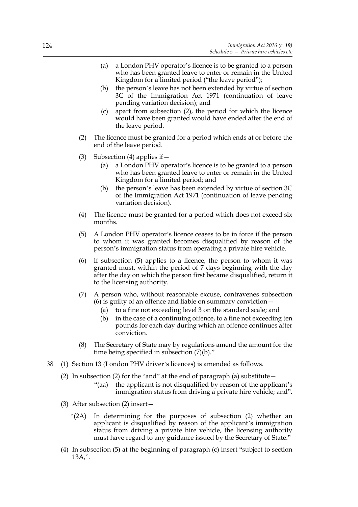- (a) a London PHV operator's licence is to be granted to a person who has been granted leave to enter or remain in the United Kingdom for a limited period ("the leave period");
- (b) the person's leave has not been extended by virtue of section 3C of the Immigration Act 1971 (continuation of leave pending variation decision); and
- (c) apart from subsection (2), the period for which the licence would have been granted would have ended after the end of the leave period.
- (2) The licence must be granted for a period which ends at or before the end of the leave period.
- (3) Subsection (4) applies if  $-$ 
	- (a) a London PHV operator's licence is to be granted to a person who has been granted leave to enter or remain in the United Kingdom for a limited period; and
	- (b) the person's leave has been extended by virtue of section 3C of the Immigration Act 1971 (continuation of leave pending variation decision).
- (4) The licence must be granted for a period which does not exceed six months.
- (5) A London PHV operator's licence ceases to be in force if the person to whom it was granted becomes disqualified by reason of the person's immigration status from operating a private hire vehicle.
- (6) If subsection (5) applies to a licence, the person to whom it was granted must, within the period of 7 days beginning with the day after the day on which the person first became disqualified, return it to the licensing authority.
- (7) A person who, without reasonable excuse, contravenes subsection (6) is guilty of an offence and liable on summary conviction—
	- (a) to a fine not exceeding level 3 on the standard scale; and
	- (b) in the case of a continuing offence, to a fine not exceeding ten pounds for each day during which an offence continues after conviction.
- (8) The Secretary of State may by regulations amend the amount for the time being specified in subsection (7)(b)."
- 38 (1) Section 13 (London PHV driver's licences) is amended as follows.
	- (2) In subsection (2) for the "and" at the end of paragraph (a) substitute  $-$ 
		- "(aa) the applicant is not disqualified by reason of the applicant's immigration status from driving a private hire vehicle; and".
	- (3) After subsection (2) insert—
		- "(2A) In determining for the purposes of subsection (2) whether an applicant is disqualified by reason of the applicant's immigration status from driving a private hire vehicle, the licensing authority must have regard to any guidance issued by the Secretary of State."
	- (4) In subsection (5) at the beginning of paragraph (c) insert "subject to section 13A,".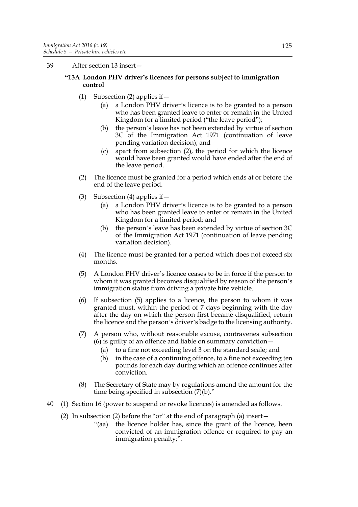39 After section 13 insert—

## **"13A London PHV driver's licences for persons subject to immigration control**

- (1) Subsection (2) applies if  $-$ 
	- (a) a London PHV driver's licence is to be granted to a person who has been granted leave to enter or remain in the United Kingdom for a limited period ("the leave period");
	- (b) the person's leave has not been extended by virtue of section 3C of the Immigration Act 1971 (continuation of leave pending variation decision); and
	- (c) apart from subsection (2), the period for which the licence would have been granted would have ended after the end of the leave period.
- (2) The licence must be granted for a period which ends at or before the end of the leave period.
- (3) Subsection (4) applies if  $-$ 
	- (a) a London PHV driver's licence is to be granted to a person who has been granted leave to enter or remain in the United Kingdom for a limited period; and
	- (b) the person's leave has been extended by virtue of section 3C of the Immigration Act 1971 (continuation of leave pending variation decision).
- (4) The licence must be granted for a period which does not exceed six months.
- (5) A London PHV driver's licence ceases to be in force if the person to whom it was granted becomes disqualified by reason of the person's immigration status from driving a private hire vehicle.
- (6) If subsection (5) applies to a licence, the person to whom it was granted must, within the period of 7 days beginning with the day after the day on which the person first became disqualified, return the licence and the person's driver's badge to the licensing authority.
- (7) A person who, without reasonable excuse, contravenes subsection (6) is guilty of an offence and liable on summary conviction—
	- (a) to a fine not exceeding level 3 on the standard scale; and
	- (b) in the case of a continuing offence, to a fine not exceeding ten pounds for each day during which an offence continues after conviction.
- (8) The Secretary of State may by regulations amend the amount for the time being specified in subsection (7)(b)."
- 40 (1) Section 16 (power to suspend or revoke licences) is amended as follows.
	- (2) In subsection (2) before the "or" at the end of paragraph (a) insert—
		- "(aa) the licence holder has, since the grant of the licence, been convicted of an immigration offence or required to pay an immigration penalty;".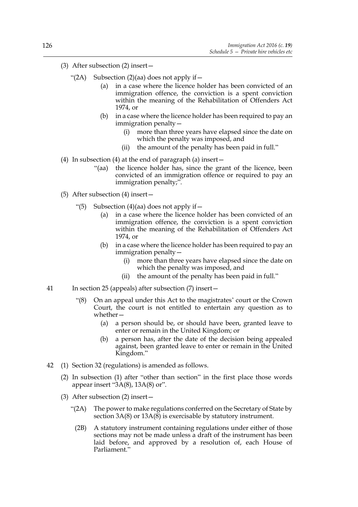- (3) After subsection (2) insert—
	- "(2A) Subsection (2)(aa) does not apply if  $$ 
		- in a case where the licence holder has been convicted of an immigration offence, the conviction is a spent conviction within the meaning of the Rehabilitation of Offenders Act 1974, or
		- (b) in a case where the licence holder has been required to pay an immigration penalty—
			- (i) more than three years have elapsed since the date on which the penalty was imposed, and
			- (ii) the amount of the penalty has been paid in full."
- (4) In subsection (4) at the end of paragraph (a) insert—
	- "(aa) the licence holder has, since the grant of the licence, been convicted of an immigration offence or required to pay an immigration penalty;".
- (5) After subsection (4) insert—
	- "(5) Subsection (4)(aa) does not apply if  $-$ 
		- (a) in a case where the licence holder has been convicted of an immigration offence, the conviction is a spent conviction within the meaning of the Rehabilitation of Offenders Act 1974, or
		- (b) in a case where the licence holder has been required to pay an immigration penalty—
			- (i) more than three years have elapsed since the date on which the penalty was imposed, and
			- (ii) the amount of the penalty has been paid in full."
- 41 In section 25 (appeals) after subsection (7) insert—
	- "(8) On an appeal under this Act to the magistrates' court or the Crown Court, the court is not entitled to entertain any question as to whether—
		- (a) a person should be, or should have been, granted leave to enter or remain in the United Kingdom; or
		- (b) a person has, after the date of the decision being appealed against, been granted leave to enter or remain in the United Kingdom."
- 42 (1) Section 32 (regulations) is amended as follows.
	- (2) In subsection (1) after "other than section" in the first place those words appear insert "3A(8), 13A(8) or".
	- (3) After subsection (2) insert—
		- "(2A) The power to make regulations conferred on the Secretary of State by section  $3A(8)$  or  $13A(8)$  is exercisable by statutory instrument.
			- (2B) A statutory instrument containing regulations under either of those sections may not be made unless a draft of the instrument has been laid before, and approved by a resolution of, each House of Parliament."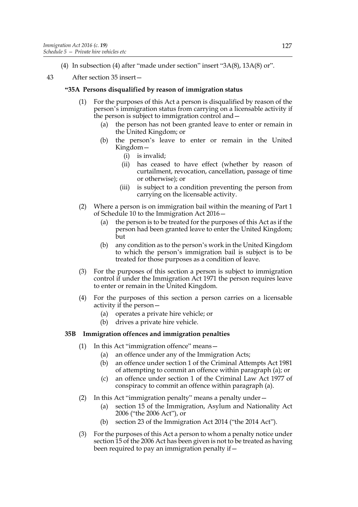(4) In subsection (4) after "made under section" insert "3A(8), 13A(8) or".

# 43 After section 35 insert—

# **"35A Persons disqualified by reason of immigration status**

- (1) For the purposes of this Act a person is disqualified by reason of the person's immigration status from carrying on a licensable activity if the person is subject to immigration control and—
	- (a) the person has not been granted leave to enter or remain in the United Kingdom; or
	- (b) the person's leave to enter or remain in the United Kingdom—
		- (i) is invalid;
		- (ii) has ceased to have effect (whether by reason of curtailment, revocation, cancellation, passage of time or otherwise); or
		- (iii) is subject to a condition preventing the person from carrying on the licensable activity.
- (2) Where a person is on immigration bail within the meaning of Part 1 of Schedule 10 to the Immigration Act 2016—
	- (a) the person is to be treated for the purposes of this Act as if the person had been granted leave to enter the United Kingdom; but
	- (b) any condition as to the person's work in the United Kingdom to which the person's immigration bail is subject is to be treated for those purposes as a condition of leave.
- (3) For the purposes of this section a person is subject to immigration control if under the Immigration Act 1971 the person requires leave to enter or remain in the United Kingdom.
- (4) For the purposes of this section a person carries on a licensable activity if the person—
	- (a) operates a private hire vehicle; or
	- (b) drives a private hire vehicle.

# **35B Immigration offences and immigration penalties**

- (1) In this Act "immigration offence" means—
	- (a) an offence under any of the Immigration Acts;
	- (b) an offence under section 1 of the Criminal Attempts Act 1981 of attempting to commit an offence within paragraph (a); or
	- (c) an offence under section 1 of the Criminal Law Act 1977 of conspiracy to commit an offence within paragraph (a).
- (2) In this Act "immigration penalty" means a penalty under—
	- (a) section 15 of the Immigration, Asylum and Nationality Act 2006 ("the 2006 Act"), or
	- (b) section 23 of the Immigration Act 2014 ("the 2014 Act").
- (3) For the purposes of this Act a person to whom a penalty notice under section 15 of the 2006 Act has been given is not to be treated as having been required to pay an immigration penalty if—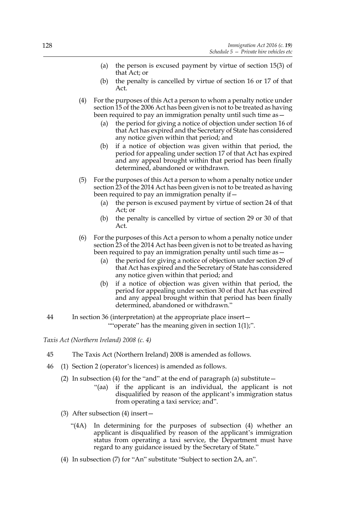- (a) the person is excused payment by virtue of section 15(3) of that Act; or
- (b) the penalty is cancelled by virtue of section 16 or 17 of that Act.
- (4) For the purposes of this Act a person to whom a penalty notice under section 15 of the 2006 Act has been given is not to be treated as having been required to pay an immigration penalty until such time as -
	- (a) the period for giving a notice of objection under section 16 of that Act has expired and the Secretary of State has considered any notice given within that period; and
	- (b) if a notice of objection was given within that period, the period for appealing under section 17 of that Act has expired and any appeal brought within that period has been finally determined, abandoned or withdrawn.
- (5) For the purposes of this Act a person to whom a penalty notice under section 23 of the 2014 Act has been given is not to be treated as having been required to pay an immigration penalty if—
	- (a) the person is excused payment by virtue of section 24 of that Act; or
	- (b) the penalty is cancelled by virtue of section 29 or 30 of that Act.
- (6) For the purposes of this Act a person to whom a penalty notice under section 23 of the 2014 Act has been given is not to be treated as having been required to pay an immigration penalty until such time as -
	- (a) the period for giving a notice of objection under section 29 of that Act has expired and the Secretary of State has considered any notice given within that period; and
	- (b) if a notice of objection was given within that period, the period for appealing under section 30 of that Act has expired and any appeal brought within that period has been finally determined, abandoned or withdrawn."
- 44 In section 36 (interpretation) at the appropriate place insert— ""operate" has the meaning given in section 1(1);".

*Taxis Act (Northern Ireland) 2008 (c. 4)*

- 45 The Taxis Act (Northern Ireland) 2008 is amended as follows.
- 46 (1) Section 2 (operator's licences) is amended as follows.
	- (2) In subsection (4) for the "and" at the end of paragraph (a) substitute  $-$ 
		- "(aa) if the applicant is an individual, the applicant is not disqualified by reason of the applicant's immigration status from operating a taxi service; and".
	- (3) After subsection (4) insert—
		- "(4A) In determining for the purposes of subsection (4) whether an applicant is disqualified by reason of the applicant's immigration status from operating a taxi service, the Department must have regard to any guidance issued by the Secretary of State."
	- (4) In subsection (7) for "An" substitute "Subject to section 2A, an".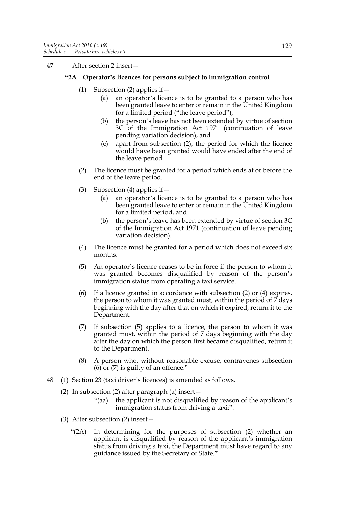47 After section 2 insert—

# **"2A Operator's licences for persons subject to immigration control**

- (1) Subsection (2) applies if  $-$ 
	- (a) an operator's licence is to be granted to a person who has been granted leave to enter or remain in the United Kingdom for a limited period ("the leave period"),
	- (b) the person's leave has not been extended by virtue of section 3C of the Immigration Act 1971 (continuation of leave pending variation decision), and
	- (c) apart from subsection (2), the period for which the licence would have been granted would have ended after the end of the leave period.
- (2) The licence must be granted for a period which ends at or before the end of the leave period.
- (3) Subsection (4) applies if  $-$ 
	- (a) an operator's licence is to be granted to a person who has been granted leave to enter or remain in the United Kingdom for a limited period, and
	- (b) the person's leave has been extended by virtue of section 3C of the Immigration Act 1971 (continuation of leave pending variation decision).
- (4) The licence must be granted for a period which does not exceed six months.
- (5) An operator's licence ceases to be in force if the person to whom it was granted becomes disqualified by reason of the person's immigration status from operating a taxi service.
- (6) If a licence granted in accordance with subsection (2) or (4) expires, the person to whom it was granted must, within the period of  $\overline{7}$  days beginning with the day after that on which it expired, return it to the Department.
- (7) If subsection (5) applies to a licence, the person to whom it was granted must, within the period of 7 days beginning with the day after the day on which the person first became disqualified, return it to the Department.
- (8) A person who, without reasonable excuse, contravenes subsection  $(6)$  or  $(7)$  is guilty of an offence."
- 48 (1) Section 23 (taxi driver's licences) is amended as follows.
	- (2) In subsection (2) after paragraph (a) insert—
		- "(aa) the applicant is not disqualified by reason of the applicant's immigration status from driving a taxi;".
	- (3) After subsection (2) insert—
		- "(2A) In determining for the purposes of subsection (2) whether an applicant is disqualified by reason of the applicant's immigration status from driving a taxi, the Department must have regard to any guidance issued by the Secretary of State."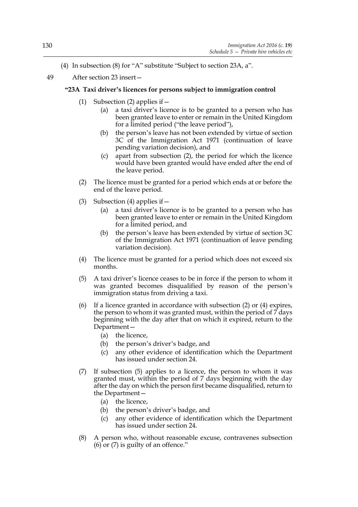- (4) In subsection (8) for "A" substitute "Subject to section 23A, a".
- 49 After section 23 insert—

# **"23A Taxi driver's licences for persons subject to immigration control**

- (1) Subsection (2) applies if—
	- (a) a taxi driver's licence is to be granted to a person who has been granted leave to enter or remain in the United Kingdom for a limited period ("the leave period"),
	- (b) the person's leave has not been extended by virtue of section 3C of the Immigration Act 1971 (continuation of leave pending variation decision), and
	- (c) apart from subsection (2), the period for which the licence would have been granted would have ended after the end of the leave period.
- (2) The licence must be granted for a period which ends at or before the end of the leave period.
- (3) Subsection (4) applies if  $-$ 
	- (a) a taxi driver's licence is to be granted to a person who has been granted leave to enter or remain in the United Kingdom for a limited period, and
	- (b) the person's leave has been extended by virtue of section 3C of the Immigration Act 1971 (continuation of leave pending variation decision).
- (4) The licence must be granted for a period which does not exceed six months.
- (5) A taxi driver's licence ceases to be in force if the person to whom it was granted becomes disqualified by reason of the person's immigration status from driving a taxi.
- (6) If a licence granted in accordance with subsection (2) or (4) expires, the person to whom it was granted must, within the period of 7 days beginning with the day after that on which it expired, return to the Department—
	- (a) the licence,
	- (b) the person's driver's badge, and
	- (c) any other evidence of identification which the Department has issued under section 24.
- (7) If subsection (5) applies to a licence, the person to whom it was granted must, within the period of 7 days beginning with the day after the day on which the person first became disqualified, return to the Department—
	- (a) the licence,
	- (b) the person's driver's badge, and
	- (c) any other evidence of identification which the Department has issued under section 24.
- (8) A person who, without reasonable excuse, contravenes subsection  $(6)$  or  $(7)$  is guilty of an offence."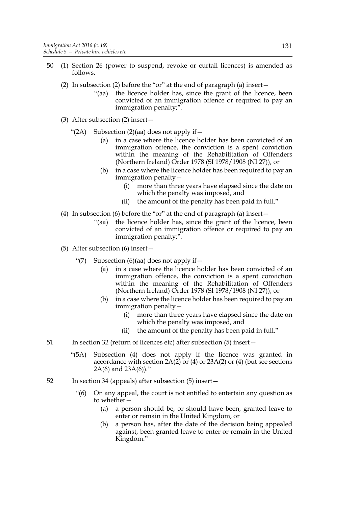- 50 (1) Section 26 (power to suspend, revoke or curtail licences) is amended as follows.
	- (2) In subsection (2) before the "or" at the end of paragraph (a) insert—
		- "(aa) the licence holder has, since the grant of the licence, been convicted of an immigration offence or required to pay an immigration penalty;".
	- (3) After subsection (2) insert—
		- "(2A) Subsection (2)(aa) does not apply if  $$ 
			- in a case where the licence holder has been convicted of an immigration offence, the conviction is a spent conviction within the meaning of the Rehabilitation of Offenders (Northern Ireland) Order 1978 (SI 1978/1908 (NI 27)), or
			- (b) in a case where the licence holder has been required to pay an immigration penalty—
				- (i) more than three years have elapsed since the date on which the penalty was imposed, and
				- (ii) the amount of the penalty has been paid in full."
	- (4) In subsection (6) before the "or" at the end of paragraph (a) insert—
		- "(aa) the licence holder has, since the grant of the licence, been convicted of an immigration offence or required to pay an immigration penalty;".
	- (5) After subsection (6) insert—
		- "(7) Subsection  $(6)(aa)$  does not apply if  $-$ 
			- (a) in a case where the licence holder has been convicted of an immigration offence, the conviction is a spent conviction within the meaning of the Rehabilitation of Offenders (Northern Ireland) Order 1978 (SI 1978/1908 (NI 27)), or
			- (b) in a case where the licence holder has been required to pay an immigration penalty—
				- (i) more than three years have elapsed since the date on which the penalty was imposed, and
				- (ii) the amount of the penalty has been paid in full."
- 51 In section 32 (return of licences etc) after subsection (5) insert—
	- "(5A) Subsection (4) does not apply if the licence was granted in accordance with section  $2A(2)$  or  $(4)$  or  $23A(2)$  or  $(4)$  (but see sections 2A(6) and 23A(6))."
- 52 In section 34 (appeals) after subsection (5) insert—
	- "(6) On any appeal, the court is not entitled to entertain any question as to whether—
		- (a) a person should be, or should have been, granted leave to enter or remain in the United Kingdom, or
		- (b) a person has, after the date of the decision being appealed against, been granted leave to enter or remain in the United Kingdom."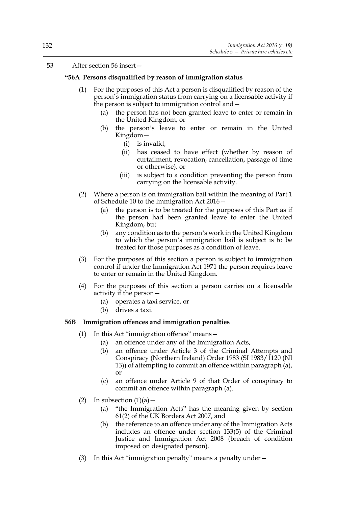## 53 After section 56 insert—

## **"56A Persons disqualified by reason of immigration status**

- (1) For the purposes of this Act a person is disqualified by reason of the person's immigration status from carrying on a licensable activity if the person is subject to immigration control and—
	- (a) the person has not been granted leave to enter or remain in the United Kingdom, or
	- (b) the person's leave to enter or remain in the United Kingdom—
		- (i) is invalid,
		- (ii) has ceased to have effect (whether by reason of curtailment, revocation, cancellation, passage of time or otherwise), or
		- (iii) is subject to a condition preventing the person from carrying on the licensable activity.
- (2) Where a person is on immigration bail within the meaning of Part 1 of Schedule 10 to the Immigration Act 2016—
	- (a) the person is to be treated for the purposes of this Part as if the person had been granted leave to enter the United Kingdom, but
	- (b) any condition as to the person's work in the United Kingdom to which the person's immigration bail is subject is to be treated for those purposes as a condition of leave.
- (3) For the purposes of this section a person is subject to immigration control if under the Immigration Act 1971 the person requires leave to enter or remain in the United Kingdom.
- (4) For the purposes of this section a person carries on a licensable activity if the person—
	- (a) operates a taxi service, or
	- (b) drives a taxi.

## **56B Immigration offences and immigration penalties**

- (1) In this Act "immigration offence" means—
	- (a) an offence under any of the Immigration Acts,
	- (b) an offence under Article 3 of the Criminal Attempts and Conspiracy (Northern Ireland) Order 1983 (SI 1983/1120 (NI 13)) of attempting to commit an offence within paragraph (a), or
	- (c) an offence under Article 9 of that Order of conspiracy to commit an offence within paragraph (a).
- (2) In subsection  $(1)(a)$ 
	- (a) "the Immigration Acts" has the meaning given by section 61(2) of the UK Borders Act 2007, and
	- (b) the reference to an offence under any of the Immigration Acts includes an offence under section 133(5) of the Criminal Justice and Immigration Act 2008 (breach of condition imposed on designated person).
- (3) In this Act "immigration penalty" means a penalty under—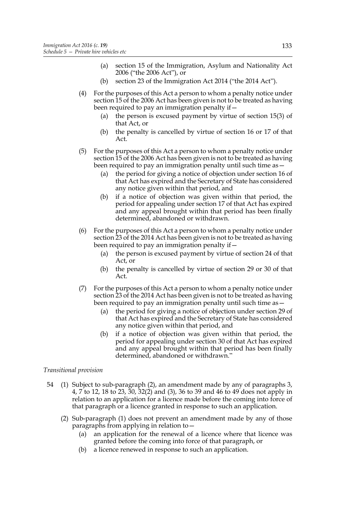- (a) section 15 of the Immigration, Asylum and Nationality Act 2006 ("the 2006 Act"), or
- (b) section 23 of the Immigration Act 2014 ("the 2014 Act").
- (4) For the purposes of this Act a person to whom a penalty notice under section 15 of the 2006 Act has been given is not to be treated as having been required to pay an immigration penalty if—
	- (a) the person is excused payment by virtue of section 15(3) of that Act, or
	- (b) the penalty is cancelled by virtue of section 16 or 17 of that Act.
- (5) For the purposes of this Act a person to whom a penalty notice under section 15 of the 2006 Act has been given is not to be treated as having been required to pay an immigration penalty until such time as—
	- (a) the period for giving a notice of objection under section 16 of that Act has expired and the Secretary of State has considered any notice given within that period, and
	- (b) if a notice of objection was given within that period, the period for appealing under section 17 of that Act has expired and any appeal brought within that period has been finally determined, abandoned or withdrawn.
- (6) For the purposes of this Act a person to whom a penalty notice under section 23 of the 2014 Act has been given is not to be treated as having been required to pay an immigration penalty if—
	- (a) the person is excused payment by virtue of section 24 of that Act, or
	- (b) the penalty is cancelled by virtue of section 29 or 30 of that Act.
- (7) For the purposes of this Act a person to whom a penalty notice under section 23 of the 2014 Act has been given is not to be treated as having been required to pay an immigration penalty until such time as -
	- (a) the period for giving a notice of objection under section 29 of that Act has expired and the Secretary of State has considered any notice given within that period, and
	- (b) if a notice of objection was given within that period, the period for appealing under section 30 of that Act has expired and any appeal brought within that period has been finally determined, abandoned or withdrawn."

## *Transitional provision*

- 54 (1) Subject to sub-paragraph (2), an amendment made by any of paragraphs 3, 4, 7 to 12, 18 to 23, 30, 32(2) and (3), 36 to 39 and 46 to 49 does not apply in relation to an application for a licence made before the coming into force of that paragraph or a licence granted in response to such an application.
	- (2) Sub-paragraph (1) does not prevent an amendment made by any of those paragraphs from applying in relation to—
		- (a) an application for the renewal of a licence where that licence was granted before the coming into force of that paragraph, or
		- (b) a licence renewed in response to such an application.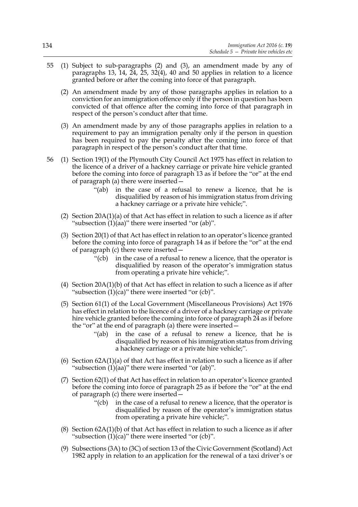- 55 (1) Subject to sub-paragraphs (2) and (3), an amendment made by any of paragraphs 13, 14, 24, 25, 32(4), 40 and 50 applies in relation to a licence granted before or after the coming into force of that paragraph.
	- (2) An amendment made by any of those paragraphs applies in relation to a conviction for an immigration offence only if the person in question has been convicted of that offence after the coming into force of that paragraph in respect of the person's conduct after that time.
	- (3) An amendment made by any of those paragraphs applies in relation to a requirement to pay an immigration penalty only if the person in question has been required to pay the penalty after the coming into force of that paragraph in respect of the person's conduct after that time.
- 56 (1) Section 19(1) of the Plymouth City Council Act 1975 has effect in relation to the licence of a driver of a hackney carriage or private hire vehicle granted before the coming into force of paragraph 13 as if before the "or" at the end of paragraph (a) there were inserted—
	- "(ab) in the case of a refusal to renew a licence, that he is disqualified by reason of his immigration status from driving a hackney carriage or a private hire vehicle;".
	- (2) Section  $20A(1)(a)$  of that Act has effect in relation to such a licence as if after "subsection  $(1)(aa)$ " there were inserted "or  $(ab)$ ".
	- (3) Section 20(1) of that Act has effect in relation to an operator's licence granted before the coming into force of paragraph 14 as if before the "or" at the end of paragraph (c) there were inserted—
		- "(cb) in the case of a refusal to renew a licence, that the operator is disqualified by reason of the operator's immigration status from operating a private hire vehicle;".
	- (4) Section 20A(1)(b) of that Act has effect in relation to such a licence as if after "subsection (1)(ca)" there were inserted "or (cb)".
	- (5) Section 61(1) of the Local Government (Miscellaneous Provisions) Act 1976 has effect in relation to the licence of a driver of a hackney carriage or private hire vehicle granted before the coming into force of paragraph 24 as if before the "or" at the end of paragraph (a) there were inserted—
		- "(ab) in the case of a refusal to renew a licence, that he is disqualified by reason of his immigration status from driving a hackney carriage or a private hire vehicle;".
	- (6) Section 62A(1)(a) of that Act has effect in relation to such a licence as if after "subsection  $(1)(aa)$ " there were inserted "or  $(ab)$ ".
	- (7) Section 62(1) of that Act has effect in relation to an operator's licence granted before the coming into force of paragraph 25 as if before the "or" at the end of paragraph (c) there were inserted—
		- "(cb) in the case of a refusal to renew a licence, that the operator is disqualified by reason of the operator's immigration status from operating a private hire vehicle;".
	- (8) Section  $62A(1)(b)$  of that Act has effect in relation to such a licence as if after "subsection  $(1)(ca)$ " there were inserted "or  $(cb)$ ".
	- (9) Subsections (3A) to (3C) of section 13 of the Civic Government (Scotland) Act 1982 apply in relation to an application for the renewal of a taxi driver's or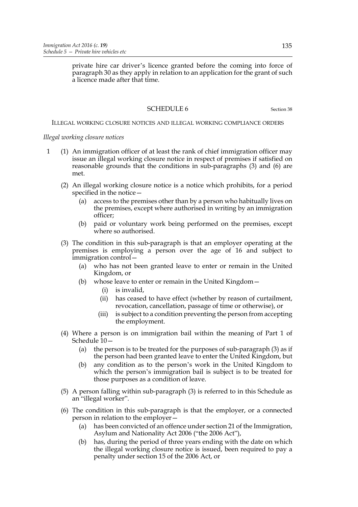private hire car driver's licence granted before the coming into force of paragraph 30 as they apply in relation to an application for the grant of such a licence made after that time.

## SCHEDULE 6 Section 38

#### ILLEGAL WORKING CLOSURE NOTICES AND ILLEGAL WORKING COMPLIANCE ORDERS

#### *Illegal working closure notices*

- 1 (1) An immigration officer of at least the rank of chief immigration officer may issue an illegal working closure notice in respect of premises if satisfied on reasonable grounds that the conditions in sub-paragraphs (3) and (6) are met.
	- (2) An illegal working closure notice is a notice which prohibits, for a period specified in the notice—
		- (a) access to the premises other than by a person who habitually lives on the premises, except where authorised in writing by an immigration officer;
		- (b) paid or voluntary work being performed on the premises, except where so authorised.
	- (3) The condition in this sub-paragraph is that an employer operating at the premises is employing a person over the age of 16 and subject to immigration control—
		- (a) who has not been granted leave to enter or remain in the United Kingdom, or
		- (b) whose leave to enter or remain in the United Kingdom—
			- (i) is invalid,
			- (ii) has ceased to have effect (whether by reason of curtailment, revocation, cancellation, passage of time or otherwise), or
			- (iii) is subject to a condition preventing the person from accepting the employment.
	- (4) Where a person is on immigration bail within the meaning of Part 1 of Schedule 10—
		- (a) the person is to be treated for the purposes of sub-paragraph (3) as if the person had been granted leave to enter the United Kingdom, but
		- (b) any condition as to the person's work in the United Kingdom to which the person's immigration bail is subject is to be treated for those purposes as a condition of leave.
	- (5) A person falling within sub-paragraph (3) is referred to in this Schedule as an "illegal worker".
	- (6) The condition in this sub-paragraph is that the employer, or a connected person in relation to the employer—
		- (a) has been convicted of an offence under section 21 of the Immigration, Asylum and Nationality Act 2006 ("the 2006 Act"),
		- (b) has, during the period of three years ending with the date on which the illegal working closure notice is issued, been required to pay a penalty under section 15 of the 2006 Act, or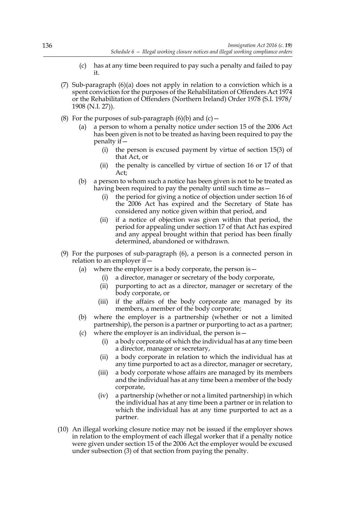- (c) has at any time been required to pay such a penalty and failed to pay it.
- (7) Sub-paragraph (6)(a) does not apply in relation to a conviction which is a spent conviction for the purposes of the Rehabilitation of Offenders Act 1974 or the Rehabilitation of Offenders (Northern Ireland) Order 1978 (S.I. 1978/ 1908 (N.I. 27)).
- (8) For the purposes of sub-paragraph  $(6)(b)$  and  $(c)$  -
	- (a) a person to whom a penalty notice under section 15 of the 2006 Act has been given is not to be treated as having been required to pay the penalty if—
		- (i) the person is excused payment by virtue of section 15(3) of that Act, or
		- (ii) the penalty is cancelled by virtue of section 16 or 17 of that Act;
	- (b) a person to whom such a notice has been given is not to be treated as having been required to pay the penalty until such time as -
		- (i) the period for giving a notice of objection under section 16 of the 2006 Act has expired and the Secretary of State has considered any notice given within that period, and
		- (ii) if a notice of objection was given within that period, the period for appealing under section 17 of that Act has expired and any appeal brought within that period has been finally determined, abandoned or withdrawn.
- (9) For the purposes of sub-paragraph (6), a person is a connected person in relation to an employer if—
	- (a) where the employer is a body corporate, the person is  $-$ 
		- (i) a director, manager or secretary of the body corporate,
		- (ii) purporting to act as a director, manager or secretary of the body corporate, or
		- (iii) if the affairs of the body corporate are managed by its members, a member of the body corporate;
	- (b) where the employer is a partnership (whether or not a limited partnership), the person is a partner or purporting to act as a partner;
	- (c) where the employer is an individual, the person is  $-$ 
		- (i) a body corporate of which the individual has at any time been a director, manager or secretary,
		- (ii) a body corporate in relation to which the individual has at any time purported to act as a director, manager or secretary,
		- (iii) a body corporate whose affairs are managed by its members and the individual has at any time been a member of the body corporate,
		- (iv) a partnership (whether or not a limited partnership) in which the individual has at any time been a partner or in relation to which the individual has at any time purported to act as a partner.
- (10) An illegal working closure notice may not be issued if the employer shows in relation to the employment of each illegal worker that if a penalty notice were given under section 15 of the 2006 Act the employer would be excused under subsection (3) of that section from paying the penalty.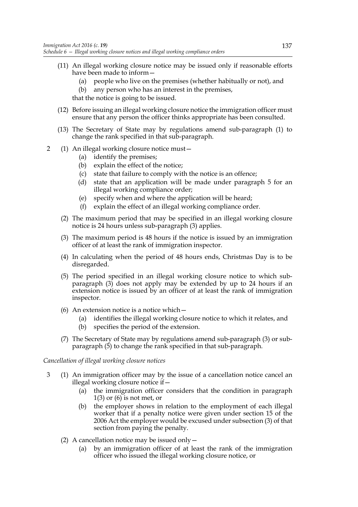- (11) An illegal working closure notice may be issued only if reasonable efforts have been made to inform—
	- (a) people who live on the premises (whether habitually or not), and
	- (b) any person who has an interest in the premises,

that the notice is going to be issued.

- (12) Before issuing an illegal working closure notice the immigration officer must ensure that any person the officer thinks appropriate has been consulted.
- (13) The Secretary of State may by regulations amend sub-paragraph (1) to change the rank specified in that sub-paragraph.
- 2 (1) An illegal working closure notice must—
	- (a) identify the premises;
	- (b) explain the effect of the notice;
	- (c) state that failure to comply with the notice is an offence;
	- (d) state that an application will be made under paragraph 5 for an illegal working compliance order;
	- (e) specify when and where the application will be heard;
	- (f) explain the effect of an illegal working compliance order.
	- (2) The maximum period that may be specified in an illegal working closure notice is 24 hours unless sub-paragraph (3) applies.
	- (3) The maximum period is 48 hours if the notice is issued by an immigration officer of at least the rank of immigration inspector.
	- (4) In calculating when the period of 48 hours ends, Christmas Day is to be disregarded.
	- (5) The period specified in an illegal working closure notice to which subparagraph (3) does not apply may be extended by up to 24 hours if an extension notice is issued by an officer of at least the rank of immigration inspector.
	- (6) An extension notice is a notice which  $-$ 
		- (a) identifies the illegal working closure notice to which it relates, and
		- (b) specifies the period of the extension.
	- (7) The Secretary of State may by regulations amend sub-paragraph (3) or subparagraph (5) to change the rank specified in that sub-paragraph.

# *Cancellation of illegal working closure notices*

- 3 (1) An immigration officer may by the issue of a cancellation notice cancel an illegal working closure notice if—
	- (a) the immigration officer considers that the condition in paragraph  $1(3)$  or  $(6)$  is not met, or
	- (b) the employer shows in relation to the employment of each illegal worker that if a penalty notice were given under section 15 of the 2006 Act the employer would be excused under subsection (3) of that section from paying the penalty.
	- (2) A cancellation notice may be issued only  $-$ 
		- (a) by an immigration officer of at least the rank of the immigration officer who issued the illegal working closure notice, or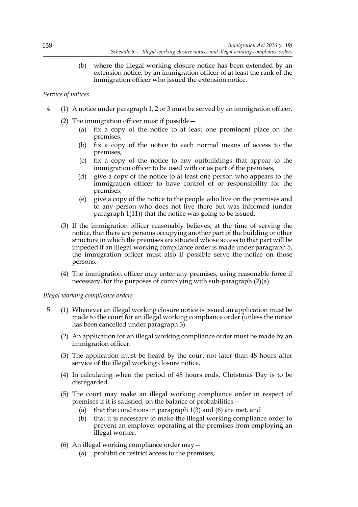(b) where the illegal working closure notice has been extended by an extension notice, by an immigration officer of at least the rank of the immigration officer who issued the extension notice.

## *Service of notices*

- 4 (1) A notice under paragraph 1, 2 or 3 must be served by an immigration officer.
	- (2) The immigration officer must if possible—
		- (a) fix a copy of the notice to at least one prominent place on the premises,
		- (b) fix a copy of the notice to each normal means of access to the premises,
		- (c) fix a copy of the notice to any outbuildings that appear to the immigration officer to be used with or as part of the premises,
		- (d) give a copy of the notice to at least one person who appears to the immigration officer to have control of or responsibility for the premises,
		- (e) give a copy of the notice to the people who live on the premises and to any person who does not live there but was informed (under paragraph 1(11)) that the notice was going to be issued.
		- (3) If the immigration officer reasonably believes, at the time of serving the notice, that there are persons occupying another part of the building or other structure in which the premises are situated whose access to that part will be impeded if an illegal working compliance order is made under paragraph 5, the immigration officer must also if possible serve the notice on those persons.
		- (4) The immigration officer may enter any premises, using reasonable force if necessary, for the purposes of complying with sub-paragraph (2)(a).

### *Illegal working compliance orders*

- 5 (1) Whenever an illegal working closure notice is issued an application must be made to the court for an illegal working compliance order (unless the notice has been cancelled under paragraph 3).
	- (2) An application for an illegal working compliance order must be made by an immigration officer.
	- (3) The application must be heard by the court not later than 48 hours after service of the illegal working closure notice.
	- (4) In calculating when the period of 48 hours ends, Christmas Day is to be disregarded.
	- (5) The court may make an illegal working compliance order in respect of premises if it is satisfied, on the balance of probabilities—
		- (a) that the conditions in paragraph 1(3) and (6) are met, and
		- (b) that it is necessary to make the illegal working compliance order to prevent an employer operating at the premises from employing an illegal worker.
	- (6) An illegal working compliance order may—
		- (a) prohibit or restrict access to the premises;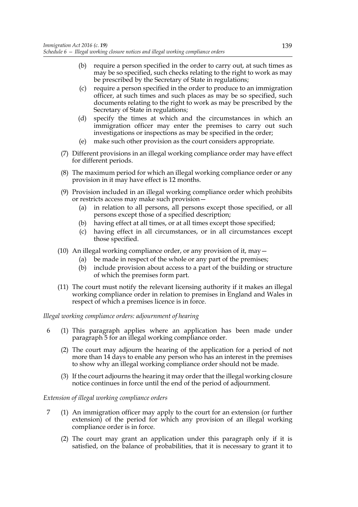- (b) require a person specified in the order to carry out, at such times as may be so specified, such checks relating to the right to work as may be prescribed by the Secretary of State in regulations;
- (c) require a person specified in the order to produce to an immigration officer, at such times and such places as may be so specified, such documents relating to the right to work as may be prescribed by the Secretary of State in regulations;
- (d) specify the times at which and the circumstances in which an immigration officer may enter the premises to carry out such investigations or inspections as may be specified in the order;
- (e) make such other provision as the court considers appropriate.
- (7) Different provisions in an illegal working compliance order may have effect for different periods.
- (8) The maximum period for which an illegal working compliance order or any provision in it may have effect is 12 months.
- (9) Provision included in an illegal working compliance order which prohibits or restricts access may make such provision—
	- (a) in relation to all persons, all persons except those specified, or all persons except those of a specified description;
	- (b) having effect at all times, or at all times except those specified;
	- (c) having effect in all circumstances, or in all circumstances except those specified.
- (10) An illegal working compliance order, or any provision of it, may  $-$ 
	- (a) be made in respect of the whole or any part of the premises;
	- (b) include provision about access to a part of the building or structure of which the premises form part.
- (11) The court must notify the relevant licensing authority if it makes an illegal working compliance order in relation to premises in England and Wales in respect of which a premises licence is in force.

*Illegal working compliance orders: adjournment of hearing*

- 6 (1) This paragraph applies where an application has been made under paragraph 5 for an illegal working compliance order.
	- (2) The court may adjourn the hearing of the application for a period of not more than 14 days to enable any person who has an interest in the premises to show why an illegal working compliance order should not be made.
	- (3) If the court adjourns the hearing it may order that the illegal working closure notice continues in force until the end of the period of adjournment.

### *Extension of illegal working compliance orders*

- 7 (1) An immigration officer may apply to the court for an extension (or further extension) of the period for which any provision of an illegal working compliance order is in force.
	- (2) The court may grant an application under this paragraph only if it is satisfied, on the balance of probabilities, that it is necessary to grant it to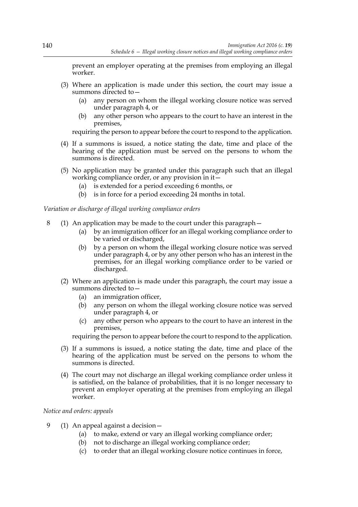prevent an employer operating at the premises from employing an illegal worker.

- (3) Where an application is made under this section, the court may issue a summons directed to—
	- (a) any person on whom the illegal working closure notice was served under paragraph 4, or
	- (b) any other person who appears to the court to have an interest in the premises,

requiring the person to appear before the court to respond to the application.

- (4) If a summons is issued, a notice stating the date, time and place of the hearing of the application must be served on the persons to whom the summons is directed.
- (5) No application may be granted under this paragraph such that an illegal working compliance order, or any provision in it—
	- (a) is extended for a period exceeding 6 months, or
	- (b) is in force for a period exceeding 24 months in total.

#### *Variation or discharge of illegal working compliance orders*

- 8 (1) An application may be made to the court under this paragraph—
	- (a) by an immigration officer for an illegal working compliance order to be varied or discharged,
	- (b) by a person on whom the illegal working closure notice was served under paragraph 4, or by any other person who has an interest in the premises, for an illegal working compliance order to be varied or discharged.
	- (2) Where an application is made under this paragraph, the court may issue a summons directed to—
		- (a) an immigration officer,
		- (b) any person on whom the illegal working closure notice was served under paragraph 4, or
		- (c) any other person who appears to the court to have an interest in the premises,

requiring the person to appear before the court to respond to the application.

- (3) If a summons is issued, a notice stating the date, time and place of the hearing of the application must be served on the persons to whom the summons is directed.
- (4) The court may not discharge an illegal working compliance order unless it is satisfied, on the balance of probabilities, that it is no longer necessary to prevent an employer operating at the premises from employing an illegal worker.

#### *Notice and orders: appeals*

- 9 (1) An appeal against a decision—
	- (a) to make, extend or vary an illegal working compliance order;
	- (b) not to discharge an illegal working compliance order;
	- (c) to order that an illegal working closure notice continues in force,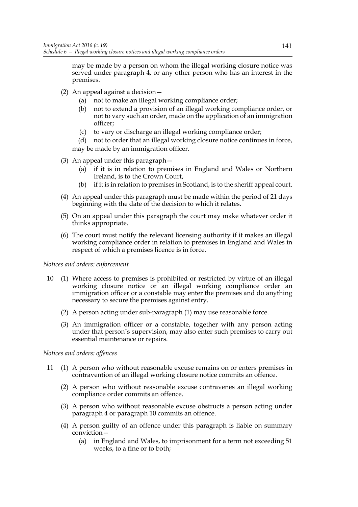may be made by a person on whom the illegal working closure notice was served under paragraph 4, or any other person who has an interest in the premises.

- (2) An appeal against a decision—
	- (a) not to make an illegal working compliance order;
	- (b) not to extend a provision of an illegal working compliance order, or not to vary such an order, made on the application of an immigration officer;
	- (c) to vary or discharge an illegal working compliance order;
	- (d) not to order that an illegal working closure notice continues in force, may be made by an immigration officer.
- (3) An appeal under this paragraph—
	- (a) if it is in relation to premises in England and Wales or Northern Ireland, is to the Crown Court,
	- (b) if it is in relation to premises in Scotland, is to the sheriff appeal court.
- (4) An appeal under this paragraph must be made within the period of 21 days beginning with the date of the decision to which it relates.
- (5) On an appeal under this paragraph the court may make whatever order it thinks appropriate.
- (6) The court must notify the relevant licensing authority if it makes an illegal working compliance order in relation to premises in England and Wales in respect of which a premises licence is in force.

### *Notices and orders: enforcement*

- 10 (1) Where access to premises is prohibited or restricted by virtue of an illegal working closure notice or an illegal working compliance order an immigration officer or a constable may enter the premises and do anything necessary to secure the premises against entry.
	- (2) A person acting under sub-paragraph (1) may use reasonable force.
	- (3) An immigration officer or a constable, together with any person acting under that person's supervision, may also enter such premises to carry out essential maintenance or repairs.

### *Notices and orders: offences*

- 11 (1) A person who without reasonable excuse remains on or enters premises in contravention of an illegal working closure notice commits an offence.
	- (2) A person who without reasonable excuse contravenes an illegal working compliance order commits an offence.
	- (3) A person who without reasonable excuse obstructs a person acting under paragraph 4 or paragraph 10 commits an offence.
	- (4) A person guilty of an offence under this paragraph is liable on summary conviction—
		- (a) in England and Wales, to imprisonment for a term not exceeding 51 weeks, to a fine or to both;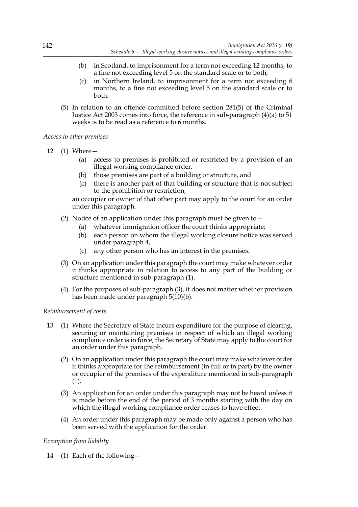- (b) in Scotland, to imprisonment for a term not exceeding 12 months, to a fine not exceeding level 5 on the standard scale or to both;
- (c) in Northern Ireland, to imprisonment for a term not exceeding 6 months, to a fine not exceeding level 5 on the standard scale or to both.
- (5) In relation to an offence committed before section 281(5) of the Criminal Justice Act 2003 comes into force, the reference in sub-paragraph (4)(a) to 51 weeks is to be read as a reference to 6 months.

*Access to other premises*

- 12 (1) Where—
	- (a) access to premises is prohibited or restricted by a provision of an illegal working compliance order,
	- (b) those premises are part of a building or structure, and
	- (c) there is another part of that building or structure that is not subject to the prohibition or restriction,

an occupier or owner of that other part may apply to the court for an order under this paragraph.

- (2) Notice of an application under this paragraph must be given to—
	- (a) whatever immigration officer the court thinks appropriate;
	- (b) each person on whom the illegal working closure notice was served under paragraph 4,
	- (c) any other person who has an interest in the premises.
- (3) On an application under this paragraph the court may make whatever order it thinks appropriate in relation to access to any part of the building or structure mentioned in sub-paragraph (1).
- (4) For the purposes of sub-paragraph (3), it does not matter whether provision has been made under paragraph 5(10)(b).

### *Reimbursement of costs*

- 13 (1) Where the Secretary of State incurs expenditure for the purpose of clearing, securing or maintaining premises in respect of which an illegal working compliance order is in force, the Secretary of State may apply to the court for an order under this paragraph.
	- (2) On an application under this paragraph the court may make whatever order it thinks appropriate for the reimbursement (in full or in part) by the owner or occupier of the premises of the expenditure mentioned in sub-paragraph (1).
	- (3) An application for an order under this paragraph may not be heard unless it is made before the end of the period of 3 months starting with the day on which the illegal working compliance order ceases to have effect.
	- (4) An order under this paragraph may be made only against a person who has been served with the application for the order.

# *Exemption from liability*

14 (1) Each of the following—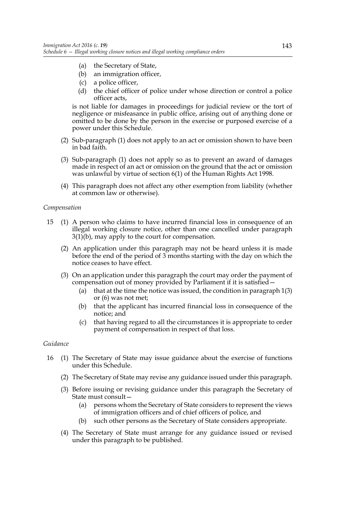- (a) the Secretary of State,
- (b) an immigration officer,
- (c) a police officer,
- (d) the chief officer of police under whose direction or control a police officer acts,

is not liable for damages in proceedings for judicial review or the tort of negligence or misfeasance in public office, arising out of anything done or omitted to be done by the person in the exercise or purposed exercise of a power under this Schedule.

- (2) Sub-paragraph (1) does not apply to an act or omission shown to have been in bad faith.
- (3) Sub-paragraph (1) does not apply so as to prevent an award of damages made in respect of an act or omission on the ground that the act or omission was unlawful by virtue of section 6(1) of the Human Rights Act 1998.
- (4) This paragraph does not affect any other exemption from liability (whether at common law or otherwise).

### *Compensation*

- 15 (1) A person who claims to have incurred financial loss in consequence of an illegal working closure notice, other than one cancelled under paragraph 3(1)(b), may apply to the court for compensation.
	- (2) An application under this paragraph may not be heard unless it is made before the end of the period of 3 months starting with the day on which the notice ceases to have effect.
	- (3) On an application under this paragraph the court may order the payment of compensation out of money provided by Parliament if it is satisfied—
		- (a) that at the time the notice was issued, the condition in paragraph  $1(3)$ or (6) was not met;
		- (b) that the applicant has incurred financial loss in consequence of the notice; and
		- (c) that having regard to all the circumstances it is appropriate to order payment of compensation in respect of that loss.

#### *Guidance*

- 16 (1) The Secretary of State may issue guidance about the exercise of functions under this Schedule.
	- (2) The Secretary of State may revise any guidance issued under this paragraph.
	- (3) Before issuing or revising guidance under this paragraph the Secretary of State must consult—
		- (a) persons whom the Secretary of State considers to represent the views of immigration officers and of chief officers of police, and
		- (b) such other persons as the Secretary of State considers appropriate.
	- (4) The Secretary of State must arrange for any guidance issued or revised under this paragraph to be published.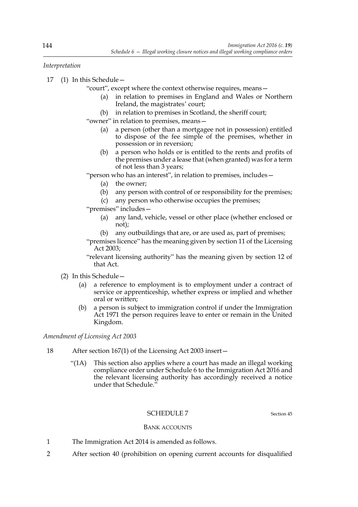*Interpretation*

17 (1) In this Schedule—

"court", except where the context otherwise requires, means—

- (a) in relation to premises in England and Wales or Northern Ireland, the magistrates' court;
- (b) in relation to premises in Scotland, the sheriff court;

"owner" in relation to premises, means—

- (a) a person (other than a mortgagee not in possession) entitled to dispose of the fee simple of the premises, whether in possession or in reversion;
- (b) a person who holds or is entitled to the rents and profits of the premises under a lease that (when granted) was for a term of not less than 3 years;

"person who has an interest", in relation to premises, includes—

- (a) the owner;
- (b) any person with control of or responsibility for the premises;
- (c) any person who otherwise occupies the premises;
- "premises" includes—
	- (a) any land, vehicle, vessel or other place (whether enclosed or not);
	- (b) any outbuildings that are, or are used as, part of premises;
- "premises licence" has the meaning given by section 11 of the Licensing Act 2003;
- "relevant licensing authority" has the meaning given by section 12 of that Act.
- (2) In this Schedule—
	- (a) a reference to employment is to employment under a contract of service or apprenticeship, whether express or implied and whether oral or written;
	- (b) a person is subject to immigration control if under the Immigration Act 1971 the person requires leave to enter or remain in the United Kingdom.

*Amendment of Licensing Act 2003*

- 18 After section 167(1) of the Licensing Act 2003 insert—
	- "(1A) This section also applies where a court has made an illegal working compliance order under Schedule 6 to the Immigration Act 2016 and the relevant licensing authority has accordingly received a notice under that Schedule."

# SCHEDULE 7 Section 45

### BANK ACCOUNTS

- 1 The Immigration Act 2014 is amended as follows.
- 2 After section 40 (prohibition on opening current accounts for disqualified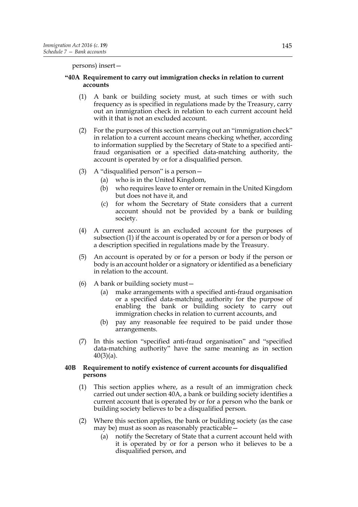persons) insert—

## **"40A Requirement to carry out immigration checks in relation to current accounts**

- (1) A bank or building society must, at such times or with such frequency as is specified in regulations made by the Treasury, carry out an immigration check in relation to each current account held with it that is not an excluded account.
- (2) For the purposes of this section carrying out an "immigration check" in relation to a current account means checking whether, according to information supplied by the Secretary of State to a specified antifraud organisation or a specified data-matching authority, the account is operated by or for a disqualified person.
- (3) A "disqualified person" is a person $-$ 
	- (a) who is in the United Kingdom,
	- (b) who requires leave to enter or remain in the United Kingdom but does not have it, and
	- (c) for whom the Secretary of State considers that a current account should not be provided by a bank or building society.
- (4) A current account is an excluded account for the purposes of subsection (1) if the account is operated by or for a person or body of a description specified in regulations made by the Treasury.
- (5) An account is operated by or for a person or body if the person or body is an account holder or a signatory or identified as a beneficiary in relation to the account.
- (6) A bank or building society must—
	- (a) make arrangements with a specified anti-fraud organisation or a specified data-matching authority for the purpose of enabling the bank or building society to carry out immigration checks in relation to current accounts, and
	- (b) pay any reasonable fee required to be paid under those arrangements.
- (7) In this section "specified anti-fraud organisation" and "specified data-matching authority" have the same meaning as in section 40(3)(a).

### **40B Requirement to notify existence of current accounts for disqualified persons**

- (1) This section applies where, as a result of an immigration check carried out under section 40A, a bank or building society identifies a current account that is operated by or for a person who the bank or building society believes to be a disqualified person.
- (2) Where this section applies, the bank or building society (as the case may be) must as soon as reasonably practicable—
	- (a) notify the Secretary of State that a current account held with it is operated by or for a person who it believes to be a disqualified person, and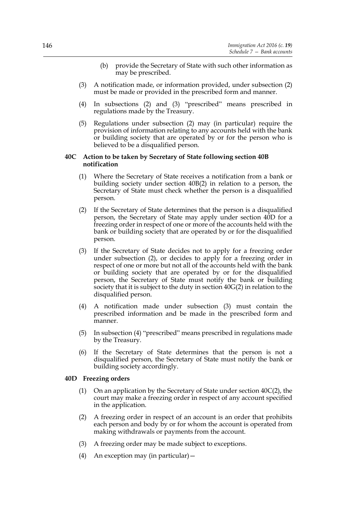- (b) provide the Secretary of State with such other information as may be prescribed.
- (3) A notification made, or information provided, under subsection (2) must be made or provided in the prescribed form and manner.
- (4) In subsections (2) and (3) "prescribed" means prescribed in regulations made by the Treasury.
- (5) Regulations under subsection (2) may (in particular) require the provision of information relating to any accounts held with the bank or building society that are operated by or for the person who is believed to be a disqualified person.

#### **40C Action to be taken by Secretary of State following section 40B notification**

- (1) Where the Secretary of State receives a notification from a bank or building society under section 40B(2) in relation to a person, the Secretary of State must check whether the person is a disqualified person.
- (2) If the Secretary of State determines that the person is a disqualified person, the Secretary of State may apply under section 40D for a freezing order in respect of one or more of the accounts held with the bank or building society that are operated by or for the disqualified person.
- (3) If the Secretary of State decides not to apply for a freezing order under subsection (2), or decides to apply for a freezing order in respect of one or more but not all of the accounts held with the bank or building society that are operated by or for the disqualified person, the Secretary of State must notify the bank or building society that it is subject to the duty in section 40G(2) in relation to the disqualified person.
- (4) A notification made under subsection (3) must contain the prescribed information and be made in the prescribed form and manner.
- (5) In subsection (4) "prescribed" means prescribed in regulations made by the Treasury.
- (6) If the Secretary of State determines that the person is not a disqualified person, the Secretary of State must notify the bank or building society accordingly.

### **40D Freezing orders**

- (1) On an application by the Secretary of State under section 40C(2), the court may make a freezing order in respect of any account specified in the application.
- (2) A freezing order in respect of an account is an order that prohibits each person and body by or for whom the account is operated from making withdrawals or payments from the account.
- (3) A freezing order may be made subject to exceptions.
- (4) An exception may (in particular)—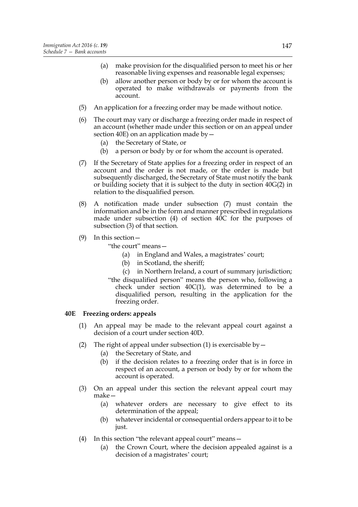- (a) make provision for the disqualified person to meet his or her reasonable living expenses and reasonable legal expenses;
- (b) allow another person or body by or for whom the account is operated to make withdrawals or payments from the account.
- (5) An application for a freezing order may be made without notice.
- (6) The court may vary or discharge a freezing order made in respect of an account (whether made under this section or on an appeal under section 40E) on an application made by  $-$ 
	- (a) the Secretary of State, or
	- (b) a person or body by or for whom the account is operated.
- (7) If the Secretary of State applies for a freezing order in respect of an account and the order is not made, or the order is made but subsequently discharged, the Secretary of State must notify the bank or building society that it is subject to the duty in section 40G(2) in relation to the disqualified person.
- (8) A notification made under subsection (7) must contain the information and be in the form and manner prescribed in regulations made under subsection (4) of section 40C for the purposes of subsection (3) of that section.
- (9) In this section—

"the court" means—

- (a) in England and Wales, a magistrates' court;
- (b) in Scotland, the sheriff;
- (c) in Northern Ireland, a court of summary jurisdiction;
- "the disqualified person" means the person who, following a check under section  $40C(1)$ , was determined to be a disqualified person, resulting in the application for the freezing order.

### **40E Freezing orders: appeals**

- (1) An appeal may be made to the relevant appeal court against a decision of a court under section 40D.
- (2) The right of appeal under subsection (1) is exercisable by  $-$ 
	- (a) the Secretary of State, and
	- (b) if the decision relates to a freezing order that is in force in respect of an account, a person or body by or for whom the account is operated.
- (3) On an appeal under this section the relevant appeal court may make—
	- (a) whatever orders are necessary to give effect to its determination of the appeal;
	- (b) whatever incidental or consequential orders appear to it to be just.
- (4) In this section "the relevant appeal court" means—
	- (a) the Crown Court, where the decision appealed against is a decision of a magistrates' court;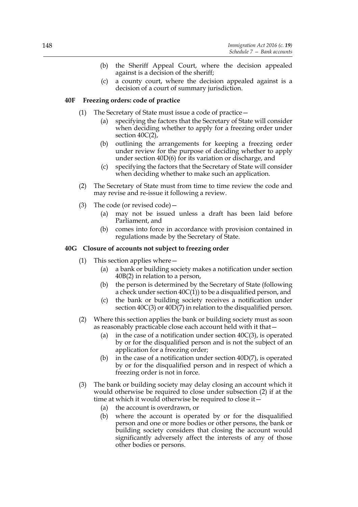- (b) the Sheriff Appeal Court, where the decision appealed against is a decision of the sheriff;
- (c) a county court, where the decision appealed against is a decision of a court of summary jurisdiction.

## **40F Freezing orders: code of practice**

- (1) The Secretary of State must issue a code of practice—
	- (a) specifying the factors that the Secretary of State will consider when deciding whether to apply for a freezing order under section 40C(2),
	- (b) outlining the arrangements for keeping a freezing order under review for the purpose of deciding whether to apply under section 40D(6) for its variation or discharge, and
	- (c) specifying the factors that the Secretary of State will consider when deciding whether to make such an application.
- (2) The Secretary of State must from time to time review the code and may revise and re-issue it following a review.
- (3) The code (or revised code)—
	- (a) may not be issued unless a draft has been laid before Parliament, and
	- (b) comes into force in accordance with provision contained in regulations made by the Secretary of State.

### **40G Closure of accounts not subject to freezing order**

- (1) This section applies where—
	- (a) a bank or building society makes a notification under section 40B(2) in relation to a person,
	- (b) the person is determined by the Secretary of State (following a check under section  $40C(1)$ ) to be a disqualified person, and
	- (c) the bank or building society receives a notification under section 40C(3) or 40D(7) in relation to the disqualified person.
- (2) Where this section applies the bank or building society must as soon as reasonably practicable close each account held with it that—
	- (a) in the case of a notification under section  $40C(3)$ , is operated by or for the disqualified person and is not the subject of an application for a freezing order;
	- (b) in the case of a notification under section 40D(7), is operated by or for the disqualified person and in respect of which a freezing order is not in force.
- (3) The bank or building society may delay closing an account which it would otherwise be required to close under subsection (2) if at the time at which it would otherwise be required to close it—
	- (a) the account is overdrawn, or
	- (b) where the account is operated by or for the disqualified person and one or more bodies or other persons, the bank or building society considers that closing the account would significantly adversely affect the interests of any of those other bodies or persons.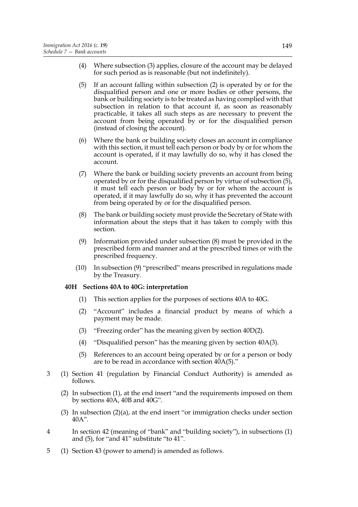- (4) Where subsection (3) applies, closure of the account may be delayed for such period as is reasonable (but not indefinitely).
- (5) If an account falling within subsection (2) is operated by or for the disqualified person and one or more bodies or other persons, the bank or building society is to be treated as having complied with that subsection in relation to that account if, as soon as reasonably practicable, it takes all such steps as are necessary to prevent the account from being operated by or for the disqualified person (instead of closing the account).
- (6) Where the bank or building society closes an account in compliance with this section, it must tell each person or body by or for whom the account is operated, if it may lawfully do so, why it has closed the account.
- (7) Where the bank or building society prevents an account from being operated by or for the disqualified person by virtue of subsection (5), it must tell each person or body by or for whom the account is operated, if it may lawfully do so, why it has prevented the account from being operated by or for the disqualified person.
- (8) The bank or building society must provide the Secretary of State with information about the steps that it has taken to comply with this section.
- (9) Information provided under subsection (8) must be provided in the prescribed form and manner and at the prescribed times or with the prescribed frequency.
- (10) In subsection (9) "prescribed" means prescribed in regulations made by the Treasury.

#### **40H Sections 40A to 40G: interpretation**

- (1) This section applies for the purposes of sections 40A to 40G.
- (2) "Account" includes a financial product by means of which a payment may be made.
- (3) "Freezing order" has the meaning given by section 40D(2).
- (4) "Disqualified person" has the meaning given by section 40A(3).
- (5) References to an account being operated by or for a person or body are to be read in accordance with section 40A(5)."
- 3 (1) Section 41 (regulation by Financial Conduct Authority) is amended as follows.
	- (2) In subsection (1), at the end insert "and the requirements imposed on them by sections 40A, 40B and 40G".
	- (3) In subsection  $(2)(a)$ , at the end insert "or immigration checks under section 40A".
- 4 In section 42 (meaning of "bank" and "building society"), in subsections (1) and (5), for "and 41" substitute "to 41".
- 5 (1) Section 43 (power to amend) is amended as follows.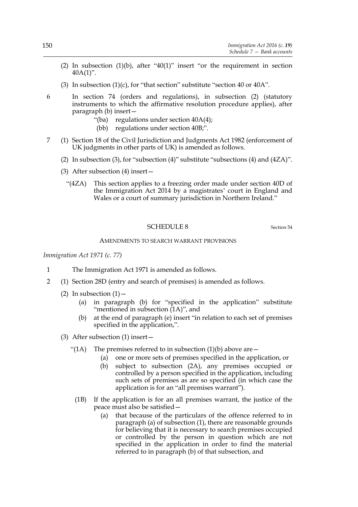- (2) In subsection  $(1)(b)$ , after "40(1)" insert "or the requirement in section 40A(1)".
- (3) In subsection  $(1)(c)$ , for "that section" substitute "section 40 or 40A".
- 6 In section 74 (orders and regulations), in subsection (2) (statutory instruments to which the affirmative resolution procedure applies), after paragraph (b) insert—
	- "(ba) regulations under section  $40A(4)$ ;
	- (bb) regulations under section 40B;".
- 7 (1) Section 18 of the Civil Jurisdiction and Judgments Act 1982 (enforcement of UK judgments in other parts of UK) is amended as follows.
	- (2) In subsection (3), for "subsection (4)" substitute "subsections (4) and  $(4ZA)$ ".
	- (3) After subsection (4) insert—
		- "(4ZA) This section applies to a freezing order made under section 40D of the Immigration Act 2014 by a magistrates' court in England and Wales or a court of summary jurisdiction in Northern Ireland."

### SCHEDULE 8 Section 54

#### AMENDMENTS TO SEARCH WARRANT PROVISIONS

*Immigration Act 1971 (c. 77)*

- 1 The Immigration Act 1971 is amended as follows.
- 2 (1) Section 28D (entry and search of premises) is amended as follows.
	- (2) In subsection  $(1)$  -
		- (a) in paragraph (b) for "specified in the application" substitute "mentioned in subsection  $(1A)$ ", and
		- (b) at the end of paragraph (e) insert "in relation to each set of premises specified in the application,".
	- (3) After subsection (1) insert—
		- "(1A) The premises referred to in subsection  $(1)(b)$  above are  $-$ 
			- (a) one or more sets of premises specified in the application, or
			- (b) subject to subsection (2A), any premises occupied or controlled by a person specified in the application, including such sets of premises as are so specified (in which case the application is for an "all premises warrant").
		- (1B) If the application is for an all premises warrant, the justice of the peace must also be satisfied—
			- (a) that because of the particulars of the offence referred to in paragraph (a) of subsection (1), there are reasonable grounds for believing that it is necessary to search premises occupied or controlled by the person in question which are not specified in the application in order to find the material referred to in paragraph (b) of that subsection, and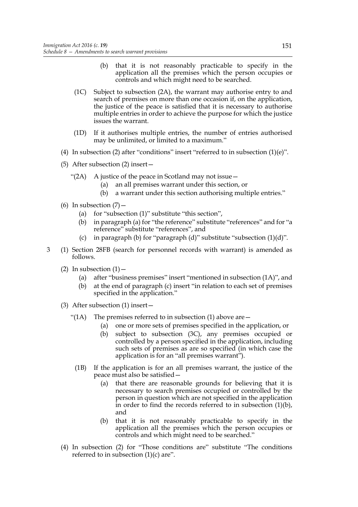- (b) that it is not reasonably practicable to specify in the application all the premises which the person occupies or controls and which might need to be searched.
- (1C) Subject to subsection (2A), the warrant may authorise entry to and search of premises on more than one occasion if, on the application, the justice of the peace is satisfied that it is necessary to authorise multiple entries in order to achieve the purpose for which the justice issues the warrant.
- (1D) If it authorises multiple entries, the number of entries authorised may be unlimited, or limited to a maximum."
- (4) In subsection (2) after "conditions" insert "referred to in subsection  $(1)(e)$ ".
- (5) After subsection (2) insert—
	- "(2A) A justice of the peace in Scotland may not issue  $-$ 
		- (a) an all premises warrant under this section, or
		- (b) a warrant under this section authorising multiple entries."
- (6) In subsection  $(7)$ 
	- (a) for "subsection (1)" substitute "this section",
	- (b) in paragraph (a) for "the reference" substitute "references" and for "a reference" substitute "references", and
	- (c) in paragraph (b) for "paragraph (d)" substitute "subsection  $(1)(d)$ ".
- 3 (1) Section 28FB (search for personnel records with warrant) is amended as follows.
	- (2) In subsection  $(1)$ 
		- (a) after "business premises" insert "mentioned in subsection (1A)", and
		- (b) at the end of paragraph (c) insert "in relation to each set of premises specified in the application."
	- (3) After subsection (1) insert—
		- "(1A) The premises referred to in subsection (1) above are  $-$ 
			- (a) one or more sets of premises specified in the application, or
			- (b) subject to subsection (3C), any premises occupied or controlled by a person specified in the application, including such sets of premises as are so specified (in which case the application is for an "all premises warrant").
		- (1B) If the application is for an all premises warrant, the justice of the peace must also be satisfied—
			- (a) that there are reasonable grounds for believing that it is necessary to search premises occupied or controlled by the person in question which are not specified in the application in order to find the records referred to in subsection (1)(b), and
			- (b) that it is not reasonably practicable to specify in the application all the premises which the person occupies or controls and which might need to be searched."
	- (4) In subsection (2) for "Those conditions are" substitute "The conditions referred to in subsection  $(1)(c)$  are".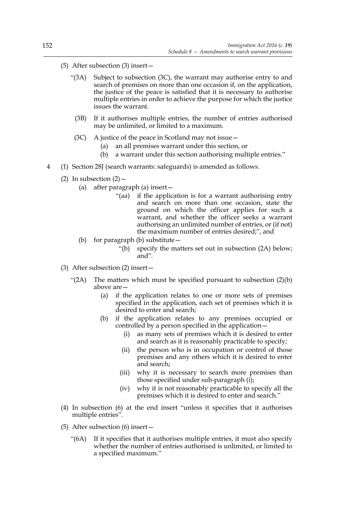- (5) After subsection (3) insert—
	- "(3A) Subject to subsection (3C), the warrant may authorise entry to and search of premises on more than one occasion if, on the application, the justice of the peace is satisfied that it is necessary to authorise multiple entries in order to achieve the purpose for which the justice issues the warrant.
		- (3B) If it authorises multiple entries, the number of entries authorised may be unlimited, or limited to a maximum.
	- (3C) A justice of the peace in Scotland may not issue—
		- (a) an all premises warrant under this section, or
		- (b) a warrant under this section authorising multiple entries."
- 4 (1) Section 28J (search warrants: safeguards) is amended as follows.
	- (2) In subsection  $(2)$ 
		- (a) after paragraph (a) insert—
			- "(aa) if the application is for a warrant authorising entry and search on more than one occasion, state the ground on which the officer applies for such a warrant, and whether the officer seeks a warrant authorising an unlimited number of entries, or (if not) the maximum number of entries desired;", and
		- (b) for paragraph (b) substitute—
			- "(b) specify the matters set out in subsection (2A) below; and".
	- (3) After subsection (2) insert—
		- " $(2A)$  The matters which must be specified pursuant to subsection  $(2)(b)$ above are—
			- (a) if the application relates to one or more sets of premises specified in the application, each set of premises which it is desired to enter and search;
			- (b) if the application relates to any premises occupied or controlled by a person specified in the application—
				- (i) as many sets of premises which it is desired to enter and search as it is reasonably practicable to specify;
				- (ii) the person who is in occupation or control of those premises and any others which it is desired to enter and search;
				- (iii) why it is necessary to search more premises than those specified under sub-paragraph (i);
				- (iv) why it is not reasonably practicable to specify all the premises which it is desired to enter and search."
	- (4) In subsection (6) at the end insert "unless it specifies that it authorises multiple entries".
	- (5) After subsection (6) insert—
		- "(6A) If it specifies that it authorises multiple entries, it must also specify whether the number of entries authorised is unlimited, or limited to a specified maximum."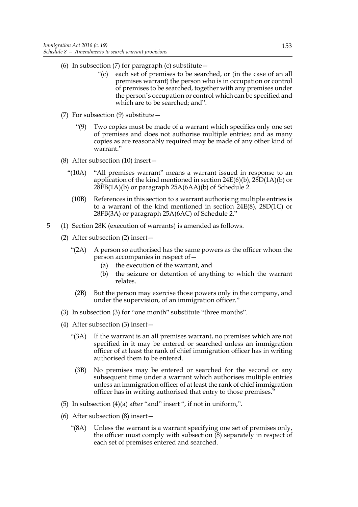- (6) In subsection (7) for paragraph (c) substitute  $-$ 
	- "(c) each set of premises to be searched, or (in the case of an all premises warrant) the person who is in occupation or control of premises to be searched, together with any premises under the person's occupation or control which can be specified and which are to be searched; and".
- (7) For subsection (9) substitute—
	- "(9) Two copies must be made of a warrant which specifies only one set of premises and does not authorise multiple entries; and as many copies as are reasonably required may be made of any other kind of warrant."
- (8) After subsection (10) insert—
	- "(10A) "All premises warrant" means a warrant issued in response to an application of the kind mentioned in section  $24E(6)(b)$ ,  $28D(1A)(b)$  or  $28FB(1A)(b)$  or paragraph  $25A(6AA)(b)$  of Schedule 2.
		- (10B) References in this section to a warrant authorising multiple entries is to a warrant of the kind mentioned in section 24E(8), 28D(1C) or 28FB(3A) or paragraph 25A(6AC) of Schedule 2."
- 5 (1) Section 28K (execution of warrants) is amended as follows.
	- (2) After subsection (2) insert—
		- "(2A) A person so authorised has the same powers as the officer whom the person accompanies in respect of—
			- (a) the execution of the warrant, and
			- (b) the seizure or detention of anything to which the warrant relates.
		- (2B) But the person may exercise those powers only in the company, and under the supervision, of an immigration officer."
	- (3) In subsection (3) for "one month" substitute "three months".
	- (4) After subsection (3) insert—
		- "(3A) If the warrant is an all premises warrant, no premises which are not specified in it may be entered or searched unless an immigration officer of at least the rank of chief immigration officer has in writing authorised them to be entered.
			- (3B) No premises may be entered or searched for the second or any subsequent time under a warrant which authorises multiple entries unless an immigration officer of at least the rank of chief immigration officer has in writing authorised that entry to those premises."
	- (5) In subsection  $(4)(a)$  after "and" insert ", if not in uniform,".
	- (6) After subsection (8) insert—
		- "(8A) Unless the warrant is a warrant specifying one set of premises only, the officer must comply with subsection  $(8)$  separately in respect of each set of premises entered and searched.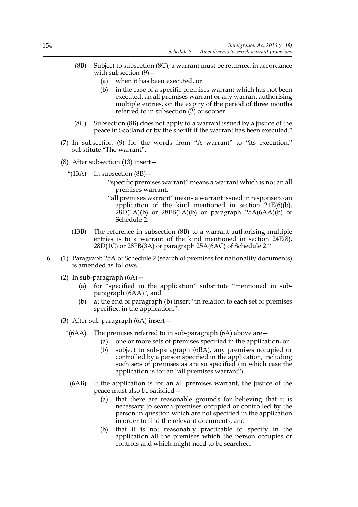- (8B) Subject to subsection (8C), a warrant must be returned in accordance with subsection  $(9)$  –
	- (a) when it has been executed, or
	- (b) in the case of a specific premises warrant which has not been executed, an all premises warrant or any warrant authorising multiple entries, on the expiry of the period of three months referred to in subsection (3) or sooner.
- (8C) Subsection (8B) does not apply to a warrant issued by a justice of the peace in Scotland or by the sheriff if the warrant has been executed."
- (7) In subsection (9) for the words from "A warrant" to "its execution," substitute "The warrant".
- (8) After subsection (13) insert—
	- " $(13A)$  In subsection  $(8B)$  -
		- "specific premises warrant" means a warrant which is not an all premises warrant;
		- "all premises warrant" means a warrant issued in response to an application of the kind mentioned in section  $24E(6)(b)$ ,  $28D(1A)(b)$  or  $28FB(1A)(b)$  or paragraph  $25A(6AA)(b)$  of Schedule 2.
		- (13B) The reference in subsection (8B) to a warrant authorising multiple entries is to a warrant of the kind mentioned in section 24E(8), 28D(1C) or 28FB(3A) or paragraph 25A(6AC) of Schedule 2."
- 6 (1) Paragraph 25A of Schedule 2 (search of premises for nationality documents) is amended as follows.
	- (2) In sub-paragraph  $(6A)$ 
		- (a) for "specified in the application" substitute "mentioned in subparagraph (6AA)", and
		- (b) at the end of paragraph (b) insert "in relation to each set of premises specified in the application,".
	- (3) After sub-paragraph (6A) insert—
		- "( $6AA$ ) The premises referred to in sub-paragraph  $(6A)$  above are  $-$ 
			- (a) one or more sets of premises specified in the application, or
			- (b) subject to sub-paragraph (6BA), any premises occupied or controlled by a person specified in the application, including such sets of premises as are so specified (in which case the application is for an "all premises warrant").
		- (6AB) If the application is for an all premises warrant, the justice of the peace must also be satisfied—
			- (a) that there are reasonable grounds for believing that it is necessary to search premises occupied or controlled by the person in question which are not specified in the application in order to find the relevant documents, and
			- (b) that it is not reasonably practicable to specify in the application all the premises which the person occupies or controls and which might need to be searched.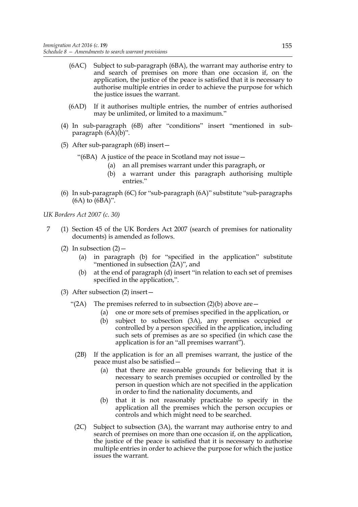- (6AC) Subject to sub-paragraph (6BA), the warrant may authorise entry to and search of premises on more than one occasion if, on the application, the justice of the peace is satisfied that it is necessary to authorise multiple entries in order to achieve the purpose for which the justice issues the warrant.
- (6AD) If it authorises multiple entries, the number of entries authorised may be unlimited, or limited to a maximum."
- (4) In sub-paragraph (6B) after "conditions" insert "mentioned in subparagraph (6A)(b)".
- (5) After sub-paragraph (6B) insert—
	- "(6BA) A justice of the peace in Scotland may not issue—
		- (a) an all premises warrant under this paragraph, or
		- (b) a warrant under this paragraph authorising multiple entries."
- (6) In sub-paragraph (6C) for "sub-paragraph (6A)" substitute "sub-paragraphs (6A) to (6BA)".

*UK Borders Act 2007 (c. 30)*

- 7 (1) Section 45 of the UK Borders Act 2007 (search of premises for nationality documents) is amended as follows.
	- (2) In subsection  $(2)$  -
		- (a) in paragraph (b) for "specified in the application" substitute "mentioned in subsection (2A)", and
		- (b) at the end of paragraph (d) insert "in relation to each set of premises specified in the application,".
	- (3) After subsection (2) insert—
		- "(2A) The premises referred to in subsection  $(2)(b)$  above are  $-$ 
			- (a) one or more sets of premises specified in the application, or
			- (b) subject to subsection (3A), any premises occupied or controlled by a person specified in the application, including such sets of premises as are so specified (in which case the application is for an "all premises warrant").
			- (2B) If the application is for an all premises warrant, the justice of the peace must also be satisfied—
				- (a) that there are reasonable grounds for believing that it is necessary to search premises occupied or controlled by the person in question which are not specified in the application in order to find the nationality documents, and
				- (b) that it is not reasonably practicable to specify in the application all the premises which the person occupies or controls and which might need to be searched.
		- (2C) Subject to subsection (3A), the warrant may authorise entry to and search of premises on more than one occasion if, on the application, the justice of the peace is satisfied that it is necessary to authorise multiple entries in order to achieve the purpose for which the justice issues the warrant.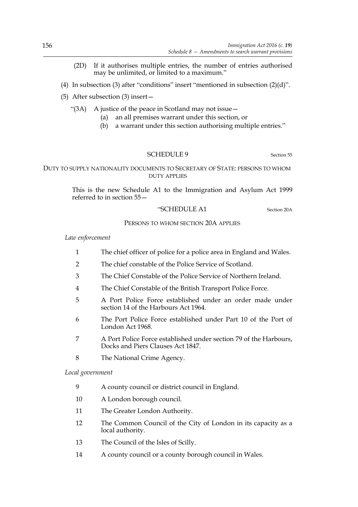- (2D) If it authorises multiple entries, the number of entries authorised may be unlimited, or limited to a maximum."
- (4) In subsection (3) after "conditions" insert "mentioned in subsection  $(2)(d)$ ".
- (5) After subsection (3) insert—
	- "(3A) A justice of the peace in Scotland may not issue—
		- (a) an all premises warrant under this section, or
		- (b) a warrant under this section authorising multiple entries."

#### SCHEDULE 9 Section 55

### DUTY TO SUPPLY NATIONALITY DOCUMENTS TO SECRETARY OF STATE: PERSONS TO WHOM DUTY APPLIES

This is the new Schedule A1 to the Immigration and Asylum Act 1999 referred to in section 55—

#### "SCHEDULE A1 Section 20A

#### PERSONS TO WHOM SECTION 20A APPLIES

*Law enforcement*

- 1 The chief officer of police for a police area in England and Wales.
- 2 The chief constable of the Police Service of Scotland.
- 3 The Chief Constable of the Police Service of Northern Ireland.
- 4 The Chief Constable of the British Transport Police Force.
- 5 A Port Police Force established under an order made under section 14 of the Harbours Act 1964.
- 6 The Port Police Force established under Part 10 of the Port of London Act 1968.
- 7 A Port Police Force established under section 79 of the Harbours, Docks and Piers Clauses Act 1847.
- 8 The National Crime Agency.

*Local government*

- 9 A county council or district council in England.
- 10 A London borough council.
- 11 The Greater London Authority.
- 12 The Common Council of the City of London in its capacity as a local authority.
- 13 The Council of the Isles of Scilly.
- 14 A county council or a county borough council in Wales.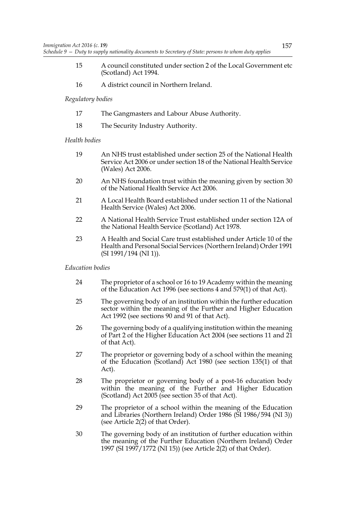- 15 A council constituted under section 2 of the Local Government etc (Scotland) Act 1994.
- 16 A district council in Northern Ireland.

### *Regulatory bodies*

- 17 The Gangmasters and Labour Abuse Authority.
- 18 The Security Industry Authority.

### *Health bodies*

- 19 An NHS trust established under section 25 of the National Health Service Act 2006 or under section 18 of the National Health Service (Wales) Act 2006.
- 20 An NHS foundation trust within the meaning given by section 30 of the National Health Service Act 2006.
- 21 A Local Health Board established under section 11 of the National Health Service (Wales) Act 2006.
- 22 A National Health Service Trust established under section 12A of the National Health Service (Scotland) Act 1978.
- 23 A Health and Social Care trust established under Article 10 of the Health and Personal Social Services (Northern Ireland) Order 1991 (SI 1991/194 (NI 1)).

### *Education bodies*

- 24 The proprietor of a school or 16 to 19 Academy within the meaning of the Education Act 1996 (see sections 4 and 579(1) of that Act).
- 25 The governing body of an institution within the further education sector within the meaning of the Further and Higher Education Act 1992 (see sections 90 and 91 of that Act).
- 26 The governing body of a qualifying institution within the meaning of Part 2 of the Higher Education Act 2004 (see sections 11 and 21 of that Act).
- 27 The proprietor or governing body of a school within the meaning of the Education (Scotland) Act 1980 (see section 135(1) of that Act).
- 28 The proprietor or governing body of a post-16 education body within the meaning of the Further and Higher Education (Scotland) Act 2005 (see section 35 of that Act).
- 29 The proprietor of a school within the meaning of the Education and Libraries (Northern Ireland) Order 1986 (SI 1986/594 (NI 3)) (see Article  $2(2)$ ) of that Order).
- 30 The governing body of an institution of further education within the meaning of the Further Education (Northern Ireland) Order 1997 (SI 1997/1772 (NI 15)) (see Article 2(2) of that Order).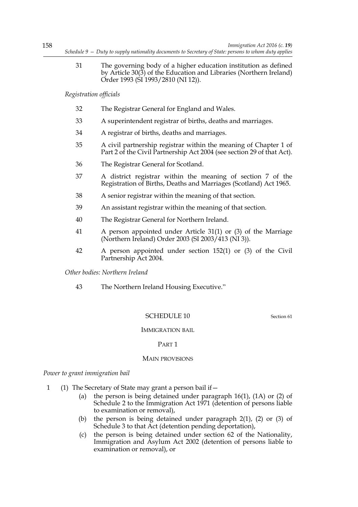31 The governing body of a higher education institution as defined by Article 30(3) of the Education and Libraries (Northern Ireland) Order 1993 (SI 1993/2810 (NI 12)).

*Registration officials*

- 32 The Registrar General for England and Wales.
- 33 A superintendent registrar of births, deaths and marriages.
- 34 A registrar of births, deaths and marriages.
- 35 A civil partnership registrar within the meaning of Chapter 1 of Part 2 of the Civil Partnership Act 2004 (see section 29 of that Act).
- 36 The Registrar General for Scotland.
- 37 A district registrar within the meaning of section 7 of the Registration of Births, Deaths and Marriages (Scotland) Act 1965.
- 38 A senior registrar within the meaning of that section.
- 39 An assistant registrar within the meaning of that section.
- 40 The Registrar General for Northern Ireland.
- 41 A person appointed under Article 31(1) or (3) of the Marriage (Northern Ireland) Order 2003 (SI 2003/413 (NI 3)).
- 42 A person appointed under section 152(1) or (3) of the Civil Partnership Act 2004.

*Other bodies: Northern Ireland*

43 The Northern Ireland Housing Executive."

# SCHEDULE 10 Section 61

### IMMIGRATION BAIL

### PART 1

### MAIN PROVISIONS

*Power to grant immigration bail*

- 1 (1) The Secretary of State may grant a person bail if—
	- (a) the person is being detained under paragraph 16(1), (1A) or (2) of Schedule 2 to the Immigration Act 1971 (detention of persons liable to examination or removal),
	- (b) the person is being detained under paragraph 2(1), (2) or (3) of Schedule 3 to that Act (detention pending deportation),
	- (c) the person is being detained under section 62 of the Nationality, Immigration and Asylum Act 2002 (detention of persons liable to examination or removal), or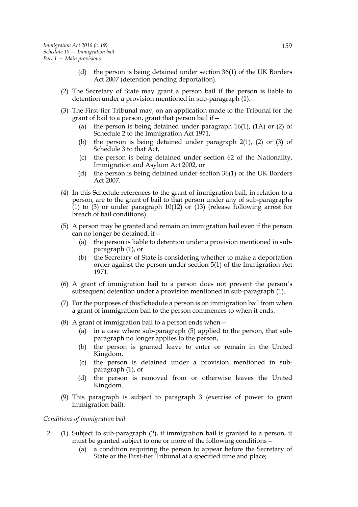- (d) the person is being detained under section 36(1) of the UK Borders Act 2007 (detention pending deportation).
- (2) The Secretary of State may grant a person bail if the person is liable to detention under a provision mentioned in sub-paragraph (1).
- (3) The First-tier Tribunal may, on an application made to the Tribunal for the grant of bail to a person, grant that person bail if—
	- (a) the person is being detained under paragraph 16(1), (1A) or (2) of Schedule 2 to the Immigration Act 1971,
	- (b) the person is being detained under paragraph 2(1), (2) or (3) of Schedule 3 to that Act.
	- (c) the person is being detained under section 62 of the Nationality, Immigration and Asylum Act 2002, or
	- (d) the person is being detained under section 36(1) of the UK Borders Act 2007.
- (4) In this Schedule references to the grant of immigration bail, in relation to a person, are to the grant of bail to that person under any of sub-paragraphs  $(1)$  to (3) or under paragraph 10(12) or (13) (release following arrest for breach of bail conditions).
- (5) A person may be granted and remain on immigration bail even if the person can no longer be detained, if—
	- (a) the person is liable to detention under a provision mentioned in subparagraph (1), or
	- (b) the Secretary of State is considering whether to make a deportation order against the person under section 5(1) of the Immigration Act 1971.
- (6) A grant of immigration bail to a person does not prevent the person's subsequent detention under a provision mentioned in sub-paragraph (1).
- (7) For the purposes of this Schedule a person is on immigration bail from when a grant of immigration bail to the person commences to when it ends.
- (8) A grant of immigration bail to a person ends when  $-$ 
	- (a) in a case where sub-paragraph (5) applied to the person, that subparagraph no longer applies to the person,
	- (b) the person is granted leave to enter or remain in the United Kingdom,
	- (c) the person is detained under a provision mentioned in subparagraph (1), or
	- (d) the person is removed from or otherwise leaves the United Kingdom.
- (9) This paragraph is subject to paragraph 3 (exercise of power to grant immigration bail).

#### *Conditions of immigration bail*

- 2 (1) Subject to sub-paragraph (2), if immigration bail is granted to a person, it must be granted subject to one or more of the following conditions—
	- (a) a condition requiring the person to appear before the Secretary of State or the First-tier Tribunal at a specified time and place;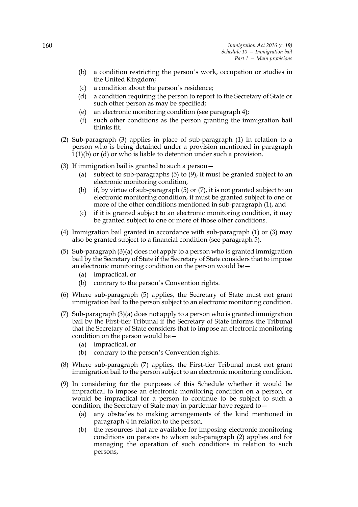- (b) a condition restricting the person's work, occupation or studies in the United Kingdom;
- (c) a condition about the person's residence;
- (d) a condition requiring the person to report to the Secretary of State or such other person as may be specified;
- (e) an electronic monitoring condition (see paragraph 4);
- (f) such other conditions as the person granting the immigration bail thinks fit.
- (2) Sub-paragraph (3) applies in place of sub-paragraph (1) in relation to a person who is being detained under a provision mentioned in paragraph 1(1)(b) or (d) or who is liable to detention under such a provision.
- (3) If immigration bail is granted to such a person—
	- (a) subject to sub-paragraphs (5) to (9), it must be granted subject to an electronic monitoring condition,
	- (b) if, by virtue of sub-paragraph (5) or (7), it is not granted subject to an electronic monitoring condition, it must be granted subject to one or more of the other conditions mentioned in sub-paragraph (1), and
	- (c) if it is granted subject to an electronic monitoring condition, it may be granted subject to one or more of those other conditions.
- (4) Immigration bail granted in accordance with sub-paragraph (1) or (3) may also be granted subject to a financial condition (see paragraph 5).
- (5) Sub-paragraph (3)(a) does not apply to a person who is granted immigration bail by the Secretary of State if the Secretary of State considers that to impose an electronic monitoring condition on the person would be—
	- (a) impractical, or
	- (b) contrary to the person's Convention rights.
- (6) Where sub-paragraph (5) applies, the Secretary of State must not grant immigration bail to the person subject to an electronic monitoring condition.
- (7) Sub-paragraph (3)(a) does not apply to a person who is granted immigration bail by the First-tier Tribunal if the Secretary of State informs the Tribunal that the Secretary of State considers that to impose an electronic monitoring condition on the person would be—
	- (a) impractical, or
	- (b) contrary to the person's Convention rights.
- (8) Where sub-paragraph (7) applies, the First-tier Tribunal must not grant immigration bail to the person subject to an electronic monitoring condition.
- (9) In considering for the purposes of this Schedule whether it would be impractical to impose an electronic monitoring condition on a person, or would be impractical for a person to continue to be subject to such a condition, the Secretary of State may in particular have regard to -
	- (a) any obstacles to making arrangements of the kind mentioned in paragraph 4 in relation to the person,
	- (b) the resources that are available for imposing electronic monitoring conditions on persons to whom sub-paragraph (2) applies and for managing the operation of such conditions in relation to such persons,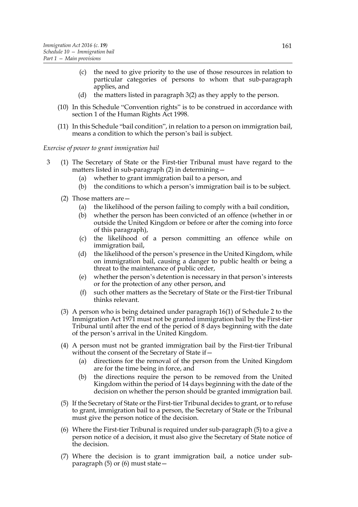- (c) the need to give priority to the use of those resources in relation to particular categories of persons to whom that sub-paragraph applies, and
- (d) the matters listed in paragraph 3(2) as they apply to the person.
- (10) In this Schedule "Convention rights" is to be construed in accordance with section 1 of the Human Rights Act 1998.
- (11) In this Schedule "bail condition", in relation to a person on immigration bail, means a condition to which the person's bail is subject.

*Exercise of power to grant immigration bail*

- 3 (1) The Secretary of State or the First-tier Tribunal must have regard to the matters listed in sub-paragraph (2) in determining—
	- (a) whether to grant immigration bail to a person, and
	- (b) the conditions to which a person's immigration bail is to be subject.
	- (2) Those matters are—
		- (a) the likelihood of the person failing to comply with a bail condition,
		- (b) whether the person has been convicted of an offence (whether in or outside the United Kingdom or before or after the coming into force of this paragraph),
		- (c) the likelihood of a person committing an offence while on immigration bail,
		- (d) the likelihood of the person's presence in the United Kingdom, while on immigration bail, causing a danger to public health or being a threat to the maintenance of public order,
		- (e) whether the person's detention is necessary in that person's interests or for the protection of any other person, and
		- (f) such other matters as the Secretary of State or the First-tier Tribunal thinks relevant.
	- (3) A person who is being detained under paragraph 16(1) of Schedule 2 to the Immigration Act 1971 must not be granted immigration bail by the First-tier Tribunal until after the end of the period of 8 days beginning with the date of the person's arrival in the United Kingdom.
	- (4) A person must not be granted immigration bail by the First-tier Tribunal without the consent of the Secretary of State if –
		- (a) directions for the removal of the person from the United Kingdom are for the time being in force, and
		- (b) the directions require the person to be removed from the United Kingdom within the period of 14 days beginning with the date of the decision on whether the person should be granted immigration bail.
	- (5) If the Secretary of State or the First-tier Tribunal decides to grant, or to refuse to grant, immigration bail to a person, the Secretary of State or the Tribunal must give the person notice of the decision.
	- (6) Where the First-tier Tribunal is required under sub-paragraph (5) to a give a person notice of a decision, it must also give the Secretary of State notice of the decision.
	- (7) Where the decision is to grant immigration bail, a notice under subparagraph (5) or (6) must state—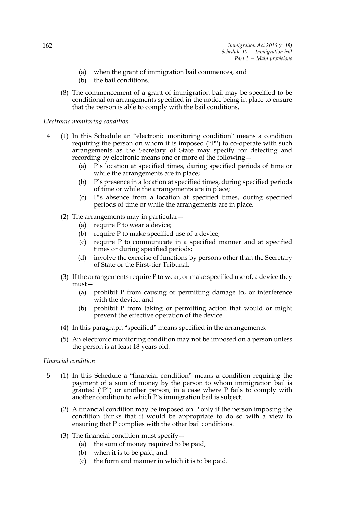- (a) when the grant of immigration bail commences, and
- (b) the bail conditions.
- (8) The commencement of a grant of immigration bail may be specified to be conditional on arrangements specified in the notice being in place to ensure that the person is able to comply with the bail conditions.

### *Electronic monitoring condition*

- 4 (1) In this Schedule an "electronic monitoring condition" means a condition requiring the person on whom it is imposed ("P") to co-operate with such arrangements as the Secretary of State may specify for detecting and recording by electronic means one or more of the following—
	- (a) P's location at specified times, during specified periods of time or while the arrangements are in place;
	- (b) P's presence in a location at specified times, during specified periods of time or while the arrangements are in place;
	- (c) P's absence from a location at specified times, during specified periods of time or while the arrangements are in place.
	- (2) The arrangements may in particular—
		- (a) require P to wear a device;
		- (b) require P to make specified use of a device;
		- (c) require P to communicate in a specified manner and at specified times or during specified periods;
		- (d) involve the exercise of functions by persons other than the Secretary of State or the First-tier Tribunal.
	- (3) If the arrangements require P to wear, or make specified use of, a device they must—
		- (a) prohibit P from causing or permitting damage to, or interference with the device, and
		- (b) prohibit P from taking or permitting action that would or might prevent the effective operation of the device.
	- (4) In this paragraph "specified" means specified in the arrangements.
	- (5) An electronic monitoring condition may not be imposed on a person unless the person is at least 18 years old.

### *Financial condition*

- 5 (1) In this Schedule a "financial condition" means a condition requiring the payment of a sum of money by the person to whom immigration bail is granted ("P") or another person, in a case where P fails to comply with another condition to which P's immigration bail is subject.
	- (2) A financial condition may be imposed on P only if the person imposing the condition thinks that it would be appropriate to do so with a view to ensuring that P complies with the other bail conditions.
	- (3) The financial condition must specify  $-$ 
		- (a) the sum of money required to be paid,
		- (b) when it is to be paid, and
		- (c) the form and manner in which it is to be paid.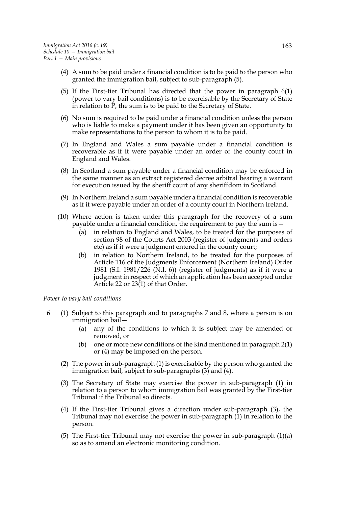- (4) A sum to be paid under a financial condition is to be paid to the person who granted the immigration bail, subject to sub-paragraph (5).
- (5) If the First-tier Tribunal has directed that the power in paragraph 6(1) (power to vary bail conditions) is to be exercisable by the Secretary of State in relation to P, the sum is to be paid to the Secretary of State.
- (6) No sum is required to be paid under a financial condition unless the person who is liable to make a payment under it has been given an opportunity to make representations to the person to whom it is to be paid.
- (7) In England and Wales a sum payable under a financial condition is recoverable as if it were payable under an order of the county court in England and Wales.
- (8) In Scotland a sum payable under a financial condition may be enforced in the same manner as an extract registered decree arbitral bearing a warrant for execution issued by the sheriff court of any sheriffdom in Scotland.
- (9) In Northern Ireland a sum payable under a financial condition is recoverable as if it were payable under an order of a county court in Northern Ireland.
- (10) Where action is taken under this paragraph for the recovery of a sum payable under a financial condition, the requirement to pay the sum is—
	- (a) in relation to England and Wales, to be treated for the purposes of section 98 of the Courts Act 2003 (register of judgments and orders etc) as if it were a judgment entered in the county court;
	- (b) in relation to Northern Ireland, to be treated for the purposes of Article 116 of the Judgments Enforcement (Northern Ireland) Order 1981 (S.I. 1981/226 (N.I. 6)) (register of judgments) as if it were a judgment in respect of which an application has been accepted under Article 22 or 23(1) of that Order.

*Power to vary bail conditions*

- 6 (1) Subject to this paragraph and to paragraphs 7 and 8, where a person is on immigration bail—
	- (a) any of the conditions to which it is subject may be amended or removed, or
	- (b) one or more new conditions of the kind mentioned in paragraph 2(1) or (4) may be imposed on the person.
	- (2) The power in sub-paragraph (1) is exercisable by the person who granted the immigration bail, subject to sub-paragraphs  $(3)$  and  $(4)$ .
	- (3) The Secretary of State may exercise the power in sub-paragraph (1) in relation to a person to whom immigration bail was granted by the First-tier Tribunal if the Tribunal so directs.
	- (4) If the First-tier Tribunal gives a direction under sub-paragraph (3), the Tribunal may not exercise the power in sub-paragraph  $(1)$  in relation to the person.
	- (5) The First-tier Tribunal may not exercise the power in sub-paragraph (1)(a) so as to amend an electronic monitoring condition.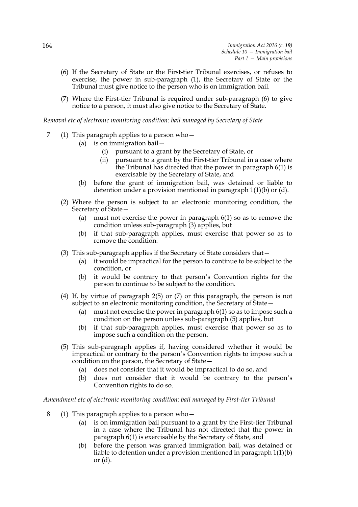- (6) If the Secretary of State or the First-tier Tribunal exercises, or refuses to exercise, the power in sub-paragraph (1), the Secretary of State or the Tribunal must give notice to the person who is on immigration bail.
- (7) Where the First-tier Tribunal is required under sub-paragraph (6) to give notice to a person, it must also give notice to the Secretary of State.

*Removal etc of electronic monitoring condition: bail managed by Secretary of State*

- 7 (1) This paragraph applies to a person who—
	- (a) is on immigration bail—
		- (i) pursuant to a grant by the Secretary of State, or
		- (ii) pursuant to a grant by the First-tier Tribunal in a case where the Tribunal has directed that the power in paragraph 6(1) is exercisable by the Secretary of State, and
	- (b) before the grant of immigration bail, was detained or liable to detention under a provision mentioned in paragraph 1(1)(b) or (d).
	- (2) Where the person is subject to an electronic monitoring condition, the Secretary of State—
		- (a) must not exercise the power in paragraph 6(1) so as to remove the condition unless sub-paragraph (3) applies, but
		- (b) if that sub-paragraph applies, must exercise that power so as to remove the condition.
	- (3) This sub-paragraph applies if the Secretary of State considers that—
		- (a) it would be impractical for the person to continue to be subject to the condition, or
		- (b) it would be contrary to that person's Convention rights for the person to continue to be subject to the condition.
	- (4) If, by virtue of paragraph 2(5) or (7) or this paragraph, the person is not subject to an electronic monitoring condition, the Secretary of State—
		- (a) must not exercise the power in paragraph 6(1) so as to impose such a condition on the person unless sub-paragraph (5) applies, but
		- (b) if that sub-paragraph applies, must exercise that power so as to impose such a condition on the person.
	- (5) This sub-paragraph applies if, having considered whether it would be impractical or contrary to the person's Convention rights to impose such a condition on the person, the Secretary of State—
		- (a) does not consider that it would be impractical to do so, and
		- (b) does not consider that it would be contrary to the person's Convention rights to do so.

*Amendment etc of electronic monitoring condition: bail managed by First-tier Tribunal*

- 8 (1) This paragraph applies to a person who—
	- (a) is on immigration bail pursuant to a grant by the First-tier Tribunal in a case where the Tribunal has not directed that the power in paragraph 6(1) is exercisable by the Secretary of State, and
	- (b) before the person was granted immigration bail, was detained or liable to detention under a provision mentioned in paragraph 1(1)(b) or (d).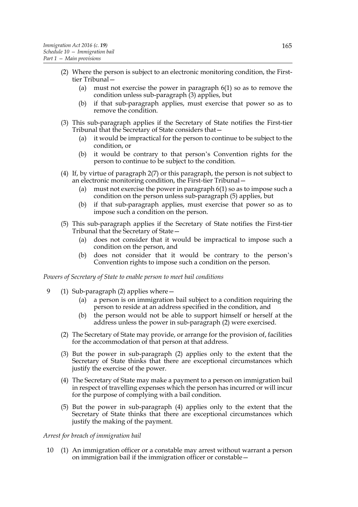- (2) Where the person is subject to an electronic monitoring condition, the Firsttier Tribunal—
	- (a) must not exercise the power in paragraph 6(1) so as to remove the condition unless sub-paragraph  $(3)$  applies, but
	- (b) if that sub-paragraph applies, must exercise that power so as to remove the condition.
- (3) This sub-paragraph applies if the Secretary of State notifies the First-tier Tribunal that the Secretary of State considers that—
	- (a) it would be impractical for the person to continue to be subject to the condition, or
	- (b) it would be contrary to that person's Convention rights for the person to continue to be subject to the condition.
- (4) If, by virtue of paragraph 2(7) or this paragraph, the person is not subject to an electronic monitoring condition, the First-tier Tribunal—
	- (a) must not exercise the power in paragraph 6(1) so as to impose such a condition on the person unless sub-paragraph (5) applies, but
	- (b) if that sub-paragraph applies, must exercise that power so as to impose such a condition on the person.
- (5) This sub-paragraph applies if the Secretary of State notifies the First-tier Tribunal that the Secretary of State—
	- (a) does not consider that it would be impractical to impose such a condition on the person, and
	- (b) does not consider that it would be contrary to the person's Convention rights to impose such a condition on the person.

*Powers of Secretary of State to enable person to meet bail conditions*

- 9 (1) Sub-paragraph (2) applies where—
	- (a) a person is on immigration bail subject to a condition requiring the person to reside at an address specified in the condition, and
	- (b) the person would not be able to support himself or herself at the address unless the power in sub-paragraph (2) were exercised.
	- (2) The Secretary of State may provide, or arrange for the provision of, facilities for the accommodation of that person at that address.
	- (3) But the power in sub-paragraph (2) applies only to the extent that the Secretary of State thinks that there are exceptional circumstances which justify the exercise of the power.
	- (4) The Secretary of State may make a payment to a person on immigration bail in respect of travelling expenses which the person has incurred or will incur for the purpose of complying with a bail condition.
	- (5) But the power in sub-paragraph (4) applies only to the extent that the Secretary of State thinks that there are exceptional circumstances which justify the making of the payment.

#### *Arrest for breach of immigration bail*

10 (1) An immigration officer or a constable may arrest without warrant a person on immigration bail if the immigration officer or constable—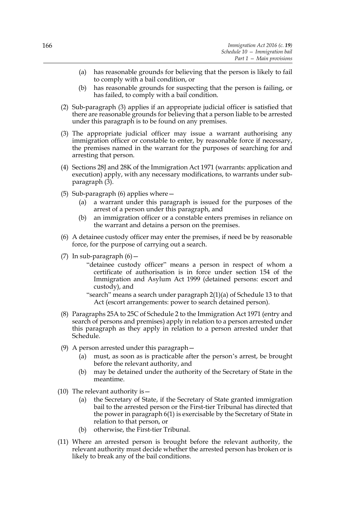- (a) has reasonable grounds for believing that the person is likely to fail to comply with a bail condition, or
- (b) has reasonable grounds for suspecting that the person is failing, or has failed, to comply with a bail condition.
- (2) Sub-paragraph (3) applies if an appropriate judicial officer is satisfied that there are reasonable grounds for believing that a person liable to be arrested under this paragraph is to be found on any premises.
- (3) The appropriate judicial officer may issue a warrant authorising any immigration officer or constable to enter, by reasonable force if necessary, the premises named in the warrant for the purposes of searching for and arresting that person.
- (4) Sections 28J and 28K of the Immigration Act 1971 (warrants: application and execution) apply, with any necessary modifications, to warrants under subparagraph (3).
- (5) Sub-paragraph (6) applies where—
	- (a) a warrant under this paragraph is issued for the purposes of the arrest of a person under this paragraph, and
	- (b) an immigration officer or a constable enters premises in reliance on the warrant and detains a person on the premises.
- (6) A detainee custody officer may enter the premises, if need be by reasonable force, for the purpose of carrying out a search.
- (7) In sub-paragraph  $(6)$ 
	- "detainee custody officer" means a person in respect of whom a certificate of authorisation is in force under section 154 of the Immigration and Asylum Act 1999 (detained persons: escort and custody), and
	- "search" means a search under paragraph 2(1)(a) of Schedule 13 to that Act (escort arrangements: power to search detained person).
- (8) Paragraphs 25A to 25C of Schedule 2 to the Immigration Act 1971 (entry and search of persons and premises) apply in relation to a person arrested under this paragraph as they apply in relation to a person arrested under that Schedule.
- (9) A person arrested under this paragraph—
	- (a) must, as soon as is practicable after the person's arrest, be brought before the relevant authority, and
	- (b) may be detained under the authority of the Secretary of State in the meantime.
- (10) The relevant authority is—
	- (a) the Secretary of State, if the Secretary of State granted immigration bail to the arrested person or the First-tier Tribunal has directed that the power in paragraph 6(1) is exercisable by the Secretary of State in relation to that person, or
	- (b) otherwise, the First-tier Tribunal.
- (11) Where an arrested person is brought before the relevant authority, the relevant authority must decide whether the arrested person has broken or is likely to break any of the bail conditions.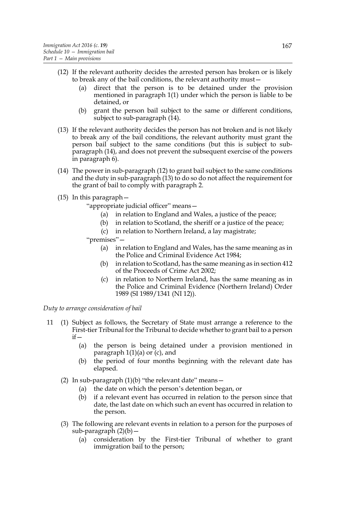- (12) If the relevant authority decides the arrested person has broken or is likely to break any of the bail conditions, the relevant authority must—
	- (a) direct that the person is to be detained under the provision mentioned in paragraph 1(1) under which the person is liable to be detained, or
	- (b) grant the person bail subject to the same or different conditions, subject to sub-paragraph  $(14)$ .
- (13) If the relevant authority decides the person has not broken and is not likely to break any of the bail conditions, the relevant authority must grant the person bail subject to the same conditions (but this is subject to subparagraph (14), and does not prevent the subsequent exercise of the powers in paragraph 6).
- (14) The power in sub-paragraph (12) to grant bail subject to the same conditions and the duty in sub-paragraph (13) to do so do not affect the requirement for the grant of bail to comply with paragraph 2.
- (15) In this paragraph—
	- "appropriate judicial officer" means—
		- (a) in relation to England and Wales, a justice of the peace;
		- (b) in relation to Scotland, the sheriff or a justice of the peace;
		- (c) in relation to Northern Ireland, a lay magistrate;

"premises"—

- (a) in relation to England and Wales, has the same meaning as in the Police and Criminal Evidence Act 1984;
- (b) in relation to Scotland, has the same meaning as in section 412 of the Proceeds of Crime Act 2002;
- (c) in relation to Northern Ireland, has the same meaning as in the Police and Criminal Evidence (Northern Ireland) Order 1989 (SI 1989/1341 (NI 12)).

*Duty to arrange consideration of bail*

- 11 (1) Subject as follows, the Secretary of State must arrange a reference to the First-tier Tribunal for the Tribunal to decide whether to grant bail to a person  $if$ 
	- (a) the person is being detained under a provision mentioned in paragraph  $1(1)(a)$  or  $(c)$ , and
	- (b) the period of four months beginning with the relevant date has elapsed.
	- (2) In sub-paragraph  $(1)(b)$  "the relevant date" means  $-$ 
		- (a) the date on which the person's detention began, or
		- (b) if a relevant event has occurred in relation to the person since that date, the last date on which such an event has occurred in relation to the person.
	- (3) The following are relevant events in relation to a person for the purposes of sub-paragraph  $(2)(b)$  –
		- (a) consideration by the First-tier Tribunal of whether to grant immigration bail to the person;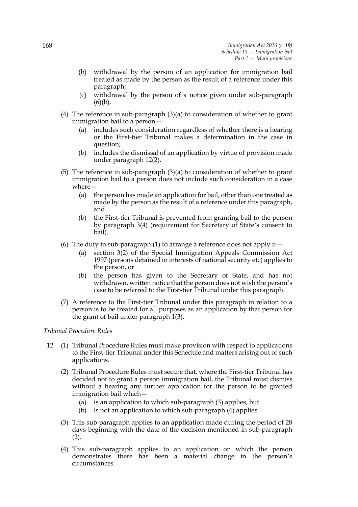- (b) withdrawal by the person of an application for immigration bail treated as made by the person as the result of a reference under this paragraph;
- (c) withdrawal by the person of a notice given under sub-paragraph  $(6)(b)$ .
- (4) The reference in sub-paragraph (3)(a) to consideration of whether to grant immigration bail to a person—
	- (a) includes such consideration regardless of whether there is a hearing or the First-tier Tribunal makes a determination in the case in question;
	- (b) includes the dismissal of an application by virtue of provision made under paragraph 12(2).
- (5) The reference in sub-paragraph (3)(a) to consideration of whether to grant immigration bail to a person does not include such consideration in a case where—
	- (a) the person has made an application for bail, other than one treated as made by the person as the result of a reference under this paragraph, and
	- (b) the First-tier Tribunal is prevented from granting bail to the person by paragraph 3(4) (requirement for Secretary of State's consent to bail).
- (6) The duty in sub-paragraph (1) to arrange a reference does not apply if  $-$ 
	- (a) section 3(2) of the Special Immigration Appeals Commission Act 1997 (persons detained in interests of national security etc) applies to the person, or
	- (b) the person has given to the Secretary of State, and has not withdrawn, written notice that the person does not wish the person's case to be referred to the First-tier Tribunal under this paragraph.
- (7) A reference to the First-tier Tribunal under this paragraph in relation to a person is to be treated for all purposes as an application by that person for the grant of bail under paragraph 1(3).

### *Tribunal Procedure Rules*

- 12 (1) Tribunal Procedure Rules must make provision with respect to applications to the First-tier Tribunal under this Schedule and matters arising out of such applications.
	- (2) Tribunal Procedure Rules must secure that, where the First-tier Tribunal has decided not to grant a person immigration bail, the Tribunal must dismiss without a hearing any further application for the person to be granted immigration bail which—
		- (a) is an application to which sub-paragraph (3) applies, but
		- (b) is not an application to which sub-paragraph (4) applies.
	- (3) This sub-paragraph applies to an application made during the period of 28 days beginning with the date of the decision mentioned in sub-paragraph  $(2).$
	- (4) This sub-paragraph applies to an application on which the person demonstrates there has been a material change in the person's circumstances.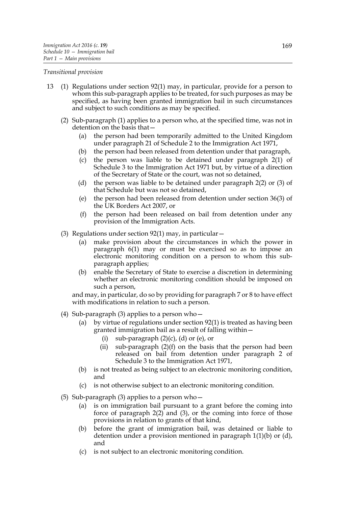#### *Transitional provision*

- 13 (1) Regulations under section 92(1) may, in particular, provide for a person to whom this sub-paragraph applies to be treated, for such purposes as may be specified, as having been granted immigration bail in such circumstances and subject to such conditions as may be specified.
	- (2) Sub-paragraph (1) applies to a person who, at the specified time, was not in detention on the basis that—
		- (a) the person had been temporarily admitted to the United Kingdom under paragraph 21 of Schedule 2 to the Immigration Act 1971,
		- (b) the person had been released from detention under that paragraph,
		- (c) the person was liable to be detained under paragraph 2(1) of Schedule 3 to the Immigration Act 1971 but, by virtue of a direction of the Secretary of State or the court, was not so detained,
		- (d) the person was liable to be detained under paragraph 2(2) or (3) of that Schedule but was not so detained,
		- (e) the person had been released from detention under section 36(3) of the UK Borders Act 2007, or
		- (f) the person had been released on bail from detention under any provision of the Immigration Acts.
	- (3) Regulations under section 92(1) may, in particular—
		- (a) make provision about the circumstances in which the power in paragraph 6(1) may or must be exercised so as to impose an electronic monitoring condition on a person to whom this subparagraph applies;
		- (b) enable the Secretary of State to exercise a discretion in determining whether an electronic monitoring condition should be imposed on such a person,

and may, in particular, do so by providing for paragraph 7 or 8 to have effect with modifications in relation to such a person.

- (4) Sub-paragraph (3) applies to a person who—
	- (a) by virtue of regulations under section 92(1) is treated as having been granted immigration bail as a result of falling within—
		- (i) sub-paragraph  $(2)(c)$ ,  $(d)$  or  $(e)$ , or
		- (ii) sub-paragraph  $(2)(f)$  on the basis that the person had been released on bail from detention under paragraph 2 of Schedule 3 to the Immigration Act 1971,
	- (b) is not treated as being subject to an electronic monitoring condition, and
	- (c) is not otherwise subject to an electronic monitoring condition.
- (5) Sub-paragraph (3) applies to a person who—
	- (a) is on immigration bail pursuant to a grant before the coming into force of paragraph  $2(2)$  and  $(3)$ , or the coming into force of those provisions in relation to grants of that kind,
	- (b) before the grant of immigration bail, was detained or liable to detention under a provision mentioned in paragraph 1(1)(b) or (d), and
	- (c) is not subject to an electronic monitoring condition.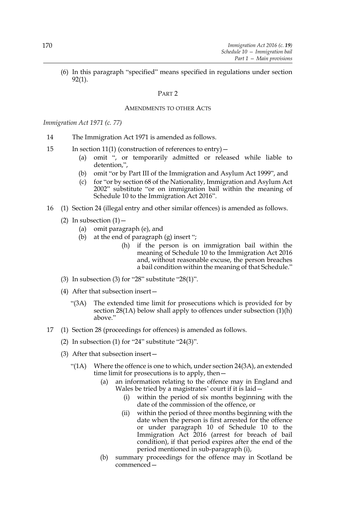(6) In this paragraph "specified" means specified in regulations under section 92(1).

#### PART 2

### AMENDMENTS TO OTHER ACTS

#### *Immigration Act 1971 (c. 77)*

- 14 The Immigration Act 1971 is amended as follows.
- 15 In section 11(1) (construction of references to entry)—
	- (a) omit ", or temporarily admitted or released while liable to detention,",
	- (b) omit "or by Part III of the Immigration and Asylum Act 1999", and
	- (c) for "or by section 68 of the Nationality, Immigration and Asylum Act 2002" substitute "or on immigration bail within the meaning of Schedule 10 to the Immigration Act 2016".
- 16 (1) Section 24 (illegal entry and other similar offences) is amended as follows.
	- (2) In subsection  $(1)$ 
		- (a) omit paragraph (e), and
		- (b) at the end of paragraph (g) insert ";
			- (h) if the person is on immigration bail within the meaning of Schedule 10 to the Immigration Act 2016 and, without reasonable excuse, the person breaches a bail condition within the meaning of that Schedule."
	- (3) In subsection (3) for "28" substitute "28(1)".
	- (4) After that subsection insert—
		- "(3A) The extended time limit for prosecutions which is provided for by section 28(1A) below shall apply to offences under subsection (1)(h) above."
- 17 (1) Section 28 (proceedings for offences) is amended as follows.
	- (2) In subsection (1) for "24" substitute "24(3)".
	- (3) After that subsection insert—
		- "(1A) Where the offence is one to which, under section 24(3A), an extended time limit for prosecutions is to apply, then—
			- (a) an information relating to the offence may in England and Wales be tried by a magistrates' court if it is laid—
				- (i) within the period of six months beginning with the date of the commission of the offence, or
				- (ii) within the period of three months beginning with the date when the person is first arrested for the offence or under paragraph 10 of Schedule 10 to the Immigration Act 2016 (arrest for breach of bail condition), if that period expires after the end of the period mentioned in sub-paragraph (i),
			- (b) summary proceedings for the offence may in Scotland be commenced—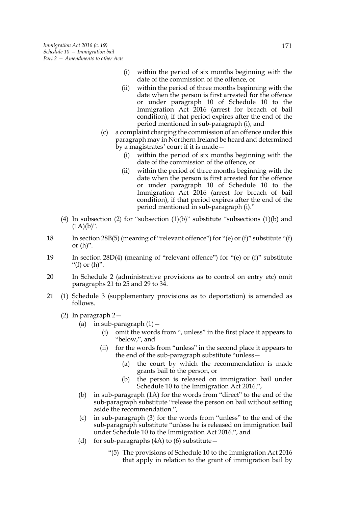- (i) within the period of six months beginning with the date of the commission of the offence, or
- (ii) within the period of three months beginning with the date when the person is first arrested for the offence or under paragraph 10 of Schedule 10 to the Immigration Act 2016 (arrest for breach of bail condition), if that period expires after the end of the period mentioned in sub-paragraph (i), and
- (c) a complaint charging the commission of an offence under this paragraph may in Northern Ireland be heard and determined by a magistrates' court if it is made—
	- (i) within the period of six months beginning with the date of the commission of the offence, or
	- (ii) within the period of three months beginning with the date when the person is first arrested for the offence or under paragraph 10 of Schedule 10 to the Immigration Act 2016 (arrest for breach of bail condition), if that period expires after the end of the period mentioned in sub-paragraph (i)."
- (4) In subsection (2) for "subsection  $(1)(b)$ " substitute "subsections  $(1)(b)$  and  $(1A)(b)$ ".
- 18 In section 28B(5) (meaning of "relevant offence") for "(e) or (f)" substitute "(f) or  $(h)$ ".
- 19 In section 28D(4) (meaning of "relevant offence") for "(e) or (f)" substitute "(f) or  $(h)$ ".
- 20 In Schedule 2 (administrative provisions as to control on entry etc) omit paragraphs 21 to 25 and 29 to 34.
- 21 (1) Schedule 3 (supplementary provisions as to deportation) is amended as follows.
	- (2) In paragraph 2—
		- (a) in sub-paragraph  $(1)$  -
			- (i) omit the words from ", unless" in the first place it appears to "below,", and
			- (ii) for the words from "unless" in the second place it appears to the end of the sub-paragraph substitute "unless—
				- (a) the court by which the recommendation is made grants bail to the person, or
				- (b) the person is released on immigration bail under Schedule 10 to the Immigration Act 2016.",
		- (b) in sub-paragraph (1A) for the words from "direct" to the end of the sub-paragraph substitute "release the person on bail without setting aside the recommendation.",
		- (c) in sub-paragraph (3) for the words from "unless" to the end of the sub-paragraph substitute "unless he is released on immigration bail under Schedule 10 to the Immigration Act 2016.", and
		- (d) for sub-paragraphs (4A) to (6) substitute  $-$ 
			- "(5) The provisions of Schedule 10 to the Immigration Act 2016 that apply in relation to the grant of immigration bail by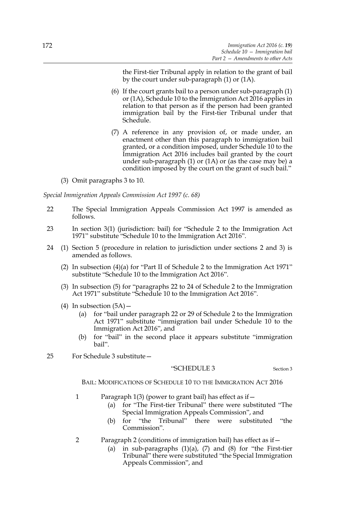the First-tier Tribunal apply in relation to the grant of bail by the court under sub-paragraph (1) or (1A).

- (6) If the court grants bail to a person under sub-paragraph (1) or (1A), Schedule 10 to the Immigration Act 2016 applies in relation to that person as if the person had been granted immigration bail by the First-tier Tribunal under that Schedule.
- (7) A reference in any provision of, or made under, an enactment other than this paragraph to immigration bail granted, or a condition imposed, under Schedule 10 to the Immigration Act 2016 includes bail granted by the court under sub-paragraph  $(1)$  or  $(1)$  or  $(as the case may be) a$ condition imposed by the court on the grant of such bail."
- (3) Omit paragraphs 3 to 10.

*Special Immigration Appeals Commission Act 1997 (c. 68)*

- 22 The Special Immigration Appeals Commission Act 1997 is amended as follows.
- 23 In section 3(1) (jurisdiction: bail) for "Schedule 2 to the Immigration Act 1971" substitute "Schedule 10 to the Immigration Act 2016".
- 24 (1) Section 5 (procedure in relation to jurisdiction under sections 2 and 3) is amended as follows.
	- (2) In subsection (4)(a) for "Part II of Schedule 2 to the Immigration Act 1971" substitute "Schedule 10 to the Immigration Act 2016".
	- (3) In subsection (5) for "paragraphs 22 to 24 of Schedule 2 to the Immigration Act 1971" substitute "Schedule 10 to the Immigration Act 2016".
	- (4) In subsection  $(5A)$ 
		- (a) for "bail under paragraph 22 or 29 of Schedule 2 to the Immigration Act 1971" substitute "immigration bail under Schedule 10 to the Immigration Act 2016", and
		- (b) for "bail" in the second place it appears substitute "immigration bail".
- 25 For Schedule 3 substitute—

#### "SCHEDULE 3 Section 3

BAIL: MODIFICATIONS OF SCHEDULE 10 TO THE IMMIGRATION ACT 2016

- 1 Paragraph 1(3) (power to grant bail) has effect as if—
	- (a) for "The First-tier Tribunal" there were substituted "The Special Immigration Appeals Commission", and
	- (b) for "the Tribunal" there were substituted "the Commission".
- 2 Paragraph 2 (conditions of immigration bail) has effect as if—
	- (a) in sub-paragraphs  $(1)(a)$ ,  $(7)$  and  $(8)$  for "the First-tier Tribunal" there were substituted "the Special Immigration Appeals Commission", and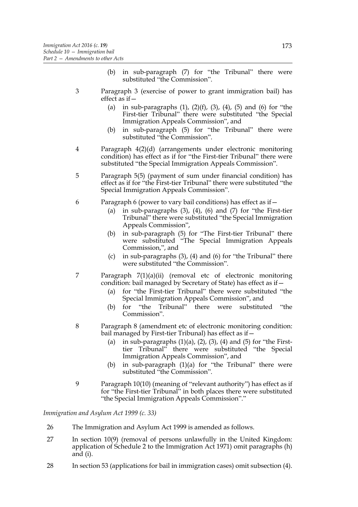- (b) in sub-paragraph (7) for "the Tribunal" there were substituted "the Commission".
- 3 Paragraph 3 (exercise of power to grant immigration bail) has effect as if—
	- (a) in sub-paragraphs  $(1)$ ,  $(2)(f)$ ,  $(3)$ ,  $(4)$ ,  $(5)$  and  $(6)$  for "the First-tier Tribunal" there were substituted "the Special Immigration Appeals Commission", and
	- (b) in sub-paragraph (5) for "the Tribunal" there were substituted "the Commission".
- 4 Paragraph 4(2)(d) (arrangements under electronic monitoring condition) has effect as if for "the First-tier Tribunal" there were substituted "the Special Immigration Appeals Commission".
- 5 Paragraph 5(5) (payment of sum under financial condition) has effect as if for "the First-tier Tribunal" there were substituted "the Special Immigration Appeals Commission".
- 6 Paragraph 6 (power to vary bail conditions) has effect as if—
	- (a) in sub-paragraphs  $(3)$ ,  $(4)$ ,  $(6)$  and  $(7)$  for "the First-tier" Tribunal" there were substituted "the Special Immigration Appeals Commission",
	- (b) in sub-paragraph (5) for "The First-tier Tribunal" there were substituted "The Special Immigration Appeals Commission,", and
	- (c) in sub-paragraphs (3), (4) and (6) for "the Tribunal" there were substituted "the Commission".
- 7 Paragraph 7(1)(a)(ii) (removal etc of electronic monitoring condition: bail managed by Secretary of State) has effect as if—
	- (a) for "the First-tier Tribunal" there were substituted "the Special Immigration Appeals Commission", and
	- (b) for "the Tribunal" there were substituted "the Commission".
- 8 Paragraph 8 (amendment etc of electronic monitoring condition: bail managed by First-tier Tribunal) has effect as if—
	- (a) in sub-paragraphs  $(1)(a)$ ,  $(2)$ ,  $(3)$ ,  $(4)$  and  $(5)$  for "the Firsttier Tribunal" there were substituted "the Special Immigration Appeals Commission", and
	- (b) in sub-paragraph (1)(a) for "the Tribunal" there were substituted "the Commission".
- 9 Paragraph 10(10) (meaning of "relevant authority") has effect as if for "the First-tier Tribunal" in both places there were substituted "the Special Immigration Appeals Commission"."

*Immigration and Asylum Act 1999 (c. 33)*

- 26 The Immigration and Asylum Act 1999 is amended as follows.
- 27 In section 10(9) (removal of persons unlawfully in the United Kingdom: application of Schedule 2 to the Immigration Act 1971) omit paragraphs (h) and (i).
- 28 In section 53 (applications for bail in immigration cases) omit subsection (4).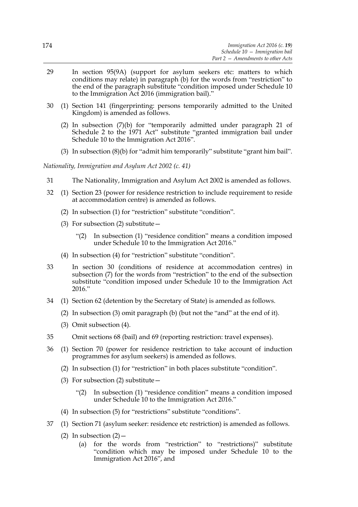- 29 In section 95(9A) (support for asylum seekers etc: matters to which conditions may relate) in paragraph (b) for the words from "restriction" to the end of the paragraph substitute "condition imposed under Schedule 10 to the Immigration Act 2016 (immigration bail)."
- 30 (1) Section 141 (fingerprinting: persons temporarily admitted to the United Kingdom) is amended as follows.
	- (2) In subsection (7)(b) for "temporarily admitted under paragraph 21 of Schedule 2 to the 1971 Act" substitute "granted immigration bail under Schedule 10 to the Immigration Act 2016".
	- (3) In subsection (8)(b) for "admit him temporarily" substitute "grant him bail".

*Nationality, Immigration and Asylum Act 2002 (c. 41)*

- 31 The Nationality, Immigration and Asylum Act 2002 is amended as follows.
- 32 (1) Section 23 (power for residence restriction to include requirement to reside at accommodation centre) is amended as follows.
	- (2) In subsection (1) for "restriction" substitute "condition".
	- (3) For subsection (2) substitute  $-$ 
		- "(2) In subsection (1) "residence condition" means a condition imposed under Schedule 10 to the Immigration Act 2016."
	- (4) In subsection (4) for "restriction" substitute "condition".
- 33 In section 30 (conditions of residence at accommodation centres) in subsection (7) for the words from "restriction" to the end of the subsection substitute "condition imposed under Schedule 10 to the Immigration Act 2016."
- 34 (1) Section 62 (detention by the Secretary of State) is amended as follows.
	- (2) In subsection (3) omit paragraph (b) (but not the "and" at the end of it).
	- (3) Omit subsection (4).
- 35 Omit sections 68 (bail) and 69 (reporting restriction: travel expenses).
- 36 (1) Section 70 (power for residence restriction to take account of induction programmes for asylum seekers) is amended as follows.
	- (2) In subsection (1) for "restriction" in both places substitute "condition".
	- (3) For subsection (2) substitute—
		- "(2) In subsection (1) "residence condition" means a condition imposed under Schedule 10 to the Immigration Act 2016."
	- (4) In subsection (5) for "restrictions" substitute "conditions".
- 37 (1) Section 71 (asylum seeker: residence etc restriction) is amended as follows.
	- (2) In subsection  $(2)$ 
		- (a) for the words from "restriction" to "restrictions)" substitute "condition which may be imposed under Schedule 10 to the Immigration Act 2016", and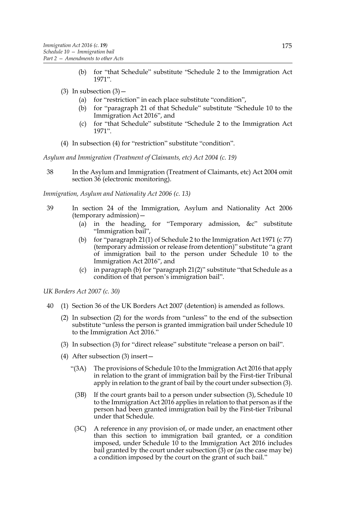- (b) for "that Schedule" substitute "Schedule 2 to the Immigration Act 1971".
- (3) In subsection  $(3)$ 
	- (a) for "restriction" in each place substitute "condition",
	- (b) for "paragraph 21 of that Schedule" substitute "Schedule 10 to the Immigration Act 2016", and
	- (c) for "that Schedule" substitute "Schedule 2 to the Immigration Act 1971".
- (4) In subsection (4) for "restriction" substitute "condition".

*Asylum and Immigration (Treatment of Claimants, etc) Act 2004 (c. 19)*

38 In the Asylum and Immigration (Treatment of Claimants, etc) Act 2004 omit section 36 (electronic monitoring).

*Immigration, Asylum and Nationality Act 2006 (c. 13)*

- 39 In section 24 of the Immigration, Asylum and Nationality Act 2006 (temporary admission)—
	- (a) in the heading, for "Temporary admission, &c" substitute "Immigration bail",
	- (b) for "paragraph 21(1) of Schedule 2 to the Immigration Act 1971 (c 77) (temporary admission or release from detention)" substitute "a grant of immigration bail to the person under Schedule 10 to the Immigration Act 2016", and
	- (c) in paragraph (b) for "paragraph 21(2)" substitute "that Schedule as a condition of that person's immigration bail".

*UK Borders Act 2007 (c. 30)*

- 40 (1) Section 36 of the UK Borders Act 2007 (detention) is amended as follows.
	- (2) In subsection (2) for the words from "unless" to the end of the subsection substitute "unless the person is granted immigration bail under Schedule 10 to the Immigration Act 2016."
	- (3) In subsection (3) for "direct release" substitute "release a person on bail".
	- (4) After subsection (3) insert—
		- "(3A) The provisions of Schedule 10 to the Immigration Act 2016 that apply in relation to the grant of immigration bail by the First-tier Tribunal apply in relation to the grant of bail by the court under subsection (3).
			- (3B) If the court grants bail to a person under subsection (3), Schedule 10 to the Immigration Act 2016 applies in relation to that person as if the person had been granted immigration bail by the First-tier Tribunal under that Schedule.
		- (3C) A reference in any provision of, or made under, an enactment other than this section to immigration bail granted, or a condition imposed, under Schedule 10 to the Immigration Act 2016 includes bail granted by the court under subsection (3) or (as the case may be) a condition imposed by the court on the grant of such bail."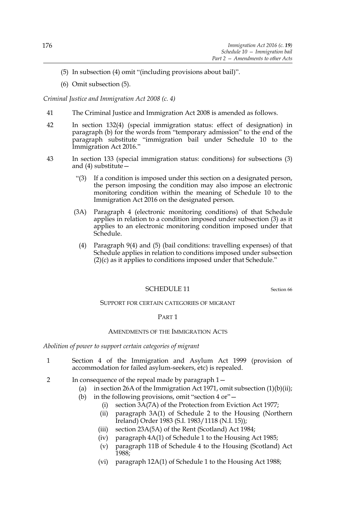- (5) In subsection (4) omit "(including provisions about bail)".
- (6) Omit subsection (5).

*Criminal Justice and Immigration Act 2008 (c. 4)*

- 41 The Criminal Justice and Immigration Act 2008 is amended as follows.
- 42 In section 132(4) (special immigration status: effect of designation) in paragraph (b) for the words from "temporary admission" to the end of the paragraph substitute "immigration bail under Schedule 10 to the Immigration Act 2016."
- 43 In section 133 (special immigration status: conditions) for subsections (3) and (4) substitute—
	- "(3) If a condition is imposed under this section on a designated person, the person imposing the condition may also impose an electronic monitoring condition within the meaning of Schedule 10 to the Immigration Act 2016 on the designated person.
	- (3A) Paragraph 4 (electronic monitoring conditions) of that Schedule applies in relation to a condition imposed under subsection (3) as it applies to an electronic monitoring condition imposed under that Schedule.
		- (4) Paragraph 9(4) and (5) (bail conditions: travelling expenses) of that Schedule applies in relation to conditions imposed under subsection (2)(c) as it applies to conditions imposed under that Schedule."

# SCHEDULE 11 Section 66

## SUPPORT FOR CERTAIN CATEGORIES OF MIGRANT

## PART 1

#### AMENDMENTS OF THE IMMIGRATION ACTS

*Abolition of power to support certain categories of migrant*

- 1 Section 4 of the Immigration and Asylum Act 1999 (provision of accommodation for failed asylum-seekers, etc) is repealed.
- 2 In consequence of the repeal made by paragraph 1—
	- (a) in section 26A of the Immigration Act 1971, omit subsection  $(1)(b)(ii)$ ;
	- (b) in the following provisions, omit "section  $4 \text{ or }$ "  $-$ 
		- (i) section 3A(7A) of the Protection from Eviction Act 1977;
		- (ii) paragraph 3A(1) of Schedule 2 to the Housing (Northern Ireland) Order 1983 (S.I. 1983/1118 (N.I. 15));
		- (iii) section 23A(5A) of the Rent (Scotland) Act 1984;
		- (iv) paragraph 4A(1) of Schedule 1 to the Housing Act 1985;
		- (v) paragraph 11B of Schedule 4 to the Housing (Scotland) Act 1988;
		- (vi) paragraph 12A(1) of Schedule 1 to the Housing Act 1988;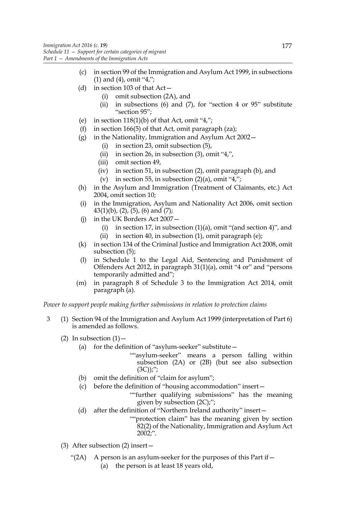- (c) in section 99 of the Immigration and Asylum Act 1999, in subsections (1) and (4), omit "4,";
- (d) in section 103 of that Act—
	- (i) omit subsection (2A), and
	- (ii) in subsections (6) and  $(7)$ , for "section 4 or 95" substitute "section 95";
- (e) in section  $118(1)(b)$  of that Act, omit "4,";
- (f) in section 166(5) of that Act, omit paragraph (za);
- (g) in the Nationality, Immigration and Asylum Act 2002—
	- (i) in section 23, omit subsection (5),
	- (ii) in section 26, in subsection (3), omit "4,",
	- (iii) omit section 49,
	- (iv) in section 51, in subsection (2), omit paragraph (b), and
	- (v) in section 55, in subsection  $(2)(a)$ , omit "4,";
- (h) in the Asylum and Immigration (Treatment of Claimants, etc.) Act 2004, omit section 10;
- (i) in the Immigration, Asylum and Nationality Act 2006, omit section  $43(1)(b)$ ,  $(2)$ ,  $(5)$ ,  $(6)$  and  $(7)$ ;
- (j) in the UK Borders Act 2007—
	- (i) in section 17, in subsection  $(1)(a)$ , omit "(and section 4)", and (ii) in section 40, in subsection  $(1)$ , omit paragraph  $(e)$ ;
- (k) in section 134 of the Criminal Justice and Immigration Act 2008, omit subsection (5);
- (l) in Schedule 1 to the Legal Aid, Sentencing and Punishment of Offenders Act 2012, in paragraph 31(1)(a), omit "4 or" and "persons temporarily admitted and";
- (m) in paragraph 8 of Schedule 3 to the Immigration Act 2014, omit paragraph (a).

*Power to support people making further submissions in relation to protection claims*

- 3 (1) Section 94 of the Immigration and Asylum Act 1999 (interpretation of Part 6) is amended as follows.
	- (2) In subsection  $(1)$  -
		- (a) for the definition of "asylum-seeker" substitute  $-$ 
			- ""asylum-seeker" means a person falling within subsection (2A) or (2B) (but see also subsection  $(3C))$ ;";
		- (b) omit the definition of "claim for asylum";
		- (c) before the definition of "housing accommodation" insert—

""further qualifying submissions" has the meaning given by subsection (2C);";

- (d) after the definition of "Northern Ireland authority" insert—
	- ""protection claim" has the meaning given by section 82(2) of the Nationality, Immigration and Asylum Act 2002;".
- (3) After subsection (2) insert—
	- "(2A) A person is an asylum-seeker for the purposes of this Part if  $-$ 
		- (a) the person is at least 18 years old,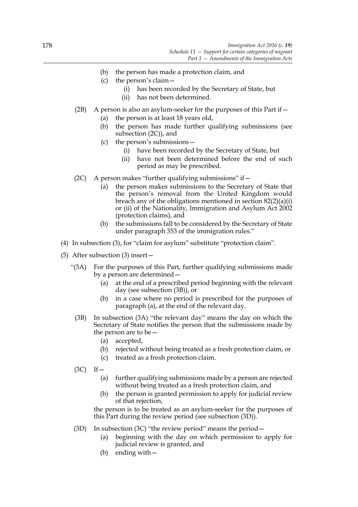- (b) the person has made a protection claim, and
- (c) the person's claim—
	- (i) has been recorded by the Secretary of State, but
	- (ii) has not been determined.
- (2B) A person is also an asylum-seeker for the purposes of this Part if  $-$ 
	- (a) the person is at least 18 years old,
	- (b) the person has made further qualifying submissions (see subsection (2C)), and
	- (c) the person's submissions—
		- (i) have been recorded by the Secretary of State, but
		- (ii) have not been determined before the end of such period as may be prescribed.
- (2C) A person makes "further qualifying submissions" if  $-$ 
	- (a) the person makes submissions to the Secretary of State that the person's removal from the United Kingdom would breach any of the obligations mentioned in section 82(2)(a)(i) or (ii) of the Nationality, Immigration and Asylum Act 2002 (protection claims), and
	- (b) the submissions fall to be considered by the Secretary of State under paragraph 353 of the immigration rules."
- (4) In subsection (3), for "claim for asylum" substitute "protection claim".
- (5) After subsection (3) insert—
	- "(3A) For the purposes of this Part, further qualifying submissions made by a person are determined—
		- (a) at the end of a prescribed period beginning with the relevant day (see subsection (3B)), or
		- (b) in a case where no period is prescribed for the purposes of paragraph (a), at the end of the relevant day.
		- (3B) In subsection (3A) "the relevant day" means the day on which the Secretary of State notifies the person that the submissions made by the person are to be—
			- (a) accepted,
			- (b) rejected without being treated as a fresh protection claim, or
			- (c) treated as a fresh protection claim.
		- $(3C)$  If  $-$ 
			- (a) further qualifying submissions made by a person are rejected without being treated as a fresh protection claim, and
			- (b) the person is granted permission to apply for judicial review of that rejection,

the person is to be treated as an asylum-seeker for the purposes of this Part during the review period (see subsection (3D)).

- (3D) In subsection (3C) "the review period" means the period  $-$ 
	- (a) beginning with the day on which permission to apply for judicial review is granted, and
	- (b) ending with—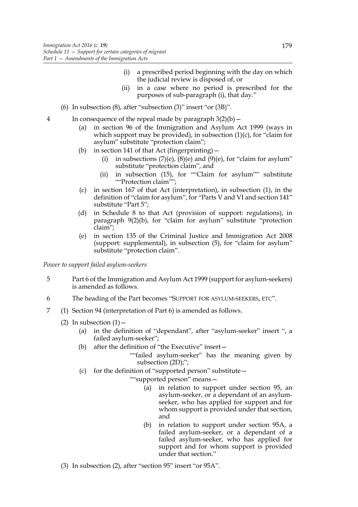- (i) a prescribed period beginning with the day on which the judicial review is disposed of, or
- (ii) in a case where no period is prescribed for the purposes of sub-paragraph (i), that day."
- (6) In subsection (8), after "subsection (3)" insert "or (3B)".
- 4 In consequence of the repeal made by paragraph  $3(2)(b)$ 
	- (a) in section 96 of the Immigration and Asylum Act 1999 (ways in which support may be provided), in subsection  $(1)(c)$ , for "claim for asylum" substitute "protection claim";
	- (b) in section 141 of that Act (fingerprinting)—
		- (i) in subsections  $(7)(e)$ ,  $(8)(e)$  and  $(9)(e)$ , for "claim for asylum" substitute "protection claim", and
		- (ii) in subsection (15), for ""Claim for asylum"" substitute ""Protection claim"":
	- (c) in section 167 of that Act (interpretation), in subsection (1), in the definition of "claim for asylum", for "Parts V and VI and section 141" substitute "Part 5";
	- (d) in Schedule 8 to that Act (provision of support: regulations), in paragraph 9(2)(b), for "claim for asylum" substitute "protection claim";
	- (e) in section 135 of the Criminal Justice and Immigration Act 2008 (support: supplemental), in subsection (5), for "claim for asylum" substitute "protection claim".

*Power to support failed asylum-seekers*

- 5 Part 6 of the Immigration and Asylum Act 1999 (support for asylum-seekers) is amended as follows.
- 6 The heading of the Part becomes "SUPPORT FOR ASYLUM-SEEKERS, ETC".
- 7 (1) Section 94 (interpretation of Part 6) is amended as follows.
	- (2) In subsection  $(1)$  -
		- (a) in the definition of "dependant", after "asylum-seeker" insert ", a failed asylum-seeker";
		- (b) after the definition of "the Executive" insert—

""failed asylum-seeker" has the meaning given by subsection (2D);";

(c) for the definition of "supported person" substitute—

""supported person" means—

- (a) in relation to support under section 95, an asylum-seeker, or a dependant of an asylumseeker, who has applied for support and for whom support is provided under that section, and
- (b) in relation to support under section 95A, a failed asylum-seeker, or a dependant of a failed asylum-seeker, who has applied for support and for whom support is provided under that section."
- (3) In subsection (2), after "section 95" insert "or 95A".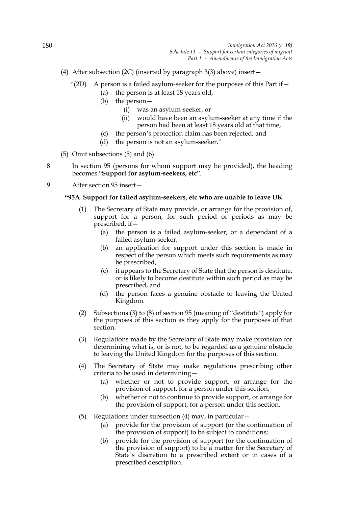- (4) After subsection (2C) (inserted by paragraph 3(3) above) insert—
	- "(2D) A person is a failed asylum-seeker for the purposes of this Part if  $-$ 
		- (a) the person is at least 18 years old,
			- (b) the person—
				- (i) was an asylum-seeker, or
				- (ii) would have been an asylum-seeker at any time if the person had been at least 18 years old at that time,
			- (c) the person's protection claim has been rejected, and
			- (d) the person is not an asylum-seeker."

(5) Omit subsections (5) and (6).

- 8 In section 95 (persons for whom support may be provided), the heading becomes "**Support for asylum-seekers, etc**".
- 9 After section 95 insert—

## **"95A Support for failed asylum-seekers, etc who are unable to leave UK**

- (1) The Secretary of State may provide, or arrange for the provision of, support for a person, for such period or periods as may be prescribed, if—
	- (a) the person is a failed asylum-seeker, or a dependant of a failed asylum-seeker,
	- (b) an application for support under this section is made in respect of the person which meets such requirements as may be prescribed,
	- (c) it appears to the Secretary of State that the person is destitute, or is likely to become destitute within such period as may be prescribed, and
	- (d) the person faces a genuine obstacle to leaving the United Kingdom.
- (2) Subsections (3) to (8) of section 95 (meaning of "destitute") apply for the purposes of this section as they apply for the purposes of that section.
- (3) Regulations made by the Secretary of State may make provision for determining what is, or is not, to be regarded as a genuine obstacle to leaving the United Kingdom for the purposes of this section.
- (4) The Secretary of State may make regulations prescribing other criteria to be used in determining—
	- (a) whether or not to provide support, or arrange for the provision of support, for a person under this section;
	- (b) whether or not to continue to provide support, or arrange for the provision of support, for a person under this section.
- (5) Regulations under subsection (4) may, in particular—
	- (a) provide for the provision of support (or the continuation of the provision of support) to be subject to conditions;
	- (b) provide for the provision of support (or the continuation of the provision of support) to be a matter for the Secretary of State's discretion to a prescribed extent or in cases of a prescribed description.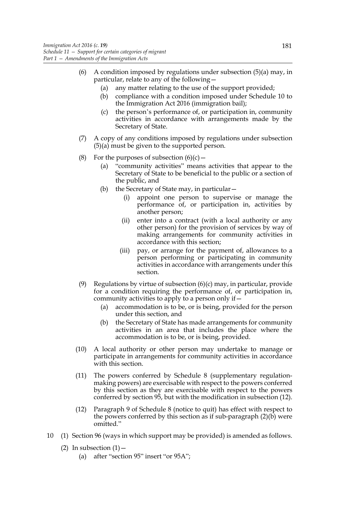- (6) A condition imposed by regulations under subsection  $(5)(a)$  may, in particular, relate to any of the following—
	- (a) any matter relating to the use of the support provided;
	- (b) compliance with a condition imposed under Schedule 10 to the Immigration Act 2016 (immigration bail);
	- (c) the person's performance of, or participation in, community activities in accordance with arrangements made by the Secretary of State.
- (7) A copy of any conditions imposed by regulations under subsection (5)(a) must be given to the supported person.
- (8) For the purposes of subsection  $(6)(c)$ 
	- (a) "community activities" means activities that appear to the Secretary of State to be beneficial to the public or a section of the public, and
	- (b) the Secretary of State may, in particular—
		- (i) appoint one person to supervise or manage the performance of, or participation in, activities by another person;
		- (ii) enter into a contract (with a local authority or any other person) for the provision of services by way of making arrangements for community activities in accordance with this section;
		- (iii) pay, or arrange for the payment of, allowances to a person performing or participating in community activities in accordance with arrangements under this section.
- (9) Regulations by virtue of subsection  $(6)(c)$  may, in particular, provide for a condition requiring the performance of, or participation in, community activities to apply to a person only if—
	- (a) accommodation is to be, or is being, provided for the person under this section, and
	- (b) the Secretary of State has made arrangements for community activities in an area that includes the place where the accommodation is to be, or is being, provided.
- (10) A local authority or other person may undertake to manage or participate in arrangements for community activities in accordance with this section.
- (11) The powers conferred by Schedule 8 (supplementary regulationmaking powers) are exercisable with respect to the powers conferred by this section as they are exercisable with respect to the powers conferred by section 95, but with the modification in subsection (12).
- (12) Paragraph 9 of Schedule 8 (notice to quit) has effect with respect to the powers conferred by this section as if sub-paragraph (2)(b) were omitted."
- 10 (1) Section 96 (ways in which support may be provided) is amended as follows.
	- (2) In subsection  $(1)$ 
		- (a) after "section 95" insert "or 95A";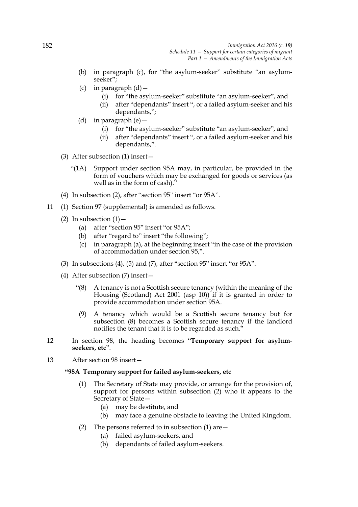- (b) in paragraph (c), for "the asylum-seeker" substitute "an asylumseeker";
- (c) in paragraph  $(d)$  -
	- (i) for "the asylum-seeker" substitute "an asylum-seeker", and
	- (ii) after "dependants" insert ", or a failed asylum-seeker and his dependants,";
- (d) in paragraph (e)—
	- (i) for "the asylum-seeker" substitute "an asylum-seeker", and
	- (ii) after "dependants" insert ", or a failed asylum-seeker and his dependants,".
- (3) After subsection (1) insert—
	- "(1A) Support under section 95A may, in particular, be provided in the form of vouchers which may be exchanged for goods or services (as well as in the form of cash)."
- (4) In subsection (2), after "section 95" insert "or 95A".
- 11 (1) Section 97 (supplemental) is amended as follows.
	- (2) In subsection  $(1)$ 
		- (a) after "section 95" insert "or 95A";
		- (b) after "regard to" insert "the following";
		- (c) in paragraph (a), at the beginning insert "in the case of the provision of accommodation under section 95,".
	- (3) In subsections (4), (5) and (7), after "section 95" insert "or 95A".
	- (4) After subsection (7) insert—
		- "(8) A tenancy is not a Scottish secure tenancy (within the meaning of the Housing (Scotland) Act 2001 (asp 10)) if it is granted in order to provide accommodation under section 95A.
		- (9) A tenancy which would be a Scottish secure tenancy but for subsection (8) becomes a Scottish secure tenancy if the landlord notifies the tenant that it is to be regarded as such.'
- 12 In section 98, the heading becomes "**Temporary support for asylumseekers, etc**".
- 13 After section 98 insert—

## **"98A Temporary support for failed asylum-seekers, etc**

- (1) The Secretary of State may provide, or arrange for the provision of, support for persons within subsection (2) who it appears to the Secretary of State—
	- (a) may be destitute, and
	- (b) may face a genuine obstacle to leaving the United Kingdom.
- (2) The persons referred to in subsection  $(1)$  are  $-$ 
	- (a) failed asylum-seekers, and
	- (b) dependants of failed asylum-seekers.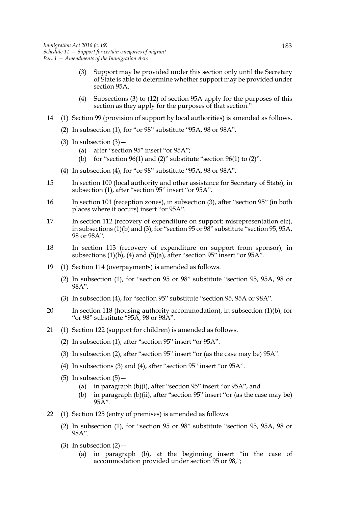- (3) Support may be provided under this section only until the Secretary of State is able to determine whether support may be provided under section 95A.
- (4) Subsections (3) to (12) of section 95A apply for the purposes of this section as they apply for the purposes of that section."
- 14 (1) Section 99 (provision of support by local authorities) is amended as follows.
	- (2) In subsection (1), for "or 98" substitute "95A, 98 or 98A".
	- (3) In subsection  $(3)$  -
		- (a) after "section 95" insert "or 95A";
		- (b) for "section 96(1) and (2)" substitute "section 96(1) to (2)".
	- (4) In subsection (4), for "or 98" substitute "95A, 98 or 98A".
- 15 In section 100 (local authority and other assistance for Secretary of State), in subsection (1), after "section 95" insert "or 95A".
- 16 In section 101 (reception zones), in subsection (3), after "section 95" (in both places where it occurs) insert "or 95A".
- 17 In section 112 (recovery of expenditure on support: misrepresentation etc), in subsections  $(1)(b)$  and  $(3)$ , for "section 95 or  $98$ " substitute "section 95, 95A, 98 or 98A".
- 18 In section 113 (recovery of expenditure on support from sponsor), in subsections  $(1)(b)$ ,  $(4)$  and  $(5)(a)$ , after "section 95" insert "or 95A".
- 19 (1) Section 114 (overpayments) is amended as follows.
	- (2) In subsection (1), for "section 95 or 98" substitute "section 95, 95A, 98 or 98A".
	- (3) In subsection (4), for "section 95" substitute "section 95, 95A or 98A".
- 20 In section 118 (housing authority accommodation), in subsection (1)(b), for "or 98" substitute "95A, 98 or 98A".
- 21 (1) Section 122 (support for children) is amended as follows.
	- (2) In subsection (1), after "section 95" insert "or 95A".
	- (3) In subsection (2), after "section 95" insert "or (as the case may be) 95A".
	- (4) In subsections (3) and (4), after "section 95" insert "or 95A".
	- (5) In subsection  $(5)$  -
		- (a) in paragraph (b)(i), after "section 95" insert "or 95A", and
		- (b) in paragraph (b)(ii), after "section 95" insert "or (as the case may be)  $95A"$ .
- 22 (1) Section 125 (entry of premises) is amended as follows.
	- (2) In subsection (1), for "section 95 or 98" substitute "section 95, 95A, 98 or 98A".
	- (3) In subsection  $(2)$ 
		- (a) in paragraph (b), at the beginning insert "in the case of accommodation provided under section 95 or 98,";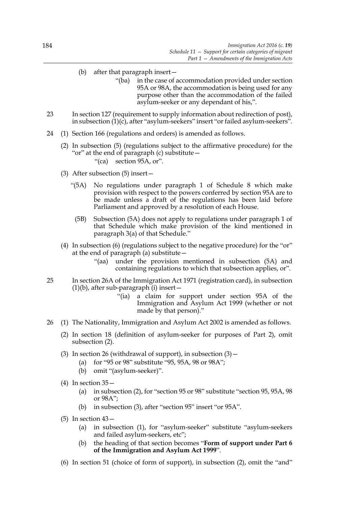- (b) after that paragraph insert—
	- "(ba) in the case of accommodation provided under section 95A or 98A, the accommodation is being used for any purpose other than the accommodation of the failed asylum-seeker or any dependant of his,".
- 23 In section 127 (requirement to supply information about redirection of post), in subsection (1)(c), after "asylum-seekers" insert "or failed asylum-seekers".
- 24 (1) Section 166 (regulations and orders) is amended as follows.
	- (2) In subsection (5) (regulations subject to the affirmative procedure) for the "or" at the end of paragraph (c) substitute—
		- "(ca) section 95A, or".
	- (3) After subsection (5) insert—
		- "(5A) No regulations under paragraph 1 of Schedule 8 which make provision with respect to the powers conferred by section 95A are to be made unless a draft of the regulations has been laid before Parliament and approved by a resolution of each House.
			- (5B) Subsection (5A) does not apply to regulations under paragraph 1 of that Schedule which make provision of the kind mentioned in paragraph 3(a) of that Schedule."
	- (4) In subsection (6) (regulations subject to the negative procedure) for the "or" at the end of paragraph (a) substitute—
		- "(aa) under the provision mentioned in subsection (5A) and containing regulations to which that subsection applies, or".
- 25 In section 26A of the Immigration Act 1971 (registration card), in subsection  $(1)(b)$ , after sub-paragraph  $(i)$  insert –
	- "(ia) a claim for support under section 95A of the Immigration and Asylum Act 1999 (whether or not made by that person)."
- 26 (1) The Nationality, Immigration and Asylum Act 2002 is amended as follows.
	- (2) In section 18 (definition of asylum-seeker for purposes of Part 2), omit subsection (2).
	- (3) In section 26 (withdrawal of support), in subsection  $(3)$  -
		- (a) for "95 or 98" substitute "95, 95A, 98 or 98A";
		- (b) omit "(asylum-seeker)".
	- (4) In section  $35-$ 
		- (a) in subsection (2), for "section 95 or 98" substitute "section 95, 95A, 98 or 98A";
		- (b) in subsection (3), after "section 95" insert "or 95A".
	- $(5)$  In section  $43-$ 
		- (a) in subsection (1), for "asylum-seeker" substitute "asylum-seekers and failed asylum-seekers, etc";
		- (b) the heading of that section becomes "**Form of support under Part 6 of the Immigration and Asylum Act 1999**".
	- (6) In section 51 (choice of form of support), in subsection (2), omit the "and"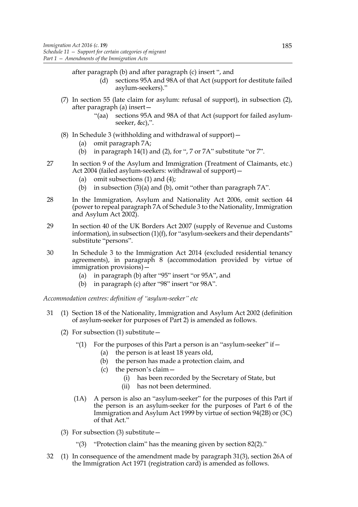- after paragraph (b) and after paragraph (c) insert ", and
	- (d) sections 95A and 98A of that Act (support for destitute failed asylum-seekers)."
- (7) In section 55 (late claim for asylum: refusal of support), in subsection (2), after paragraph (a) insert—
	- "(aa) sections 95A and 98A of that Act (support for failed asylumseeker, &c),".
- (8) In Schedule 3 (withholding and withdrawal of support)—
	- (a) omit paragraph 7A;
	- (b) in paragraph 14(1) and (2), for ", 7 or 7A" substitute "or 7".
- 27 In section 9 of the Asylum and Immigration (Treatment of Claimants, etc.) Act 2004 (failed asylum-seekers: withdrawal of support)—
	- (a) omit subsections  $(1)$  and  $(4)$ ;
	- (b) in subsection (3)(a) and (b), omit "other than paragraph 7A".
- 28 In the Immigration, Asylum and Nationality Act 2006, omit section 44 (power to repeal paragraph 7A of Schedule 3 to the Nationality, Immigration and Asylum Act 2002).
- 29 In section 40 of the UK Borders Act 2007 (supply of Revenue and Customs information), in subsection (1)(f), for "asylum-seekers and their dependants" substitute "persons".
- 30 In Schedule 3 to the Immigration Act 2014 (excluded residential tenancy agreements), in paragraph 8 (accommodation provided by virtue of immigration provisions)—
	- (a) in paragraph (b) after "95" insert "or 95A", and
	- (b) in paragraph (c) after "98" insert "or 98A".

*Accommodation centres: definition of "asylum-seeker" etc*

- 31 (1) Section 18 of the Nationality, Immigration and Asylum Act 2002 (definition of asylum-seeker for purposes of Part 2) is amended as follows.
	- (2) For subsection (1) substitute  $-$ 
		- "(1) For the purposes of this Part a person is an "asylum-seeker" if  $-$ 
			- (a) the person is at least 18 years old,
			- (b) the person has made a protection claim, and
			- (c) the person's claim—
				- (i) has been recorded by the Secretary of State, but
				- (ii) has not been determined.
		- (1A) A person is also an "asylum-seeker" for the purposes of this Part if the person is an asylum-seeker for the purposes of Part 6 of the Immigration and Asylum Act 1999 by virtue of section 94(2B) or (3C) of that Act."
	- (3) For subsection (3) substitute—
		- "(3) "Protection claim" has the meaning given by section 82(2)."
- 32 (1) In consequence of the amendment made by paragraph 31(3), section 26A of the Immigration Act 1971 (registration card) is amended as follows.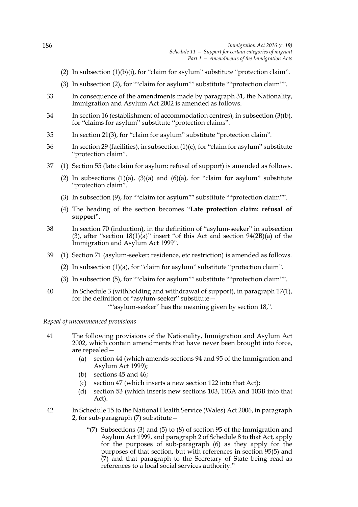- (2) In subsection  $(1)(b)(i)$ , for "claim for asylum" substitute "protection claim".
- (3) In subsection (2), for ""claim for asylum"" substitute ""protection claim"".
- 33 In consequence of the amendments made by paragraph 31, the Nationality, Immigration and Asylum Act 2002 is amended as follows.
- 34 In section 16 (establishment of accommodation centres), in subsection (3)(b), for "claims for asylum" substitute "protection claims".
- 35 In section 21(3), for "claim for asylum" substitute "protection claim".
- 36 In section 29 (facilities), in subsection (1)(c), for "claim for asylum" substitute "protection claim".
- 37 (1) Section 55 (late claim for asylum: refusal of support) is amended as follows.
	- (2) In subsections  $(1)(a)$ ,  $(3)(a)$  and  $(6)(a)$ , for "claim for asylum" substitute "protection claim".
	- (3) In subsection (9), for ""claim for asylum"" substitute ""protection claim"".
	- (4) The heading of the section becomes "**Late protection claim: refusal of support**".
- 38 In section 70 (induction), in the definition of "asylum-seeker" in subsection (3), after "section  $18(1)(a)$ " insert "of this Act and section  $94(2B)(a)$  of the Immigration and Asylum Act 1999".
- 39 (1) Section 71 (asylum-seeker: residence, etc restriction) is amended as follows.
	- (2) In subsection (1)(a), for "claim for asylum" substitute "protection claim".
	- (3) In subsection (5), for ""claim for asylum"" substitute ""protection claim"".
- 40 In Schedule 3 (withholding and withdrawal of support), in paragraph 17(1), for the definition of "asylum-seeker" substitute—

""asylum-seeker" has the meaning given by section 18,".

*Repeal of uncommenced provisions*

- 41 The following provisions of the Nationality, Immigration and Asylum Act 2002, which contain amendments that have never been brought into force, are repealed—
	- (a) section 44 (which amends sections 94 and 95 of the Immigration and Asylum Act 1999);
	- (b) sections 45 and 46;
	- (c) section 47 (which inserts a new section 122 into that Act);
	- (d) section 53 (which inserts new sections 103, 103A and 103B into that Act).
- 42 In Schedule 15 to the National Health Service (Wales) Act 2006, in paragraph 2, for sub-paragraph (7) substitute—
	- "(7) Subsections (3) and (5) to (8) of section 95 of the Immigration and Asylum Act 1999, and paragraph 2 of Schedule 8 to that Act, apply for the purposes of sub-paragraph (6) as they apply for the purposes of that section, but with references in section 95(5) and (7) and that paragraph to the Secretary of State being read as references to a local social services authority."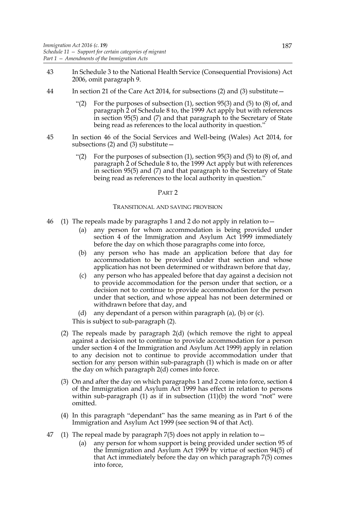- 43 In Schedule 3 to the National Health Service (Consequential Provisions) Act 2006, omit paragraph 9.
- 44 In section 21 of the Care Act 2014, for subsections (2) and (3) substitute—
	- For the purposes of subsection  $(1)$ , section 95 $(3)$  and  $(5)$  to  $(8)$  of, and paragraph 2 of Schedule 8 to, the 1999 Act apply but with references in section 95(5) and (7) and that paragraph to the Secretary of State being read as references to the local authority in question."
- 45 In section 46 of the Social Services and Well-being (Wales) Act 2014, for subsections  $(2)$  and  $(3)$  substitute  $-$ 
	- "(2) For the purposes of subsection  $(1)$ , section 95(3) and  $(5)$  to  $(8)$  of, and paragraph 2 of Schedule 8 to, the 1999 Act apply but with references in section 95(5) and (7) and that paragraph to the Secretary of State being read as references to the local authority in question."

#### PART 2

#### TRANSITIONAL AND SAVING PROVISION

- 46 (1) The repeals made by paragraphs 1 and 2 do not apply in relation to—
	- (a) any person for whom accommodation is being provided under section 4 of the Immigration and Asylum Act 1999 immediately before the day on which those paragraphs come into force,
	- (b) any person who has made an application before that day for accommodation to be provided under that section and whose application has not been determined or withdrawn before that day,
	- (c) any person who has appealed before that day against a decision not to provide accommodation for the person under that section, or a decision not to continue to provide accommodation for the person under that section, and whose appeal has not been determined or withdrawn before that day, and
	- (d) any dependant of a person within paragraph (a), (b) or (c).

This is subject to sub-paragraph (2).

- (2) The repeals made by paragraph 2(d) (which remove the right to appeal against a decision not to continue to provide accommodation for a person under section 4 of the Immigration and Asylum Act 1999) apply in relation to any decision not to continue to provide accommodation under that section for any person within sub-paragraph (1) which is made on or after the day on which paragraph 2(d) comes into force.
- (3) On and after the day on which paragraphs 1 and 2 come into force, section 4 of the Immigration and Asylum Act 1999 has effect in relation to persons within sub-paragraph  $(1)$  as if in subsection  $(11)(b)$  the word "not" were omitted.
- (4) In this paragraph "dependant" has the same meaning as in Part 6 of the Immigration and Asylum Act 1999 (see section 94 of that Act).
- 47 (1) The repeal made by paragraph 7(5) does not apply in relation to  $-$ 
	- (a) any person for whom support is being provided under section 95 of the Immigration and Asylum Act 1999 by virtue of section 94(5) of that Act immediately before the day on which paragraph 7(5) comes into force,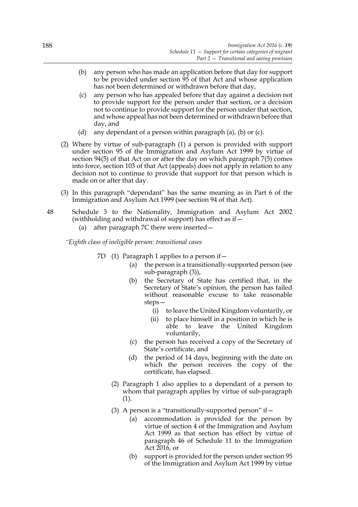- (b) any person who has made an application before that day for support to be provided under section 95 of that Act and whose application has not been determined or withdrawn before that day,
- (c) any person who has appealed before that day against a decision not to provide support for the person under that section, or a decision not to continue to provide support for the person under that section, and whose appeal has not been determined or withdrawn before that day, and
- (d) any dependant of a person within paragraph (a), (b) or (c).
- (2) Where by virtue of sub-paragraph (1) a person is provided with support under section 95 of the Immigration and Asylum Act 1999 by virtue of section 94(5) of that Act on or after the day on which paragraph 7(5) comes into force, section 103 of that Act (appeals) does not apply in relation to any decision not to continue to provide that support for that person which is made on or after that day.
- (3) In this paragraph "dependant" has the same meaning as in Part 6 of the Immigration and Asylum Act 1999 (see section 94 of that Act).
- 48 Schedule 3 to the Nationality, Immigration and Asylum Act 2002 (withholding and withdrawal of support) has effect as if  $-$ 
	- (a) after paragraph 7C there were inserted—
	- *"Eighth class of ineligible person: transitional cases*
		- 7D (1) Paragraph 1 applies to a person if—
			- (a) the person is a transitionally-supported person (see sub-paragraph (3)),
			- (b) the Secretary of State has certified that, in the Secretary of State's opinion, the person has failed without reasonable excuse to take reasonable steps—
				- (i) to leave the United Kingdom voluntarily, or
				- (ii) to place himself in a position in which he is able to leave the United Kingdom voluntarily,
			- (c) the person has received a copy of the Secretary of State's certificate, and
			- (d) the period of 14 days, beginning with the date on which the person receives the copy of the certificate, has elapsed.
			- (2) Paragraph 1 also applies to a dependant of a person to whom that paragraph applies by virtue of sub-paragraph (1).
			- (3) A person is a "transitionally-supported person" if  $-$ 
				- (a) accommodation is provided for the person by virtue of section 4 of the Immigration and Asylum Act 1999 as that section has effect by virtue of paragraph 46 of Schedule 11 to the Immigration Act 2016, or
				- (b) support is provided for the person under section 95 of the Immigration and Asylum Act 1999 by virtue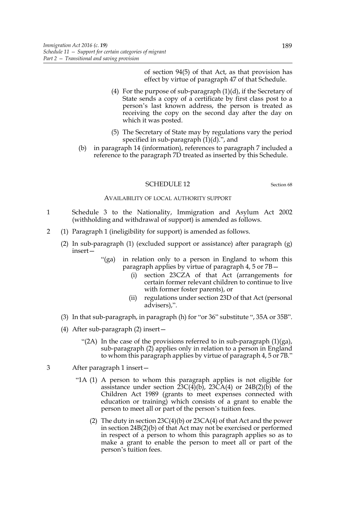of section 94(5) of that Act, as that provision has effect by virtue of paragraph 47 of that Schedule.

- (4) For the purpose of sub-paragraph  $(1)(d)$ , if the Secretary of State sends a copy of a certificate by first class post to a person's last known address, the person is treated as receiving the copy on the second day after the day on which it was posted.
- (5) The Secretary of State may by regulations vary the period specified in sub-paragraph  $(1)(d)$ .", and
- (b) in paragraph 14 (information), references to paragraph 7 included a reference to the paragraph 7D treated as inserted by this Schedule.

### SCHEDULE 12 Section 68

#### AVAILABILITY OF LOCAL AUTHORITY SUPPORT

- 1 Schedule 3 to the Nationality, Immigration and Asylum Act 2002 (withholding and withdrawal of support) is amended as follows.
- 2 (1) Paragraph 1 (ineligibility for support) is amended as follows.
	- (2) In sub-paragraph (1) (excluded support or assistance) after paragraph (g) insert—
		- "(ga) in relation only to a person in England to whom this paragraph applies by virtue of paragraph 4, 5 or 7B—
			- (i) section 23CZA of that Act (arrangements for certain former relevant children to continue to live with former foster parents), or
			- (ii) regulations under section 23D of that Act (personal advisers),".
	- (3) In that sub-paragraph, in paragraph (h) for "or 36" substitute ", 35A or 35B".
	- (4) After sub-paragraph (2) insert—
		- "(2A) In the case of the provisions referred to in sub-paragraph  $(1)(ga)$ , sub-paragraph (2) applies only in relation to a person in England to whom this paragraph applies by virtue of paragraph 4, 5 or 7B."
- 3 After paragraph 1 insert—
	- "1A (1) A person to whom this paragraph applies is not eligible for assistance under section  $23C(4)(b)$ ,  $23CA(4)$  or  $24B(2)(b)$  of the Children Act 1989 (grants to meet expenses connected with education or training) which consists of a grant to enable the person to meet all or part of the person's tuition fees.
		- (2) The duty in section  $23C(4)(b)$  or  $23CA(4)$  of that Act and the power in section 24B(2)(b) of that Act may not be exercised or performed in respect of a person to whom this paragraph applies so as to make a grant to enable the person to meet all or part of the person's tuition fees.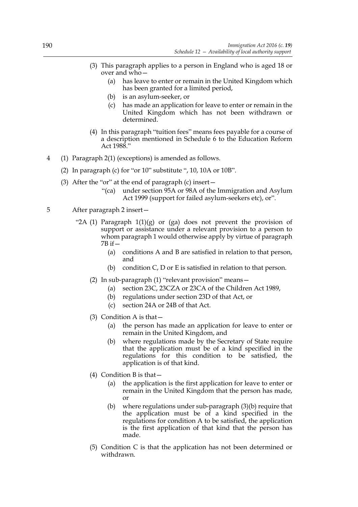- (3) This paragraph applies to a person in England who is aged 18 or over and who—
	- (a) has leave to enter or remain in the United Kingdom which has been granted for a limited period,
	- (b) is an asylum-seeker, or
	- (c) has made an application for leave to enter or remain in the United Kingdom which has not been withdrawn or determined.
- (4) In this paragraph "tuition fees" means fees payable for a course of a description mentioned in Schedule 6 to the Education Reform Act 1988."
- 4 (1) Paragraph 2(1) (exceptions) is amended as follows.
	- (2) In paragraph (c) for "or 10" substitute ", 10, 10A or 10B".
	- (3) After the "or" at the end of paragraph (c) insert—
		- "(ca) under section 95A or 98A of the Immigration and Asylum Act 1999 (support for failed asylum-seekers etc), or".
- 5 After paragraph 2 insert—
	- "2A (1) Paragraph  $1(1)(g)$  or (ga) does not prevent the provision of support or assistance under a relevant provision to a person to whom paragraph 1 would otherwise apply by virtue of paragraph  $7B$  if  $-$ 
		- (a) conditions A and B are satisfied in relation to that person, and
		- (b) condition  $C$ ,  $D$  or  $E$  is satisfied in relation to that person.
		- (2) In sub-paragraph (1) "relevant provision" means—
			- (a) section 23C, 23CZA or 23CA of the Children Act 1989,
			- (b) regulations under section 23D of that Act, or
			- (c) section 24A or 24B of that Act.
		- (3) Condition A is that—
			- (a) the person has made an application for leave to enter or remain in the United Kingdom, and
			- (b) where regulations made by the Secretary of State require that the application must be of a kind specified in the regulations for this condition to be satisfied, the application is of that kind.
		- (4) Condition B is that—
			- (a) the application is the first application for leave to enter or remain in the United Kingdom that the person has made, or
			- (b) where regulations under sub-paragraph (3)(b) require that the application must be of a kind specified in the regulations for condition A to be satisfied, the application is the first application of that kind that the person has made.
		- (5) Condition C is that the application has not been determined or withdrawn.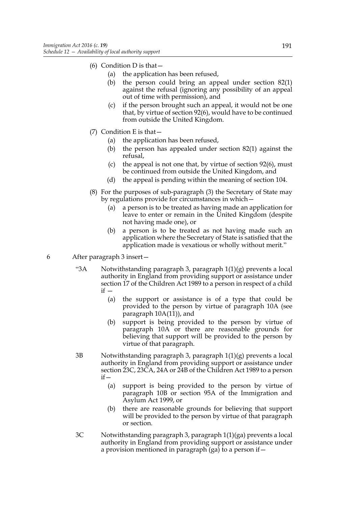- (6) Condition D is that  $-$ 
	- (a) the application has been refused,
	- (b) the person could bring an appeal under section 82(1) against the refusal (ignoring any possibility of an appeal out of time with permission), and
	- (c) if the person brought such an appeal, it would not be one that, by virtue of section 92(6), would have to be continued from outside the United Kingdom.
- (7) Condition E is that—
	- (a) the application has been refused,
	- (b) the person has appealed under section 82(1) against the refusal,
	- (c) the appeal is not one that, by virtue of section  $92(6)$ , must be continued from outside the United Kingdom, and
	- (d) the appeal is pending within the meaning of section 104.
- (8) For the purposes of sub-paragraph (3) the Secretary of State may by regulations provide for circumstances in which—
	- (a) a person is to be treated as having made an application for leave to enter or remain in the United Kingdom (despite not having made one), or
	- (b) a person is to be treated as not having made such an application where the Secretary of State is satisfied that the application made is vexatious or wholly without merit."
- 6 After paragraph 3 insert—
	- "3A Notwithstanding paragraph 3, paragraph  $1(1)(g)$  prevents a local authority in England from providing support or assistance under section 17 of the Children Act 1989 to a person in respect of a child  $if -$ 
		- (a) the support or assistance is of a type that could be provided to the person by virtue of paragraph 10A (see paragraph 10A(11)), and
		- (b) support is being provided to the person by virtue of paragraph 10A or there are reasonable grounds for believing that support will be provided to the person by virtue of that paragraph.
	- 3B Notwithstanding paragraph 3, paragraph 1(1)(g) prevents a local authority in England from providing support or assistance under section 23C, 23CA, 24A or 24B of the Children Act 1989 to a person if—
		- (a) support is being provided to the person by virtue of paragraph 10B or section 95A of the Immigration and Asylum Act 1999, or
		- (b) there are reasonable grounds for believing that support will be provided to the person by virtue of that paragraph or section.
	- 3C Notwithstanding paragraph 3, paragraph 1(1)(ga) prevents a local authority in England from providing support or assistance under a provision mentioned in paragraph (ga) to a person if—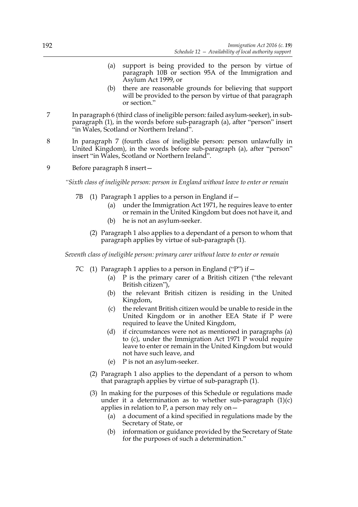- (a) support is being provided to the person by virtue of paragraph 10B or section 95A of the Immigration and Asylum Act 1999, or
- (b) there are reasonable grounds for believing that support will be provided to the person by virtue of that paragraph or section."
- 7 In paragraph 6 (third class of ineligible person: failed asylum-seeker), in subparagraph (1), in the words before sub-paragraph (a), after "person" insert "in Wales, Scotland or Northern Ireland".
- 8 In paragraph 7 (fourth class of ineligible person: person unlawfully in United Kingdom), in the words before sub-paragraph (a), after "person" insert "in Wales, Scotland or Northern Ireland".
- 9 Before paragraph 8 insert—

*"Sixth class of ineligible person: person in England without leave to enter or remain*

- 7B (1) Paragraph 1 applies to a person in England if  $-$ 
	- (a) under the Immigration Act 1971, he requires leave to enter or remain in the United Kingdom but does not have it, and
	- (b) he is not an asylum-seeker.
	- (2) Paragraph 1 also applies to a dependant of a person to whom that paragraph applies by virtue of sub-paragraph (1).

*Seventh class of ineligible person: primary carer without leave to enter or remain*

- 7C (1) Paragraph 1 applies to a person in England ("P") if  $-$ 
	- (a) P is the primary carer of a British citizen ("the relevant British citizen"),
	- (b) the relevant British citizen is residing in the United Kingdom,
	- (c) the relevant British citizen would be unable to reside in the United Kingdom or in another EEA State if P were required to leave the United Kingdom,
	- (d) if circumstances were not as mentioned in paragraphs (a) to (c), under the Immigration Act 1971 P would require leave to enter or remain in the United Kingdom but would not have such leave, and
	- (e) P is not an asylum-seeker.
	- (2) Paragraph 1 also applies to the dependant of a person to whom that paragraph applies by virtue of sub-paragraph (1).
	- (3) In making for the purposes of this Schedule or regulations made under it a determination as to whether sub-paragraph  $(1)(c)$ applies in relation to P, a person may rely on $-$ 
		- (a) a document of a kind specified in regulations made by the Secretary of State, or
		- (b) information or guidance provided by the Secretary of State for the purposes of such a determination."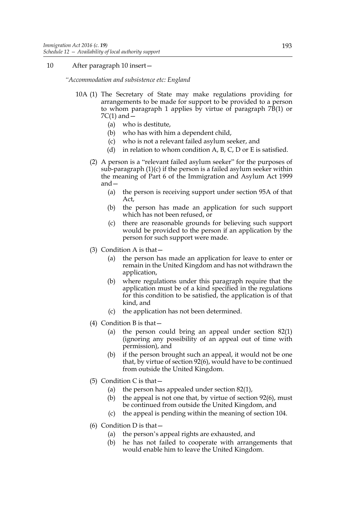# 10 After paragraph 10 insert—

*"Accommodation and subsistence etc: England*

- 10A (1) The Secretary of State may make regulations providing for arrangements to be made for support to be provided to a person to whom paragraph 1 applies by virtue of paragraph  $7B(1)$  or  $7C(1)$  and  $-$ 
	- (a) who is destitute,
	- (b) who has with him a dependent child,
	- (c) who is not a relevant failed asylum seeker, and
	- (d) in relation to whom condition A, B, C, D or E is satisfied.
	- (2) A person is a "relevant failed asylum seeker" for the purposes of sub-paragraph  $(1)(c)$  if the person is a failed asylum seeker within the meaning of Part 6 of the Immigration and Asylum Act 1999 and—
		- (a) the person is receiving support under section 95A of that Act,
		- (b) the person has made an application for such support which has not been refused, or
		- (c) there are reasonable grounds for believing such support would be provided to the person if an application by the person for such support were made.
	- (3) Condition A is that—
		- (a) the person has made an application for leave to enter or remain in the United Kingdom and has not withdrawn the application,
		- (b) where regulations under this paragraph require that the application must be of a kind specified in the regulations for this condition to be satisfied, the application is of that kind, and
		- (c) the application has not been determined.
	- (4) Condition B is that—
		- (a) the person could bring an appeal under section 82(1) (ignoring any possibility of an appeal out of time with permission), and
		- (b) if the person brought such an appeal, it would not be one that, by virtue of section 92(6), would have to be continued from outside the United Kingdom.
	- (5) Condition C is that  $-$ 
		- (a) the person has appealed under section 82(1),
		- (b) the appeal is not one that, by virtue of section  $92(6)$ , must be continued from outside the United Kingdom, and
		- (c) the appeal is pending within the meaning of section 104.
	- (6) Condition D is that  $-$ 
		- (a) the person's appeal rights are exhausted, and
		- (b) he has not failed to cooperate with arrangements that would enable him to leave the United Kingdom.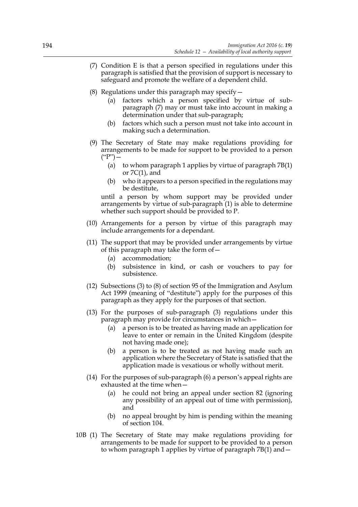- (7) Condition E is that a person specified in regulations under this paragraph is satisfied that the provision of support is necessary to safeguard and promote the welfare of a dependent child.
- (8) Regulations under this paragraph may specify  $-$ 
	- (a) factors which a person specified by virtue of subparagraph (7) may or must take into account in making a determination under that sub-paragraph;
	- (b) factors which such a person must not take into account in making such a determination.
- (9) The Secretary of State may make regulations providing for arrangements to be made for support to be provided to a person  $($ " $P$ " $)$  –
	- (a) to whom paragraph 1 applies by virtue of paragraph 7B(1) or  $7C(1)$ , and
	- (b) who it appears to a person specified in the regulations may be destitute,

until a person by whom support may be provided under arrangements by virtue of sub-paragraph (1) is able to determine whether such support should be provided to P.

- (10) Arrangements for a person by virtue of this paragraph may include arrangements for a dependant.
- (11) The support that may be provided under arrangements by virtue of this paragraph may take the form of  $-$ 
	- (a) accommodation;
	- (b) subsistence in kind, or cash or vouchers to pay for subsistence.
- (12) Subsections (3) to (8) of section 95 of the Immigration and Asylum Act 1999 (meaning of "destitute") apply for the purposes of this paragraph as they apply for the purposes of that section.
- (13) For the purposes of sub-paragraph (3) regulations under this paragraph may provide for circumstances in which—
	- (a) a person is to be treated as having made an application for leave to enter or remain in the United Kingdom (despite not having made one);
	- (b) a person is to be treated as not having made such an application where the Secretary of State is satisfied that the application made is vexatious or wholly without merit.
- (14) For the purposes of sub-paragraph (6) a person's appeal rights are exhausted at the time when—
	- (a) he could not bring an appeal under section 82 (ignoring any possibility of an appeal out of time with permission), and
	- (b) no appeal brought by him is pending within the meaning of section 104.
- 10B (1) The Secretary of State may make regulations providing for arrangements to be made for support to be provided to a person to whom paragraph 1 applies by virtue of paragraph 7B(1) and—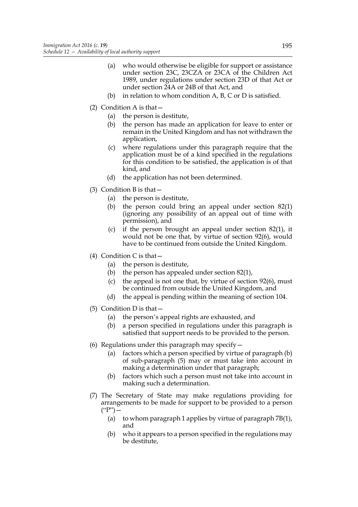- (a) who would otherwise be eligible for support or assistance under section 23C, 23CZA or 23CA of the Children Act 1989, under regulations under section 23D of that Act or under section 24A or 24B of that Act, and
- (b) in relation to whom condition  $A$ ,  $B$ ,  $C$  or  $D$  is satisfied.
- (2) Condition A is that—
	- (a) the person is destitute,
	- (b) the person has made an application for leave to enter or remain in the United Kingdom and has not withdrawn the application,
	- (c) where regulations under this paragraph require that the application must be of a kind specified in the regulations for this condition to be satisfied, the application is of that kind, and
	- (d) the application has not been determined.
- (3) Condition B is that—
	- (a) the person is destitute,
	- (b) the person could bring an appeal under section 82(1) (ignoring any possibility of an appeal out of time with permission), and
	- (c) if the person brought an appeal under section 82(1), it would not be one that, by virtue of section 92(6), would have to be continued from outside the United Kingdom.
- (4) Condition C is that  $-$ 
	- (a) the person is destitute,
	- (b) the person has appealed under section 82(1),
	- (c) the appeal is not one that, by virtue of section 92(6), must be continued from outside the United Kingdom, and
	- (d) the appeal is pending within the meaning of section 104.
- (5) Condition D is that  $-$ 
	- (a) the person's appeal rights are exhausted, and
	- (b) a person specified in regulations under this paragraph is satisfied that support needs to be provided to the person.
- (6) Regulations under this paragraph may specify—
	- (a) factors which a person specified by virtue of paragraph (b) of sub-paragraph (5) may or must take into account in making a determination under that paragraph;
	- (b) factors which such a person must not take into account in making such a determination.
- (7) The Secretary of State may make regulations providing for arrangements to be made for support to be provided to a person  $($ "P" $)$  —
	- (a) to whom paragraph 1 applies by virtue of paragraph 7B(1), and
	- (b) who it appears to a person specified in the regulations may be destitute,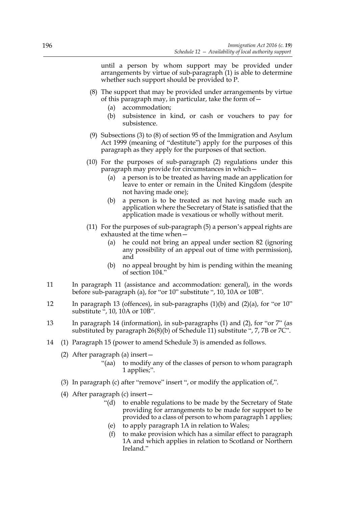until a person by whom support may be provided under arrangements by virtue of sub-paragraph (1) is able to determine whether such support should be provided to P.

- (8) The support that may be provided under arrangements by virtue of this paragraph may, in particular, take the form of—
	- (a) accommodation;
	- (b) subsistence in kind, or cash or vouchers to pay for subsistence.
- (9) Subsections (3) to (8) of section 95 of the Immigration and Asylum Act 1999 (meaning of "destitute") apply for the purposes of this paragraph as they apply for the purposes of that section.
- (10) For the purposes of sub-paragraph (2) regulations under this paragraph may provide for circumstances in which—
	- (a) a person is to be treated as having made an application for leave to enter or remain in the United Kingdom (despite not having made one);
	- (b) a person is to be treated as not having made such an application where the Secretary of State is satisfied that the application made is vexatious or wholly without merit.
- (11) For the purposes of sub-paragraph (5) a person's appeal rights are exhausted at the time when—
	- (a) he could not bring an appeal under section 82 (ignoring any possibility of an appeal out of time with permission), and
	- (b) no appeal brought by him is pending within the meaning of section 104."
- 11 In paragraph 11 (assistance and accommodation: general), in the words before sub-paragraph (a), for "or 10" substitute ", 10, 10A or 10B".
- 12 In paragraph 13 (offences), in sub-paragraphs (1)(b) and (2)(a), for "or 10" substitute ", 10, 10A or 10B".
- 13 In paragraph 14 (information), in sub-paragraphs (1) and (2), for "or 7" (as substituted by paragraph 26(8)(b) of Schedule 11) substitute ", 7, 7B or 7C".
- 14 (1) Paragraph 15 (power to amend Schedule 3) is amended as follows.
	- (2) After paragraph (a) insert—
		- "(aa) to modify any of the classes of person to whom paragraph 1 applies;".
	- (3) In paragraph (c) after "remove" insert ", or modify the application of,".
	- (4) After paragraph (c) insert—
		- "(d) to enable regulations to be made by the Secretary of State providing for arrangements to be made for support to be provided to a class of person to whom paragraph 1 applies;
		- (e) to apply paragraph 1A in relation to Wales;
		- (f) to make provision which has a similar effect to paragraph 1A and which applies in relation to Scotland or Northern Ireland."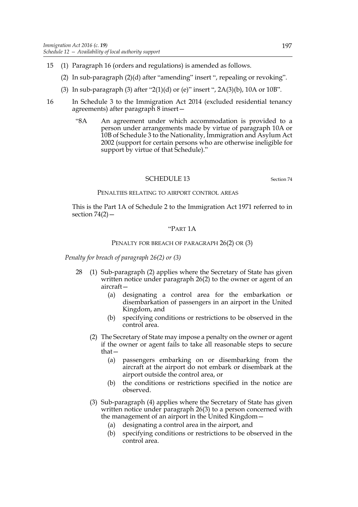- 15 (1) Paragraph 16 (orders and regulations) is amended as follows.
	- (2) In sub-paragraph (2)(d) after "amending" insert ", repealing or revoking".
	- (3) In sub-paragraph (3) after "2(1)(d) or (e)" insert ", 2A(3)(b), 10A or 10B".
- 16 In Schedule 3 to the Immigration Act 2014 (excluded residential tenancy agreements) after paragraph 8 insert—
	- "8A An agreement under which accommodation is provided to a person under arrangements made by virtue of paragraph 10A or 10B of Schedule 3 to the Nationality, Immigration and Asylum Act 2002 (support for certain persons who are otherwise ineligible for support by virtue of that Schedule)."

### SCHEDULE 13 Section 74

#### PENALTIES RELATING TO AIRPORT CONTROL AREAS

This is the Part 1A of Schedule 2 to the Immigration Act 1971 referred to in section  $74(2)$  -

## "PART 1A

#### PENALTY FOR BREACH OF PARAGRAPH 26(2) OR (3)

*Penalty for breach of paragraph 26(2) or (3)*

- 28 (1) Sub-paragraph (2) applies where the Secretary of State has given written notice under paragraph 26(2) to the owner or agent of an aircraft—
	- (a) designating a control area for the embarkation or disembarkation of passengers in an airport in the United Kingdom, and
	- (b) specifying conditions or restrictions to be observed in the control area.
	- (2) The Secretary of State may impose a penalty on the owner or agent if the owner or agent fails to take all reasonable steps to secure that—
		- (a) passengers embarking on or disembarking from the aircraft at the airport do not embark or disembark at the airport outside the control area, or
		- (b) the conditions or restrictions specified in the notice are observed.
	- (3) Sub-paragraph (4) applies where the Secretary of State has given written notice under paragraph 26(3) to a person concerned with the management of an airport in the United Kingdom—
		- (a) designating a control area in the airport, and
		- (b) specifying conditions or restrictions to be observed in the control area.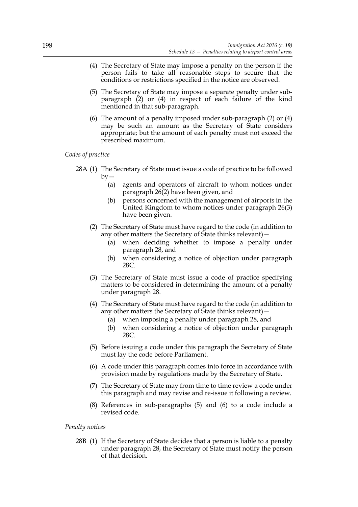- (4) The Secretary of State may impose a penalty on the person if the person fails to take all reasonable steps to secure that the conditions or restrictions specified in the notice are observed.
- (5) The Secretary of State may impose a separate penalty under subparagraph (2) or (4) in respect of each failure of the kind mentioned in that sub-paragraph.
- (6) The amount of a penalty imposed under sub-paragraph (2) or (4) may be such an amount as the Secretary of State considers appropriate; but the amount of each penalty must not exceed the prescribed maximum.

*Codes of practice*

- 28A (1) The Secretary of State must issue a code of practice to be followed  $bv -$ 
	- (a) agents and operators of aircraft to whom notices under paragraph  $26(2)$  have been given, and
	- (b) persons concerned with the management of airports in the United Kingdom to whom notices under paragraph 26(3) have been given.
	- (2) The Secretary of State must have regard to the code (in addition to any other matters the Secretary of State thinks relevant)—
		- (a) when deciding whether to impose a penalty under paragraph 28, and
		- (b) when considering a notice of objection under paragraph 28C.
	- (3) The Secretary of State must issue a code of practice specifying matters to be considered in determining the amount of a penalty under paragraph 28.
	- (4) The Secretary of State must have regard to the code (in addition to any other matters the Secretary of State thinks relevant)—
		- (a) when imposing a penalty under paragraph 28, and
		- (b) when considering a notice of objection under paragraph 28C.
	- (5) Before issuing a code under this paragraph the Secretary of State must lay the code before Parliament.
	- (6) A code under this paragraph comes into force in accordance with provision made by regulations made by the Secretary of State.
	- (7) The Secretary of State may from time to time review a code under this paragraph and may revise and re-issue it following a review.
	- (8) References in sub-paragraphs (5) and (6) to a code include a revised code.

*Penalty notices*

28B (1) If the Secretary of State decides that a person is liable to a penalty under paragraph 28, the Secretary of State must notify the person of that decision.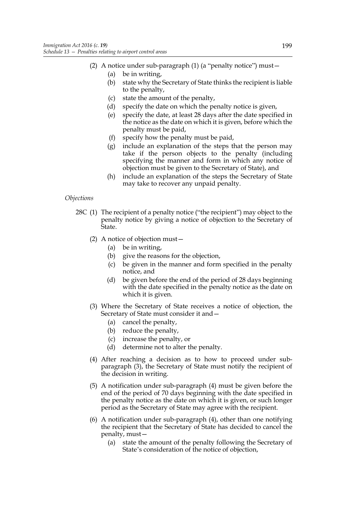- (2) A notice under sub-paragraph (1) (a "penalty notice") must—
	- (a) be in writing,
	- (b) state why the Secretary of State thinks the recipient is liable to the penalty,
	- (c) state the amount of the penalty,
	- (d) specify the date on which the penalty notice is given,
	- (e) specify the date, at least 28 days after the date specified in the notice as the date on which it is given, before which the penalty must be paid,
	- (f) specify how the penalty must be paid,
	- (g) include an explanation of the steps that the person may take if the person objects to the penalty (including specifying the manner and form in which any notice of objection must be given to the Secretary of State), and
	- (h) include an explanation of the steps the Secretary of State may take to recover any unpaid penalty.

# *Objections*

- 28C (1) The recipient of a penalty notice ("the recipient") may object to the penalty notice by giving a notice of objection to the Secretary of State.
	- (2) A notice of objection must—
		- (a) be in writing,
		- (b) give the reasons for the objection,
		- (c) be given in the manner and form specified in the penalty notice, and
		- (d) be given before the end of the period of 28 days beginning with the date specified in the penalty notice as the date on which it is given.
	- (3) Where the Secretary of State receives a notice of objection, the Secretary of State must consider it and—
		- (a) cancel the penalty,
		- (b) reduce the penalty,
		- (c) increase the penalty, or
		- (d) determine not to alter the penalty.
	- (4) After reaching a decision as to how to proceed under subparagraph (3), the Secretary of State must notify the recipient of the decision in writing.
	- (5) A notification under sub-paragraph (4) must be given before the end of the period of 70 days beginning with the date specified in the penalty notice as the date on which it is given, or such longer period as the Secretary of State may agree with the recipient.
	- (6) A notification under sub-paragraph (4), other than one notifying the recipient that the Secretary of State has decided to cancel the penalty, must—
		- (a) state the amount of the penalty following the Secretary of State's consideration of the notice of objection,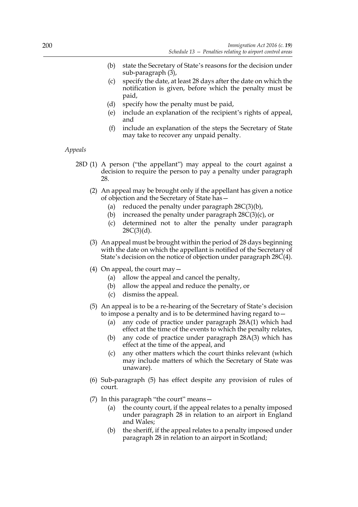- (b) state the Secretary of State's reasons for the decision under sub-paragraph (3),
- (c) specify the date, at least 28 days after the date on which the notification is given, before which the penalty must be paid,
- (d) specify how the penalty must be paid,
- (e) include an explanation of the recipient's rights of appeal, and
- (f) include an explanation of the steps the Secretary of State may take to recover any unpaid penalty.

### *Appeals*

- 28D (1) A person ("the appellant") may appeal to the court against a decision to require the person to pay a penalty under paragraph 28.
	- (2) An appeal may be brought only if the appellant has given a notice of objection and the Secretary of State has—
		- (a) reduced the penalty under paragraph  $28C(3)(b)$ ,
		- (b) increased the penalty under paragraph  $28C(3)(c)$ , or
		- (c) determined not to alter the penalty under paragraph  $28C(3)(d)$ .
	- (3) An appeal must be brought within the period of 28 days beginning with the date on which the appellant is notified of the Secretary of State's decision on the notice of objection under paragraph 28C(4).
	- (4) On appeal, the court may  $-$ 
		- (a) allow the appeal and cancel the penalty,
		- (b) allow the appeal and reduce the penalty, or
		- (c) dismiss the appeal.
	- (5) An appeal is to be a re-hearing of the Secretary of State's decision to impose a penalty and is to be determined having regard to—
		- (a) any code of practice under paragraph 28A(1) which had effect at the time of the events to which the penalty relates,
		- (b) any code of practice under paragraph 28A(3) which has effect at the time of the appeal, and
		- (c) any other matters which the court thinks relevant (which may include matters of which the Secretary of State was unaware).
	- (6) Sub-paragraph (5) has effect despite any provision of rules of court.
	- (7) In this paragraph "the court" means
		- the county court, if the appeal relates to a penalty imposed under paragraph 28 in relation to an airport in England and Wales;
		- (b) the sheriff, if the appeal relates to a penalty imposed under paragraph 28 in relation to an airport in Scotland;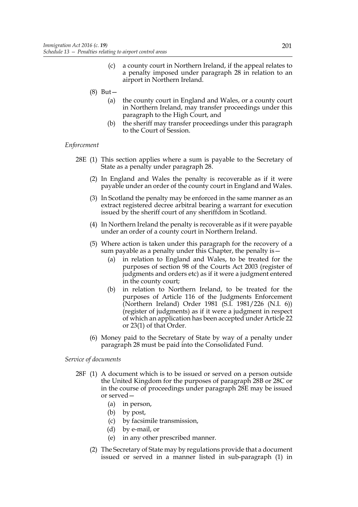- (c) a county court in Northern Ireland, if the appeal relates to a penalty imposed under paragraph 28 in relation to an airport in Northern Ireland.
- (8) But—
	- (a) the county court in England and Wales, or a county court in Northern Ireland, may transfer proceedings under this paragraph to the High Court, and
	- (b) the sheriff may transfer proceedings under this paragraph to the Court of Session.

### *Enforcement*

- 28E (1) This section applies where a sum is payable to the Secretary of State as a penalty under paragraph 28.
	- (2) In England and Wales the penalty is recoverable as if it were payable under an order of the county court in England and Wales.
	- (3) In Scotland the penalty may be enforced in the same manner as an extract registered decree arbitral bearing a warrant for execution issued by the sheriff court of any sheriffdom in Scotland.
	- (4) In Northern Ireland the penalty is recoverable as if it were payable under an order of a county court in Northern Ireland.
	- (5) Where action is taken under this paragraph for the recovery of a sum payable as a penalty under this Chapter, the penalty is—
		- (a) in relation to England and Wales, to be treated for the purposes of section 98 of the Courts Act 2003 (register of judgments and orders etc) as if it were a judgment entered in the county court;
		- (b) in relation to Northern Ireland, to be treated for the purposes of Article 116 of the Judgments Enforcement (Northern Ireland) Order 1981 (S.I. 1981/226 (N.I. 6)) (register of judgments) as if it were a judgment in respect of which an application has been accepted under Article 22 or 23(1) of that Order.
	- (6) Money paid to the Secretary of State by way of a penalty under paragraph 28 must be paid into the Consolidated Fund.

#### *Service of documents*

- 28F (1) A document which is to be issued or served on a person outside the United Kingdom for the purposes of paragraph 28B or 28C or in the course of proceedings under paragraph 28E may be issued or served—
	- (a) in person,
	- (b) by post,
	- (c) by facsimile transmission,
	- (d) by e-mail, or
	- (e) in any other prescribed manner.
	- (2) The Secretary of State may by regulations provide that a document issued or served in a manner listed in sub-paragraph (1) in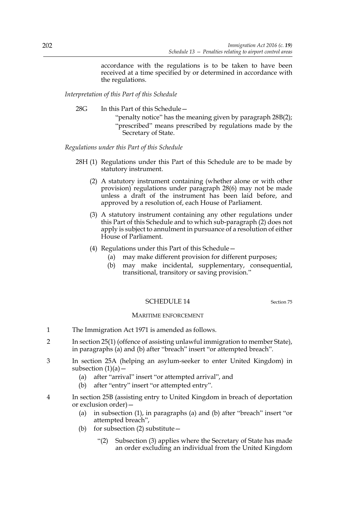accordance with the regulations is to be taken to have been received at a time specified by or determined in accordance with the regulations.

*Interpretation of this Part of this Schedule*

28G In this Part of this Schedule—

"penalty notice" has the meaning given by paragraph 28B(2); "prescribed" means prescribed by regulations made by the Secretary of State.

*Regulations under this Part of this Schedule*

- 28H (1) Regulations under this Part of this Schedule are to be made by statutory instrument.
	- (2) A statutory instrument containing (whether alone or with other provision) regulations under paragraph 28(6) may not be made unless a draft of the instrument has been laid before, and approved by a resolution of, each House of Parliament.
	- (3) A statutory instrument containing any other regulations under this Part of this Schedule and to which sub-paragraph (2) does not apply is subject to annulment in pursuance of a resolution of either House of Parliament.
	- (4) Regulations under this Part of this Schedule—
		- (a) may make different provision for different purposes;
		- (b) may make incidental, supplementary, consequential, transitional, transitory or saving provision."

# SCHEDULE 14 Section 75

## MARITIME ENFORCEMENT

- 1 The Immigration Act 1971 is amended as follows.
- 2 In section 25(1) (offence of assisting unlawful immigration to member State), in paragraphs (a) and (b) after "breach" insert "or attempted breach".
- 3 In section 25A (helping an asylum-seeker to enter United Kingdom) in subsection  $(1)(a)$  –
	- (a) after "arrival" insert "or attempted arrival", and
	- (b) after "entry" insert "or attempted entry".
- 4 In section 25B (assisting entry to United Kingdom in breach of deportation or exclusion order)—
	- (a) in subsection (1), in paragraphs (a) and (b) after "breach" insert "or attempted breach",
	- (b) for subsection (2) substitute—
		- "(2) Subsection (3) applies where the Secretary of State has made an order excluding an individual from the United Kingdom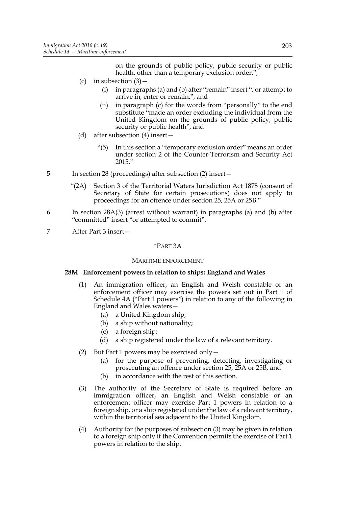on the grounds of public policy, public security or public health, other than a temporary exclusion order.",

- (c) in subsection  $(3)$ 
	- (i) in paragraphs (a) and (b) after "remain" insert ", or attempt to arrive in, enter or remain,", and
	- (ii) in paragraph (c) for the words from "personally" to the end substitute "made an order excluding the individual from the United Kingdom on the grounds of public policy, public security or public health", and
- (d) after subsection (4) insert—
	- "(5) In this section a "temporary exclusion order" means an order under section 2 of the Counter-Terrorism and Security Act 2015."
- 5 In section 28 (proceedings) after subsection (2) insert—
	- "(2A) Section 3 of the Territorial Waters Jurisdiction Act 1878 (consent of Secretary of State for certain prosecutions) does not apply to proceedings for an offence under section 25, 25A or 25B."
- 6 In section 28A(3) (arrest without warrant) in paragraphs (a) and (b) after "committed" insert "or attempted to commit".
- 7 After Part 3 insert—

### "PART 3A

#### MARITIME ENFORCEMENT

# **28M Enforcement powers in relation to ships: England and Wales**

- (1) An immigration officer, an English and Welsh constable or an enforcement officer may exercise the powers set out in Part 1 of Schedule 4A ("Part 1 powers") in relation to any of the following in England and Wales waters—
	- (a) a United Kingdom ship;
	- (b) a ship without nationality;
	- (c) a foreign ship;
	- (d) a ship registered under the law of a relevant territory.
- (2) But Part 1 powers may be exercised only—
	- (a) for the purpose of preventing, detecting, investigating or prosecuting an offence under section 25, 25A or 25B, and
	- (b) in accordance with the rest of this section.
- (3) The authority of the Secretary of State is required before an immigration officer, an English and Welsh constable or an enforcement officer may exercise Part 1 powers in relation to a foreign ship, or a ship registered under the law of a relevant territory, within the territorial sea adjacent to the United Kingdom.
- (4) Authority for the purposes of subsection (3) may be given in relation to a foreign ship only if the Convention permits the exercise of Part 1 powers in relation to the ship.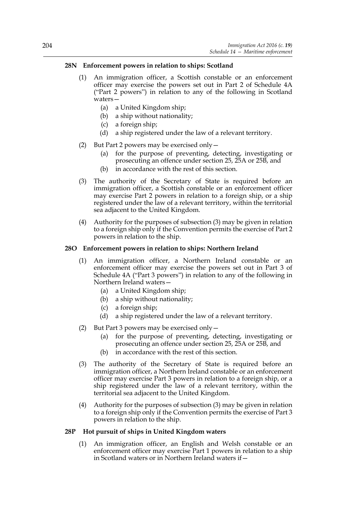# **28N Enforcement powers in relation to ships: Scotland**

- (1) An immigration officer, a Scottish constable or an enforcement officer may exercise the powers set out in Part 2 of Schedule 4A ("Part 2 powers") in relation to any of the following in Scotland waters—
	- (a) a United Kingdom ship;
	- (b) a ship without nationality;
	- (c) a foreign ship;
	- (d) a ship registered under the law of a relevant territory.
- (2) But Part 2 powers may be exercised only—
	- (a) for the purpose of preventing, detecting, investigating or prosecuting an offence under section 25, 25A or 25B, and
	- (b) in accordance with the rest of this section.
- (3) The authority of the Secretary of State is required before an immigration officer, a Scottish constable or an enforcement officer may exercise Part 2 powers in relation to a foreign ship, or a ship registered under the law of a relevant territory, within the territorial sea adjacent to the United Kingdom.
- (4) Authority for the purposes of subsection (3) may be given in relation to a foreign ship only if the Convention permits the exercise of Part 2 powers in relation to the ship.

## **28O Enforcement powers in relation to ships: Northern Ireland**

- (1) An immigration officer, a Northern Ireland constable or an enforcement officer may exercise the powers set out in Part 3 of Schedule 4A ("Part 3 powers") in relation to any of the following in Northern Ireland waters—
	- (a) a United Kingdom ship;
	- (b) a ship without nationality;
	- (c) a foreign ship;
	- (d) a ship registered under the law of a relevant territory.
- (2) But Part 3 powers may be exercised only—
	- (a) for the purpose of preventing, detecting, investigating or prosecuting an offence under section 25, 25A or 25B, and
	- (b) in accordance with the rest of this section.
- (3) The authority of the Secretary of State is required before an immigration officer, a Northern Ireland constable or an enforcement officer may exercise Part 3 powers in relation to a foreign ship, or a ship registered under the law of a relevant territory, within the territorial sea adjacent to the United Kingdom.
- (4) Authority for the purposes of subsection (3) may be given in relation to a foreign ship only if the Convention permits the exercise of Part 3 powers in relation to the ship.

## **28P Hot pursuit of ships in United Kingdom waters**

(1) An immigration officer, an English and Welsh constable or an enforcement officer may exercise Part 1 powers in relation to a ship in Scotland waters or in Northern Ireland waters if—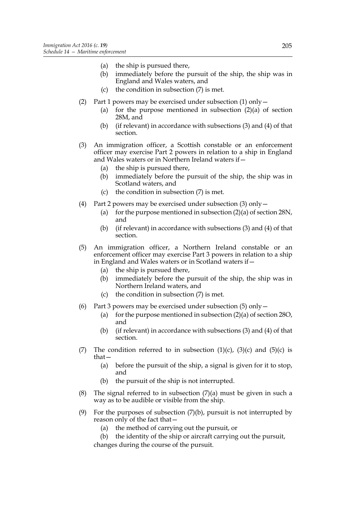- (a) the ship is pursued there,
- (b) immediately before the pursuit of the ship, the ship was in England and Wales waters, and
- (c) the condition in subsection (7) is met.
- (2) Part 1 powers may be exercised under subsection (1) only—
	- (a) for the purpose mentioned in subsection  $(2)(a)$  of section 28M, and
	- (b) (if relevant) in accordance with subsections (3) and (4) of that section.
- (3) An immigration officer, a Scottish constable or an enforcement officer may exercise Part 2 powers in relation to a ship in England and Wales waters or in Northern Ireland waters if—
	- (a) the ship is pursued there,
	- (b) immediately before the pursuit of the ship, the ship was in Scotland waters, and
	- (c) the condition in subsection (7) is met.
- (4) Part 2 powers may be exercised under subsection  $(3)$  only  $-$ 
	- (a) for the purpose mentioned in subsection  $(2)(a)$  of section 28N, and
	- (b) (if relevant) in accordance with subsections (3) and (4) of that section.
- (5) An immigration officer, a Northern Ireland constable or an enforcement officer may exercise Part 3 powers in relation to a ship in England and Wales waters or in Scotland waters if—
	- (a) the ship is pursued there,
	- (b) immediately before the pursuit of the ship, the ship was in Northern Ireland waters, and
	- (c) the condition in subsection (7) is met.
- (6) Part 3 powers may be exercised under subsection (5) only  $-$ 
	- (a) for the purpose mentioned in subsection  $(2)(a)$  of section 28O, and
	- (b) (if relevant) in accordance with subsections (3) and (4) of that section.
- (7) The condition referred to in subsection  $(1)(c)$ ,  $(3)(c)$  and  $(5)(c)$  is that—
	- (a) before the pursuit of the ship, a signal is given for it to stop, and
	- (b) the pursuit of the ship is not interrupted.
- (8) The signal referred to in subsection (7)(a) must be given in such a way as to be audible or visible from the ship.
- (9) For the purposes of subsection  $(7)(b)$ , pursuit is not interrupted by reason only of the fact that—
	- (a) the method of carrying out the pursuit, or
	- (b) the identity of the ship or aircraft carrying out the pursuit, changes during the course of the pursuit.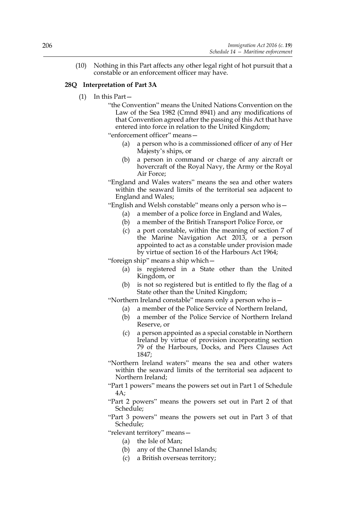(10) Nothing in this Part affects any other legal right of hot pursuit that a constable or an enforcement officer may have.

# **28Q Interpretation of Part 3A**

- (1) In this Part—
	- "the Convention" means the United Nations Convention on the Law of the Sea 1982 (Cmnd 8941) and any modifications of that Convention agreed after the passing of this Act that have entered into force in relation to the United Kingdom;

"enforcement officer" means—

- (a) a person who is a commissioned officer of any of Her Majesty's ships, or
- (b) a person in command or charge of any aircraft or hovercraft of the Royal Navy, the Army or the Royal Air Force;
- "England and Wales waters" means the sea and other waters within the seaward limits of the territorial sea adjacent to England and Wales;
- "English and Welsh constable" means only a person who is—
	- (a) a member of a police force in England and Wales,
	- (b) a member of the British Transport Police Force, or
	- (c) a port constable, within the meaning of section 7 of the Marine Navigation Act 2013, or a person appointed to act as a constable under provision made by virtue of section 16 of the Harbours Act 1964;

"foreign ship" means a ship which—

- (a) is registered in a State other than the United Kingdom, or
- (b) is not so registered but is entitled to fly the flag of a State other than the United Kingdom;

"Northern Ireland constable" means only a person who is—

- (a) a member of the Police Service of Northern Ireland,
- (b) a member of the Police Service of Northern Ireland Reserve, or
- (c) a person appointed as a special constable in Northern Ireland by virtue of provision incorporating section 79 of the Harbours, Docks, and Piers Clauses Act 1847;
- "Northern Ireland waters" means the sea and other waters within the seaward limits of the territorial sea adjacent to Northern Ireland;
- "Part 1 powers" means the powers set out in Part 1 of Schedule 4A;
- "Part 2 powers" means the powers set out in Part 2 of that Schedule;
- "Part 3 powers" means the powers set out in Part 3 of that Schedule;

"relevant territory" means—

- (a) the Isle of Man;
- (b) any of the Channel Islands;
- (c) a British overseas territory;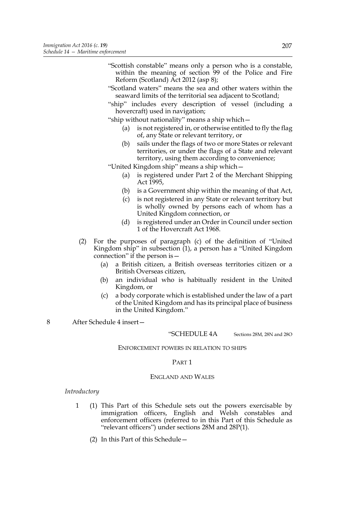- "Scottish constable" means only a person who is a constable, within the meaning of section 99 of the Police and Fire Reform (Scotland) Act 2012 (asp 8);
- "Scotland waters" means the sea and other waters within the seaward limits of the territorial sea adjacent to Scotland;
- "ship" includes every description of vessel (including a hovercraft) used in navigation;

"ship without nationality" means a ship which—

- (a) is not registered in, or otherwise entitled to fly the flag of, any State or relevant territory, or
- (b) sails under the flags of two or more States or relevant territories, or under the flags of a State and relevant territory, using them according to convenience;

"United Kingdom ship" means a ship which—

- (a) is registered under Part 2 of the Merchant Shipping Act 1995,
- (b) is a Government ship within the meaning of that Act,
- (c) is not registered in any State or relevant territory but is wholly owned by persons each of whom has a United Kingdom connection, or
- (d) is registered under an Order in Council under section 1 of the Hovercraft Act 1968.
- (2) For the purposes of paragraph (c) of the definition of "United Kingdom ship" in subsection (1), a person has a "United Kingdom connection" if the person is—
	- (a) a British citizen, a British overseas territories citizen or a British Overseas citizen,
	- (b) an individual who is habitually resident in the United Kingdom, or
	- (c) a body corporate which is established under the law of a part of the United Kingdom and has its principal place of business in the United Kingdom."
- 8 After Schedule 4 insert—

### "SCHEDULE 4A Sections 28M, 28N and 28O

#### ENFORCEMENT POWERS IN RELATION TO SHIPS

#### PART 1

#### ENGLAND AND WALES

#### *Introductory*

- 1 (1) This Part of this Schedule sets out the powers exercisable by immigration officers, English and Welsh constables and enforcement officers (referred to in this Part of this Schedule as "relevant officers") under sections 28M and 28P(1).
	- (2) In this Part of this Schedule—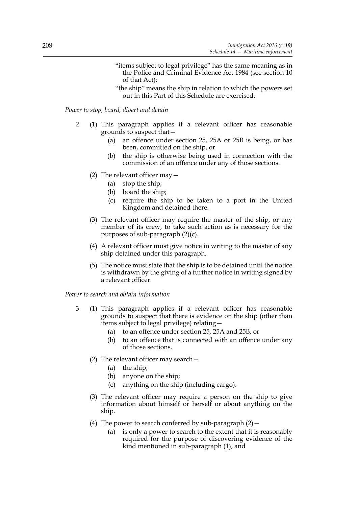- "items subject to legal privilege" has the same meaning as in the Police and Criminal Evidence Act 1984 (see section 10 of that Act);
- "the ship" means the ship in relation to which the powers set out in this Part of this Schedule are exercised.

*Power to stop, board, divert and detain*

- 2 (1) This paragraph applies if a relevant officer has reasonable grounds to suspect that—
	- (a) an offence under section 25, 25A or 25B is being, or has been, committed on the ship, or
	- (b) the ship is otherwise being used in connection with the commission of an offence under any of those sections.
	- (2) The relevant officer may—
		- (a) stop the ship;
		- (b) board the ship;
		- (c) require the ship to be taken to a port in the United Kingdom and detained there.
	- (3) The relevant officer may require the master of the ship, or any member of its crew, to take such action as is necessary for the purposes of sub-paragraph (2)(c).
	- (4) A relevant officer must give notice in writing to the master of any ship detained under this paragraph.
	- (5) The notice must state that the ship is to be detained until the notice is withdrawn by the giving of a further notice in writing signed by a relevant officer.

*Power to search and obtain information*

- 3 (1) This paragraph applies if a relevant officer has reasonable grounds to suspect that there is evidence on the ship (other than items subject to legal privilege) relating—
	- (a) to an offence under section 25, 25A and 25B, or
	- (b) to an offence that is connected with an offence under any of those sections.
	- (2) The relevant officer may search—
		- (a) the ship;
		- (b) anyone on the ship;
		- (c) anything on the ship (including cargo).
	- (3) The relevant officer may require a person on the ship to give information about himself or herself or about anything on the ship.
	- (4) The power to search conferred by sub-paragraph  $(2)$  -
		- (a) is only a power to search to the extent that it is reasonably required for the purpose of discovering evidence of the kind mentioned in sub-paragraph (1), and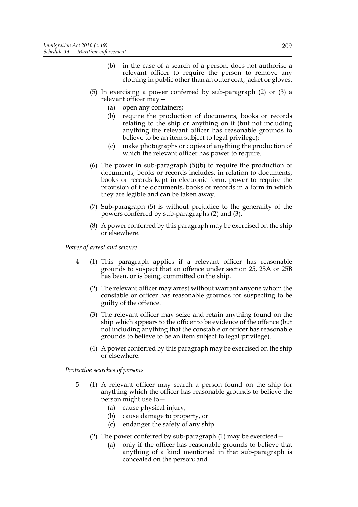- (b) in the case of a search of a person, does not authorise a relevant officer to require the person to remove any clothing in public other than an outer coat, jacket or gloves.
- (5) In exercising a power conferred by sub-paragraph (2) or (3) a relevant officer may—
	- (a) open any containers;
	- (b) require the production of documents, books or records relating to the ship or anything on it (but not including anything the relevant officer has reasonable grounds to believe to be an item subject to legal privilege);
	- (c) make photographs or copies of anything the production of which the relevant officer has power to require.
- (6) The power in sub-paragraph (5)(b) to require the production of documents, books or records includes, in relation to documents, books or records kept in electronic form, power to require the provision of the documents, books or records in a form in which they are legible and can be taken away.
- (7) Sub-paragraph (5) is without prejudice to the generality of the powers conferred by sub-paragraphs (2) and (3).
- (8) A power conferred by this paragraph may be exercised on the ship or elsewhere.

*Power of arrest and seizure*

- 4 (1) This paragraph applies if a relevant officer has reasonable grounds to suspect that an offence under section 25, 25A or 25B has been, or is being, committed on the ship.
	- (2) The relevant officer may arrest without warrant anyone whom the constable or officer has reasonable grounds for suspecting to be guilty of the offence.
	- (3) The relevant officer may seize and retain anything found on the ship which appears to the officer to be evidence of the offence (but not including anything that the constable or officer has reasonable grounds to believe to be an item subject to legal privilege).
	- (4) A power conferred by this paragraph may be exercised on the ship or elsewhere.

*Protective searches of persons*

- 5 (1) A relevant officer may search a person found on the ship for anything which the officer has reasonable grounds to believe the person might use to—
	- (a) cause physical injury,
	- (b) cause damage to property, or
	- (c) endanger the safety of any ship.
	- (2) The power conferred by sub-paragraph (1) may be exercised—
		- (a) only if the officer has reasonable grounds to believe that anything of a kind mentioned in that sub-paragraph is concealed on the person; and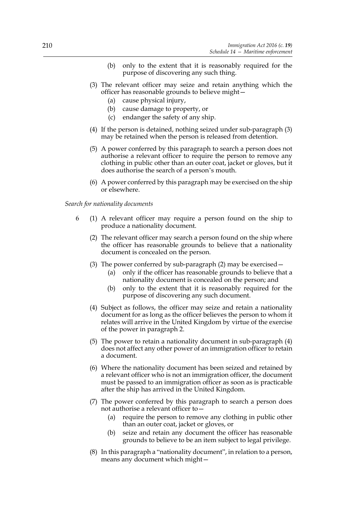- (b) only to the extent that it is reasonably required for the purpose of discovering any such thing.
- (3) The relevant officer may seize and retain anything which the officer has reasonable grounds to believe might—
	- (a) cause physical injury,
	- (b) cause damage to property, or
	- (c) endanger the safety of any ship.
- (4) If the person is detained, nothing seized under sub-paragraph (3) may be retained when the person is released from detention.
- (5) A power conferred by this paragraph to search a person does not authorise a relevant officer to require the person to remove any clothing in public other than an outer coat, jacket or gloves, but it does authorise the search of a person's mouth.
- (6) A power conferred by this paragraph may be exercised on the ship or elsewhere.

#### *Search for nationality documents*

- 6 (1) A relevant officer may require a person found on the ship to produce a nationality document.
	- (2) The relevant officer may search a person found on the ship where the officer has reasonable grounds to believe that a nationality document is concealed on the person.
	- (3) The power conferred by sub-paragraph (2) may be exercised—
		- (a) only if the officer has reasonable grounds to believe that a nationality document is concealed on the person; and
		- (b) only to the extent that it is reasonably required for the purpose of discovering any such document.
	- (4) Subject as follows, the officer may seize and retain a nationality document for as long as the officer believes the person to whom it relates will arrive in the United Kingdom by virtue of the exercise of the power in paragraph 2.
	- (5) The power to retain a nationality document in sub-paragraph (4) does not affect any other power of an immigration officer to retain a document.
	- (6) Where the nationality document has been seized and retained by a relevant officer who is not an immigration officer, the document must be passed to an immigration officer as soon as is practicable after the ship has arrived in the United Kingdom.
	- (7) The power conferred by this paragraph to search a person does not authorise a relevant officer to—
		- (a) require the person to remove any clothing in public other than an outer coat, jacket or gloves, or
		- (b) seize and retain any document the officer has reasonable grounds to believe to be an item subject to legal privilege.
	- (8) In this paragraph a "nationality document", in relation to a person, means any document which might—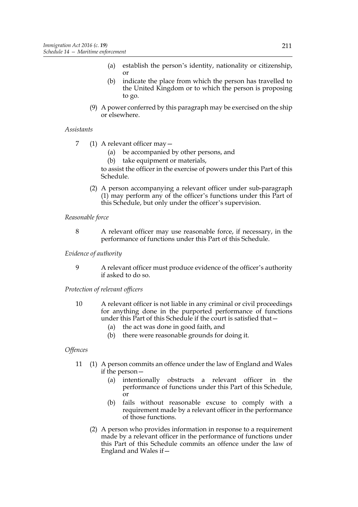- (a) establish the person's identity, nationality or citizenship, or
- (b) indicate the place from which the person has travelled to the United Kingdom or to which the person is proposing to go.
- (9) A power conferred by this paragraph may be exercised on the ship or elsewhere.

# *Assistants*

- 7 (1) A relevant officer may—
	- (a) be accompanied by other persons, and
	- (b) take equipment or materials,

to assist the officer in the exercise of powers under this Part of this Schedule.

(2) A person accompanying a relevant officer under sub-paragraph (1) may perform any of the officer's functions under this Part of this Schedule, but only under the officer's supervision.

# *Reasonable force*

8 A relevant officer may use reasonable force, if necessary, in the performance of functions under this Part of this Schedule.

# *Evidence of authority*

9 A relevant officer must produce evidence of the officer's authority if asked to do so.

# *Protection of relevant officers*

- 10 A relevant officer is not liable in any criminal or civil proceedings for anything done in the purported performance of functions under this Part of this Schedule if the court is satisfied that—
	- (a) the act was done in good faith, and
	- (b) there were reasonable grounds for doing it.

# *Offences*

- 11 (1) A person commits an offence under the law of England and Wales if the person-
	- (a) intentionally obstructs a relevant officer in the performance of functions under this Part of this Schedule,  $\overline{or}$
	- (b) fails without reasonable excuse to comply with a requirement made by a relevant officer in the performance of those functions.
	- (2) A person who provides information in response to a requirement made by a relevant officer in the performance of functions under this Part of this Schedule commits an offence under the law of England and Wales if—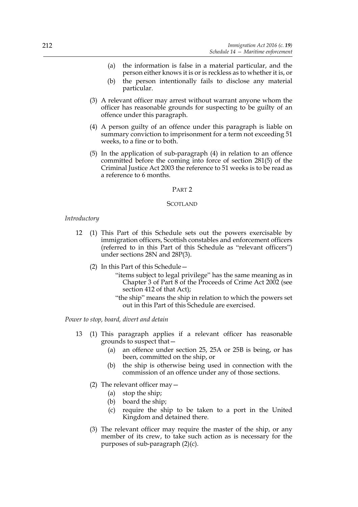- (a) the information is false in a material particular, and the person either knows it is or is reckless as to whether it is, or
- (b) the person intentionally fails to disclose any material particular.
- (3) A relevant officer may arrest without warrant anyone whom the officer has reasonable grounds for suspecting to be guilty of an offence under this paragraph.
- (4) A person guilty of an offence under this paragraph is liable on summary conviction to imprisonment for a term not exceeding 51 weeks, to a fine or to both.
- (5) In the application of sub-paragraph (4) in relation to an offence committed before the coming into force of section 281(5) of the Criminal Justice Act 2003 the reference to 51 weeks is to be read as a reference to 6 months.

## PART 2

#### **SCOTLAND**

#### *Introductory*

- 12 (1) This Part of this Schedule sets out the powers exercisable by immigration officers, Scottish constables and enforcement officers (referred to in this Part of this Schedule as "relevant officers") under sections 28N and 28P(3).
	- (2) In this Part of this Schedule—
		- "items subject to legal privilege" has the same meaning as in Chapter 3 of Part 8 of the Proceeds of Crime Act 2002 (see section 412 of that Act);
		- "the ship" means the ship in relation to which the powers set out in this Part of this Schedule are exercised.

*Power to stop, board, divert and detain*

- 13 (1) This paragraph applies if a relevant officer has reasonable grounds to suspect that—
	- (a) an offence under section 25, 25A or 25B is being, or has been, committed on the ship, or
	- (b) the ship is otherwise being used in connection with the commission of an offence under any of those sections.
	- (2) The relevant officer may—
		- (a) stop the ship;
		- (b) board the ship;
		- (c) require the ship to be taken to a port in the United Kingdom and detained there.
	- (3) The relevant officer may require the master of the ship, or any member of its crew, to take such action as is necessary for the purposes of sub-paragraph (2)(c).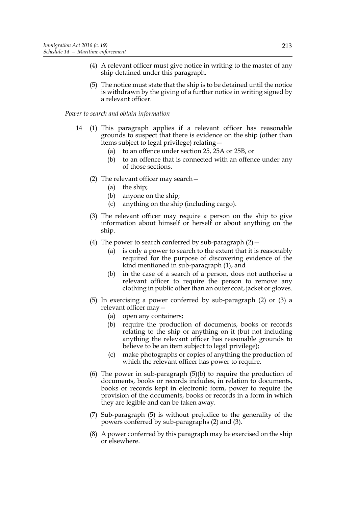- (4) A relevant officer must give notice in writing to the master of any ship detained under this paragraph.
- (5) The notice must state that the ship is to be detained until the notice is withdrawn by the giving of a further notice in writing signed by a relevant officer.

#### *Power to search and obtain information*

- 14 (1) This paragraph applies if a relevant officer has reasonable grounds to suspect that there is evidence on the ship (other than items subject to legal privilege) relating—
	- (a) to an offence under section 25, 25A or 25B, or
	- (b) to an offence that is connected with an offence under any of those sections.
	- (2) The relevant officer may search—
		- (a) the ship;
		- (b) anyone on the ship;
		- (c) anything on the ship (including cargo).
	- (3) The relevant officer may require a person on the ship to give information about himself or herself or about anything on the ship.
	- (4) The power to search conferred by sub-paragraph  $(2)$  -
		- (a) is only a power to search to the extent that it is reasonably required for the purpose of discovering evidence of the kind mentioned in sub-paragraph (1), and
		- (b) in the case of a search of a person, does not authorise a relevant officer to require the person to remove any clothing in public other than an outer coat, jacket or gloves.
	- (5) In exercising a power conferred by sub-paragraph (2) or (3) a relevant officer may—
		- (a) open any containers;
		- (b) require the production of documents, books or records relating to the ship or anything on it (but not including anything the relevant officer has reasonable grounds to believe to be an item subject to legal privilege);
		- (c) make photographs or copies of anything the production of which the relevant officer has power to require.
	- (6) The power in sub-paragraph (5)(b) to require the production of documents, books or records includes, in relation to documents, books or records kept in electronic form, power to require the provision of the documents, books or records in a form in which they are legible and can be taken away.
	- (7) Sub-paragraph (5) is without prejudice to the generality of the powers conferred by sub-paragraphs (2) and (3).
	- (8) A power conferred by this paragraph may be exercised on the ship or elsewhere.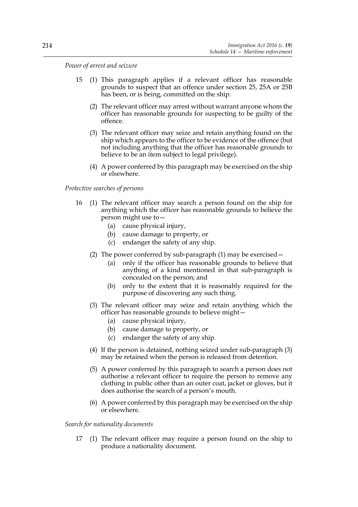*Power of arrest and seizure*

- 15 (1) This paragraph applies if a relevant officer has reasonable grounds to suspect that an offence under section 25, 25A or 25B has been, or is being, committed on the ship.
	- (2) The relevant officer may arrest without warrant anyone whom the officer has reasonable grounds for suspecting to be guilty of the offence.
	- (3) The relevant officer may seize and retain anything found on the ship which appears to the officer to be evidence of the offence (but not including anything that the officer has reasonable grounds to believe to be an item subject to legal privilege).
	- (4) A power conferred by this paragraph may be exercised on the ship or elsewhere.

# *Protective searches of persons*

- 16 (1) The relevant officer may search a person found on the ship for anything which the officer has reasonable grounds to believe the person might use to—
	- (a) cause physical injury,
	- (b) cause damage to property, or
	- (c) endanger the safety of any ship.
	- (2) The power conferred by sub-paragraph (1) may be exercised—
		- (a) only if the officer has reasonable grounds to believe that anything of a kind mentioned in that sub-paragraph is concealed on the person; and
		- (b) only to the extent that it is reasonably required for the purpose of discovering any such thing.
	- (3) The relevant officer may seize and retain anything which the officer has reasonable grounds to believe might—
		- (a) cause physical injury,
		- (b) cause damage to property, or
		- (c) endanger the safety of any ship.
	- (4) If the person is detained, nothing seized under sub-paragraph (3) may be retained when the person is released from detention.
	- (5) A power conferred by this paragraph to search a person does not authorise a relevant officer to require the person to remove any clothing in public other than an outer coat, jacket or gloves, but it does authorise the search of a person's mouth.
	- (6) A power conferred by this paragraph may be exercised on the ship or elsewhere.

*Search for nationality documents*

17 (1) The relevant officer may require a person found on the ship to produce a nationality document.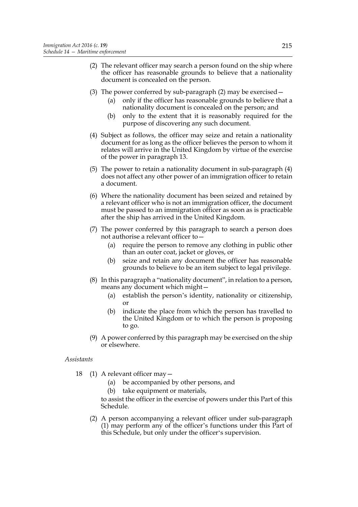- (2) The relevant officer may search a person found on the ship where the officer has reasonable grounds to believe that a nationality document is concealed on the person.
- (3) The power conferred by sub-paragraph (2) may be exercised—
	- (a) only if the officer has reasonable grounds to believe that a nationality document is concealed on the person; and
	- (b) only to the extent that it is reasonably required for the purpose of discovering any such document.
- (4) Subject as follows, the officer may seize and retain a nationality document for as long as the officer believes the person to whom it relates will arrive in the United Kingdom by virtue of the exercise of the power in paragraph 13.
- (5) The power to retain a nationality document in sub-paragraph (4) does not affect any other power of an immigration officer to retain a document.
- (6) Where the nationality document has been seized and retained by a relevant officer who is not an immigration officer, the document must be passed to an immigration officer as soon as is practicable after the ship has arrived in the United Kingdom.
- (7) The power conferred by this paragraph to search a person does not authorise a relevant officer to—
	- (a) require the person to remove any clothing in public other than an outer coat, jacket or gloves, or
	- (b) seize and retain any document the officer has reasonable grounds to believe to be an item subject to legal privilege.
- (8) In this paragraph a "nationality document", in relation to a person, means any document which might—
	- (a) establish the person's identity, nationality or citizenship, or
	- (b) indicate the place from which the person has travelled to the United Kingdom or to which the person is proposing to go.
- (9) A power conferred by this paragraph may be exercised on the ship or elsewhere.

# *Assistants*

- 18 (1) A relevant officer may—
	- (a) be accompanied by other persons, and
	- (b) take equipment or materials,

to assist the officer in the exercise of powers under this Part of this Schedule.

(2) A person accompanying a relevant officer under sub-paragraph (1) may perform any of the officer's functions under this Part of this Schedule, but only under the officer's supervision.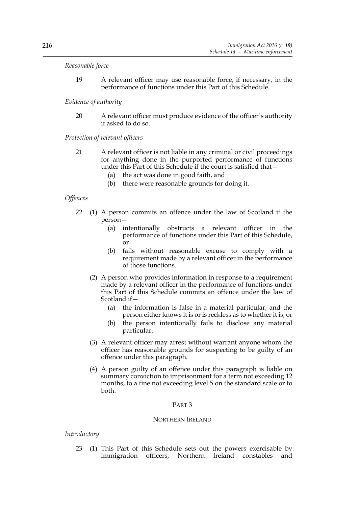## *Reasonable force*

19 A relevant officer may use reasonable force, if necessary, in the performance of functions under this Part of this Schedule.

# *Evidence of authority*

20 A relevant officer must produce evidence of the officer's authority if asked to do so.

## *Protection of relevant officers*

- 21 A relevant officer is not liable in any criminal or civil proceedings for anything done in the purported performance of functions under this Part of this Schedule if the court is satisfied that—
	- (a) the act was done in good faith, and
	- (b) there were reasonable grounds for doing it.

## *Offences*

- 22 (1) A person commits an offence under the law of Scotland if the person—
	- (a) intentionally obstructs a relevant officer in the performance of functions under this Part of this Schedule, or
	- (b) fails without reasonable excuse to comply with a requirement made by a relevant officer in the performance of those functions.
	- (2) A person who provides information in response to a requirement made by a relevant officer in the performance of functions under this Part of this Schedule commits an offence under the law of Scotland if—
		- (a) the information is false in a material particular, and the person either knows it is or is reckless as to whether it is, or
		- (b) the person intentionally fails to disclose any material particular.
	- (3) A relevant officer may arrest without warrant anyone whom the officer has reasonable grounds for suspecting to be guilty of an offence under this paragraph.
	- (4) A person guilty of an offence under this paragraph is liable on summary conviction to imprisonment for a term not exceeding 12 months, to a fine not exceeding level 5 on the standard scale or to both.

# PART 3

### NORTHERN IRELAND

#### *Introductory*

23 (1) This Part of this Schedule sets out the powers exercisable by immigration officers, Northern Ireland constables and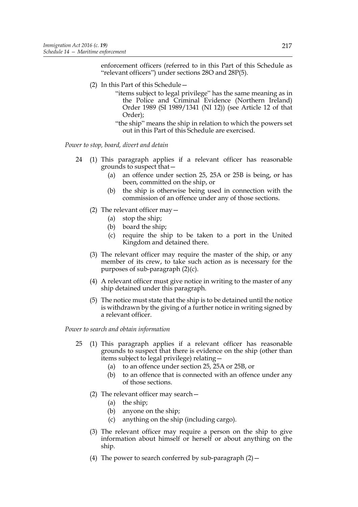enforcement officers (referred to in this Part of this Schedule as "relevant officers") under sections 28O and 28P(5).

- (2) In this Part of this Schedule—
	- "items subject to legal privilege" has the same meaning as in the Police and Criminal Evidence (Northern Ireland) Order 1989 (SI 1989/1341 (NI 12)) (see Article 12 of that Order);
	- "the ship" means the ship in relation to which the powers set out in this Part of this Schedule are exercised.

*Power to stop, board, divert and detain*

- 24 (1) This paragraph applies if a relevant officer has reasonable grounds to suspect that—
	- (a) an offence under section 25, 25A or 25B is being, or has been, committed on the ship, or
	- (b) the ship is otherwise being used in connection with the commission of an offence under any of those sections.
	- (2) The relevant officer may—
		- (a) stop the ship;
		- (b) board the ship;
		- (c) require the ship to be taken to a port in the United Kingdom and detained there.
	- (3) The relevant officer may require the master of the ship, or any member of its crew, to take such action as is necessary for the purposes of sub-paragraph (2)(c).
	- (4) A relevant officer must give notice in writing to the master of any ship detained under this paragraph.
	- (5) The notice must state that the ship is to be detained until the notice is withdrawn by the giving of a further notice in writing signed by a relevant officer.

#### *Power to search and obtain information*

- 25 (1) This paragraph applies if a relevant officer has reasonable grounds to suspect that there is evidence on the ship (other than items subject to legal privilege) relating—
	- (a) to an offence under section 25, 25A or 25B, or
	- (b) to an offence that is connected with an offence under any of those sections.
	- (2) The relevant officer may search—
		- (a) the ship;
		- (b) anyone on the ship;
		- (c) anything on the ship (including cargo).
	- (3) The relevant officer may require a person on the ship to give information about himself or herself or about anything on the ship.
	- (4) The power to search conferred by sub-paragraph  $(2)$  -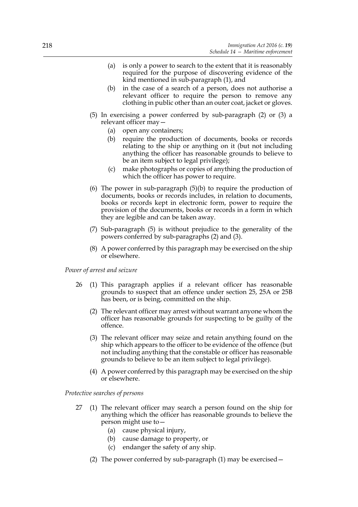- (a) is only a power to search to the extent that it is reasonably required for the purpose of discovering evidence of the kind mentioned in sub-paragraph (1), and
- (b) in the case of a search of a person, does not authorise a relevant officer to require the person to remove any clothing in public other than an outer coat, jacket or gloves.
- (5) In exercising a power conferred by sub-paragraph (2) or (3) a relevant officer may—
	- (a) open any containers;
	- (b) require the production of documents, books or records relating to the ship or anything on it (but not including anything the officer has reasonable grounds to believe to be an item subject to legal privilege);
	- (c) make photographs or copies of anything the production of which the officer has power to require.
- (6) The power in sub-paragraph (5)(b) to require the production of documents, books or records includes, in relation to documents, books or records kept in electronic form, power to require the provision of the documents, books or records in a form in which they are legible and can be taken away.
- (7) Sub-paragraph (5) is without prejudice to the generality of the powers conferred by sub-paragraphs (2) and (3).
- (8) A power conferred by this paragraph may be exercised on the ship or elsewhere.

#### *Power of arrest and seizure*

- 26 (1) This paragraph applies if a relevant officer has reasonable grounds to suspect that an offence under section 25, 25A or 25B has been, or is being, committed on the ship.
	- (2) The relevant officer may arrest without warrant anyone whom the officer has reasonable grounds for suspecting to be guilty of the offence.
	- (3) The relevant officer may seize and retain anything found on the ship which appears to the officer to be evidence of the offence (but not including anything that the constable or officer has reasonable grounds to believe to be an item subject to legal privilege).
	- (4) A power conferred by this paragraph may be exercised on the ship or elsewhere.

#### *Protective searches of persons*

- 27 (1) The relevant officer may search a person found on the ship for anything which the officer has reasonable grounds to believe the person might use to—
	- (a) cause physical injury,
	- (b) cause damage to property, or
	- (c) endanger the safety of any ship.
	- (2) The power conferred by sub-paragraph (1) may be exercised—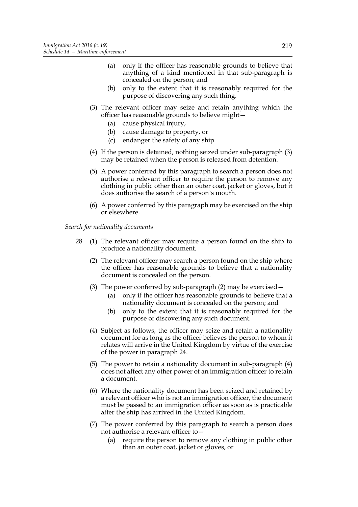- (a) only if the officer has reasonable grounds to believe that anything of a kind mentioned in that sub-paragraph is concealed on the person; and
- (b) only to the extent that it is reasonably required for the purpose of discovering any such thing.
- (3) The relevant officer may seize and retain anything which the officer has reasonable grounds to believe might—
	- (a) cause physical injury,
	- (b) cause damage to property, or
	- (c) endanger the safety of any ship
- (4) If the person is detained, nothing seized under sub-paragraph (3) may be retained when the person is released from detention.
- (5) A power conferred by this paragraph to search a person does not authorise a relevant officer to require the person to remove any clothing in public other than an outer coat, jacket or gloves, but it does authorise the search of a person's mouth.
- (6) A power conferred by this paragraph may be exercised on the ship or elsewhere.

*Search for nationality documents*

- 28 (1) The relevant officer may require a person found on the ship to produce a nationality document.
	- (2) The relevant officer may search a person found on the ship where the officer has reasonable grounds to believe that a nationality document is concealed on the person.
	- (3) The power conferred by sub-paragraph (2) may be exercised—
		- (a) only if the officer has reasonable grounds to believe that a nationality document is concealed on the person; and
		- (b) only to the extent that it is reasonably required for the purpose of discovering any such document.
	- (4) Subject as follows, the officer may seize and retain a nationality document for as long as the officer believes the person to whom it relates will arrive in the United Kingdom by virtue of the exercise of the power in paragraph 24.
	- (5) The power to retain a nationality document in sub-paragraph (4) does not affect any other power of an immigration officer to retain a document.
	- (6) Where the nationality document has been seized and retained by a relevant officer who is not an immigration officer, the document must be passed to an immigration officer as soon as is practicable after the ship has arrived in the United Kingdom.
	- (7) The power conferred by this paragraph to search a person does not authorise a relevant officer to—
		- (a) require the person to remove any clothing in public other than an outer coat, jacket or gloves, or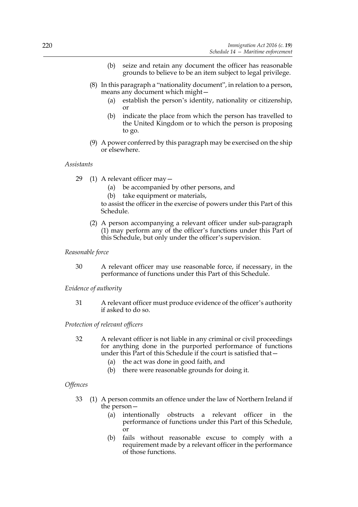- (b) seize and retain any document the officer has reasonable grounds to believe to be an item subject to legal privilege.
- (8) In this paragraph a "nationality document", in relation to a person, means any document which might—
	- (a) establish the person's identity, nationality or citizenship, or
	- (b) indicate the place from which the person has travelled to the United Kingdom or to which the person is proposing to go.
- (9) A power conferred by this paragraph may be exercised on the ship or elsewhere.

## *Assistants*

- 29 (1) A relevant officer may—
	- (a) be accompanied by other persons, and
	- (b) take equipment or materials,

to assist the officer in the exercise of powers under this Part of this Schedule.

(2) A person accompanying a relevant officer under sub-paragraph (1) may perform any of the officer's functions under this Part of this Schedule, but only under the officer's supervision.

## *Reasonable force*

30 A relevant officer may use reasonable force, if necessary, in the performance of functions under this Part of this Schedule.

## *Evidence of authority*

31 A relevant officer must produce evidence of the officer's authority if asked to do so.

*Protection of relevant officers*

- 32 A relevant officer is not liable in any criminal or civil proceedings for anything done in the purported performance of functions under this Part of this Schedule if the court is satisfied that—
	- (a) the act was done in good faith, and
	- (b) there were reasonable grounds for doing it.

# *Offences*

- 33 (1) A person commits an offence under the law of Northern Ireland if the person—
	- (a) intentionally obstructs a relevant officer in the performance of functions under this Part of this Schedule, or
	- (b) fails without reasonable excuse to comply with a requirement made by a relevant officer in the performance of those functions.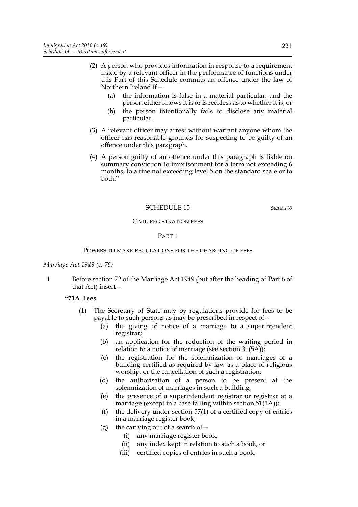- (2) A person who provides information in response to a requirement made by a relevant officer in the performance of functions under this Part of this Schedule commits an offence under the law of Northern Ireland if—
	- (a) the information is false in a material particular, and the person either knows it is or is reckless as to whether it is, or
	- (b) the person intentionally fails to disclose any material particular.
- (3) A relevant officer may arrest without warrant anyone whom the officer has reasonable grounds for suspecting to be guilty of an offence under this paragraph.
- (4) A person guilty of an offence under this paragraph is liable on summary conviction to imprisonment for a term not exceeding 6 months, to a fine not exceeding level 5 on the standard scale or to both."

# SCHEDULE 15 Section 89

#### CIVIL REGISTRATION FEES

# PART 1

#### POWERS TO MAKE REGULATIONS FOR THE CHARGING OF FEES

#### *Marriage Act 1949 (c. 76)*

1 Before section 72 of the Marriage Act 1949 (but after the heading of Part 6 of that Act) insert—

# **"71A Fees**

- (1) The Secretary of State may by regulations provide for fees to be payable to such persons as may be prescribed in respect of—
	- (a) the giving of notice of a marriage to a superintendent registrar;
	- (b) an application for the reduction of the waiting period in relation to a notice of marriage (see section 31(5A));
	- (c) the registration for the solemnization of marriages of a building certified as required by law as a place of religious worship, or the cancellation of such a registration;
	- (d) the authorisation of a person to be present at the solemnization of marriages in such a building;
	- (e) the presence of a superintendent registrar or registrar at a marriage (except in a case falling within section  $51(1A)$ );
	- (f) the delivery under section 57(1) of a certified copy of entries in a marriage register book;
	- (g) the carrying out of a search of  $-$ 
		- (i) any marriage register book,
		- (ii) any index kept in relation to such a book, or
		- (iii) certified copies of entries in such a book;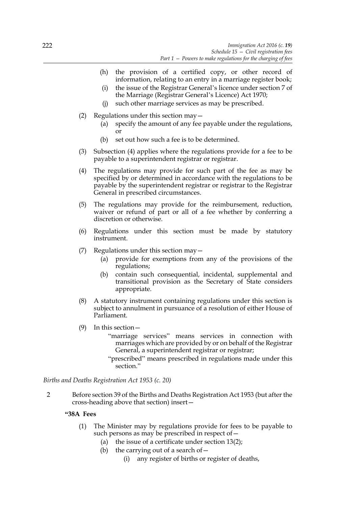- (h) the provision of a certified copy, or other record of information, relating to an entry in a marriage register book;
- (i) the issue of the Registrar General's licence under section 7 of the Marriage (Registrar General's Licence) Act 1970;
- (j) such other marriage services as may be prescribed.
- (2) Regulations under this section may—
	- (a) specify the amount of any fee payable under the regulations, or
	- (b) set out how such a fee is to be determined.
- (3) Subsection (4) applies where the regulations provide for a fee to be payable to a superintendent registrar or registrar.
- (4) The regulations may provide for such part of the fee as may be specified by or determined in accordance with the regulations to be payable by the superintendent registrar or registrar to the Registrar General in prescribed circumstances.
- (5) The regulations may provide for the reimbursement, reduction, waiver or refund of part or all of a fee whether by conferring a discretion or otherwise.
- (6) Regulations under this section must be made by statutory instrument.
- (7) Regulations under this section may—
	- (a) provide for exemptions from any of the provisions of the regulations;
	- (b) contain such consequential, incidental, supplemental and transitional provision as the Secretary of State considers appropriate.
- (8) A statutory instrument containing regulations under this section is subject to annulment in pursuance of a resolution of either House of Parliament.
- (9) In this section—
	- "marriage services" means services in connection with marriages which are provided by or on behalf of the Registrar General, a superintendent registrar or registrar;
	- "prescribed" means prescribed in regulations made under this section."

*Births and Deaths Registration Act 1953 (c. 20)*

2 Before section 39 of the Births and Deaths Registration Act 1953 (but after the cross-heading above that section) insert—

# **"38A Fees**

- (1) The Minister may by regulations provide for fees to be payable to such persons as may be prescribed in respect of  $-$ 
	- (a) the issue of a certificate under section 13(2);
	- (b) the carrying out of a search of  $-$ 
		- (i) any register of births or register of deaths,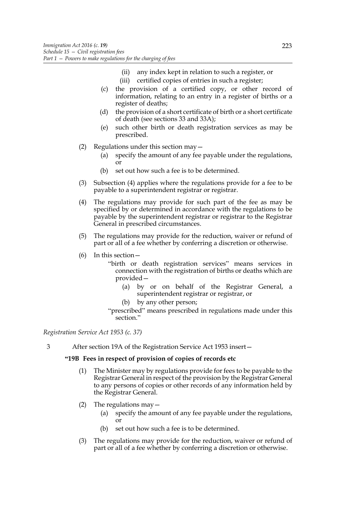- (ii) any index kept in relation to such a register, or
- (iii) certified copies of entries in such a register;
- (c) the provision of a certified copy, or other record of information, relating to an entry in a register of births or a register of deaths;
- (d) the provision of a short certificate of birth or a short certificate of death (see sections 33 and 33A);
- (e) such other birth or death registration services as may be prescribed.
- (2) Regulations under this section may  $-$ 
	- (a) specify the amount of any fee payable under the regulations, or
	- (b) set out how such a fee is to be determined.
- (3) Subsection (4) applies where the regulations provide for a fee to be payable to a superintendent registrar or registrar.
- (4) The regulations may provide for such part of the fee as may be specified by or determined in accordance with the regulations to be payable by the superintendent registrar or registrar to the Registrar General in prescribed circumstances.
- (5) The regulations may provide for the reduction, waiver or refund of part or all of a fee whether by conferring a discretion or otherwise.
- (6) In this section—
	- "birth or death registration services" means services in connection with the registration of births or deaths which are provided—
		- (a) by or on behalf of the Registrar General, a superintendent registrar or registrar, or
		- (b) by any other person;
	- "prescribed" means prescribed in regulations made under this section."

# *Registration Service Act 1953 (c. 37)*

3 After section 19A of the Registration Service Act 1953 insert—

# **"19B Fees in respect of provision of copies of records etc**

- (1) The Minister may by regulations provide for fees to be payable to the Registrar General in respect of the provision by the Registrar General to any persons of copies or other records of any information held by the Registrar General.
- (2) The regulations may  $-$ 
	- (a) specify the amount of any fee payable under the regulations, or
	- (b) set out how such a fee is to be determined.
- (3) The regulations may provide for the reduction, waiver or refund of part or all of a fee whether by conferring a discretion or otherwise.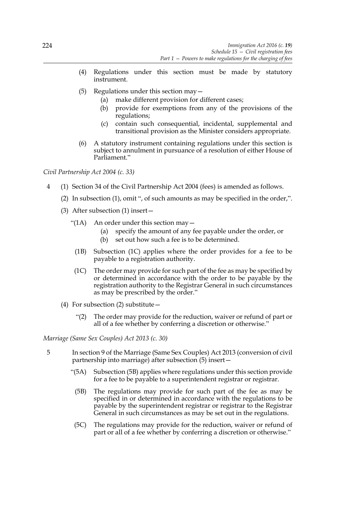- (4) Regulations under this section must be made by statutory instrument.
- (5) Regulations under this section may  $-$ 
	- (a) make different provision for different cases;
	- (b) provide for exemptions from any of the provisions of the regulations;
	- (c) contain such consequential, incidental, supplemental and transitional provision as the Minister considers appropriate.
- (6) A statutory instrument containing regulations under this section is subject to annulment in pursuance of a resolution of either House of Parliament."

*Civil Partnership Act 2004 (c. 33)*

- 4 (1) Section 34 of the Civil Partnership Act 2004 (fees) is amended as follows.
	- (2) In subsection (1), omit ", of such amounts as may be specified in the order,".
	- (3) After subsection (1) insert—
		- "(1A) An order under this section may  $-$ 
			- (a) specify the amount of any fee payable under the order, or
			- (b) set out how such a fee is to be determined.
			- (1B) Subsection (1C) applies where the order provides for a fee to be payable to a registration authority.
		- (1C) The order may provide for such part of the fee as may be specified by or determined in accordance with the order to be payable by the registration authority to the Registrar General in such circumstances as may be prescribed by the order."
	- (4) For subsection (2) substitute—
		- "(2) The order may provide for the reduction, waiver or refund of part or all of a fee whether by conferring a discretion or otherwise."

*Marriage (Same Sex Couples) Act 2013 (c. 30)* 

- 5 In section 9 of the Marriage (Same Sex Couples) Act 2013 (conversion of civil partnership into marriage) after subsection (5) insert—
	- "(5A) Subsection (5B) applies where regulations under this section provide for a fee to be payable to a superintendent registrar or registrar.
	- (5B) The regulations may provide for such part of the fee as may be specified in or determined in accordance with the regulations to be payable by the superintendent registrar or registrar to the Registrar General in such circumstances as may be set out in the regulations.
	- (5C) The regulations may provide for the reduction, waiver or refund of part or all of a fee whether by conferring a discretion or otherwise."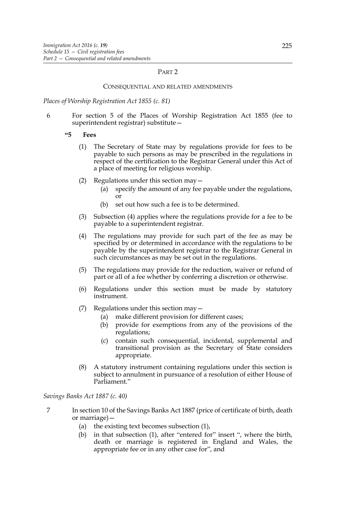### PART 2

#### CONSEQUENTIAL AND RELATED AMENDMENTS

*Places of Worship Registration Act 1855 (c. 81)*

6 For section 5 of the Places of Worship Registration Act 1855 (fee to superintendent registrar) substitute—

**"5 Fees**

- (1) The Secretary of State may by regulations provide for fees to be payable to such persons as may be prescribed in the regulations in respect of the certification to the Registrar General under this Act of a place of meeting for religious worship.
- (2) Regulations under this section may—
	- (a) specify the amount of any fee payable under the regulations, or
	- (b) set out how such a fee is to be determined.
- (3) Subsection (4) applies where the regulations provide for a fee to be payable to a superintendent registrar.
- (4) The regulations may provide for such part of the fee as may be specified by or determined in accordance with the regulations to be payable by the superintendent registrar to the Registrar General in such circumstances as may be set out in the regulations.
- (5) The regulations may provide for the reduction, waiver or refund of part or all of a fee whether by conferring a discretion or otherwise.
- (6) Regulations under this section must be made by statutory instrument.
- (7) Regulations under this section may—
	- (a) make different provision for different cases;
	- (b) provide for exemptions from any of the provisions of the regulations;
	- (c) contain such consequential, incidental, supplemental and transitional provision as the Secretary of State considers appropriate.
- (8) A statutory instrument containing regulations under this section is subject to annulment in pursuance of a resolution of either House of Parliament."

#### *Savings Banks Act 1887 (c. 40)*

- 7 In section 10 of the Savings Banks Act 1887 (price of certificate of birth, death or marriage)—
	- (a) the existing text becomes subsection (1),
	- (b) in that subsection (1), after "entered for" insert ", where the birth, death or marriage is registered in England and Wales, the appropriate fee or in any other case for", and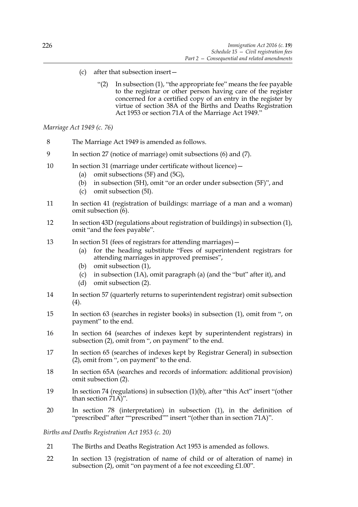- (c) after that subsection insert—
	- "(2) In subsection (1), "the appropriate fee" means the fee payable to the registrar or other person having care of the register concerned for a certified copy of an entry in the register by virtue of section 38A of the Births and Deaths Registration Act 1953 or section 71A of the Marriage Act 1949."

*Marriage Act 1949 (c. 76)*

- 8 The Marriage Act 1949 is amended as follows.
- 9 In section 27 (notice of marriage) omit subsections (6) and (7).
- 10 In section 31 (marriage under certificate without licence)
	- (a) omit subsections (5F) and (5G),
	- (b) in subsection (5H), omit "or an order under subsection (5F)", and
	- (c) omit subsection (5I).
- 11 In section 41 (registration of buildings: marriage of a man and a woman) omit subsection (6).
- 12 In section 43D (regulations about registration of buildings) in subsection (1), omit "and the fees payable".
- 13 In section 51 (fees of registrars for attending marriages)
	- (a) for the heading substitute "Fees of superintendent registrars for attending marriages in approved premises",
	- (b) omit subsection (1),
	- (c) in subsection (1A), omit paragraph (a) (and the "but" after it), and
	- (d) omit subsection (2).
- 14 In section 57 (quarterly returns to superintendent registrar) omit subsection (4).
- 15 In section 63 (searches in register books) in subsection (1), omit from ", on payment" to the end.
- 16 In section 64 (searches of indexes kept by superintendent registrars) in subsection (2), omit from ", on payment" to the end.
- 17 In section 65 (searches of indexes kept by Registrar General) in subsection (2), omit from ", on payment" to the end.
- 18 In section 65A (searches and records of information: additional provision) omit subsection (2).
- 19 In section 74 (regulations) in subsection (1)(b), after "this Act" insert "(other than section 71A)".
- 20 In section 78 (interpretation) in subsection (1), in the definition of "prescribed" after ""prescribed"" insert "(other than in section 71A)".

*Births and Deaths Registration Act 1953 (c. 20)*

- 21 The Births and Deaths Registration Act 1953 is amended as follows.
- 22 In section 13 (registration of name of child or of alteration of name) in subsection (2), omit "on payment of a fee not exceeding £1.00".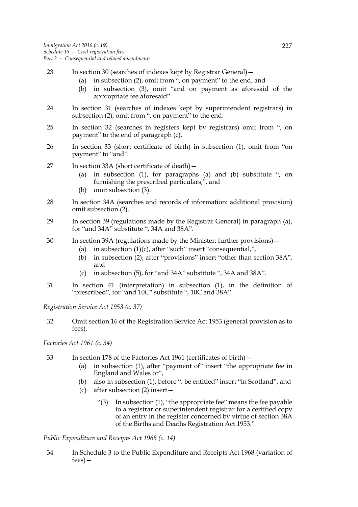23 In section 30 (searches of indexes kept by Registrar General)— (a) in subsection (2), omit from ", on payment" to the end, and (b) in subsection (3), omit "and on payment as aforesaid of the appropriate fee aforesaid". 24 In section 31 (searches of indexes kept by superintendent registrars) in subsection (2), omit from ", on payment" to the end. 25 In section 32 (searches in registers kept by registrars) omit from ", on payment" to the end of paragraph (c). 26 In section 33 (short certificate of birth) in subsection (1), omit from "on payment" to "and". 27 In section 33A (short certificate of death)— (a) in subsection (1), for paragraphs (a) and (b) substitute ", on furnishing the prescribed particulars,", and (b) omit subsection (3). 28 In section 34A (searches and records of information: additional provision) omit subsection (2). 29 In section 39 (regulations made by the Registrar General) in paragraph (a), for "and 34A" substitute ", 34A and 38A". 30 In section 39A (regulations made by the Minister: further provisions)— (a) in subsection (1)(c), after "such" insert "consequential,", (b) in subsection (2), after "provisions" insert "other than section 38A", and (c) in subsection (5), for "and 34A" substitute ", 34A and 38A". 31 In section 41 (interpretation) in subsection (1), in the definition of "prescribed", for "and 10C" substitute ", 10C and 38A". *Registration Service Act 1953 (c. 37)* 32 Omit section 16 of the Registration Service Act 1953 (general provision as to fees).

*Factories Act 1961 (c. 34)* 

- 33 In section 178 of the Factories Act 1961 (certificates of birth)—
	- (a) in subsection (1), after "payment of" insert "the appropriate fee in England and Wales or",
	- (b) also in subsection (1), before ", be entitled" insert "in Scotland", and
	- (c) after subsection (2) insert—
		- "(3) In subsection (1), "the appropriate fee" means the fee payable to a registrar or superintendent registrar for a certified copy of an entry in the register concerned by virtue of section 38A of the Births and Deaths Registration Act 1953."

*Public Expenditure and Receipts Act 1968 (c. 14)*

34 In Schedule 3 to the Public Expenditure and Receipts Act 1968 (variation of fees)—